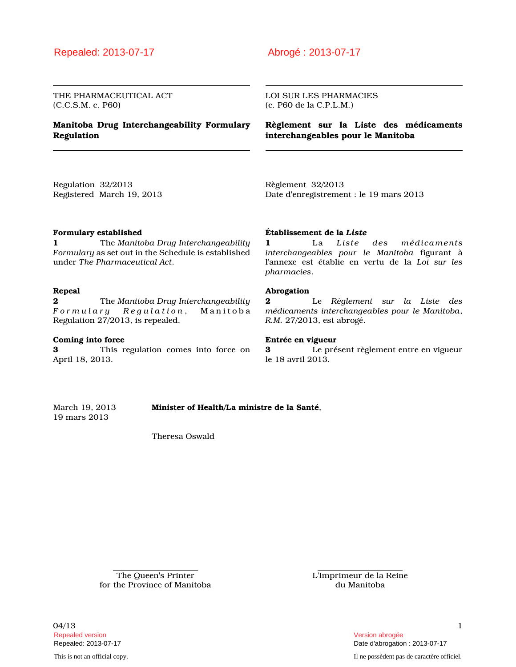## Repealed: 2013-07-17 Abrogé : 2013-07-17

THE PHARMACEUTICAL ACT (C.C.S.M. c. P60)

## **Manitoba Drug Interchangeability Formulary Regulation**

LOI SUR LES PHARMACIES (c. P60 de la C.P.L.M.)

**Règlement sur la Liste des médicaments interchangeables pour le Manitoba**

Regulation 32/2013 Registered March 19, 2013 Règlement 32/2013 Date d'enregistrement : le 19 mars 2013

#### **Formulary established**

**1** The *Manitoba Drug Interchangeability Formulary* as set out in the Schedule is established under *The Pharmaceutical Act*.

## **Repeal**

**2** The *Manitoba Drug Interchangeability F o r m u l a r y R e g u l a t i o n* , M a n i t o b a Regulation 27/2013, is repealed.

#### **Coming into force**

**3** This regulation comes into force on April 18, 2013.

### **Établissement de la** *Liste*

**1** La *Liste des médicaments interchangeables pour le Manitoba* figurant à l'annexe est établie en vertu de la *Loi sur les pharmacies*.

#### **Abrogation**

**2** Le *Règlement sur la Liste des médicaments interchangeables pour le Manitoba*, *R.M.* 27/2013, est abrogé.

#### **Entrée en vigueur**

**3** Le présent règlement entre en vigueur le 18 avril 2013.

March 19, 2013 **Minister of Health/La ministre de la Santé**, 19 mars 2013

Theresa Oswald

The Queen's Printer for the Province of Manitoba L'Imprimeur de la Reine du Manitoba

 $04/13$  1 Repealed version Version abrogée

This is not an official copy. Il ne possèdent pas de caractère officiel.

Repealed: 2013-07-17 Date d'abrogation : 2013-07-17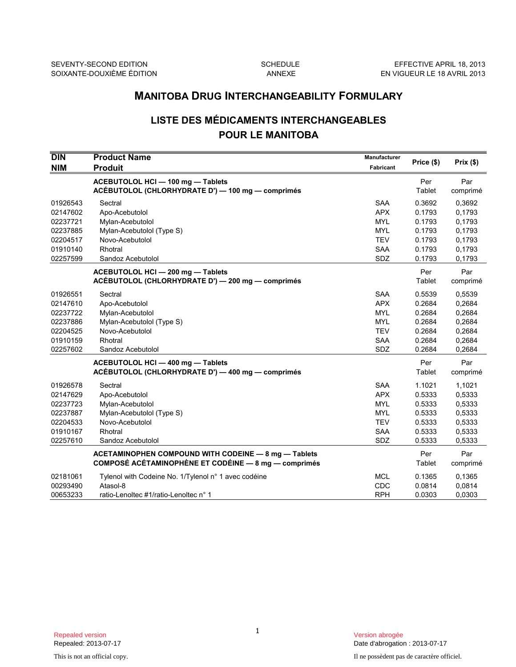# **LISTE DES MÉDICAMENTS INTERCHANGEABLES POUR LE MANITOBA**

|                                                                                  | <b>MANITOBA DRUG INTERCHANGEABILITY FORMULARY</b>                                                                             |                                                                                         |                                                                    |                                                                    |  |
|----------------------------------------------------------------------------------|-------------------------------------------------------------------------------------------------------------------------------|-----------------------------------------------------------------------------------------|--------------------------------------------------------------------|--------------------------------------------------------------------|--|
| <b>LISTE DES MÉDICAMENTS INTERCHANGEABLES</b><br><b>POUR LE MANITOBA</b>         |                                                                                                                               |                                                                                         |                                                                    |                                                                    |  |
| $\overline{D}$ IN<br><b>NIM</b>                                                  | <b>Product Name</b><br><b>Produit</b>                                                                                         | <b>Manufacturer</b><br>Fabricant                                                        | Price (\$)                                                         | Prix(\$)                                                           |  |
|                                                                                  | ACEBUTOLOL HCI - 100 mg - Tablets<br>ACÉBUTOLOL (CHLORHYDRATE D') - 100 mg - comprimés                                        |                                                                                         | Per<br>Tablet                                                      | Par<br>comprimé                                                    |  |
| 01926543<br>02147602<br>02237721<br>02237885<br>02204517<br>01910140<br>02257599 | Sectral<br>Apo-Acebutolol<br>Mylan-Acebutolol<br>Mylan-Acebutolol (Type S)<br>Novo-Acebutolol<br>Rhotral<br>Sandoz Acebutolol | <b>SAA</b><br><b>APX</b><br><b>MYL</b><br><b>MYL</b><br><b>TEV</b><br><b>SAA</b><br>SDZ | 0.3692<br>0.1793<br>0.1793<br>0.1793<br>0.1793<br>0.1793<br>0.1793 | 0.3692<br>0,1793<br>0,1793<br>0,1793<br>0,1793<br>0,1793<br>0.1793 |  |
|                                                                                  | ACEBUTOLOL HCI-200 mg-Tablets<br>ACÉBUTOLOL (CHLORHYDRATE D') - 200 mg - comprimés                                            |                                                                                         | Per<br>Tablet                                                      | Par<br>comprimé                                                    |  |
| 01926551<br>02147610<br>02237722<br>02237886<br>02204525<br>01910159<br>02257602 | Sectral<br>Apo-Acebutolol<br>Mylan-Acebutolol<br>Mylan-Acebutolol (Type S)<br>Novo-Acebutolol<br>Rhotral<br>Sandoz Acebutolol | <b>SAA</b><br><b>APX</b><br><b>MYL</b><br><b>MYL</b><br><b>TEV</b><br><b>SAA</b><br>SDZ | 0.5539<br>0.2684<br>0.2684<br>0.2684<br>0.2684<br>0.2684<br>0.2684 | 0,5539<br>0,2684<br>0,2684<br>0,2684<br>0,2684<br>0,2684<br>0.2684 |  |
|                                                                                  | ACEBUTOLOL HCI - 400 mg - Tablets<br>ACÉBUTOLOL (CHLORHYDRATE D') - 400 mg - comprimés                                        |                                                                                         | Per<br>Tablet                                                      | Par<br>comprimé                                                    |  |
| 01926578<br>02147629<br>02237723<br>02237887<br>02204533<br>01910167<br>02257610 | Sectral<br>Apo-Acebutolol<br>Mylan-Acebutolol<br>Mylan-Acebutolol (Type S)<br>Novo-Acebutolol<br>Rhotral<br>Sandoz Acebutolol | <b>SAA</b><br><b>APX</b><br><b>MYL</b><br><b>MYL</b><br><b>TEV</b><br><b>SAA</b><br>SDZ | 1.1021<br>0.5333<br>0.5333<br>0.5333<br>0.5333<br>0.5333<br>0.5333 | 1,1021<br>0,5333<br>0,5333<br>0,5333<br>0,5333<br>0,5333<br>0,5333 |  |
|                                                                                  | <b>ACETAMINOPHEN COMPOUND WITH CODEINE - 8 mg - Tablets</b><br>COMPOSÉ ACÉTAMINOPHÈNE ET CODÉINE - 8 mg - comprimés           |                                                                                         | Per<br>Tablet                                                      | Par<br>comprimé                                                    |  |
| 02181061<br>00293490<br>00653233                                                 | Tylenol with Codeine No. 1/Tylenol n° 1 avec codéine<br>Atasol-8<br>ratio-Lenoltec #1/ratio-Lenoltec n° 1                     | MCL<br><b>CDC</b><br><b>RPH</b>                                                         | 0.1365<br>0.0814<br>0.0303                                         | 0,1365<br>0,0814<br>0,0303                                         |  |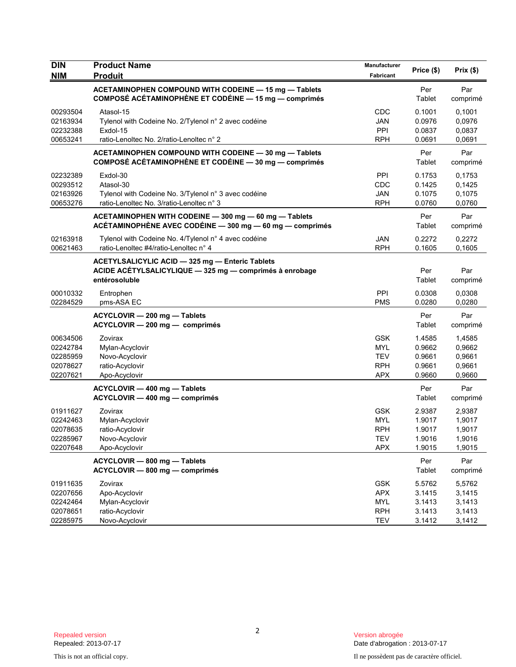| <b>DIN</b><br><b>NIM</b>                                 | <b>Product Name</b><br><b>Produit</b>                                                                                       | Manufacturer<br>Fabricant                                          | Price (\$)                                     | Prix(\$)                                       |
|----------------------------------------------------------|-----------------------------------------------------------------------------------------------------------------------------|--------------------------------------------------------------------|------------------------------------------------|------------------------------------------------|
|                                                          | ACETAMINOPHEN COMPOUND WITH CODEINE - 15 mg - Tablets<br>COMPOSÉ ACÉTAMINOPHÈNE ET CODÉINE - 15 mg - comprimés              |                                                                    | Per<br>Tablet                                  | Par<br>comprimé                                |
| 00293504<br>02163934<br>02232388<br>00653241             | Atasol-15<br>Tylenol with Codeine No. 2/Tylenol n° 2 avec codéine<br>Exdol-15<br>ratio-Lenoltec No. 2/ratio-Lenoltec n° 2   | CDC<br><b>JAN</b><br>PPI<br><b>RPH</b>                             | 0.1001<br>0.0976<br>0.0837<br>0.0691           | 0,1001<br>0.0976<br>0,0837<br>0,0691           |
|                                                          | ACETAMINOPHEN COMPOUND WITH CODEINE - 30 mg - Tablets<br>COMPOSÉ ACÉTAMINOPHÈNE ET CODÉINE - 30 mg - comprimés              |                                                                    | Per<br>Tablet                                  | Par<br>comprimé                                |
| 02232389<br>00293512<br>02163926<br>00653276             | Exdol-30<br>Atasol-30<br>Tylenol with Codeine No. 3/Tylenol n° 3 avec codéine<br>ratio-Lenoltec No. 3/ratio-Lenoltec n° 3   | PPI<br>CDC<br><b>JAN</b><br><b>RPH</b>                             | 0.1753<br>0.1425<br>0.1075<br>0.0760           | 0,1753<br>0,1425<br>0,1075<br>0,0760           |
|                                                          | ACETAMINOPHEN WITH CODEINE - 300 mg - 60 mg - Tablets<br>ACÉTAMINOPHÈNE AVEC CODÉINE - 300 mg - 60 mg - comprimés           |                                                                    | Per<br>Tablet                                  | Par<br>comprimé                                |
| 02163918<br>00621463                                     | Tylenol with Codeine No. 4/Tylenol n° 4 avec codéine<br>ratio-Lenoltec #4/ratio-Lenoltec n° 4                               | <b>JAN</b><br><b>RPH</b>                                           | 0.2272<br>0.1605                               | 0,2272<br>0.1605                               |
|                                                          | ACETYLSALICYLIC ACID - 325 mg - Enteric Tablets<br>ACIDE ACÉTYLSALICYLIQUE - 325 mg - comprimés à enrobage<br>entérosoluble |                                                                    | Per<br>Tablet                                  | Par<br>comprimé                                |
| 00010332<br>02284529                                     | Entrophen<br>pms-ASA EC                                                                                                     | PPI<br><b>PMS</b>                                                  | 0.0308<br>0.0280                               | 0,0308<br>0,0280                               |
|                                                          | ACYCLOVIR - 200 mg - Tablets<br>ACYCLOVIR - 200 mg - comprimés                                                              |                                                                    | Per<br>Tablet                                  | Par<br>comprimé                                |
| 00634506<br>02242784<br>02285959<br>02078627<br>02207621 | Zovirax<br>Mylan-Acyclovir<br>Novo-Acyclovir<br>ratio-Acyclovir<br>Apo-Acyclovir                                            | <b>GSK</b><br><b>MYL</b><br><b>TEV</b><br><b>RPH</b><br><b>APX</b> | 1.4585<br>0.9662<br>0.9661<br>0.9661<br>0.9660 | 1,4585<br>0,9662<br>0,9661<br>0,9661<br>0,9660 |
|                                                          | ACYCLOVIR - 400 mg - Tablets<br>ACYCLOVIR - 400 mg - comprimés                                                              |                                                                    | Per<br>Tablet                                  | Par<br>comprimé                                |
| 01911627<br>02242463<br>02078635<br>02285967<br>02207648 | Zovirax<br>Mylan-Acyclovir<br>ratio-Acyclovir<br>Novo-Acyclovir<br>Apo-Acyclovir                                            | <b>GSK</b><br><b>MYL</b><br><b>RPH</b><br>TEV<br><b>APX</b>        | 2.9387<br>1.9017<br>1.9017<br>1.9016<br>1.9015 | 2,9387<br>1,9017<br>1,9017<br>1,9016<br>1,9015 |
|                                                          | ACYCLOVIR - 800 mg - Tablets<br>ACYCLOVIR - 800 mg - comprimés                                                              |                                                                    | Per<br>Tablet                                  | Par<br>comprimé                                |
| 01911635<br>02207656<br>02242464<br>02078651<br>02285975 | Zovirax<br>Apo-Acyclovir<br>Mylan-Acyclovir<br>ratio-Acyclovir<br>Novo-Acyclovir                                            | <b>GSK</b><br><b>APX</b><br><b>MYL</b><br><b>RPH</b><br><b>TEV</b> | 5.5762<br>3.1415<br>3.1413<br>3.1413<br>3.1412 | 5,5762<br>3,1415<br>3,1413<br>3,1413<br>3,1412 |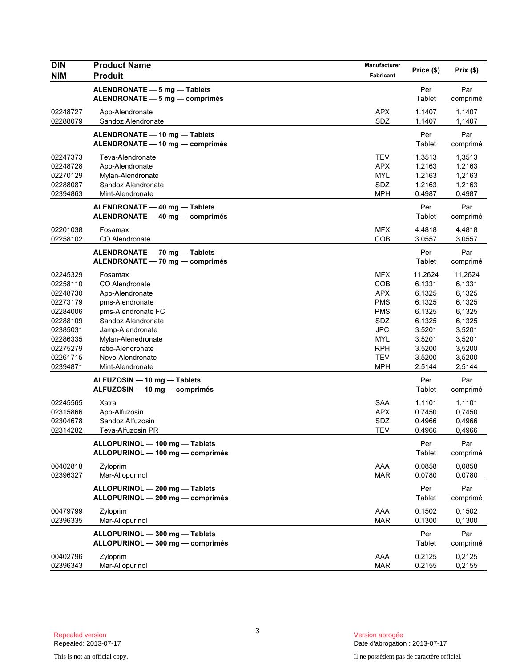| <b>DIN</b><br><b>NIM</b>                                                                                                         | <b>Product Name</b><br><b>Produit</b>                                                                                                                                                                              | Manufacturer<br>Fabricant                                                                                                         | Price (\$)                                                                                                  | Prix(\$)                                                                                                    |
|----------------------------------------------------------------------------------------------------------------------------------|--------------------------------------------------------------------------------------------------------------------------------------------------------------------------------------------------------------------|-----------------------------------------------------------------------------------------------------------------------------------|-------------------------------------------------------------------------------------------------------------|-------------------------------------------------------------------------------------------------------------|
|                                                                                                                                  | ALENDRONATE - 5 mg - Tablets<br>ALENDRONATE - 5 mg - comprimés                                                                                                                                                     |                                                                                                                                   | Per<br>Tablet                                                                                               | Par<br>comprimé                                                                                             |
| 02248727<br>02288079                                                                                                             | Apo-Alendronate<br>Sandoz Alendronate                                                                                                                                                                              | <b>APX</b><br>SDZ                                                                                                                 | 1.1407<br>1.1407                                                                                            | 1,1407<br>1,1407                                                                                            |
|                                                                                                                                  | ALENDRONATE - 10 mg - Tablets<br>ALENDRONATE - 10 mg - comprimés                                                                                                                                                   |                                                                                                                                   | Per<br>Tablet                                                                                               | Par<br>comprimé                                                                                             |
| 02247373<br>02248728<br>02270129<br>02288087<br>02394863                                                                         | Teva-Alendronate<br>Apo-Alendronate<br>Mylan-Alendronate<br>Sandoz Alendronate<br>Mint-Alendronate                                                                                                                 | <b>TEV</b><br><b>APX</b><br><b>MYL</b><br>SDZ<br><b>MPH</b>                                                                       | 1.3513<br>1.2163<br>1.2163<br>1.2163<br>0.4987                                                              | 1,3513<br>1,2163<br>1,2163<br>1,2163<br>0,4987                                                              |
|                                                                                                                                  | ALENDRONATE - 40 mg - Tablets<br>ALENDRONATE - 40 mg - comprimés                                                                                                                                                   |                                                                                                                                   | Per<br>Tablet                                                                                               | Par<br>comprimé                                                                                             |
| 02201038<br>02258102                                                                                                             | Fosamax<br>CO Alendronate                                                                                                                                                                                          | <b>MFX</b><br>COB                                                                                                                 | 4.4818<br>3.0557                                                                                            | 4,4818<br>3,0557                                                                                            |
|                                                                                                                                  | ALENDRONATE - 70 mg - Tablets<br>ALENDRONATE - 70 mg - comprimés                                                                                                                                                   |                                                                                                                                   | Per<br>Tablet                                                                                               | Par<br>comprimé                                                                                             |
| 02245329<br>02258110<br>02248730<br>02273179<br>02284006<br>02288109<br>02385031<br>02286335<br>02275279<br>02261715<br>02394871 | Fosamax<br>CO Alendronate<br>Apo-Alendronate<br>pms-Alendronate<br>pms-Alendronate FC<br>Sandoz Alendronate<br>Jamp-Alendronate<br>Mylan-Alenedronate<br>ratio-Alendronate<br>Novo-Alendronate<br>Mint-Alendronate | <b>MFX</b><br>COB<br><b>APX</b><br><b>PMS</b><br><b>PMS</b><br>SDZ<br><b>JPC</b><br>MYL<br><b>RPH</b><br><b>TEV</b><br><b>MPH</b> | 11.2624<br>6.1331<br>6.1325<br>6.1325<br>6.1325<br>6.1325<br>3.5201<br>3.5201<br>3.5200<br>3.5200<br>2.5144 | 11,2624<br>6,1331<br>6,1325<br>6,1325<br>6,1325<br>6,1325<br>3,5201<br>3,5201<br>3,5200<br>3,5200<br>2,5144 |
|                                                                                                                                  | ALFUZOSIN - 10 mg - Tablets<br>ALFUZOSIN - 10 mg - comprimés                                                                                                                                                       |                                                                                                                                   | Per<br>Tablet                                                                                               | Par<br>comprimé                                                                                             |
| 02245565<br>02315866<br>02304678<br>02314282                                                                                     | Xatral<br>Apo-Alfuzosin<br>Sandoz Alfuzosin<br>Teva-Alfuzosin PR                                                                                                                                                   | <b>SAA</b><br><b>APX</b><br>SDZ<br><b>TEV</b>                                                                                     | 1.1101<br>0.7450<br>0.4966<br>0.4966                                                                        | 1,1101<br>0,7450<br>0,4966<br>0,4966                                                                        |
|                                                                                                                                  | ALLOPURINOL - 100 mg - Tablets<br>ALLOPURINOL - 100 mg - comprimés                                                                                                                                                 |                                                                                                                                   | Per<br>Tablet                                                                                               | Par<br>comprimé                                                                                             |
| 00402818<br>02396327                                                                                                             | Zyloprim<br>Mar-Allopurinol                                                                                                                                                                                        | AAA<br><b>MAR</b>                                                                                                                 | 0.0858<br>0.0780                                                                                            | 0,0858<br>0,0780                                                                                            |
|                                                                                                                                  | ALLOPURINOL - 200 mg - Tablets<br>ALLOPURINOL - 200 mg - comprimés                                                                                                                                                 |                                                                                                                                   | Per<br>Tablet                                                                                               | Par<br>comprimé                                                                                             |
| 00479799<br>02396335                                                                                                             | Zyloprim<br>Mar-Allopurinol                                                                                                                                                                                        | AAA<br><b>MAR</b>                                                                                                                 | 0.1502<br>0.1300                                                                                            | 0,1502<br>0,1300                                                                                            |
|                                                                                                                                  | ALLOPURINOL - 300 mg - Tablets<br>ALLOPURINOL - 300 mg - comprimés                                                                                                                                                 |                                                                                                                                   | Per<br>Tablet                                                                                               | Par<br>comprimé                                                                                             |
| 00402796<br>02396343                                                                                                             | Zyloprim<br>Mar-Allopurinol                                                                                                                                                                                        | AAA<br><b>MAR</b>                                                                                                                 | 0.2125<br>0.2155                                                                                            | 0,2125<br>0,2155                                                                                            |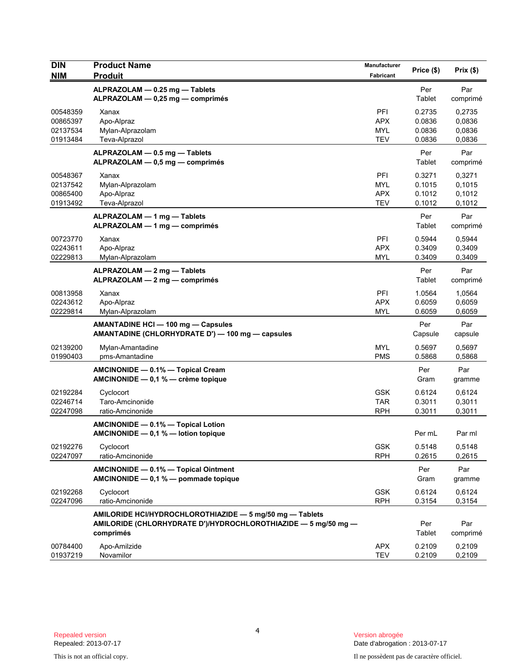| <b>DIN</b>                                   | <b>Product Name</b>                                                                                                                     | Manufacturer                           | Price (\$)                           | Prix(\$)                             |
|----------------------------------------------|-----------------------------------------------------------------------------------------------------------------------------------------|----------------------------------------|--------------------------------------|--------------------------------------|
| <b>NIM</b>                                   | <b>Produit</b>                                                                                                                          | Fabricant                              |                                      |                                      |
|                                              | ALPRAZOLAM - 0.25 mg - Tablets<br>ALPRAZOLAM - 0,25 mg - comprimés                                                                      |                                        | Per<br>Tablet                        | Par<br>comprimé                      |
| 00548359<br>00865397<br>02137534<br>01913484 | Xanax<br>Apo-Alpraz<br>Mylan-Alprazolam<br>Teva-Alprazol                                                                                | PFI<br>APX<br><b>MYL</b><br><b>TEV</b> | 0.2735<br>0.0836<br>0.0836<br>0.0836 | 0,2735<br>0,0836<br>0,0836<br>0,0836 |
|                                              | ALPRAZOLAM - 0.5 mg - Tablets<br>ALPRAZOLAM - 0,5 mg - comprimés                                                                        |                                        | Per<br>Tablet                        | Par<br>comprimé                      |
| 00548367<br>02137542<br>00865400<br>01913492 | Xanax<br>Mylan-Alprazolam<br>Apo-Alpraz<br>Teva-Alprazol                                                                                | PFI<br><b>MYL</b><br>APX<br><b>TEV</b> | 0.3271<br>0.1015<br>0.1012<br>0.1012 | 0,3271<br>0,1015<br>0,1012<br>0,1012 |
|                                              | ALPRAZOLAM - 1 mg - Tablets<br>ALPRAZOLAM - 1 mg - comprimés                                                                            |                                        | Per<br>Tablet                        | Par<br>comprimé                      |
| 00723770<br>02243611<br>02229813             | Xanax<br>Apo-Alpraz<br>Mylan-Alprazolam                                                                                                 | PFI<br><b>APX</b><br>MYL               | 0.5944<br>0.3409<br>0.3409           | 0,5944<br>0,3409<br>0,3409           |
|                                              | ALPRAZOLAM - 2 mg - Tablets<br>ALPRAZOLAM - 2 mg - comprimés                                                                            |                                        | Per<br>Tablet                        | Par<br>comprimé                      |
| 00813958<br>02243612<br>02229814             | Xanax<br>Apo-Alpraz<br>Mylan-Alprazolam                                                                                                 | PFI<br><b>APX</b><br><b>MYL</b>        | 1.0564<br>0.6059<br>0.6059           | 1,0564<br>0,6059<br>0,6059           |
|                                              | AMANTADINE HCI - 100 mg - Capsules<br>AMANTADINE (CHLORHYDRATE D') - 100 mg - capsules                                                  |                                        | Per<br>Capsule                       | Par<br>capsule                       |
| 02139200<br>01990403                         | Mylan-Amantadine<br>pms-Amantadine                                                                                                      | <b>MYL</b><br><b>PMS</b>               | 0.5697<br>0.5868                     | 0,5697<br>0,5868                     |
|                                              | AMCINONIDE - 0.1% - Topical Cream<br>AMCINONIDE - 0,1 % - crème topique                                                                 |                                        | Per<br>Gram                          | Par<br>gramme                        |
| 02192284<br>02246714<br>02247098             | Cyclocort<br>Taro-Amcinonide<br>ratio-Amcinonide                                                                                        | <b>GSK</b><br><b>TAR</b><br><b>RPH</b> | 0.6124<br>0.3011<br>0.3011           | 0,6124<br>0,3011<br>0,3011           |
|                                              | AMCINONIDE - 0.1% - Topical Lotion<br>AMCINONIDE - 0,1 % - lotion topique                                                               |                                        | Per mL                               | Par ml                               |
| 02192276<br>02247097                         | Cyclocort<br>ratio-Amcinonide                                                                                                           | <b>GSK</b><br><b>RPH</b>               | 0.5148<br>0.2615                     | 0,5148<br>0,2615                     |
|                                              | AMCINONIDE - 0.1% - Topical Ointment<br>AMCINONIDE $-$ 0,1 % $-$ pommade topique                                                        |                                        | Per<br>Gram                          | Par<br>gramme                        |
| 02192268<br>02247096                         | Cyclocort<br>ratio-Amcinonide                                                                                                           | <b>GSK</b><br><b>RPH</b>               | 0.6124<br>0.3154                     | 0,6124<br>0,3154                     |
|                                              | AMILORIDE HCI/HYDROCHLOROTHIAZIDE - 5 mg/50 mg - Tablets<br>AMILORIDE (CHLORHYDRATE D')/HYDROCHLOROTHIAZIDE - 5 mg/50 mg -<br>comprimés |                                        | Per<br>Tablet                        | Par<br>comprimé                      |
| 00784400<br>01937219                         | Apo-Amilzide<br>Novamilor                                                                                                               | <b>APX</b><br><b>TEV</b>               | 0.2109<br>0.2109                     | 0,2109<br>0,2109                     |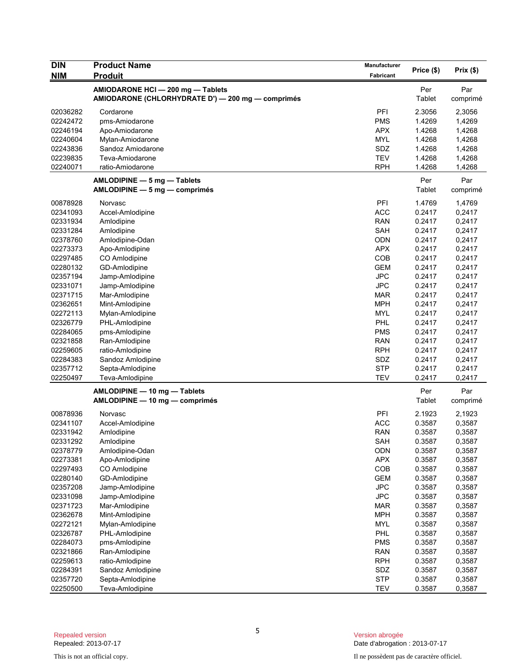| <b>DIN</b>           | <b>Product Name</b>                                                                    | Manufacturer      | Price (\$)       | Prix(\$)         |
|----------------------|----------------------------------------------------------------------------------------|-------------------|------------------|------------------|
| <b>NIM</b>           | <b>Produit</b>                                                                         | Fabricant         |                  |                  |
|                      | AMIODARONE HCI - 200 mg - Tablets<br>AMIODARONE (CHLORHYDRATE D') - 200 mg - comprimés |                   | Per<br>Tablet    | Par<br>comprimé  |
| 02036282             | Cordarone                                                                              | PFI               | 2.3056           | 2,3056           |
| 02242472             | pms-Amiodarone                                                                         | <b>PMS</b>        | 1.4269           | 1,4269           |
| 02246194             | Apo-Amiodarone                                                                         | <b>APX</b>        | 1.4268           | 1,4268           |
| 02240604             | Mylan-Amiodarone                                                                       | <b>MYL</b>        | 1.4268           | 1,4268           |
| 02243836             | Sandoz Amiodarone                                                                      | SDZ               | 1.4268           | 1,4268           |
| 02239835             | Teva-Amiodarone                                                                        | <b>TEV</b>        | 1.4268           | 1,4268           |
| 02240071             | ratio-Amiodarone                                                                       | <b>RPH</b>        | 1.4268           | 1,4268           |
|                      | AMLODIPINE - 5 mg - Tablets<br>$AMLODIPINE - 5 mg - comprimés$                         |                   | Per<br>Tablet    | Par<br>comprimé  |
| 00878928             | Norvasc                                                                                | PFI               | 1.4769           | 1,4769           |
| 02341093             | Accel-Amlodipine                                                                       | <b>ACC</b>        | 0.2417           | 0,2417           |
| 02331934             | Amlodipine                                                                             | <b>RAN</b>        | 0.2417           | 0,2417           |
| 02331284             | Amlodipine                                                                             | <b>SAH</b>        | 0.2417           | 0,2417           |
| 02378760             | Amlodipine-Odan                                                                        | <b>ODN</b>        | 0.2417           | 0,2417           |
| 02273373             | Apo-Amlodipine                                                                         | <b>APX</b>        | 0.2417           | 0,2417           |
| 02297485             | CO Amlodipine                                                                          | COB               | 0.2417           | 0,2417           |
| 02280132             | GD-Amlodipine                                                                          | <b>GEM</b>        | 0.2417           | 0,2417           |
| 02357194             | Jamp-Amlodipine                                                                        | <b>JPC</b>        | 0.2417           | 0,2417           |
| 02331071             | Jamp-Amlodipine                                                                        | <b>JPC</b>        | 0.2417           | 0,2417           |
| 02371715             | Mar-Amlodipine                                                                         | <b>MAR</b>        | 0.2417           | 0,2417           |
| 02362651             | Mint-Amlodipine                                                                        | <b>MPH</b>        | 0.2417           | 0,2417           |
| 02272113             | Mylan-Amlodipine                                                                       | <b>MYL</b>        | 0.2417           | 0,2417           |
| 02326779             | PHL-Amlodipine                                                                         | PHL               | 0.2417           | 0,2417           |
| 02284065             | pms-Amlodipine                                                                         | <b>PMS</b>        | 0.2417           | 0,2417           |
| 02321858             | Ran-Amlodipine                                                                         | RAN               | 0.2417           | 0,2417           |
| 02259605             | ratio-Amlodipine                                                                       | <b>RPH</b>        | 0.2417           | 0,2417           |
| 02284383<br>02357712 | Sandoz Amlodipine                                                                      | SDZ<br><b>STP</b> | 0.2417<br>0.2417 | 0,2417           |
| 02250497             | Septa-Amlodipine<br>Teva-Amlodipine                                                    | <b>TEV</b>        | 0.2417           | 0,2417<br>0,2417 |
|                      |                                                                                        |                   |                  |                  |
|                      | AMLODIPINE - 10 mg - Tablets<br>AMLODIPINE - 10 mg - comprimés                         |                   | Per<br>Tablet    | Par<br>comprimé  |
| 00878936             | Norvasc                                                                                | PFI               | 2.1923           | 2,1923           |
| 02341107             | Accel-Amlodipine                                                                       | <b>ACC</b>        | 0.3587           | 0,3587           |
| 02331942             | Amlodipine                                                                             | <b>RAN</b>        | 0.3587           | 0,3587           |
| 02331292             | Amlodipine                                                                             | <b>SAH</b>        | 0.3587           | 0,3587           |
| 02378779             | Amlodipine-Odan                                                                        | ODN               | 0.3587           | 0,3587           |
| 02273381             | Apo-Amlodipine                                                                         | <b>APX</b>        | 0.3587           | 0,3587           |
| 02297493             | CO Amlodipine                                                                          | COB               | 0.3587           | 0,3587           |
| 02280140             | GD-Amlodipine                                                                          | <b>GEM</b>        | 0.3587           | 0,3587           |
| 02357208             | Jamp-Amlodipine                                                                        | <b>JPC</b>        | 0.3587           | 0,3587           |
| 02331098             | Jamp-Amlodipine                                                                        | <b>JPC</b>        | 0.3587           | 0,3587           |
| 02371723             | Mar-Amlodipine                                                                         | <b>MAR</b>        | 0.3587           | 0,3587           |
| 02362678             | Mint-Amlodipine                                                                        | <b>MPH</b>        | 0.3587           | 0,3587           |
| 02272121             | Mylan-Amlodipine                                                                       | <b>MYL</b>        | 0.3587           | 0,3587           |
| 02326787             | PHL-Amlodipine                                                                         | PHL               | 0.3587           | 0,3587           |
| 02284073             | pms-Amlodipine                                                                         | <b>PMS</b>        | 0.3587           | 0,3587           |
| 02321866             | Ran-Amlodipine                                                                         | <b>RAN</b>        | 0.3587           | 0,3587           |
| 02259613             | ratio-Amlodipine                                                                       | <b>RPH</b>        | 0.3587           | 0,3587           |
| 02284391             | Sandoz Amlodipine                                                                      | SDZ               | 0.3587           | 0,3587           |
| 02357720             | Septa-Amlodipine                                                                       | <b>STP</b>        | 0.3587           | 0,3587           |
| 02250500             | Teva-Amlodipine                                                                        | <b>TEV</b>        | 0.3587           | 0,3587           |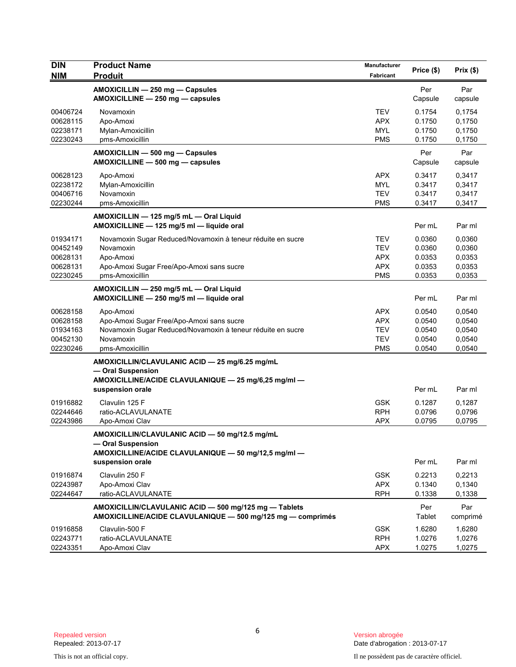| <b>DIN</b>           | <b>Product Name</b>                                                                                                  | Manufacturer             |                  |                  |
|----------------------|----------------------------------------------------------------------------------------------------------------------|--------------------------|------------------|------------------|
| <b>NIM</b>           | <b>Produit</b>                                                                                                       | <b>Fabricant</b>         | Price (\$)       | Prix(\$)         |
|                      | AMOXICILLIN - 250 mg - Capsules                                                                                      |                          | Per              | Par              |
|                      | AMOXICILLINE - 250 mg - capsules                                                                                     |                          | Capsule          | capsule          |
| 00406724             | Novamoxin                                                                                                            | <b>TEV</b>               | 0.1754           | 0,1754           |
| 00628115             | Apo-Amoxi                                                                                                            | <b>APX</b>               | 0.1750           | 0,1750           |
| 02238171             | Mylan-Amoxicillin                                                                                                    | <b>MYL</b>               | 0.1750           | 0,1750           |
| 02230243             | pms-Amoxicillin                                                                                                      | <b>PMS</b>               | 0.1750           | 0,1750           |
|                      | AMOXICILLIN - 500 mg - Capsules                                                                                      |                          | Per              | Par              |
|                      | AMOXICILLINE - 500 mg - capsules                                                                                     |                          | Capsule          | capsule          |
| 00628123             | Apo-Amoxi                                                                                                            | <b>APX</b>               | 0.3417           | 0,3417           |
| 02238172             | Mylan-Amoxicillin                                                                                                    | <b>MYL</b>               | 0.3417           | 0,3417           |
| 00406716             | Novamoxin                                                                                                            | <b>TEV</b>               | 0.3417           | 0,3417           |
| 02230244             | pms-Amoxicillin                                                                                                      | <b>PMS</b>               | 0.3417           | 0,3417           |
|                      | AMOXICILLIN - 125 mg/5 mL - Oral Liquid                                                                              |                          |                  |                  |
|                      | AMOXICILLINE - 125 mg/5 ml - liquide oral                                                                            |                          | Per mL           | Par ml           |
| 01934171             | Novamoxin Sugar Reduced/Novamoxin à teneur réduite en sucre                                                          | <b>TEV</b>               | 0.0360           | 0,0360           |
| 00452149             | Novamoxin                                                                                                            | <b>TEV</b>               | 0.0360           | 0,0360           |
| 00628131             | Apo-Amoxi                                                                                                            | <b>APX</b>               | 0.0353           | 0,0353           |
| 00628131             | Apo-Amoxi Sugar Free/Apo-Amoxi sans sucre                                                                            | <b>APX</b>               | 0.0353           | 0,0353           |
| 02230245             | pms-Amoxicillin                                                                                                      | <b>PMS</b>               | 0.0353           | 0,0353           |
|                      | AMOXICILLIN - 250 mg/5 mL - Oral Liquid                                                                              |                          |                  |                  |
|                      | AMOXICILLINE - 250 mg/5 ml - liquide oral                                                                            |                          | Per mL           | Par ml           |
| 00628158             | Apo-Amoxi                                                                                                            | <b>APX</b>               | 0.0540           | 0,0540           |
| 00628158             | Apo-Amoxi Sugar Free/Apo-Amoxi sans sucre                                                                            | <b>APX</b>               | 0.0540           | 0,0540           |
| 01934163             | Novamoxin Sugar Reduced/Novamoxin à teneur réduite en sucre                                                          | <b>TEV</b>               | 0.0540           | 0,0540           |
| 00452130             | Novamoxin                                                                                                            | <b>TEV</b>               | 0.0540           | 0,0540           |
| 02230246             | pms-Amoxicillin                                                                                                      | <b>PMS</b>               | 0.0540           | 0,0540           |
|                      | AMOXICILLIN/CLAVULANIC ACID - 25 mg/6.25 mg/mL                                                                       |                          |                  |                  |
|                      | - Oral Suspension                                                                                                    |                          |                  |                  |
|                      | AMOXICILLINE/ACIDE CLAVULANIQUE - 25 mg/6,25 mg/ml -                                                                 |                          |                  |                  |
|                      | suspension orale                                                                                                     |                          | Per mL           | Par ml           |
| 01916882             | Clavulin 125 F                                                                                                       | <b>GSK</b>               | 0.1287           | 0,1287           |
| 02244646             | ratio-ACLAVULANATE                                                                                                   | <b>RPH</b>               | 0.0796           | 0,0796           |
| 02243986             | Apo-Amoxi Clav                                                                                                       | <b>APX</b>               | 0.0795           | 0,0795           |
|                      | AMOXICILLIN/CLAVULANIC ACID - 50 mg/12.5 mg/mL                                                                       |                          |                  |                  |
|                      | - Oral Suspension                                                                                                    |                          |                  |                  |
|                      | AMOXICILLINE/ACIDE CLAVULANIQUE - 50 mg/12,5 mg/ml -                                                                 |                          |                  |                  |
|                      | suspension orale                                                                                                     |                          | Per mL           | Par ml           |
|                      |                                                                                                                      |                          |                  |                  |
| 01916874<br>02243987 | Clavulin 250 F                                                                                                       | <b>GSK</b><br><b>APX</b> | 0.2213<br>0.1340 | 0,2213           |
| 02244647             | Apo-Amoxi Clav<br>ratio-ACLAVULANATE                                                                                 | <b>RPH</b>               | 0.1338           | 0,1340<br>0,1338 |
|                      |                                                                                                                      |                          |                  |                  |
|                      | AMOXICILLIN/CLAVULANIC ACID - 500 mg/125 mg - Tablets<br>AMOXICILLINE/ACIDE CLAVULANIQUE - 500 mg/125 mg - comprimés |                          | Per<br>Tablet    | Par              |
|                      |                                                                                                                      |                          |                  | comprimé         |
| 01916858             | Clavulin-500 F                                                                                                       | <b>GSK</b>               | 1.6280           | 1,6280           |
| 02243771<br>02243351 | ratio-ACLAVULANATE<br>Apo-Amoxi Clav                                                                                 | <b>RPH</b><br><b>APX</b> | 1.0276<br>1.0275 | 1,0276<br>1,0275 |
|                      |                                                                                                                      |                          |                  |                  |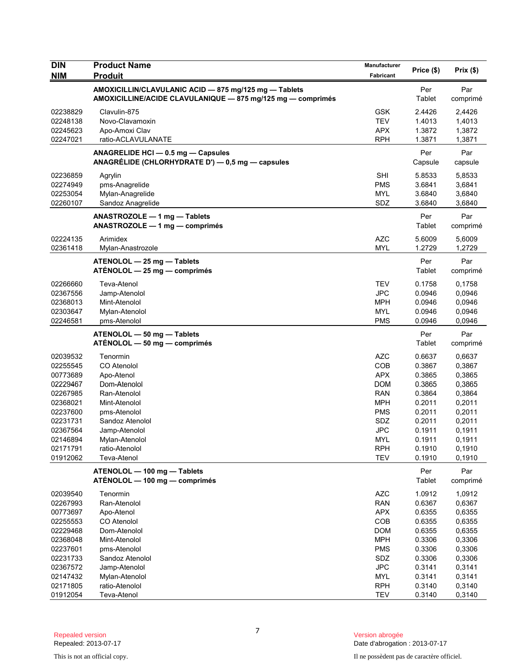| <b>DIN</b><br><b>NIM</b> | <b>Product Name</b><br><b>Produit</b>                                                                                | Manufacturer<br>Fabricant | Price (\$)     | $Prix($ \$)     |
|--------------------------|----------------------------------------------------------------------------------------------------------------------|---------------------------|----------------|-----------------|
|                          | AMOXICILLIN/CLAVULANIC ACID - 875 mg/125 mg - Tablets<br>AMOXICILLINE/ACIDE CLAVULANIQUE - 875 mg/125 mg - comprimés |                           | Per<br>Tablet  | Par<br>comprimé |
| 02238829                 | Clavulin-875                                                                                                         | <b>GSK</b>                | 2.4426         | 2,4426          |
| 02248138                 | Novo-Clavamoxin                                                                                                      | <b>TEV</b>                | 1.4013         | 1,4013          |
| 02245623                 | Apo-Amoxi Clav                                                                                                       | <b>APX</b>                | 1.3872         | 1,3872          |
| 02247021                 | ratio-ACLAVULANATE                                                                                                   | <b>RPH</b>                | 1.3871         | 1,3871          |
|                          | ANAGRELIDE HCI - 0.5 mg - Capsules<br>ANAGRÉLIDE (CHLORHYDRATE D') - 0,5 mg - capsules                               |                           | Per<br>Capsule | Par<br>capsule  |
| 02236859                 | Agrylin                                                                                                              | <b>SHI</b>                | 5.8533         | 5.8533          |
| 02274949                 | pms-Anagrelide                                                                                                       | <b>PMS</b>                | 3.6841         | 3,6841          |
| 02253054                 | Mylan-Anagrelide                                                                                                     | <b>MYL</b>                | 3.6840         | 3,6840          |
| 02260107                 | Sandoz Anagrelide                                                                                                    | SDZ                       | 3.6840         | 3,6840          |
|                          | ANASTROZOLE - 1 mg - Tablets<br>ANASTROZOLE - 1 mg - comprimés                                                       |                           | Per<br>Tablet  | Par<br>comprimé |
| 02224135                 | Arimidex                                                                                                             | <b>AZC</b>                | 5.6009         | 5,6009          |
| 02361418                 | Mylan-Anastrozole                                                                                                    | <b>MYL</b>                | 1.2729         | 1,2729          |
|                          | ATENOLOL - 25 mg - Tablets<br>$ATÉNOLOL - 25 mg - comprimés$                                                         |                           | Per<br>Tablet  | Par<br>comprimé |
| 02266660                 | <b>Teva-Atenol</b>                                                                                                   | <b>TEV</b>                | 0.1758         | 0,1758          |
| 02367556                 | Jamp-Atenolol                                                                                                        | <b>JPC</b>                | 0.0946         | 0,0946          |
| 02368013                 | Mint-Atenolol                                                                                                        | <b>MPH</b>                | 0.0946         | 0,0946          |
| 02303647                 | Mylan-Atenolol                                                                                                       | <b>MYL</b>                | 0.0946         | 0,0946          |
| 02246581                 | pms-Atenolol                                                                                                         | <b>PMS</b>                | 0.0946         | 0,0946          |
|                          | ATENOLOL - 50 mg - Tablets<br>$ATÉNOLOL - 50 mg - comprimés$                                                         |                           | Per<br>Tablet  | Par<br>comprimé |
| 02039532                 | Tenormin                                                                                                             | <b>AZC</b>                | 0.6637         | 0,6637          |
| 02255545                 | CO Atenolol                                                                                                          | COB                       | 0.3867         | 0,3867          |
| 00773689                 | Apo-Atenol                                                                                                           | <b>APX</b>                | 0.3865         | 0,3865          |
| 02229467                 | Dom-Atenolol                                                                                                         | <b>DOM</b>                | 0.3865         | 0,3865          |
| 02267985                 | Ran-Atenolol                                                                                                         | <b>RAN</b>                | 0.3864         | 0,3864          |
| 02368021                 | Mint-Atenolol                                                                                                        | <b>MPH</b>                | 0.2011         | 0,2011          |
| 02237600                 | pms-Atenolol                                                                                                         | <b>PMS</b>                | 0.2011         | 0,2011          |
| 02231731                 | Sandoz Atenolol                                                                                                      | SDZ                       | 0.2011         | 0,2011          |
| 02367564                 | Jamp-Atenolol                                                                                                        | <b>JPC</b>                | 0.1911         | 0,1911          |
| 02146894                 | Mylan-Atenolol                                                                                                       | MYL                       | 0.1911         | 0,1911          |
| 02171791                 | ratio-Atenolol                                                                                                       | <b>RPH</b>                | 0.1910         | 0,1910          |
| 01912062                 | Teva-Atenol                                                                                                          | <b>TEV</b>                | 0.1910         | 0,1910          |
|                          | ATENOLOL - 100 mg - Tablets<br>ATÉNOLOL — 100 mg — comprimés                                                         |                           | Per<br>Tablet  | Par<br>comprimé |
| 02039540                 | Tenormin                                                                                                             | AZC                       | 1.0912         | 1,0912          |
| 02267993                 | Ran-Atenolol                                                                                                         | <b>RAN</b>                | 0.6367         | 0,6367          |
| 00773697                 | Apo-Atenol                                                                                                           | <b>APX</b>                | 0.6355         | 0,6355          |
| 02255553                 | CO Atenolol                                                                                                          | COB                       | 0.6355         | 0,6355          |
| 02229468                 | Dom-Atenolol                                                                                                         | <b>DOM</b>                | 0.6355         | 0,6355          |
| 02368048                 | Mint-Atenolol                                                                                                        | <b>MPH</b>                | 0.3306         | 0,3306          |
| 02237601                 | pms-Atenolol                                                                                                         | <b>PMS</b>                | 0.3306         | 0,3306          |
| 02231733                 | Sandoz Atenolol                                                                                                      | SDZ                       | 0.3306         | 0,3306          |
| 02367572                 | Jamp-Atenolol                                                                                                        | <b>JPC</b>                | 0.3141         | 0,3141          |
| 02147432                 | Mylan-Atenolol                                                                                                       | <b>MYL</b>                | 0.3141         | 0,3141          |
| 02171805                 | ratio-Atenolol                                                                                                       | <b>RPH</b>                | 0.3140         | 0,3140          |
| 01912054                 | Teva-Atenol                                                                                                          | <b>TEV</b>                | 0.3140         | 0,3140          |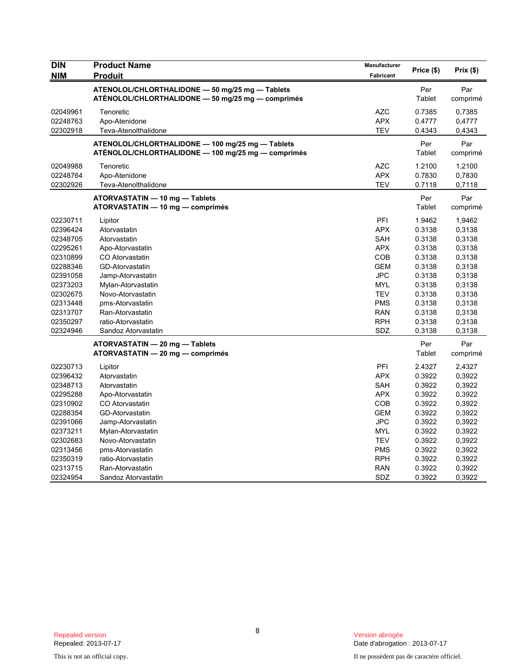| Manufacturer<br>Fabricant                                                                                                                              | Price (\$)                                                                                                           | Prix(\$)                                                                                                                       |
|--------------------------------------------------------------------------------------------------------------------------------------------------------|----------------------------------------------------------------------------------------------------------------------|--------------------------------------------------------------------------------------------------------------------------------|
|                                                                                                                                                        | Per<br>Tablet                                                                                                        | Par<br>comprimé                                                                                                                |
| <b>AZC</b><br><b>APX</b><br><b>TEV</b>                                                                                                                 | 0.7385<br>0.4777<br>0.4343                                                                                           | 0,7385<br>0,4777<br>0,4343                                                                                                     |
|                                                                                                                                                        | Per<br>Tablet                                                                                                        | Par<br>comprimé                                                                                                                |
| <b>AZC</b><br><b>APX</b><br><b>TEV</b>                                                                                                                 | 1.2100<br>0.7830<br>0.7118                                                                                           | 1,2100<br>0,7830<br>0,7118                                                                                                     |
|                                                                                                                                                        | Per<br>Tablet                                                                                                        | Par<br>comprimé                                                                                                                |
| PFI<br><b>APX</b><br>SAH<br><b>APX</b><br>COB<br><b>GEM</b><br><b>JPC</b><br><b>MYL</b><br><b>TEV</b><br><b>PMS</b><br><b>RAN</b><br><b>RPH</b><br>SDZ | 1.9462<br>0.3138<br>0.3138<br>0.3138<br>0.3138<br>0.3138<br>0.3138<br>0.3138<br>0.3138<br>0.3138<br>0.3138<br>0.3138 | 1,9462<br>0,3138<br>0,3138<br>0,3138<br>0,3138<br>0,3138<br>0,3138<br>0,3138<br>0,3138<br>0,3138<br>0,3138<br>0,3138<br>0,3138 |
|                                                                                                                                                        | Per<br>Tablet                                                                                                        | Par<br>comprimé                                                                                                                |
| PFI<br><b>APX</b><br><b>SAH</b><br><b>APX</b><br>COB<br><b>GEM</b><br><b>JPC</b><br><b>MYL</b><br><b>TEV</b><br><b>PMS</b><br><b>RPH</b><br><b>RAN</b> | 2.4327<br>0.3922<br>0.3922<br>0.3922<br>0.3922<br>0.3922<br>0.3922<br>0.3922<br>0.3922<br>0.3922<br>0.3922<br>0.3922 | 2,4327<br>0,3922<br>0,3922<br>0,3922<br>0,3922<br>0,3922<br>0,3922<br>0,3922<br>0,3922<br>0,3922<br>0,3922<br>0,3922           |
|                                                                                                                                                        | SDZ                                                                                                                  | 0.3138<br>0.3922                                                                                                               |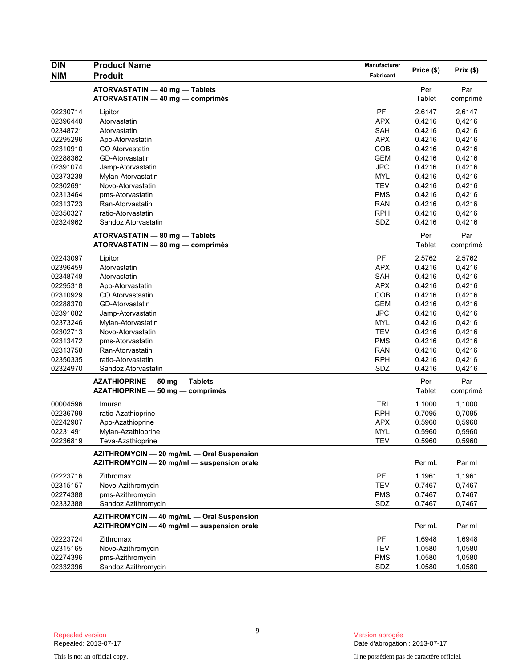| <b>DIN</b> | <b>Product Name</b>                        | <b>Manufacturer</b> |               |          |
|------------|--------------------------------------------|---------------------|---------------|----------|
| <b>NIM</b> | <b>Produit</b>                             | Fabricant           | Price (\$)    | Prix(\$) |
|            | ATORVASTATIN - 40 mg - Tablets             |                     | Per           | Par      |
|            | ATORVASTATIN - 40 mg - comprimés           |                     | <b>Tablet</b> | comprimé |
| 02230714   | Lipitor                                    | PFI                 | 2.6147        | 2,6147   |
| 02396440   | Atorvastatin                               | <b>APX</b>          | 0.4216        | 0,4216   |
| 02348721   | Atorvastatin                               | SAH                 | 0.4216        | 0,4216   |
| 02295296   | Apo-Atorvastatin                           | <b>APX</b>          | 0.4216        | 0,4216   |
| 02310910   | CO Atorvastatin                            | COB                 | 0.4216        | 0,4216   |
| 02288362   | GD-Atorvastatin                            | <b>GEM</b>          | 0.4216        | 0,4216   |
| 02391074   | Jamp-Atorvastatin                          | <b>JPC</b>          | 0.4216        | 0,4216   |
| 02373238   | Mylan-Atorvastatin                         | MYL                 | 0.4216        | 0,4216   |
| 02302691   | Novo-Atorvastatin                          | <b>TEV</b>          | 0.4216        | 0,4216   |
| 02313464   | pms-Atorvastatin                           | <b>PMS</b>          | 0.4216        | 0,4216   |
| 02313723   | Ran-Atorvastatin                           | <b>RAN</b>          | 0.4216        | 0,4216   |
| 02350327   | ratio-Atorvastatin                         | <b>RPH</b>          | 0.4216        | 0,4216   |
| 02324962   | Sandoz Atorvastatin                        | SDZ                 | 0.4216        | 0,4216   |
|            |                                            |                     |               |          |
|            | ATORVASTATIN - 80 mg - Tablets             |                     | Per           | Par      |
|            | ATORVASTATIN - 80 mg - comprimés           |                     | Tablet        | comprimé |
| 02243097   | Lipitor                                    | PFI                 | 2.5762        | 2,5762   |
| 02396459   | Atorvastatin                               | <b>APX</b>          | 0.4216        | 0,4216   |
| 02348748   | Atorvastatin                               | SAH                 | 0.4216        | 0,4216   |
| 02295318   | Apo-Atorvastatin                           | <b>APX</b>          | 0.4216        | 0,4216   |
| 02310929   | CO Atorvastsatin                           | COB                 | 0.4216        | 0,4216   |
| 02288370   | GD-Atorvastatin                            | <b>GEM</b>          | 0.4216        | 0,4216   |
| 02391082   | Jamp-Atorvastatin                          | <b>JPC</b>          | 0.4216        | 0,4216   |
| 02373246   | Mylan-Atorvastatin                         | <b>MYL</b>          | 0.4216        | 0,4216   |
| 02302713   | Novo-Atorvastatin                          | <b>TEV</b>          | 0.4216        | 0,4216   |
| 02313472   | pms-Atorvastatin                           | <b>PMS</b>          | 0.4216        | 0,4216   |
| 02313758   | Ran-Atorvastatin                           | <b>RAN</b>          | 0.4216        | 0,4216   |
| 02350335   | ratio-Atorvastatin                         | <b>RPH</b>          | 0.4216        | 0,4216   |
| 02324970   | Sandoz Atorvastatin                        | SDZ                 | 0.4216        | 0,4216   |
|            | AZATHIOPRINE - 50 mg - Tablets             |                     | Per           | Par      |
|            | AZATHIOPRINE - 50 mg - comprimés           |                     | Tablet        | comprimé |
| 00004596   | Imuran                                     | <b>TRI</b>          | 1.1000        | 1,1000   |
| 02236799   | ratio-Azathioprine                         | <b>RPH</b>          | 0.7095        | 0,7095   |
| 02242907   | Apo-Azathioprine                           | <b>APX</b>          | 0.5960        | 0,5960   |
| 02231491   | Mylan-Azathioprine                         | <b>MYL</b>          | 0.5960        | 0,5960   |
| 02236819   | Teva-Azathioprine                          | <b>TEV</b>          | 0.5960        | 0,5960   |
|            | AZITHROMYCIN - 20 mg/mL - Oral Suspension  |                     |               |          |
|            | AZITHROMYCIN - 20 mg/ml - suspension orale |                     | Per mL        | Par ml   |
|            |                                            |                     |               |          |
| 02223716   | Zithromax                                  | PFI                 | 1.1961        | 1,1961   |
| 02315157   | Novo-Azithromycin                          | <b>TEV</b>          | 0.7467        | 0,7467   |
| 02274388   | pms-Azithromycin                           | <b>PMS</b>          | 0.7467        | 0,7467   |
| 02332388   | Sandoz Azithromycin                        | SDZ                 | 0.7467        | 0,7467   |
|            | AZITHROMYCIN - 40 mg/mL - Oral Suspension  |                     |               |          |
|            | AZITHROMYCIN - 40 mg/ml - suspension orale |                     | Per mL        | Par ml   |
| 02223724   | Zithromax                                  | PFI                 | 1.6948        | 1,6948   |
| 02315165   | Novo-Azithromycin                          | <b>TEV</b>          | 1.0580        | 1,0580   |
| 02274396   | pms-Azithromycin                           | <b>PMS</b>          | 1.0580        | 1,0580   |
| 02332396   | Sandoz Azithromycin                        | SDZ                 | 1.0580        | 1,0580   |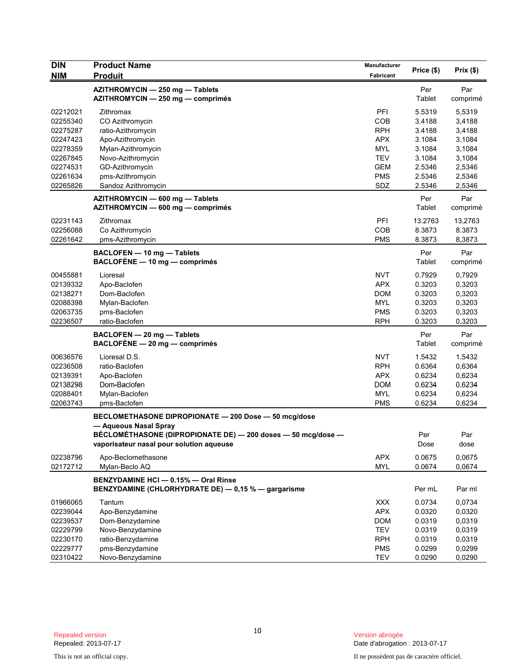| <b>DIN</b> | <b>Product Name</b>                                                                                                                                                                       | Manufacturer |               |                 |
|------------|-------------------------------------------------------------------------------------------------------------------------------------------------------------------------------------------|--------------|---------------|-----------------|
| <b>NIM</b> | <b>Produit</b>                                                                                                                                                                            | Fabricant    | Price (\$)    | Prix(\$)        |
|            | AZITHROMYCIN - 250 mg - Tablets<br>AZITHROMYCIN - 250 mg - comprimés                                                                                                                      |              | Per<br>Tablet | Par<br>comprimé |
| 02212021   | Zithromax                                                                                                                                                                                 | PFI          | 5.5319        | 5,5319          |
| 02255340   | CO Azithromycin                                                                                                                                                                           | COB          | 3.4188        | 3,4188          |
| 02275287   | ratio-Azithromycin                                                                                                                                                                        | <b>RPH</b>   | 3.4188        | 3,4188          |
| 02247423   | Apo-Azithromycin                                                                                                                                                                          | <b>APX</b>   | 3.1084        | 3,1084          |
| 02278359   | Mylan-Azithromycin                                                                                                                                                                        | MYL          | 3.1084        | 3,1084          |
| 02267845   | Novo-Azithromycin                                                                                                                                                                         | <b>TEV</b>   | 3.1084        | 3,1084          |
| 02274531   | GD-Azithromycin                                                                                                                                                                           | <b>GEM</b>   | 2.5346        | 2,5346          |
| 02261634   | pms-Azithromycin                                                                                                                                                                          | <b>PMS</b>   | 2.5346        | 2,5346          |
| 02265826   | Sandoz Azithromycin                                                                                                                                                                       | SDZ          | 2.5346        | 2,5346          |
|            | AZITHROMYCIN - 600 mg - Tablets<br>AZITHROMYCIN - 600 mg - comprimés                                                                                                                      |              | Per<br>Tablet | Par<br>comprimé |
| 02231143   | Zithromax                                                                                                                                                                                 | PFI          | 13.2763       | 13,2763         |
| 02256088   | Co Azithromycin                                                                                                                                                                           | COB          | 8.3873        | 8.3873          |
| 02261642   | pms-Azithromycin                                                                                                                                                                          | <b>PMS</b>   | 8.3873        | 8,3873          |
|            | BACLOFEN - 10 mg - Tablets<br>BACLOFÈNE - 10 mg - comprimés                                                                                                                               |              | Per<br>Tablet | Par<br>comprimé |
| 00455881   | Lioresal                                                                                                                                                                                  | <b>NVT</b>   | 0.7929        | 0,7929          |
| 02139332   | Apo-Baclofen                                                                                                                                                                              | <b>APX</b>   | 0.3203        | 0,3203          |
| 02138271   | Dom-Baclofen                                                                                                                                                                              | <b>DOM</b>   | 0.3203        | 0,3203          |
| 02088398   | Mylan-Baclofen                                                                                                                                                                            | MYL          | 0.3203        | 0,3203          |
| 02063735   | pms-Baclofen                                                                                                                                                                              | <b>PMS</b>   | 0.3203        | 0,3203          |
| 02236507   | ratio-Baclofen                                                                                                                                                                            | <b>RPH</b>   | 0.3203        | 0,3203          |
|            | BACLOFEN - 20 mg - Tablets<br>$BACLOFÈNE - 20 mg - comprimés$                                                                                                                             |              | Per<br>Tablet | Par<br>comprimé |
| 00636576   | Lioresal D.S.                                                                                                                                                                             | <b>NVT</b>   | 1.5432        | 1,5432          |
| 02236508   | ratio-Baclofen                                                                                                                                                                            | <b>RPH</b>   | 0.6364        | 0,6364          |
| 02139391   | Apo-Baclofen                                                                                                                                                                              | <b>APX</b>   | 0.6234        | 0,6234          |
| 02138298   | Dom-Baclofen                                                                                                                                                                              | <b>DOM</b>   | 0.6234        | 0,6234          |
| 02088401   | Mylan-Baclofen                                                                                                                                                                            | <b>MYL</b>   | 0.6234        | 0,6234          |
| 02063743   | pms-Baclofen                                                                                                                                                                              | <b>PMS</b>   | 0.6234        | 0,6234          |
|            | BECLOMETHASONE DIPROPIONATE - 200 Dose - 50 mcg/dose<br>- Aqueous Nasal Spray<br>BÉCLOMÉTHASONE (DIPROPIONATE DE) — 200 doses — 50 mcq/dose —<br>vaporisateur nasal pour solution aqueuse |              | Per<br>Dose   | Par<br>dose     |
| 02238796   | Apo-Beclomethasone                                                                                                                                                                        | <b>APX</b>   | 0.0675        | 0,0675          |
| 02172712   | Mylan-Beclo AQ                                                                                                                                                                            | <b>MYL</b>   | 0.0674        | 0,0674          |
|            | BENZYDAMINE HCI - 0.15% - Oral Rinse<br>BENZYDAMINE (CHLORHYDRATE DE) - 0,15 % - gargarisme                                                                                               |              | Per mL        | Par ml          |
| 01966065   | Tantum                                                                                                                                                                                    | <b>XXX</b>   | 0.0734        | 0,0734          |
| 02239044   | Apo-Benzydamine                                                                                                                                                                           | <b>APX</b>   | 0.0320        | 0,0320          |
| 02239537   | Dom-Benzydamine                                                                                                                                                                           | <b>DOM</b>   | 0.0319        | 0,0319          |
| 02229799   | Novo-Benzydamine                                                                                                                                                                          | <b>TEV</b>   | 0.0319        | 0,0319          |
| 02230170   | ratio-Benzydamine                                                                                                                                                                         | <b>RPH</b>   | 0.0319        | 0,0319          |
| 02229777   | pms-Benzydamine                                                                                                                                                                           | <b>PMS</b>   | 0.0299        | 0,0299          |
| 02310422   | Novo-Benzydamine                                                                                                                                                                          | <b>TEV</b>   | 0.0290        | 0,0290          |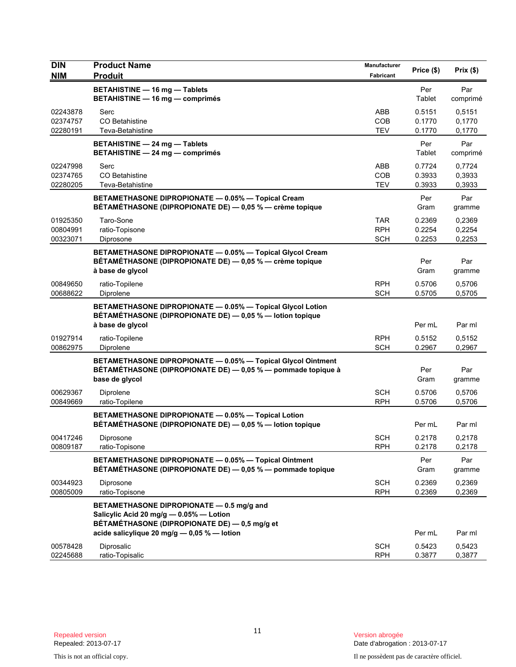| <b>DIN</b>                       | <b>Product Name</b>                                                                                                                            | Manufacturer                           | Price (\$)                 | Prix(\$)                   |
|----------------------------------|------------------------------------------------------------------------------------------------------------------------------------------------|----------------------------------------|----------------------------|----------------------------|
| <b>NIM</b>                       | <b>Produit</b>                                                                                                                                 | Fabricant                              |                            |                            |
|                                  | <b>BETAHISTINE - 16 mg - Tablets</b><br><b>BETAHISTINE - 16 mg - comprimés</b>                                                                 |                                        | Per<br>Tablet              | Par<br>comprimé            |
| 02243878<br>02374757<br>02280191 | Serc<br>CO Betahistine<br>Teva-Betahistine                                                                                                     | ABB<br><b>COB</b><br><b>TEV</b>        | 0.5151<br>0.1770<br>0.1770 | 0,5151<br>0,1770<br>0,1770 |
|                                  | BETAHISTINE - 24 mg - Tablets<br>BETAHISTINE - 24 mg - comprimés                                                                               |                                        | Per<br>Tablet              | Par<br>comprimé            |
| 02247998<br>02374765<br>02280205 | Serc<br><b>CO Betahistine</b><br>Teva-Betahistine                                                                                              | ABB<br>COB<br><b>TEV</b>               | 0.7724<br>0.3933<br>0.3933 | 0,7724<br>0,3933<br>0,3933 |
|                                  | BETAMETHASONE DIPROPIONATE - 0.05% - Topical Cream<br>BÉTAMÉTHASONE (DIPROPIONATE DE) — 0,05 % — crème topique                                 |                                        | Per<br>Gram                | Par<br>gramme              |
| 01925350<br>00804991<br>00323071 | Taro-Sone<br>ratio-Topisone<br>Diprosone                                                                                                       | <b>TAR</b><br><b>RPH</b><br><b>SCH</b> | 0.2369<br>0.2254<br>0.2253 | 0,2369<br>0,2254<br>0,2253 |
|                                  | BETAMETHASONE DIPROPIONATE - 0.05% - Topical Glycol Cream<br>BÉTAMÉTHASONE (DIPROPIONATE DE) — 0,05 % — crème topique<br>à base de glycol      |                                        | Per<br>Gram                | Par<br>gramme              |
| 00849650<br>00688622             | ratio-Topilene<br>Diprolene                                                                                                                    | <b>RPH</b><br><b>SCH</b>               | 0.5706<br>0.5705           | 0,5706<br>0,5705           |
|                                  | BETAMETHASONE DIPROPIONATE - 0.05% - Topical Glycol Lotion<br>BÉTAMÉTHASONE (DIPROPIONATE DE) - 0,05 % - lotion topique<br>à base de glycol    |                                        | Per mL                     | Par ml                     |
| 01927914<br>00862975             | ratio-Topilene<br>Diprolene                                                                                                                    | <b>RPH</b><br><b>SCH</b>               | 0.5152<br>0.2967           | 0,5152<br>0,2967           |
|                                  | BETAMETHASONE DIPROPIONATE - 0.05% - Topical Glycol Ointment<br>BÉTAMÉTHASONE (DIPROPIONATE DE) — 0,05 % — pommade topique à<br>base de glycol |                                        | Per<br>Gram                | Par<br>gramme              |
| 00629367<br>00849669             | Diprolene<br>ratio-Topilene                                                                                                                    | <b>SCH</b><br><b>RPH</b>               | 0.5706<br>0.5706           | 0,5706<br>0,5706           |
|                                  | BETAMETHASONE DIPROPIONATE - 0.05% - Topical Lotion<br>BÉTAMÉTHASONE (DIPROPIONATE DE) - 0,05 % - lotion topique                               |                                        | Per mL                     | Par ml                     |
| 00417246<br>00809187             | Diprosone<br>ratio-Topisone                                                                                                                    | <b>SCH</b><br><b>RPH</b>               | 0.2178<br>0.2178           | 0,2178<br>0,2178           |
|                                  | BETAMETHASONE DIPROPIONATE - 0.05% - Topical Ointment<br>BÉTAMÉTHASONE (DIPROPIONATE DE) - 0,05 % - pommade topique                            |                                        | Per<br>Gram                | Par<br>gramme              |
| 00344923<br>00805009             | Diprosone<br>ratio-Topisone                                                                                                                    | <b>SCH</b><br><b>RPH</b>               | 0.2369<br>0.2369           | 0,2369<br>0,2369           |
|                                  | BETAMETHASONE DIPROPIONATE - 0.5 mg/g and<br>Salicylic Acid 20 mg/g - 0.05% - Lotion<br>BÉTAMÉTHASONE (DIPROPIONATE DE) - 0,5 mg/g et          |                                        |                            |                            |
|                                  | acide salicylique 20 mg/g - 0,05 % - lotion                                                                                                    |                                        | Per mL                     | Par ml                     |
| 00578428<br>02245688             | Diprosalic<br>ratio-Topisalic                                                                                                                  | <b>SCH</b><br><b>RPH</b>               | 0.5423<br>0.3877           | 0,5423<br>0,3877           |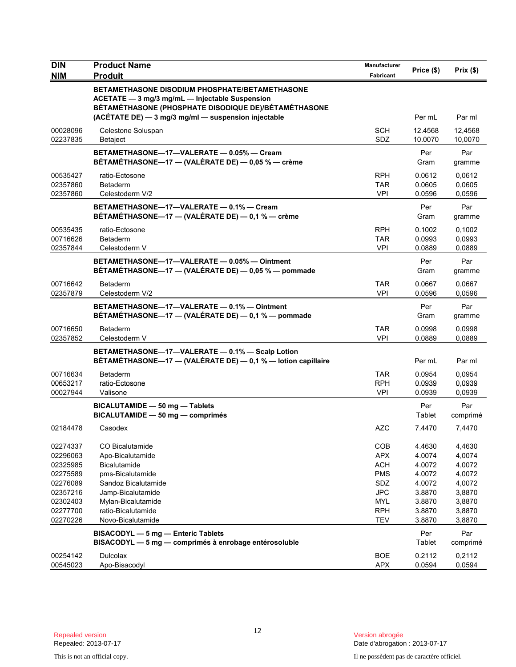| <b>DIN</b>                                               | <b>Product Name</b>                                                                                                                                                                                                    | Manufacturer                                                | Price (\$)                                     | Prix(\$)                                       |
|----------------------------------------------------------|------------------------------------------------------------------------------------------------------------------------------------------------------------------------------------------------------------------------|-------------------------------------------------------------|------------------------------------------------|------------------------------------------------|
| <b>NIM</b>                                               | <b>Produit</b>                                                                                                                                                                                                         | Fabricant                                                   |                                                |                                                |
|                                                          | <b>BETAMETHASONE DISODIUM PHOSPHATE/BETAMETHASONE</b><br>ACETATE - 3 mg/3 mg/mL - Injectable Suspension<br>BÉTAMÉTHASONE (PHOSPHATE DISODIQUE DE)/BÉTAMÉTHASONE<br>(ACÉTATE DE) - 3 mg/3 mg/ml - suspension injectable |                                                             | Per mL                                         | Par ml                                         |
| 00028096<br>02237835                                     | Celestone Soluspan<br>Betaject                                                                                                                                                                                         | <b>SCH</b><br>SDZ                                           | 12.4568<br>10.0070                             | 12,4568<br>10,0070                             |
|                                                          | BETAMETHASONE-17-VALERATE - 0.05% - Cream<br>BÉTAMÉTHASONE—17 — (VALÉRATE DE) — 0,05 % — crème                                                                                                                         |                                                             | Per<br>Gram                                    | Par<br>gramme                                  |
| 00535427<br>02357860<br>02357860                         | ratio-Ectosone<br><b>Betaderm</b><br>Celestoderm V/2                                                                                                                                                                   | <b>RPH</b><br><b>TAR</b><br><b>VPI</b>                      | 0.0612<br>0.0605<br>0.0596                     | 0,0612<br>0,0605<br>0,0596                     |
|                                                          | BETAMETHASONE-17-VALERATE - 0.1% - Cream<br>BÉTAMÉTHASONE-17 - (VALÉRATE DE) - 0,1 % - crème                                                                                                                           |                                                             | Per<br>Gram                                    | Par<br>gramme                                  |
| 00535435<br>00716626<br>02357844                         | ratio-Ectosone<br><b>Betaderm</b><br>Celestoderm V                                                                                                                                                                     | <b>RPH</b><br><b>TAR</b><br><b>VPI</b>                      | 0.1002<br>0.0993<br>0.0889                     | 0,1002<br>0,0993<br>0,0889                     |
|                                                          | BETAMETHASONE-17-VALERATE - 0.05% - Ointment<br>BÉTAMÉTHASONE—17 — (VALÉRATE DE) — 0,05 % — pommade                                                                                                                    |                                                             | Per<br>Gram                                    | Par<br>gramme                                  |
| 00716642<br>02357879                                     | <b>Betaderm</b><br>Celestoderm V/2                                                                                                                                                                                     | <b>TAR</b><br><b>VPI</b>                                    | 0.0667<br>0.0596                               | 0,0667<br>0,0596                               |
|                                                          | BETAMETHASONE-17-VALERATE - 0.1% - Ointment<br>BÉTAMÉTHASONE-17 - (VALÉRATE DE) - 0,1 % - pommade                                                                                                                      |                                                             | Per<br>Gram                                    | Par<br>gramme                                  |
| 00716650<br>02357852                                     | <b>Betaderm</b><br>Celestoderm V                                                                                                                                                                                       | <b>TAR</b><br><b>VPI</b>                                    | 0.0998<br>0.0889                               | 0,0998<br>0,0889                               |
|                                                          | BETAMETHASONE-17-VALERATE - 0.1% - Scalp Lotion<br>BÉTAMÉTHASONE-17 - (VALÉRATE DE) - 0,1 % - lotion capillaire                                                                                                        |                                                             | Per mL                                         | Par ml                                         |
| 00716634<br>00653217<br>00027944                         | <b>Betaderm</b><br>ratio-Ectosone<br>Valisone                                                                                                                                                                          | <b>TAR</b><br><b>RPH</b><br><b>VPI</b>                      | 0.0954<br>0.0939<br>0.0939                     | 0,0954<br>0,0939<br>0,0939                     |
|                                                          | BICALUTAMIDE - 50 mg - Tablets<br>BICALUTAMIDE - 50 mg - comprimés                                                                                                                                                     |                                                             | Per<br>Tablet                                  | Par<br>comprimé                                |
| 02184478                                                 | Casodex                                                                                                                                                                                                                | <b>AZC</b>                                                  | 7.4470                                         | 7,4470                                         |
| 02274337<br>02296063<br>02325985<br>02275589             | CO Bicalutamide<br>Apo-Bicalutamide<br>Bicalutamide<br>pms-Bicalutamide                                                                                                                                                | COB<br><b>APX</b><br><b>ACH</b><br><b>PMS</b>               | 4.4630<br>4.0074<br>4.0072<br>4.0072           | 4,4630<br>4,0074<br>4,0072<br>4,0072           |
| 02276089<br>02357216<br>02302403<br>02277700<br>02270226 | Sandoz Bicalutamide<br>Jamp-Bicalutamide<br>Mylan-Bicalutamide<br>ratio-Bicalutamide<br>Novo-Bicalutamide                                                                                                              | SDZ<br><b>JPC</b><br><b>MYL</b><br><b>RPH</b><br><b>TEV</b> | 4.0072<br>3.8870<br>3.8870<br>3.8870<br>3.8870 | 4,0072<br>3,8870<br>3,8870<br>3,8870<br>3,8870 |
|                                                          | BISACODYL - 5 mg - Enteric Tablets<br>BISACODYL - 5 mg - comprimés à enrobage entérosoluble                                                                                                                            |                                                             | Per<br>Tablet                                  | Par<br>comprimé                                |
| 00254142<br>00545023                                     | <b>Dulcolax</b><br>Apo-Bisacodyl                                                                                                                                                                                       | <b>BOE</b><br>APX                                           | 0.2112<br>0.0594                               | 0,2112<br>0,0594                               |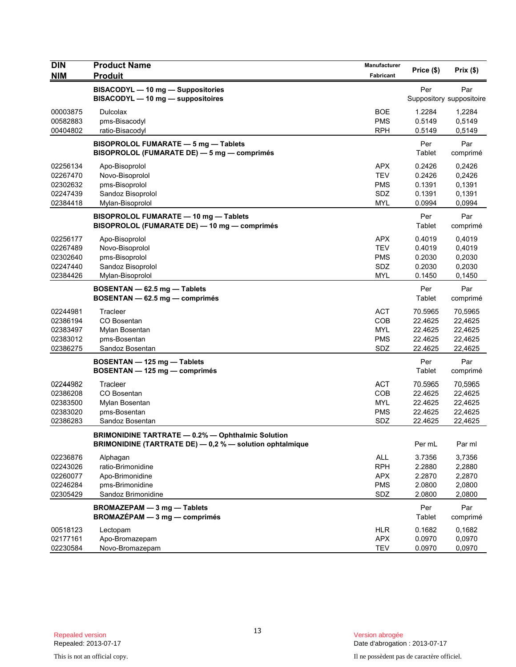| <b>DIN</b> | <b>Product Name</b>                                      | <b>Manufacturer</b> | Price (\$) | Prix(\$)                 |
|------------|----------------------------------------------------------|---------------------|------------|--------------------------|
| <b>NIM</b> | <b>Produit</b>                                           | Fabricant           |            |                          |
|            | BISACODYL - 10 mg - Suppositories                        |                     | Per        | Par                      |
|            | BISACODYL - 10 mg - suppositoires                        |                     |            | Suppository suppositoire |
| 00003875   | <b>Dulcolax</b>                                          | <b>BOE</b>          | 1.2284     | 1,2284                   |
| 00582883   | pms-Bisacodyl                                            | <b>PMS</b>          | 0.5149     | 0,5149                   |
| 00404802   | ratio-Bisacodyl                                          | <b>RPH</b>          | 0.5149     | 0,5149                   |
|            | BISOPROLOL FUMARATE - 5 mg - Tablets                     |                     | Per        | Par                      |
|            | BISOPROLOL (FUMARATE DE) - 5 mg - comprimés              |                     | Tablet     | comprimé                 |
| 02256134   | Apo-Bisoprolol                                           | <b>APX</b>          | 0.2426     | 0,2426                   |
| 02267470   | Novo-Bisoprolol                                          | <b>TEV</b>          | 0.2426     | 0,2426                   |
| 02302632   | pms-Bisoprolol                                           | <b>PMS</b>          | 0.1391     | 0,1391                   |
| 02247439   | Sandoz Bisoprolol                                        | SDZ                 | 0.1391     | 0,1391                   |
| 02384418   | Mylan-Bisoprolol                                         | <b>MYL</b>          | 0.0994     | 0,0994                   |
|            | BISOPROLOL FUMARATE - 10 mg - Tablets                    |                     | Per        | Par                      |
|            | BISOPROLOL (FUMARATE DE) - 10 mg - comprimés             |                     | Tablet     | comprimé                 |
| 02256177   | Apo-Bisoprolol                                           | <b>APX</b>          | 0.4019     | 0,4019                   |
| 02267489   | Novo-Bisoprolol                                          | <b>TEV</b>          | 0.4019     | 0,4019                   |
| 02302640   | pms-Bisoprolol                                           | <b>PMS</b>          | 0.2030     | 0,2030                   |
| 02247440   | Sandoz Bisoprolol                                        | SDZ                 | 0.2030     | 0,2030                   |
| 02384426   | Mylan-Bisoprolol                                         | <b>MYL</b>          | 0.1450     | 0,1450                   |
|            | BOSENTAN - 62.5 mg - Tablets                             |                     | Per        | Par                      |
|            | BOSENTAN - 62.5 mg - comprimés                           |                     | Tablet     | comprimé                 |
| 02244981   | Tracleer                                                 | <b>ACT</b>          | 70.5965    | 70,5965                  |
| 02386194   | CO Bosentan                                              | <b>COB</b>          | 22.4625    | 22,4625                  |
| 02383497   | Mylan Bosentan                                           | <b>MYL</b>          | 22.4625    | 22,4625                  |
| 02383012   | pms-Bosentan                                             | <b>PMS</b>          | 22.4625    | 22,4625                  |
| 02386275   | Sandoz Bosentan                                          | SDZ                 | 22.4625    | 22,4625                  |
|            | BOSENTAN - 125 mg - Tablets                              |                     | Per        | Par                      |
|            | BOSENTAN - 125 mg - comprimés                            |                     | Tablet     | comprimé                 |
| 02244982   | Tracleer                                                 | <b>ACT</b>          | 70.5965    | 70,5965                  |
| 02386208   | CO Bosentan                                              | <b>COB</b>          | 22.4625    | 22,4625                  |
| 02383500   | Mylan Bosentan                                           | <b>MYL</b>          | 22.4625    | 22,4625                  |
| 02383020   | pms-Bosentan                                             | <b>PMS</b>          | 22.4625    | 22,4625                  |
| 02386283   | Sandoz Bosentan                                          | SDZ                 | 22.4625    | 22,4625                  |
|            | BRIMONIDINE TARTRATE — 0.2% — Ophthalmic Solution        |                     |            |                          |
|            | BRIMONIDINE (TARTRATE DE) - 0,2 % - solution ophtalmique |                     | Per mL     | Par ml                   |
| 02236876   | Alphagan                                                 | ALL                 | 3.7356     | 3,7356                   |
| 02243026   | ratio-Brimonidine                                        | <b>RPH</b>          | 2.2880     | 2,2880                   |
| 02260077   | Apo-Brimonidine                                          | <b>APX</b>          | 2.2870     | 2,2870                   |
| 02246284   | pms-Brimonidine                                          | <b>PMS</b>          | 2.0800     | 2,0800                   |
| 02305429   | Sandoz Brimonidine                                       | SDZ                 | 2.0800     | 2,0800                   |
|            | BROMAZEPAM - 3 mg - Tablets                              |                     | Per        | Par                      |
|            | $BROMAZÉPAM - 3 mg - comprimés$                          |                     | Tablet     | comprimé                 |
| 00518123   | Lectopam                                                 | <b>HLR</b>          | 0.1682     | 0,1682                   |
| 02177161   | Apo-Bromazepam                                           | <b>APX</b>          | 0.0970     | 0,0970                   |
| 02230584   | Novo-Bromazepam                                          | <b>TEV</b>          | 0.0970     | 0,0970                   |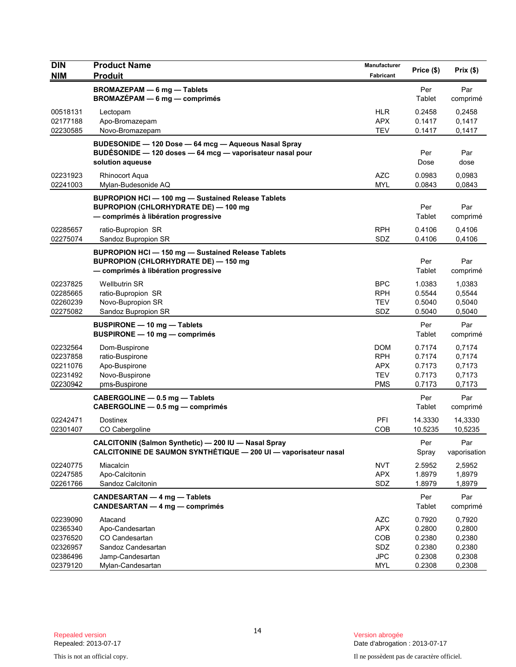| <b>DIN</b><br><b>NIM</b>                                 | <b>Product Name</b><br><b>Produit</b>                                                                                                        | Manufacturer<br>Fabricant                                          | Price (\$)                                     | Prix(\$)                                       |
|----------------------------------------------------------|----------------------------------------------------------------------------------------------------------------------------------------------|--------------------------------------------------------------------|------------------------------------------------|------------------------------------------------|
|                                                          | <b>BROMAZEPAM - 6 mg - Tablets</b><br>BROMAZÉPAM - 6 mg - comprimés                                                                          |                                                                    | Per<br>Tablet                                  | Par<br>comprimé                                |
| 00518131<br>02177188<br>02230585                         | Lectopam<br>Apo-Bromazepam<br>Novo-Bromazepam                                                                                                | <b>HLR</b><br><b>APX</b><br><b>TEV</b>                             | 0.2458<br>0.1417<br>0.1417                     | 0,2458<br>0,1417<br>0,1417                     |
|                                                          | BUDESONIDE - 120 Dose - 64 mcg - Aqueous Nasal Spray<br>BUDÉSONIDE - 120 doses - 64 mcg - vaporisateur nasal pour<br>solution aqueuse        |                                                                    | Per<br>Dose                                    | Par<br>dose                                    |
| 02231923<br>02241003                                     | <b>Rhinocort Aqua</b><br>Mylan-Budesonide AQ                                                                                                 | <b>AZC</b><br><b>MYL</b>                                           | 0.0983<br>0.0843                               | 0,0983<br>0,0843                               |
|                                                          | <b>BUPROPION HCI-100 mg-Sustained Release Tablets</b><br><b>BUPROPION (CHLORHYDRATE DE) - 100 mg</b><br>- comprimés à libération progressive |                                                                    | Per<br>Tablet                                  | Par<br>comprimé                                |
| 02285657<br>02275074                                     | ratio-Bupropion SR<br>Sandoz Bupropion SR                                                                                                    | <b>RPH</b><br>SDZ                                                  | 0.4106<br>0.4106                               | 0,4106<br>0,4106                               |
|                                                          | <b>BUPROPION HCI-150 mg-Sustained Release Tablets</b><br><b>BUPROPION (CHLORHYDRATE DE) - 150 mg</b><br>- comprimés à libération progressive |                                                                    | Per<br>Tablet                                  | Par<br>comprimé                                |
| 02237825<br>02285665<br>02260239<br>02275082             | <b>Wellbutrin SR</b><br>ratio-Bupropion SR<br>Novo-Bupropion SR<br>Sandoz Bupropion SR                                                       | <b>BPC</b><br><b>RPH</b><br><b>TEV</b><br>SDZ                      | 1.0383<br>0.5544<br>0.5040<br>0.5040           | 1,0383<br>0,5544<br>0,5040<br>0,5040           |
|                                                          | <b>BUSPIRONE - 10 mg - Tablets</b><br>BUSPIRONE - 10 mg - comprimés                                                                          |                                                                    | Per<br>Tablet                                  | Par<br>comprimé                                |
| 02232564<br>02237858<br>02211076<br>02231492<br>02230942 | Dom-Buspirone<br>ratio-Buspirone<br>Apo-Buspirone<br>Novo-Buspirone<br>pms-Buspirone                                                         | <b>DOM</b><br><b>RPH</b><br><b>APX</b><br><b>TEV</b><br><b>PMS</b> | 0.7174<br>0.7174<br>0.7173<br>0.7173<br>0.7173 | 0,7174<br>0,7174<br>0,7173<br>0,7173<br>0,7173 |
|                                                          | CABERGOLINE - 0.5 mg - Tablets<br>CABERGOLINE - 0.5 mg - comprimés                                                                           |                                                                    | Per<br>Tablet                                  | Par<br>comprimé                                |
| 02242471<br>02301407                                     | <b>Dostinex</b><br>CO Cabergoline                                                                                                            | PFI<br>COB                                                         | 14.3330<br>10.5235                             | 14,3330<br>10,5235                             |
|                                                          | CALCITONIN (Salmon Synthetic) - 200 IU - Nasal Spray<br>CALCITONINE DE SAUMON SYNTHÉTIQUE - 200 UI - vaporisateur nasal                      |                                                                    | Per<br>Spray                                   | Par<br>vaporisation                            |
| 02240775<br>02247585<br>02261766                         | Miacalcin<br>Apo-Calcitonin<br>Sandoz Calcitonin                                                                                             | <b>NVT</b><br><b>APX</b><br>SDZ                                    | 2.5952<br>1.8979<br>1.8979                     | 2,5952<br>1,8979<br>1,8979                     |
|                                                          | CANDESARTAN - 4 mg - Tablets<br><b>CANDESARTAN - 4 mg - comprimés</b>                                                                        |                                                                    | Per<br>Tablet                                  | Par<br>comprimé                                |
| 02239090<br>02365340<br>02376520<br>02326957<br>02386496 | Atacand<br>Apo-Candesartan<br>CO Candesartan<br>Sandoz Candesartan<br>Jamp-Candesartan                                                       | <b>AZC</b><br><b>APX</b><br>COB<br>SDZ<br><b>JPC</b>               | 0.7920<br>0.2800<br>0.2380<br>0.2380<br>0.2308 | 0,7920<br>0,2800<br>0,2380<br>0,2380<br>0,2308 |
| 02379120                                                 | Mylan-Candesartan                                                                                                                            | <b>MYL</b>                                                         | 0.2308                                         | 0,2308                                         |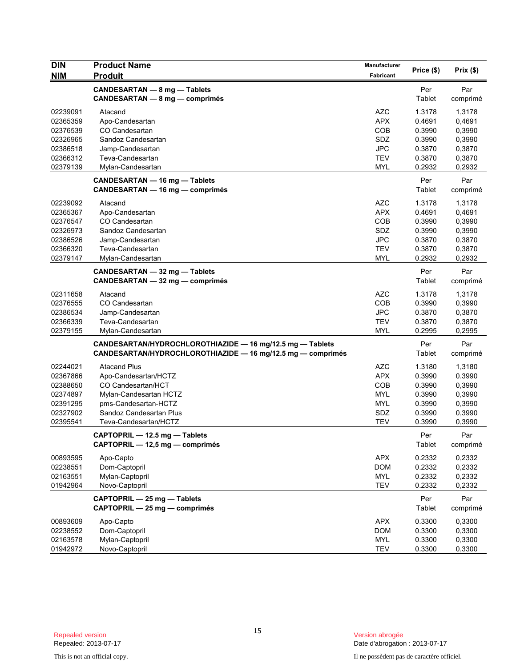| <b>DIN</b>                                                                       | <b>Product Name</b>                                                                                                                                                     | Manufacturer                                                                     | Price (\$)                                                         | Prix(\$)                                                           |
|----------------------------------------------------------------------------------|-------------------------------------------------------------------------------------------------------------------------------------------------------------------------|----------------------------------------------------------------------------------|--------------------------------------------------------------------|--------------------------------------------------------------------|
| <b>NIM</b>                                                                       | <b>Produit</b>                                                                                                                                                          | Fabricant                                                                        |                                                                    |                                                                    |
|                                                                                  | CANDESARTAN - 8 mg - Tablets<br><b>CANDESARTAN - 8 mg - comprimés</b>                                                                                                   |                                                                                  | Per<br>Tablet                                                      | Par<br>comprimé                                                    |
| 02239091<br>02365359<br>02376539<br>02326965<br>02386518<br>02366312             | Atacand<br>Apo-Candesartan<br>CO Candesartan<br>Sandoz Candesartan<br>Jamp-Candesartan<br>Teva-Candesartan                                                              | <b>AZC</b><br><b>APX</b><br><b>COB</b><br><b>SDZ</b><br><b>JPC</b><br><b>TEV</b> | 1.3178<br>0.4691<br>0.3990<br>0.3990<br>0.3870<br>0.3870           | 1,3178<br>0,4691<br>0,3990<br>0,3990<br>0,3870<br>0,3870           |
| 02379139                                                                         | Mylan-Candesartan                                                                                                                                                       | MYL                                                                              | 0.2932                                                             | 0,2932                                                             |
|                                                                                  | CANDESARTAN - 16 mg - Tablets<br>CANDESARTAN - 16 mg - comprimés                                                                                                        |                                                                                  | Per<br>Tablet                                                      | Par<br>comprimé                                                    |
| 02239092<br>02365367<br>02376547<br>02326973<br>02386526<br>02366320<br>02379147 | Atacand<br>Apo-Candesartan<br>CO Candesartan<br>Sandoz Candesartan<br>Jamp-Candesartan<br>Teva-Candesartan<br>Mylan-Candesartan                                         | <b>AZC</b><br><b>APX</b><br><b>COB</b><br>SDZ<br><b>JPC</b><br><b>TEV</b><br>MYL | 1.3178<br>0.4691<br>0.3990<br>0.3990<br>0.3870<br>0.3870<br>0.2932 | 1,3178<br>0,4691<br>0,3990<br>0,3990<br>0,3870<br>0,3870<br>0,2932 |
|                                                                                  | CANDESARTAN - 32 mg - Tablets<br>CANDESARTAN - 32 mg - comprimés                                                                                                        |                                                                                  | Per<br>Tablet                                                      | Par<br>comprimé                                                    |
| 02311658<br>02376555<br>02386534<br>02366339<br>02379155                         | Atacand<br>CO Candesartan<br>Jamp-Candesartan<br>Teva-Candesartan<br>Mylan-Candesartan                                                                                  | <b>AZC</b><br><b>COB</b><br><b>JPC</b><br><b>TEV</b><br><b>MYL</b>               | 1.3178<br>0.3990<br>0.3870<br>0.3870<br>0.2995                     | 1,3178<br>0,3990<br>0,3870<br>0,3870<br>0,2995                     |
|                                                                                  | CANDESARTAN/HYDROCHLOROTHIAZIDE - 16 mg/12.5 mg - Tablets<br>CANDESARTAN/HYDROCHLOROTHIAZIDE - 16 mg/12.5 mg - comprimés                                                |                                                                                  | Per<br>Tablet                                                      | Par<br>comprimé                                                    |
| 02244021<br>02367866<br>02388650<br>02374897<br>02391295<br>02327902<br>02395541 | <b>Atacand Plus</b><br>Apo-Candesartan/HCTZ<br>CO Candesartan/HCT<br>Mylan-Candesartan HCTZ<br>pms-Candesartan-HCTZ<br>Sandoz Candesartan Plus<br>Teva-Candesartan/HCTZ | <b>AZC</b><br><b>APX</b><br><b>COB</b><br><b>MYL</b><br>MYL<br>SDZ<br><b>TEV</b> | 1.3180<br>0.3990<br>0.3990<br>0.3990<br>0.3990<br>0.3990<br>0.3990 | 1,3180<br>0.3990<br>0,3990<br>0,3990<br>0,3990<br>0,3990<br>0,3990 |
|                                                                                  | CAPTOPRIL - 12.5 mg - Tablets<br>CAPTOPRIL - 12,5 mg - comprimés                                                                                                        |                                                                                  | Per<br>Tablet                                                      | Par<br>comprimé                                                    |
| 00893595<br>02238551<br>02163551<br>01942964                                     | Apo-Capto<br>Dom-Captopril<br>Mylan-Captopril<br>Novo-Captopril                                                                                                         | <b>APX</b><br><b>DOM</b><br><b>MYL</b><br><b>TEV</b>                             | 0.2332<br>0.2332<br>0.2332<br>0.2332                               | 0,2332<br>0,2332<br>0,2332<br>0,2332                               |
|                                                                                  | CAPTOPRIL - 25 mg - Tablets<br>CAPTOPRIL - 25 mg - comprimés                                                                                                            |                                                                                  | Per<br>Tablet                                                      | Par<br>comprimé                                                    |
| 00893609<br>02238552<br>02163578<br>01942972                                     | Apo-Capto<br>Dom-Captopril<br>Mylan-Captopril<br>Novo-Captopril                                                                                                         | <b>APX</b><br><b>DOM</b><br><b>MYL</b><br><b>TEV</b>                             | 0.3300<br>0.3300<br>0.3300<br>0.3300                               | 0,3300<br>0,3300<br>0,3300<br>0,3300                               |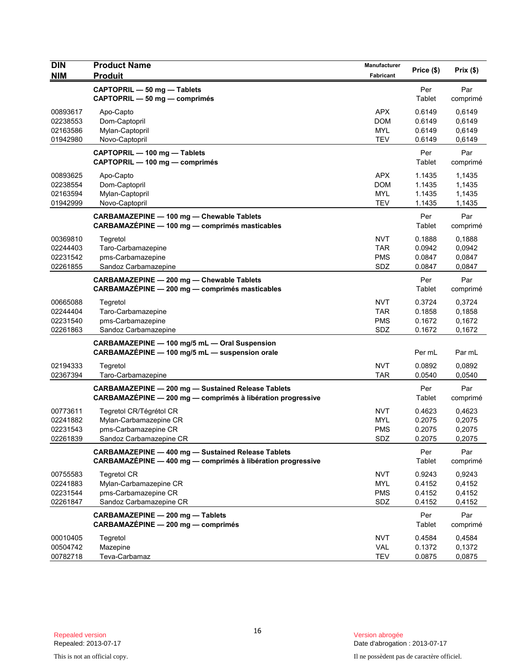| CAPTOPRIL - 50 mg - Tablets<br>Per<br>Par<br>Tablet<br>CAPTOPRIL - 50 mg - comprimés<br>comprimé<br>00893617<br><b>APX</b><br>0.6149<br>0,6149<br>Apo-Capto<br>02238553<br>Dom-Captopril<br><b>DOM</b><br>0.6149<br>0,6149<br>Mylan-Captopril<br><b>MYL</b><br>0.6149<br>0,6149<br>02163586<br><b>TEV</b><br>01942980<br>Novo-Captopril<br>0.6149<br>0,6149<br>Par<br>CAPTOPRIL - 100 mg - Tablets<br>Per<br>CAPTOPRIL - 100 mg - comprimés<br>Tablet<br>comprimé<br><b>APX</b><br>00893625<br>Apo-Capto<br>1.1435<br>1,1435<br>02238554<br>Dom-Captopril<br><b>DOM</b><br>1.1435<br>1,1435<br>Mylan-Captopril<br><b>MYL</b><br>1.1435<br>1,1435<br>02163594<br><b>TEV</b><br>01942999<br>Novo-Captopril<br>1.1435<br>1,1435<br>CARBAMAZEPINE - 100 mg - Chewable Tablets<br>Per<br>Par<br>CARBAMAZÉPINE - 100 mg - comprimés masticables<br>Tablet<br>comprimé<br>00369810<br><b>NVT</b><br>0.1888<br>0,1888<br>Tegretol<br>02244403<br>Taro-Carbamazepine<br><b>TAR</b><br>0.0942<br>0.0942<br>02231542<br>pms-Carbamazepine<br><b>PMS</b><br>0.0847<br>0,0847<br>02261855<br>SDZ<br>0.0847<br>Sandoz Carbamazepine<br>0,0847<br>CARBAMAZEPINE - 200 mg - Chewable Tablets<br>Per<br>Par<br>CARBAMAZÉPINE - 200 mg - comprimés masticables<br>Tablet<br>comprimé<br><b>NVT</b><br>0.3724<br>00665088<br>Tegretol<br>0,3724<br>Taro-Carbamazepine<br><b>TAR</b><br>0.1858<br>0,1858<br>02244404<br>02231540<br>pms-Carbamazepine<br><b>PMS</b><br>0.1672<br>0,1672<br>SDZ<br>0.1672<br>0,1672<br>02261863<br>Sandoz Carbamazepine<br>CARBAMAZEPINE - 100 mg/5 mL - Oral Suspension<br>CARBAMAZÉPINE - 100 mg/5 mL - suspension orale<br>Per mL<br>Par mL<br>02194333<br><b>NVT</b><br>Tegretol<br>0.0892<br>0,0892<br>02367394<br><b>TAR</b><br>0.0540<br>0,0540<br>Taro-Carbamazepine<br><b>CARBAMAZEPINE - 200 mg - Sustained Release Tablets</b><br>Per<br>Par<br>CARBAMAZÉPINE - 200 mg - comprimés à libération progressive<br>Tablet<br>comprimé<br><b>NVT</b><br>00773611<br>Tegretol CR/Tégrétol CR<br>0.4623<br>0,4623<br>Mylan-Carbamazepine CR<br><b>MYL</b><br>0.2075<br>0,2075<br>02241882<br>pms-Carbamazepine CR<br>0.2075<br>0,2075<br>02231543<br>PMS<br>02261839<br>Sandoz Carbamazepine CR<br>SDZ<br>0.2075<br>0,2075<br>Per<br>Par<br><b>CARBAMAZEPINE - 400 mg - Sustained Release Tablets</b><br>CARBAMAZÉPINE - 400 mg - comprimés à libération progressive<br>Tablet<br>comprimé<br><b>Tegretol CR</b><br><b>NVT</b><br>0.9243<br>0,9243<br>00755583<br>Mylan-Carbamazepine CR<br>02241883<br><b>MYL</b><br>0.4152<br>0,4152<br>02231544<br>pms-Carbamazepine CR<br><b>PMS</b><br>0.4152<br>0,4152<br>02261847<br>Sandoz Carbamazepine CR<br>SDZ<br>0.4152<br>0,4152<br>Per<br>Par<br>CARBAMAZEPINE - 200 mg - Tablets<br>CARBAMAZÉPINE - 200 mg - comprimés<br>Tablet<br>comprimé<br><b>NVT</b><br>0.4584<br>00010405<br>Tegretol<br>0,4584<br>00504742<br>Mazepine<br><b>VAL</b><br>0.1372<br>0,1372<br>00782718<br>Teva-Carbamaz<br>0.0875<br>0,0875<br>TEV | <b>DIN</b> | <b>Product Name</b> | Manufacturer | Price (\$) | Prix(\$) |
|-----------------------------------------------------------------------------------------------------------------------------------------------------------------------------------------------------------------------------------------------------------------------------------------------------------------------------------------------------------------------------------------------------------------------------------------------------------------------------------------------------------------------------------------------------------------------------------------------------------------------------------------------------------------------------------------------------------------------------------------------------------------------------------------------------------------------------------------------------------------------------------------------------------------------------------------------------------------------------------------------------------------------------------------------------------------------------------------------------------------------------------------------------------------------------------------------------------------------------------------------------------------------------------------------------------------------------------------------------------------------------------------------------------------------------------------------------------------------------------------------------------------------------------------------------------------------------------------------------------------------------------------------------------------------------------------------------------------------------------------------------------------------------------------------------------------------------------------------------------------------------------------------------------------------------------------------------------------------------------------------------------------------------------------------------------------------------------------------------------------------------------------------------------------------------------------------------------------------------------------------------------------------------------------------------------------------------------------------------------------------------------------------------------------------------------------------------------------------------------------------------------------------------------------------------------------------------------------------------------------------------------------------------------------------------------------------------------------------------------------------------------------------------------------------------------------------------------------------------------------------------------------------------------------------------------------------------------------------------------------|------------|---------------------|--------------|------------|----------|
|                                                                                                                                                                                                                                                                                                                                                                                                                                                                                                                                                                                                                                                                                                                                                                                                                                                                                                                                                                                                                                                                                                                                                                                                                                                                                                                                                                                                                                                                                                                                                                                                                                                                                                                                                                                                                                                                                                                                                                                                                                                                                                                                                                                                                                                                                                                                                                                                                                                                                                                                                                                                                                                                                                                                                                                                                                                                                                                                                                                         | <b>NIM</b> | <b>Produit</b>      | Fabricant    |            |          |
|                                                                                                                                                                                                                                                                                                                                                                                                                                                                                                                                                                                                                                                                                                                                                                                                                                                                                                                                                                                                                                                                                                                                                                                                                                                                                                                                                                                                                                                                                                                                                                                                                                                                                                                                                                                                                                                                                                                                                                                                                                                                                                                                                                                                                                                                                                                                                                                                                                                                                                                                                                                                                                                                                                                                                                                                                                                                                                                                                                                         |            |                     |              |            |          |
|                                                                                                                                                                                                                                                                                                                                                                                                                                                                                                                                                                                                                                                                                                                                                                                                                                                                                                                                                                                                                                                                                                                                                                                                                                                                                                                                                                                                                                                                                                                                                                                                                                                                                                                                                                                                                                                                                                                                                                                                                                                                                                                                                                                                                                                                                                                                                                                                                                                                                                                                                                                                                                                                                                                                                                                                                                                                                                                                                                                         |            |                     |              |            |          |
|                                                                                                                                                                                                                                                                                                                                                                                                                                                                                                                                                                                                                                                                                                                                                                                                                                                                                                                                                                                                                                                                                                                                                                                                                                                                                                                                                                                                                                                                                                                                                                                                                                                                                                                                                                                                                                                                                                                                                                                                                                                                                                                                                                                                                                                                                                                                                                                                                                                                                                                                                                                                                                                                                                                                                                                                                                                                                                                                                                                         |            |                     |              |            |          |
|                                                                                                                                                                                                                                                                                                                                                                                                                                                                                                                                                                                                                                                                                                                                                                                                                                                                                                                                                                                                                                                                                                                                                                                                                                                                                                                                                                                                                                                                                                                                                                                                                                                                                                                                                                                                                                                                                                                                                                                                                                                                                                                                                                                                                                                                                                                                                                                                                                                                                                                                                                                                                                                                                                                                                                                                                                                                                                                                                                                         |            |                     |              |            |          |
|                                                                                                                                                                                                                                                                                                                                                                                                                                                                                                                                                                                                                                                                                                                                                                                                                                                                                                                                                                                                                                                                                                                                                                                                                                                                                                                                                                                                                                                                                                                                                                                                                                                                                                                                                                                                                                                                                                                                                                                                                                                                                                                                                                                                                                                                                                                                                                                                                                                                                                                                                                                                                                                                                                                                                                                                                                                                                                                                                                                         |            |                     |              |            |          |
|                                                                                                                                                                                                                                                                                                                                                                                                                                                                                                                                                                                                                                                                                                                                                                                                                                                                                                                                                                                                                                                                                                                                                                                                                                                                                                                                                                                                                                                                                                                                                                                                                                                                                                                                                                                                                                                                                                                                                                                                                                                                                                                                                                                                                                                                                                                                                                                                                                                                                                                                                                                                                                                                                                                                                                                                                                                                                                                                                                                         |            |                     |              |            |          |
|                                                                                                                                                                                                                                                                                                                                                                                                                                                                                                                                                                                                                                                                                                                                                                                                                                                                                                                                                                                                                                                                                                                                                                                                                                                                                                                                                                                                                                                                                                                                                                                                                                                                                                                                                                                                                                                                                                                                                                                                                                                                                                                                                                                                                                                                                                                                                                                                                                                                                                                                                                                                                                                                                                                                                                                                                                                                                                                                                                                         |            |                     |              |            |          |
|                                                                                                                                                                                                                                                                                                                                                                                                                                                                                                                                                                                                                                                                                                                                                                                                                                                                                                                                                                                                                                                                                                                                                                                                                                                                                                                                                                                                                                                                                                                                                                                                                                                                                                                                                                                                                                                                                                                                                                                                                                                                                                                                                                                                                                                                                                                                                                                                                                                                                                                                                                                                                                                                                                                                                                                                                                                                                                                                                                                         |            |                     |              |            |          |
|                                                                                                                                                                                                                                                                                                                                                                                                                                                                                                                                                                                                                                                                                                                                                                                                                                                                                                                                                                                                                                                                                                                                                                                                                                                                                                                                                                                                                                                                                                                                                                                                                                                                                                                                                                                                                                                                                                                                                                                                                                                                                                                                                                                                                                                                                                                                                                                                                                                                                                                                                                                                                                                                                                                                                                                                                                                                                                                                                                                         |            |                     |              |            |          |
|                                                                                                                                                                                                                                                                                                                                                                                                                                                                                                                                                                                                                                                                                                                                                                                                                                                                                                                                                                                                                                                                                                                                                                                                                                                                                                                                                                                                                                                                                                                                                                                                                                                                                                                                                                                                                                                                                                                                                                                                                                                                                                                                                                                                                                                                                                                                                                                                                                                                                                                                                                                                                                                                                                                                                                                                                                                                                                                                                                                         |            |                     |              |            |          |
|                                                                                                                                                                                                                                                                                                                                                                                                                                                                                                                                                                                                                                                                                                                                                                                                                                                                                                                                                                                                                                                                                                                                                                                                                                                                                                                                                                                                                                                                                                                                                                                                                                                                                                                                                                                                                                                                                                                                                                                                                                                                                                                                                                                                                                                                                                                                                                                                                                                                                                                                                                                                                                                                                                                                                                                                                                                                                                                                                                                         |            |                     |              |            |          |
|                                                                                                                                                                                                                                                                                                                                                                                                                                                                                                                                                                                                                                                                                                                                                                                                                                                                                                                                                                                                                                                                                                                                                                                                                                                                                                                                                                                                                                                                                                                                                                                                                                                                                                                                                                                                                                                                                                                                                                                                                                                                                                                                                                                                                                                                                                                                                                                                                                                                                                                                                                                                                                                                                                                                                                                                                                                                                                                                                                                         |            |                     |              |            |          |
|                                                                                                                                                                                                                                                                                                                                                                                                                                                                                                                                                                                                                                                                                                                                                                                                                                                                                                                                                                                                                                                                                                                                                                                                                                                                                                                                                                                                                                                                                                                                                                                                                                                                                                                                                                                                                                                                                                                                                                                                                                                                                                                                                                                                                                                                                                                                                                                                                                                                                                                                                                                                                                                                                                                                                                                                                                                                                                                                                                                         |            |                     |              |            |          |
|                                                                                                                                                                                                                                                                                                                                                                                                                                                                                                                                                                                                                                                                                                                                                                                                                                                                                                                                                                                                                                                                                                                                                                                                                                                                                                                                                                                                                                                                                                                                                                                                                                                                                                                                                                                                                                                                                                                                                                                                                                                                                                                                                                                                                                                                                                                                                                                                                                                                                                                                                                                                                                                                                                                                                                                                                                                                                                                                                                                         |            |                     |              |            |          |
|                                                                                                                                                                                                                                                                                                                                                                                                                                                                                                                                                                                                                                                                                                                                                                                                                                                                                                                                                                                                                                                                                                                                                                                                                                                                                                                                                                                                                                                                                                                                                                                                                                                                                                                                                                                                                                                                                                                                                                                                                                                                                                                                                                                                                                                                                                                                                                                                                                                                                                                                                                                                                                                                                                                                                                                                                                                                                                                                                                                         |            |                     |              |            |          |
|                                                                                                                                                                                                                                                                                                                                                                                                                                                                                                                                                                                                                                                                                                                                                                                                                                                                                                                                                                                                                                                                                                                                                                                                                                                                                                                                                                                                                                                                                                                                                                                                                                                                                                                                                                                                                                                                                                                                                                                                                                                                                                                                                                                                                                                                                                                                                                                                                                                                                                                                                                                                                                                                                                                                                                                                                                                                                                                                                                                         |            |                     |              |            |          |
|                                                                                                                                                                                                                                                                                                                                                                                                                                                                                                                                                                                                                                                                                                                                                                                                                                                                                                                                                                                                                                                                                                                                                                                                                                                                                                                                                                                                                                                                                                                                                                                                                                                                                                                                                                                                                                                                                                                                                                                                                                                                                                                                                                                                                                                                                                                                                                                                                                                                                                                                                                                                                                                                                                                                                                                                                                                                                                                                                                                         |            |                     |              |            |          |
|                                                                                                                                                                                                                                                                                                                                                                                                                                                                                                                                                                                                                                                                                                                                                                                                                                                                                                                                                                                                                                                                                                                                                                                                                                                                                                                                                                                                                                                                                                                                                                                                                                                                                                                                                                                                                                                                                                                                                                                                                                                                                                                                                                                                                                                                                                                                                                                                                                                                                                                                                                                                                                                                                                                                                                                                                                                                                                                                                                                         |            |                     |              |            |          |
|                                                                                                                                                                                                                                                                                                                                                                                                                                                                                                                                                                                                                                                                                                                                                                                                                                                                                                                                                                                                                                                                                                                                                                                                                                                                                                                                                                                                                                                                                                                                                                                                                                                                                                                                                                                                                                                                                                                                                                                                                                                                                                                                                                                                                                                                                                                                                                                                                                                                                                                                                                                                                                                                                                                                                                                                                                                                                                                                                                                         |            |                     |              |            |          |
|                                                                                                                                                                                                                                                                                                                                                                                                                                                                                                                                                                                                                                                                                                                                                                                                                                                                                                                                                                                                                                                                                                                                                                                                                                                                                                                                                                                                                                                                                                                                                                                                                                                                                                                                                                                                                                                                                                                                                                                                                                                                                                                                                                                                                                                                                                                                                                                                                                                                                                                                                                                                                                                                                                                                                                                                                                                                                                                                                                                         |            |                     |              |            |          |
|                                                                                                                                                                                                                                                                                                                                                                                                                                                                                                                                                                                                                                                                                                                                                                                                                                                                                                                                                                                                                                                                                                                                                                                                                                                                                                                                                                                                                                                                                                                                                                                                                                                                                                                                                                                                                                                                                                                                                                                                                                                                                                                                                                                                                                                                                                                                                                                                                                                                                                                                                                                                                                                                                                                                                                                                                                                                                                                                                                                         |            |                     |              |            |          |
|                                                                                                                                                                                                                                                                                                                                                                                                                                                                                                                                                                                                                                                                                                                                                                                                                                                                                                                                                                                                                                                                                                                                                                                                                                                                                                                                                                                                                                                                                                                                                                                                                                                                                                                                                                                                                                                                                                                                                                                                                                                                                                                                                                                                                                                                                                                                                                                                                                                                                                                                                                                                                                                                                                                                                                                                                                                                                                                                                                                         |            |                     |              |            |          |
|                                                                                                                                                                                                                                                                                                                                                                                                                                                                                                                                                                                                                                                                                                                                                                                                                                                                                                                                                                                                                                                                                                                                                                                                                                                                                                                                                                                                                                                                                                                                                                                                                                                                                                                                                                                                                                                                                                                                                                                                                                                                                                                                                                                                                                                                                                                                                                                                                                                                                                                                                                                                                                                                                                                                                                                                                                                                                                                                                                                         |            |                     |              |            |          |
|                                                                                                                                                                                                                                                                                                                                                                                                                                                                                                                                                                                                                                                                                                                                                                                                                                                                                                                                                                                                                                                                                                                                                                                                                                                                                                                                                                                                                                                                                                                                                                                                                                                                                                                                                                                                                                                                                                                                                                                                                                                                                                                                                                                                                                                                                                                                                                                                                                                                                                                                                                                                                                                                                                                                                                                                                                                                                                                                                                                         |            |                     |              |            |          |
|                                                                                                                                                                                                                                                                                                                                                                                                                                                                                                                                                                                                                                                                                                                                                                                                                                                                                                                                                                                                                                                                                                                                                                                                                                                                                                                                                                                                                                                                                                                                                                                                                                                                                                                                                                                                                                                                                                                                                                                                                                                                                                                                                                                                                                                                                                                                                                                                                                                                                                                                                                                                                                                                                                                                                                                                                                                                                                                                                                                         |            |                     |              |            |          |
|                                                                                                                                                                                                                                                                                                                                                                                                                                                                                                                                                                                                                                                                                                                                                                                                                                                                                                                                                                                                                                                                                                                                                                                                                                                                                                                                                                                                                                                                                                                                                                                                                                                                                                                                                                                                                                                                                                                                                                                                                                                                                                                                                                                                                                                                                                                                                                                                                                                                                                                                                                                                                                                                                                                                                                                                                                                                                                                                                                                         |            |                     |              |            |          |
|                                                                                                                                                                                                                                                                                                                                                                                                                                                                                                                                                                                                                                                                                                                                                                                                                                                                                                                                                                                                                                                                                                                                                                                                                                                                                                                                                                                                                                                                                                                                                                                                                                                                                                                                                                                                                                                                                                                                                                                                                                                                                                                                                                                                                                                                                                                                                                                                                                                                                                                                                                                                                                                                                                                                                                                                                                                                                                                                                                                         |            |                     |              |            |          |
|                                                                                                                                                                                                                                                                                                                                                                                                                                                                                                                                                                                                                                                                                                                                                                                                                                                                                                                                                                                                                                                                                                                                                                                                                                                                                                                                                                                                                                                                                                                                                                                                                                                                                                                                                                                                                                                                                                                                                                                                                                                                                                                                                                                                                                                                                                                                                                                                                                                                                                                                                                                                                                                                                                                                                                                                                                                                                                                                                                                         |            |                     |              |            |          |
|                                                                                                                                                                                                                                                                                                                                                                                                                                                                                                                                                                                                                                                                                                                                                                                                                                                                                                                                                                                                                                                                                                                                                                                                                                                                                                                                                                                                                                                                                                                                                                                                                                                                                                                                                                                                                                                                                                                                                                                                                                                                                                                                                                                                                                                                                                                                                                                                                                                                                                                                                                                                                                                                                                                                                                                                                                                                                                                                                                                         |            |                     |              |            |          |
|                                                                                                                                                                                                                                                                                                                                                                                                                                                                                                                                                                                                                                                                                                                                                                                                                                                                                                                                                                                                                                                                                                                                                                                                                                                                                                                                                                                                                                                                                                                                                                                                                                                                                                                                                                                                                                                                                                                                                                                                                                                                                                                                                                                                                                                                                                                                                                                                                                                                                                                                                                                                                                                                                                                                                                                                                                                                                                                                                                                         |            |                     |              |            |          |
|                                                                                                                                                                                                                                                                                                                                                                                                                                                                                                                                                                                                                                                                                                                                                                                                                                                                                                                                                                                                                                                                                                                                                                                                                                                                                                                                                                                                                                                                                                                                                                                                                                                                                                                                                                                                                                                                                                                                                                                                                                                                                                                                                                                                                                                                                                                                                                                                                                                                                                                                                                                                                                                                                                                                                                                                                                                                                                                                                                                         |            |                     |              |            |          |
|                                                                                                                                                                                                                                                                                                                                                                                                                                                                                                                                                                                                                                                                                                                                                                                                                                                                                                                                                                                                                                                                                                                                                                                                                                                                                                                                                                                                                                                                                                                                                                                                                                                                                                                                                                                                                                                                                                                                                                                                                                                                                                                                                                                                                                                                                                                                                                                                                                                                                                                                                                                                                                                                                                                                                                                                                                                                                                                                                                                         |            |                     |              |            |          |
|                                                                                                                                                                                                                                                                                                                                                                                                                                                                                                                                                                                                                                                                                                                                                                                                                                                                                                                                                                                                                                                                                                                                                                                                                                                                                                                                                                                                                                                                                                                                                                                                                                                                                                                                                                                                                                                                                                                                                                                                                                                                                                                                                                                                                                                                                                                                                                                                                                                                                                                                                                                                                                                                                                                                                                                                                                                                                                                                                                                         |            |                     |              |            |          |
|                                                                                                                                                                                                                                                                                                                                                                                                                                                                                                                                                                                                                                                                                                                                                                                                                                                                                                                                                                                                                                                                                                                                                                                                                                                                                                                                                                                                                                                                                                                                                                                                                                                                                                                                                                                                                                                                                                                                                                                                                                                                                                                                                                                                                                                                                                                                                                                                                                                                                                                                                                                                                                                                                                                                                                                                                                                                                                                                                                                         |            |                     |              |            |          |
|                                                                                                                                                                                                                                                                                                                                                                                                                                                                                                                                                                                                                                                                                                                                                                                                                                                                                                                                                                                                                                                                                                                                                                                                                                                                                                                                                                                                                                                                                                                                                                                                                                                                                                                                                                                                                                                                                                                                                                                                                                                                                                                                                                                                                                                                                                                                                                                                                                                                                                                                                                                                                                                                                                                                                                                                                                                                                                                                                                                         |            |                     |              |            |          |
|                                                                                                                                                                                                                                                                                                                                                                                                                                                                                                                                                                                                                                                                                                                                                                                                                                                                                                                                                                                                                                                                                                                                                                                                                                                                                                                                                                                                                                                                                                                                                                                                                                                                                                                                                                                                                                                                                                                                                                                                                                                                                                                                                                                                                                                                                                                                                                                                                                                                                                                                                                                                                                                                                                                                                                                                                                                                                                                                                                                         |            |                     |              |            |          |
|                                                                                                                                                                                                                                                                                                                                                                                                                                                                                                                                                                                                                                                                                                                                                                                                                                                                                                                                                                                                                                                                                                                                                                                                                                                                                                                                                                                                                                                                                                                                                                                                                                                                                                                                                                                                                                                                                                                                                                                                                                                                                                                                                                                                                                                                                                                                                                                                                                                                                                                                                                                                                                                                                                                                                                                                                                                                                                                                                                                         |            |                     |              |            |          |
|                                                                                                                                                                                                                                                                                                                                                                                                                                                                                                                                                                                                                                                                                                                                                                                                                                                                                                                                                                                                                                                                                                                                                                                                                                                                                                                                                                                                                                                                                                                                                                                                                                                                                                                                                                                                                                                                                                                                                                                                                                                                                                                                                                                                                                                                                                                                                                                                                                                                                                                                                                                                                                                                                                                                                                                                                                                                                                                                                                                         |            |                     |              |            |          |
|                                                                                                                                                                                                                                                                                                                                                                                                                                                                                                                                                                                                                                                                                                                                                                                                                                                                                                                                                                                                                                                                                                                                                                                                                                                                                                                                                                                                                                                                                                                                                                                                                                                                                                                                                                                                                                                                                                                                                                                                                                                                                                                                                                                                                                                                                                                                                                                                                                                                                                                                                                                                                                                                                                                                                                                                                                                                                                                                                                                         |            |                     |              |            |          |
|                                                                                                                                                                                                                                                                                                                                                                                                                                                                                                                                                                                                                                                                                                                                                                                                                                                                                                                                                                                                                                                                                                                                                                                                                                                                                                                                                                                                                                                                                                                                                                                                                                                                                                                                                                                                                                                                                                                                                                                                                                                                                                                                                                                                                                                                                                                                                                                                                                                                                                                                                                                                                                                                                                                                                                                                                                                                                                                                                                                         |            |                     |              |            |          |
|                                                                                                                                                                                                                                                                                                                                                                                                                                                                                                                                                                                                                                                                                                                                                                                                                                                                                                                                                                                                                                                                                                                                                                                                                                                                                                                                                                                                                                                                                                                                                                                                                                                                                                                                                                                                                                                                                                                                                                                                                                                                                                                                                                                                                                                                                                                                                                                                                                                                                                                                                                                                                                                                                                                                                                                                                                                                                                                                                                                         |            |                     |              |            |          |
|                                                                                                                                                                                                                                                                                                                                                                                                                                                                                                                                                                                                                                                                                                                                                                                                                                                                                                                                                                                                                                                                                                                                                                                                                                                                                                                                                                                                                                                                                                                                                                                                                                                                                                                                                                                                                                                                                                                                                                                                                                                                                                                                                                                                                                                                                                                                                                                                                                                                                                                                                                                                                                                                                                                                                                                                                                                                                                                                                                                         |            |                     |              |            |          |
|                                                                                                                                                                                                                                                                                                                                                                                                                                                                                                                                                                                                                                                                                                                                                                                                                                                                                                                                                                                                                                                                                                                                                                                                                                                                                                                                                                                                                                                                                                                                                                                                                                                                                                                                                                                                                                                                                                                                                                                                                                                                                                                                                                                                                                                                                                                                                                                                                                                                                                                                                                                                                                                                                                                                                                                                                                                                                                                                                                                         |            |                     |              |            |          |
|                                                                                                                                                                                                                                                                                                                                                                                                                                                                                                                                                                                                                                                                                                                                                                                                                                                                                                                                                                                                                                                                                                                                                                                                                                                                                                                                                                                                                                                                                                                                                                                                                                                                                                                                                                                                                                                                                                                                                                                                                                                                                                                                                                                                                                                                                                                                                                                                                                                                                                                                                                                                                                                                                                                                                                                                                                                                                                                                                                                         |            |                     |              |            |          |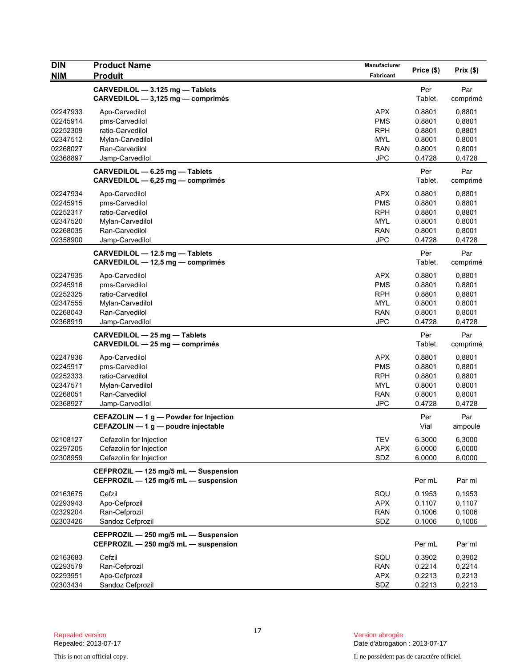| <b>DIN</b>                                                           | <b>Product Name</b>                                                                                           | Manufacturer                                                                     |                                                          |                                                          |
|----------------------------------------------------------------------|---------------------------------------------------------------------------------------------------------------|----------------------------------------------------------------------------------|----------------------------------------------------------|----------------------------------------------------------|
| <b>NIM</b>                                                           | <b>Produit</b>                                                                                                | Fabricant                                                                        | Price (\$)                                               | Prix (\$)                                                |
|                                                                      | CARVEDILOL - 3.125 mg - Tablets<br>CARVEDILOL - 3,125 mg - comprimés                                          |                                                                                  | Per<br>Tablet                                            | Par<br>comprimé                                          |
| 02247933<br>02245914<br>02252309<br>02347512<br>02268027<br>02368897 | Apo-Carvedilol<br>pms-Carvedilol<br>ratio-Carvedilol<br>Mylan-Carvedilol<br>Ran-Carvedilol<br>Jamp-Carvedilol | <b>APX</b><br><b>PMS</b><br><b>RPH</b><br><b>MYL</b><br><b>RAN</b><br><b>JPC</b> | 0.8801<br>0.8801<br>0.8801<br>0.8001<br>0.8001<br>0.4728 | 0,8801<br>0,8801<br>0,8801<br>0.8001<br>0,8001<br>0,4728 |
|                                                                      | CARVEDILOL - 6.25 mg - Tablets<br>CARVEDILOL - 6,25 mg - comprimés                                            |                                                                                  | Per<br>Tablet                                            | Par<br>comprimé                                          |
| 02247934<br>02245915<br>02252317<br>02347520<br>02268035<br>02358900 | Apo-Carvedilol<br>pms-Carvedilol<br>ratio-Carvedilol<br>Mylan-Carvedilol<br>Ran-Carvedilol<br>Jamp-Carvedilol | <b>APX</b><br><b>PMS</b><br><b>RPH</b><br><b>MYL</b><br><b>RAN</b><br><b>JPC</b> | 0.8801<br>0.8801<br>0.8801<br>0.8001<br>0.8001<br>0.4728 | 0,8801<br>0,8801<br>0,8801<br>0.8001<br>0,8001<br>0,4728 |
|                                                                      | CARVEDILOL - 12.5 mg - Tablets<br>CARVEDILOL - 12,5 mg - comprimés                                            |                                                                                  | Per<br>Tablet                                            | Par<br>comprimé                                          |
| 02247935<br>02245916<br>02252325<br>02347555<br>02268043<br>02368919 | Apo-Carvedilol<br>pms-Carvedilol<br>ratio-Carvedilol<br>Mylan-Carvedilol<br>Ran-Carvedilol<br>Jamp-Carvedilol | <b>APX</b><br><b>PMS</b><br><b>RPH</b><br><b>MYL</b><br>RAN<br><b>JPC</b>        | 0.8801<br>0.8801<br>0.8801<br>0.8001<br>0.8001<br>0.4728 | 0,8801<br>0,8801<br>0,8801<br>0.8001<br>0,8001<br>0,4728 |
|                                                                      | CARVEDILOL - 25 mg - Tablets<br>CARVEDILOL - 25 mg - comprimés                                                |                                                                                  | Per<br>Tablet                                            | Par<br>comprimé                                          |
| 02247936<br>02245917<br>02252333<br>02347571<br>02268051<br>02368927 | Apo-Carvedilol<br>pms-Carvedilol<br>ratio-Carvedilol<br>Mylan-Carvedilol<br>Ran-Carvedilol<br>Jamp-Carvedilol | <b>APX</b><br><b>PMS</b><br><b>RPH</b><br><b>MYL</b><br><b>RAN</b><br><b>JPC</b> | 0.8801<br>0.8801<br>0.8801<br>0.8001<br>0.8001<br>0.4728 | 0,8801<br>0,8801<br>0,8801<br>0.8001<br>0,8001<br>0,4728 |
|                                                                      | CEFAZOLIN $-1$ g $-$ Powder for Injection<br>CEFAZOLIN - 1 g - poudre injectable                              |                                                                                  | Per<br>Vial                                              | Par<br>ampoule                                           |
| 02108127<br>02297205<br>02308959                                     | Cefazolin for Injection<br>Cefazolin for Injection<br>Cefazolin for Injection                                 | TEV<br><b>APX</b><br>SDZ                                                         | 6.3000<br>6.0000<br>6.0000                               | 6,3000<br>6,0000<br>6,0000                               |
|                                                                      | CEFPROZIL - 125 mg/5 mL - Suspension<br>CEFPROZIL - 125 mg/5 mL - suspension                                  |                                                                                  | Per mL                                                   | Par ml                                                   |
| 02163675<br>02293943<br>02329204<br>02303426                         | Cefzil<br>Apo-Cefprozil<br>Ran-Cefprozil<br>Sandoz Cefprozil                                                  | SQU<br><b>APX</b><br><b>RAN</b><br>SDZ                                           | 0.1953<br>0.1107<br>0.1006<br>0.1006                     | 0,1953<br>0,1107<br>0,1006<br>0,1006                     |
|                                                                      | CEFPROZIL - 250 mg/5 mL - Suspension<br>CEFPROZIL - 250 mg/5 mL - suspension                                  |                                                                                  | Per mL                                                   | Par ml                                                   |
| 02163683<br>02293579<br>02293951<br>02303434                         | Cefzil<br>Ran-Cefprozil<br>Apo-Cefprozil<br>Sandoz Cefprozil                                                  | SQU<br><b>RAN</b><br><b>APX</b><br>SDZ                                           | 0.3902<br>0.2214<br>0.2213<br>0.2213                     | 0,3902<br>0,2214<br>0,2213<br>0,2213                     |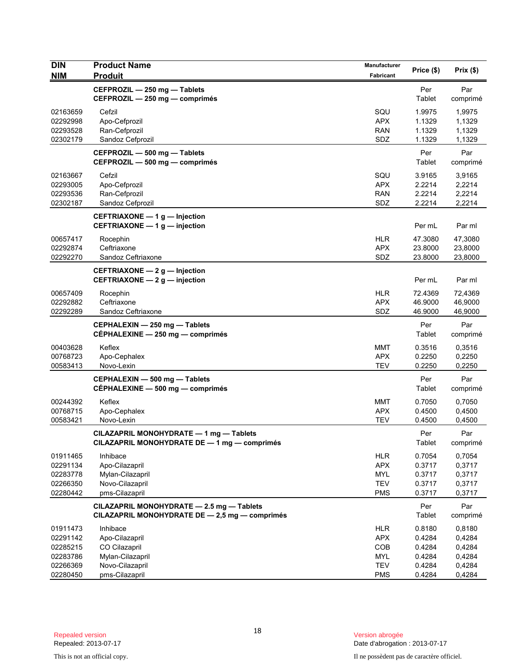| <b>DIN</b>           | <b>Product Name</b>                                                                         | <b>Manufacturer</b>      | Price (\$)       | Prix(\$)         |
|----------------------|---------------------------------------------------------------------------------------------|--------------------------|------------------|------------------|
| <b>NIM</b>           | <b>Produit</b>                                                                              | Fabricant                |                  |                  |
|                      | CEFPROZIL - 250 mg - Tablets                                                                |                          | Per              | Par              |
|                      | CEFPROZIL - 250 mg - comprimés                                                              |                          | Tablet           | comprimé         |
| 02163659             | Cefzil                                                                                      | SQU                      | 1.9975           | 1,9975           |
| 02292998             | Apo-Cefprozil                                                                               | <b>APX</b><br><b>RAN</b> | 1.1329           | 1,1329           |
| 02293528<br>02302179 | Ran-Cefprozil<br>Sandoz Cefprozil                                                           | SDZ                      | 1.1329<br>1.1329 | 1,1329<br>1,1329 |
|                      | CEFPROZIL - 500 mg - Tablets                                                                |                          | Per              | Par              |
|                      | CEFPROZIL - 500 mg - comprimés                                                              |                          | Tablet           | comprimé         |
| 02163667             | Cefzil                                                                                      | SQU                      | 3.9165           | 3,9165           |
| 02293005             | Apo-Cefprozil                                                                               | <b>APX</b>               | 2.2214           | 2,2214           |
| 02293536             | Ran-Cefprozil                                                                               | <b>RAN</b>               | 2.2214           | 2,2214           |
| 02302187             | Sandoz Cefprozil                                                                            | SDZ                      | 2.2214           | 2,2214           |
|                      | CEFTRIAXONE $-1$ g $-$ Injection                                                            |                          |                  |                  |
|                      | CEFTRIAXONE $-1$ g $-$ injection                                                            |                          | Per mL           | Par ml           |
| 00657417             | Rocephin                                                                                    | <b>HLR</b>               | 47.3080          | 47,3080          |
| 02292874             | Ceftriaxone                                                                                 | <b>APX</b>               | 23.8000          | 23,8000          |
| 02292270             | Sandoz Ceftriaxone                                                                          | SDZ                      | 23.8000          | 23,8000          |
|                      | CEFTRIAXONE $-2$ g $-$ Injection<br>CEFTRIAXONE - 2 g - injection                           |                          | Per mL           | Par ml           |
| 00657409             | Rocephin                                                                                    | <b>HLR</b>               | 72.4369          | 72,4369          |
| 02292882             | Ceftriaxone                                                                                 | <b>APX</b>               | 46.9000          | 46,9000          |
| 02292289             | Sandoz Ceftriaxone                                                                          | SDZ                      | 46.9000          | 46,9000          |
|                      | CEPHALEXIN - 250 mg - Tablets<br>CEPHALEXINE - 250 mg - comprimés                           |                          | Per<br>Tablet    | Par<br>comprimé  |
| 00403628             | Keflex                                                                                      | MMT                      | 0.3516           | 0,3516           |
| 00768723             | Apo-Cephalex                                                                                | <b>APX</b>               | 0.2250           | 0,2250           |
| 00583413             | Novo-Lexin                                                                                  | <b>TEV</b>               | 0.2250           | 0,2250           |
|                      | CEPHALEXIN - 500 mg - Tablets                                                               |                          | Per              | Par              |
|                      | CÉPHALEXINE - 500 mg - comprimés                                                            |                          | Tablet           | comprimé         |
| 00244392             | Keflex                                                                                      | MMT                      | 0.7050           | 0,7050           |
| 00768715             | Apo-Cephalex                                                                                | <b>APX</b>               | 0.4500           | 0,4500           |
| 00583421             | Novo-Lexin                                                                                  | <b>TEV</b>               | 0.4500           | 0,4500           |
|                      | CILAZAPRIL MONOHYDRATE - 1 mg - Tablets<br>CILAZAPRIL MONOHYDRATE DE - 1 mg - comprimés     |                          | Per<br>Tablet    | Par<br>comprimé  |
| 01911465             | Inhibace                                                                                    | <b>HLR</b>               | 0.7054           | 0,7054           |
| 02291134             | Apo-Cilazapril                                                                              | <b>APX</b>               | 0.3717           | 0,3717           |
| 02283778             | Mylan-Cilazapril                                                                            | <b>MYL</b>               | 0.3717           | 0,3717           |
| 02266350             | Novo-Cilazapril                                                                             | <b>TEV</b>               | 0.3717           | 0,3717           |
| 02280442             | pms-Cilazapril                                                                              | <b>PMS</b>               | 0.3717           | 0,3717           |
|                      | CILAZAPRIL MONOHYDRATE - 2.5 mg - Tablets<br>CILAZAPRIL MONOHYDRATE DE - 2,5 mg - comprimés |                          | Per<br>Tablet    | Par<br>comprimé  |
| 01911473             | Inhibace                                                                                    | <b>HLR</b>               | 0.8180           | 0,8180           |
| 02291142             | Apo-Cilazapril                                                                              | <b>APX</b>               | 0.4284           | 0,4284           |
| 02285215             | CO Cilazapril                                                                               | COB                      | 0.4284           | 0,4284           |
| 02283786             | Mylan-Cilazapril                                                                            | <b>MYL</b>               | 0.4284           | 0,4284           |
| 02266369<br>02280450 | Novo-Cilazapril<br>pms-Cilazapril                                                           | <b>TEV</b><br><b>PMS</b> | 0.4284<br>0.4284 | 0,4284<br>0,4284 |
|                      |                                                                                             |                          |                  |                  |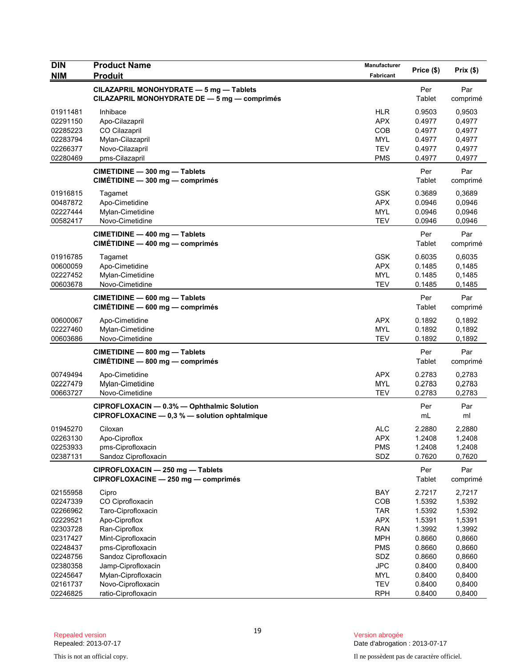| <b>DIN</b><br><b>NIM</b> | <b>Product Name</b><br><b>Produit</b>                                                       | Manufacturer<br>Fabricant | Price (\$)    | Prix(\$)        |
|--------------------------|---------------------------------------------------------------------------------------------|---------------------------|---------------|-----------------|
|                          | CILAZAPRIL MONOHYDRATE - 5 mg - Tablets<br>CILAZAPRIL MONOHYDRATE DE - 5 mg - comprimés     |                           | Per<br>Tablet | Par<br>comprimé |
| 01911481                 | Inhibace                                                                                    | <b>HLR</b>                | 0.9503        | 0,9503          |
| 02291150                 | Apo-Cilazapril                                                                              | <b>APX</b>                | 0.4977        | 0,4977          |
| 02285223                 | CO Cilazapril                                                                               | COB                       | 0.4977        | 0,4977          |
| 02283794                 | Mylan-Cilazapril                                                                            | <b>MYL</b>                | 0.4977        | 0,4977          |
| 02266377                 | Novo-Cilazapril                                                                             | <b>TEV</b>                | 0.4977        | 0,4977          |
| 02280469                 | pms-Cilazapril                                                                              | <b>PMS</b>                | 0.4977        | 0,4977          |
|                          | CIMETIDINE - 300 mg - Tablets<br>CIMÉTIDINE - 300 mg - comprimés                            |                           | Per<br>Tablet | Par<br>comprimé |
| 01916815                 | Tagamet                                                                                     | <b>GSK</b>                | 0.3689        | 0,3689          |
| 00487872                 | Apo-Cimetidine                                                                              | <b>APX</b>                | 0.0946        | 0,0946          |
| 02227444                 | Mylan-Cimetidine                                                                            | <b>MYL</b>                | 0.0946        | 0,0946          |
| 00582417                 | Novo-Cimetidine                                                                             | <b>TEV</b>                | 0.0946        | 0,0946          |
|                          | CIMETIDINE - 400 mg - Tablets<br>CIMÉTIDINE - 400 mg - comprimés                            |                           | Per<br>Tablet | Par<br>comprimé |
| 01916785                 | Tagamet                                                                                     | <b>GSK</b>                | 0.6035        | 0,6035          |
| 00600059                 | Apo-Cimetidine                                                                              | <b>APX</b>                | 0.1485        | 0,1485          |
| 02227452                 | Mylan-Cimetidine                                                                            | <b>MYL</b>                | 0.1485        | 0,1485          |
| 00603678                 | Novo-Cimetidine                                                                             | <b>TEV</b>                | 0.1485        | 0,1485          |
|                          | CIMETIDINE - 600 mg - Tablets<br>$CIMÉTIDINE - 600 mg - comprimés$                          |                           | Per<br>Tablet | Par<br>comprimé |
| 00600067                 | Apo-Cimetidine                                                                              | <b>APX</b>                | 0.1892        | 0,1892          |
| 02227460                 | Mylan-Cimetidine                                                                            | <b>MYL</b>                | 0.1892        | 0,1892          |
| 00603686                 | Novo-Cimetidine                                                                             | <b>TEV</b>                | 0.1892        | 0,1892          |
|                          | CIMETIDINE - 800 mg - Tablets<br>CIMÉTIDINE - 800 mg - comprimés                            |                           | Per<br>Tablet | Par<br>comprimé |
| 00749494                 | Apo-Cimetidine                                                                              | <b>APX</b>                | 0.2783        | 0,2783          |
| 02227479                 | Mylan-Cimetidine                                                                            | <b>MYL</b>                | 0.2783        | 0,2783          |
| 00663727                 | Novo-Cimetidine                                                                             | <b>TEV</b>                | 0.2783        | 0,2783          |
|                          | CIPROFLOXACIN - 0.3% - Ophthalmic Solution<br>CIPROFLOXACINE - 0,3 % - solution ophtalmique |                           | Per<br>mL     | Par<br>ml       |
| 01945270                 | Ciloxan                                                                                     | <b>ALC</b>                | 2.2880        | 2,2880          |
| 02263130                 | Apo-Ciproflox                                                                               | <b>APX</b>                | 1.2408        | 1,2408          |
| 02253933                 | pms-Ciprofloxacin                                                                           | <b>PMS</b>                | 1.2408        | 1,2408          |
| 02387131                 | Sandoz Ciprofloxacin                                                                        | SDZ                       | 0.7620        | 0,7620          |
|                          | CIPROFLOXACIN - 250 mg - Tablets<br>CIPROFLOXACINE - 250 mg - comprimés                     |                           | Per<br>Tablet | Par<br>comprimé |
| 02155958                 | Cipro                                                                                       | BAY                       | 2.7217        | 2,7217          |
| 02247339                 | CO Ciprofloxacin                                                                            | COB                       | 1.5392        | 1,5392          |
| 02266962                 | Taro-Ciprofloxacin                                                                          | <b>TAR</b>                | 1.5392        | 1,5392          |
| 02229521                 | Apo-Ciproflox                                                                               | <b>APX</b>                | 1.5391        | 1,5391          |
| 02303728                 | Ran-Ciproflox                                                                               | <b>RAN</b>                | 1.3992        | 1,3992          |
| 02317427                 | Mint-Ciprofloxacin                                                                          | <b>MPH</b>                | 0.8660        | 0,8660          |
| 02248437                 | pms-Ciprofloxacin                                                                           | <b>PMS</b>                | 0.8660        | 0,8660          |
| 02248756                 | Sandoz Ciprofloxacin                                                                        | <b>SDZ</b>                | 0.8660        | 0,8660          |
| 02380358                 | Jamp-Ciprofloxacin                                                                          | <b>JPC</b>                | 0.8400        | 0,8400          |
| 02245647                 | Mylan-Ciprofloxacin                                                                         | <b>MYL</b>                | 0.8400        | 0,8400          |
| 02161737                 | Novo-Ciprofloxacin                                                                          | <b>TEV</b>                | 0.8400        | 0,8400          |
| 02246825                 | ratio-Ciprofloxacin                                                                         | <b>RPH</b>                | 0.8400        | 0,8400          |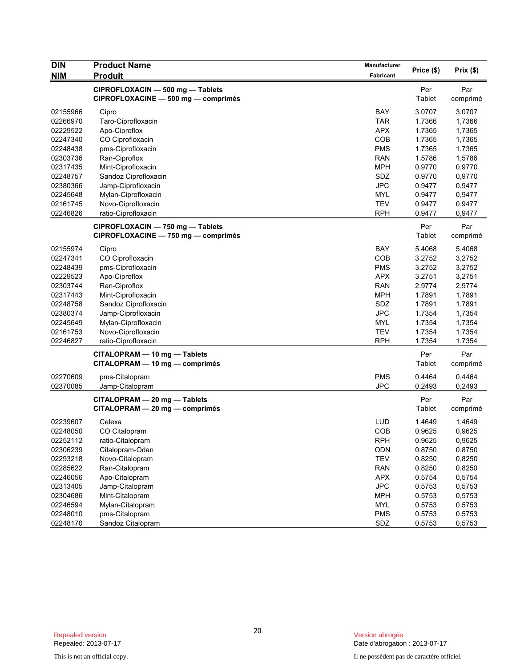| <b>DIN</b> | <b>Product Name</b>                 | <b>Manufacturer</b> | Price (\$) | Prix (\$) |
|------------|-------------------------------------|---------------------|------------|-----------|
| <b>NIM</b> | <b>Produit</b>                      | Fabricant           |            |           |
|            | CIPROFLOXACIN - 500 mg - Tablets    |                     | Per        | Par       |
|            | CIPROFLOXACINE - 500 mg - comprimés |                     | Tablet     | comprimé  |
| 02155966   | Cipro                               | <b>BAY</b>          | 3.0707     | 3,0707    |
| 02266970   | Taro-Ciprofloxacin                  | <b>TAR</b>          | 1.7366     | 1,7366    |
| 02229522   | Apo-Ciproflox                       | <b>APX</b>          | 1.7365     | 1,7365    |
| 02247340   | CO Ciprofloxacin                    | COB                 | 1.7365     | 1,7365    |
| 02248438   | pms-Ciprofloxacin                   | <b>PMS</b>          | 1.7365     | 1,7365    |
| 02303736   | Ran-Ciproflox                       | <b>RAN</b>          | 1.5786     | 1,5786    |
| 02317435   | Mint-Ciprofloxacin                  | <b>MPH</b>          | 0.9770     | 0,9770    |
| 02248757   | Sandoz Ciprofloxacin                | SDZ                 | 0.9770     | 0,9770    |
| 02380366   | Jamp-Ciprofloxacin                  | <b>JPC</b>          | 0.9477     | 0,9477    |
| 02245648   | Mylan-Ciprofloxacin                 | <b>MYL</b>          | 0.9477     | 0,9477    |
| 02161745   | Novo-Ciprofloxacin                  | <b>TEV</b>          | 0.9477     | 0,9477    |
| 02246826   | ratio-Ciprofloxacin                 | <b>RPH</b>          | 0.9477     | 0,9477    |
|            | CIPROFLOXACIN - 750 mg - Tablets    |                     | Per        | Par       |
|            | CIPROFLOXACINE - 750 mg - comprimés |                     | Tablet     | comprimé  |
| 02155974   | Cipro                               | <b>BAY</b>          | 5.4068     | 5,4068    |
| 02247341   | CO Ciprofloxacin                    | COB                 | 3.2752     | 3,2752    |
| 02248439   | pms-Ciprofloxacin                   | <b>PMS</b>          | 3.2752     | 3,2752    |
| 02229523   | Apo-Ciproflox                       | <b>APX</b>          | 3.2751     | 3,2751    |
| 02303744   | Ran-Ciproflox                       | <b>RAN</b>          | 2.9774     | 2,9774    |
| 02317443   | Mint-Ciprofloxacin                  | <b>MPH</b>          | 1.7891     | 1,7891    |
| 02248758   | Sandoz Ciprofloxacin                | SDZ                 | 1.7891     | 1,7891    |
| 02380374   | Jamp-Ciprofloxacin                  | <b>JPC</b>          | 1.7354     | 1,7354    |
| 02245649   | Mylan-Ciprofloxacin                 | MYL                 | 1.7354     | 1,7354    |
| 02161753   | Novo-Ciprofloxacin                  | <b>TEV</b>          | 1.7354     | 1,7354    |
| 02246827   | ratio-Ciprofloxacin                 | <b>RPH</b>          | 1.7354     | 1,7354    |
|            |                                     |                     |            |           |
|            | CITALOPRAM - 10 mg - Tablets        |                     | Per        | Par       |
|            | CITALOPRAM - 10 mg - comprimés      |                     | Tablet     | comprimé  |
| 02270609   | pms-Citalopram                      | <b>PMS</b>          | 0.4464     | 0,4464    |
| 02370085   | Jamp-Citalopram                     | <b>JPC</b>          | 0.2493     | 0,2493    |
|            | CITALOPRAM - 20 mg - Tablets        |                     | Per        | Par       |
|            | CITALOPRAM - 20 mg - comprimés      |                     | Tablet     | comprimé  |
| 02239607   | Celexa                              | LUD                 | 1.4649     | 1,4649    |
| 02248050   | CO Citalopram                       | COB                 | 0.9625     | 0,9625    |
| 02252112   | ratio-Citalopram                    | <b>RPH</b>          | 0.9625     | 0,9625    |
| 02306239   | Citalopram-Odan                     | ODN                 | 0.8750     | 0,8750    |
| 02293218   | Novo-Citalopram                     | <b>TEV</b>          | 0.8250     | 0,8250    |
| 02285622   | Ran-Citalopram                      | <b>RAN</b>          | 0.8250     | 0,8250    |
| 02246056   | Apo-Citalopram                      | APX                 | 0.5754     | 0,5754    |
| 02313405   | Jamp-Citalopram                     | <b>JPC</b>          | 0.5753     | 0,5753    |
| 02304686   | Mint-Citalopram                     | <b>MPH</b>          | 0.5753     | 0,5753    |
| 02246594   | Mylan-Citalopram                    | <b>MYL</b>          | 0.5753     | 0,5753    |
| 02248010   | pms-Citalopram                      | <b>PMS</b>          | 0.5753     | 0,5753    |
| 02248170   | Sandoz Citalopram                   | SDZ                 | 0.5753     | 0,5753    |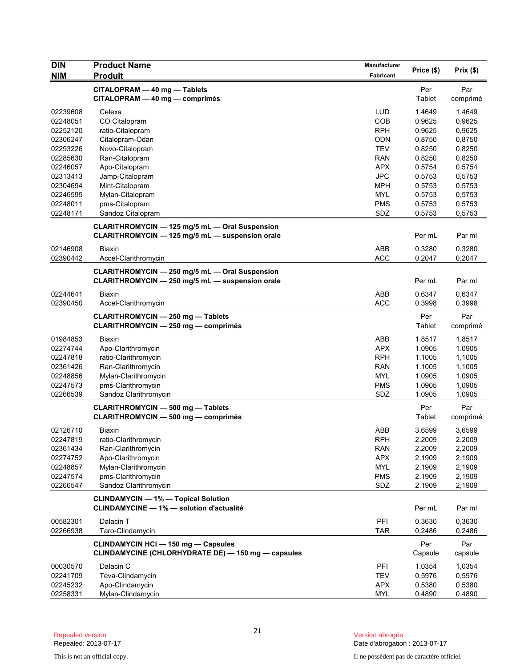| <b>DIN</b><br><b>NIM</b> | <b>Product Name</b><br><b>Produit</b>                                                                    | <b>Manufacturer</b><br>Fabricant | Price (\$)     | Prix(\$)        |
|--------------------------|----------------------------------------------------------------------------------------------------------|----------------------------------|----------------|-----------------|
|                          | CITALOPRAM - 40 mg - Tablets<br>CITALOPRAM - 40 mg - comprimés                                           |                                  | Per<br>Tablet  | Par<br>comprimé |
| 02239608                 | Celexa                                                                                                   | <b>LUD</b>                       | 1.4649         | 1,4649          |
| 02248051                 | CO Citalopram                                                                                            | COB                              | 0.9625         | 0,9625          |
| 02252120                 | ratio-Citalopram                                                                                         | <b>RPH</b>                       | 0.9625         | 0,9625          |
| 02306247                 | Citalopram-Odan                                                                                          | <b>ODN</b>                       | 0.8750         | 0,8750          |
| 02293226                 | Novo-Citalopram                                                                                          | <b>TEV</b>                       | 0.8250         | 0,8250          |
| 02285630                 | Ran-Citalopram                                                                                           | <b>RAN</b>                       | 0.8250         | 0,8250          |
| 02246057                 | Apo-Citalopram                                                                                           | <b>APX</b>                       | 0.5754         | 0,5754          |
| 02313413                 | Jamp-Citalopram                                                                                          | <b>JPC</b>                       | 0.5753         | 0,5753          |
| 02304694                 | Mint-Citalopram                                                                                          | <b>MPH</b>                       | 0.5753         | 0,5753          |
| 02246595                 | Mylan-Citalopram                                                                                         | <b>MYL</b>                       | 0.5753         | 0,5753          |
| 02248011                 | pms-Citalopram                                                                                           | <b>PMS</b>                       | 0.5753         | 0,5753          |
| 02248171                 | Sandoz Citalopram                                                                                        | SDZ                              | 0.5753         | 0,5753          |
|                          | <b>CLARITHROMYCIN - 125 mg/5 mL - Oral Suspension</b><br>CLARITHROMYCIN - 125 mg/5 mL - suspension orale |                                  | Per mL         | Par ml          |
| 02146908                 | <b>Biaxin</b>                                                                                            | ABB                              | 0.3280         | 0,3280          |
| 02390442                 | Accel-Clarithromycin                                                                                     | <b>ACC</b>                       | 0.2047         | 0,2047          |
|                          | CLARITHROMYCIN - 250 mg/5 mL - Oral Suspension<br>CLARITHROMYCIN - 250 mg/5 mL - suspension orale        |                                  | Per mL         | Par ml          |
| 02244641                 | Biaxin                                                                                                   | ABB                              | 0.6347         | 0,6347          |
| 02390450                 | Accel-Clarithromycin                                                                                     | <b>ACC</b>                       | 0.3998         | 0,3998          |
|                          | <b>CLARITHROMYCIN - 250 mg - Tablets</b><br><b>CLARITHROMYCIN - 250 mg - comprimés</b>                   |                                  | Per<br>Tablet  | Par<br>comprimé |
| 01984853                 | Biaxin                                                                                                   | ABB                              | 1.8517         | 1.8517          |
| 02274744                 | Apo-Clarithromycin                                                                                       | <b>APX</b>                       | 1.0905         | 1.0905          |
| 02247818                 | ratio-Clarithromycin                                                                                     | <b>RPH</b>                       | 1.1005         | 1,1005          |
| 02361426                 | Ran-Clarithromycin                                                                                       | <b>RAN</b>                       | 1.1005         | 1,1005          |
| 02248856                 | Mylan-Clarithromycin                                                                                     | <b>MYL</b>                       | 1.0905         | 1,0905          |
| 02247573                 | pms-Clarithromycin                                                                                       | <b>PMS</b>                       | 1.0905         | 1,0905          |
| 02266539                 | Sandoz Clarithromycin                                                                                    | SDZ                              | 1.0905         | 1,0905          |
|                          | <b>CLARITHROMYCIN - 500 mg - Tablets</b><br><b>CLARITHROMYCIN - 500 mg - comprimés</b>                   |                                  | Per<br>Tablet  | Par<br>comprimé |
| 02126710                 | Biaxin                                                                                                   | ABB                              | 3.6599         | 3,6599          |
| 02247819                 | ratio-Clarithromycin                                                                                     | RPH                              | 2.2009         | 2.2009          |
| 02361434                 | Ran-Clarithromycin                                                                                       | <b>RAN</b>                       | 2.2009         | 2,2009          |
| 02274752                 | Apo-Clarithromycin                                                                                       | <b>APX</b>                       | 2.1909         | 2,1909          |
| 02248857                 | Mylan-Clarithromycin                                                                                     | <b>MYL</b>                       | 2.1909         | 2,1909          |
| 02247574                 | pms-Clarithromycin                                                                                       | <b>PMS</b>                       | 2.1909         | 2,1909          |
| 02266547                 | Sandoz Clarithromycin                                                                                    | SDZ                              | 2.1909         | 2,1909          |
|                          | <b>CLINDAMYCIN - 1% - Topical Solution</b><br><b>CLINDAMYCINE - 1% - solution d'actualité</b>            |                                  | Per mL         | Par ml          |
| 00582301                 | Dalacin T                                                                                                | PFI                              | 0.3630         | 0,3630          |
| 02266938                 | Taro-Clindamycin                                                                                         | <b>TAR</b>                       | 0.2486         | 0,2486          |
|                          | <b>CLINDAMYCIN HCI - 150 mg - Capsules</b><br>CLINDAMYCINE (CHLORHYDRATE DE) - 150 mg - capsules         |                                  | Per<br>Capsule | Par<br>capsule  |
| 00030570                 | Dalacin C                                                                                                | PFI                              | 1.0354         | 1,0354          |
| 02241709                 | Teva-Clindamycin                                                                                         | <b>TEV</b>                       | 0.5976         | 0,5976          |
| 02245232                 | Apo-Clindamycin                                                                                          | <b>APX</b>                       | 0.5380         | 0,5380          |
| 02258331                 | Mylan-Clindamycin                                                                                        | <b>MYL</b>                       | 0.4890         | 0,4890          |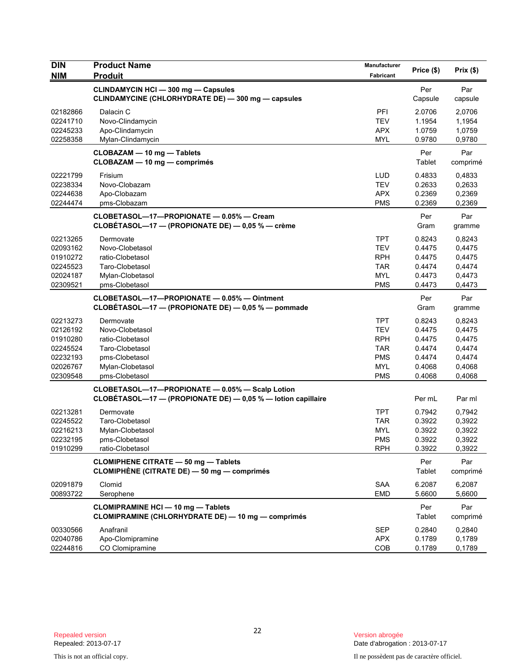| <b>DIN</b>                                                                       | <b>Product Name</b>                                                                                                         | Manufacturer<br>Price (\$)                                                                     | Prix(\$)                                                           |                                                                    |
|----------------------------------------------------------------------------------|-----------------------------------------------------------------------------------------------------------------------------|------------------------------------------------------------------------------------------------|--------------------------------------------------------------------|--------------------------------------------------------------------|
| <b>NIM</b>                                                                       | <b>Produit</b>                                                                                                              | Fabricant                                                                                      |                                                                    |                                                                    |
|                                                                                  | <b>CLINDAMYCIN HCI - 300 mg - Capsules</b><br>CLINDAMYCINE (CHLORHYDRATE DE) - 300 mg - capsules                            |                                                                                                | Per<br>Capsule                                                     | Par<br>capsule                                                     |
| 02182866<br>02241710<br>02245233<br>02258358                                     | Dalacin C<br>Novo-Clindamycin<br>Apo-Clindamycin<br>Mylan-Clindamycin                                                       | <b>PFI</b><br><b>TEV</b><br><b>APX</b><br><b>MYL</b>                                           | 2.0706<br>1.1954<br>1.0759<br>0.9780                               | 2,0706<br>1,1954<br>1,0759<br>0,9780                               |
|                                                                                  | CLOBAZAM - 10 mg - Tablets<br>CLOBAZAM - 10 mg - comprimés                                                                  |                                                                                                | Per<br>Tablet                                                      | Par<br>comprimé                                                    |
| 02221799<br>02238334<br>02244638<br>02244474                                     | Frisium<br>Novo-Clobazam<br>Apo-Clobazam<br>pms-Clobazam                                                                    | <b>LUD</b><br><b>TEV</b><br><b>APX</b><br><b>PMS</b>                                           | 0.4833<br>0.2633<br>0.2369<br>0.2369                               | 0,4833<br>0,2633<br>0,2369<br>0,2369                               |
|                                                                                  | CLOBETASOL-17-PROPIONATE - 0.05% - Cream<br>CLOBÉTASOL-17 - (PROPIONATE DE) - 0,05 % - crème                                |                                                                                                | Per<br>Gram                                                        | Par<br>gramme                                                      |
| 02213265<br>02093162<br>01910272<br>02245523<br>02024187<br>02309521             | Dermovate<br>Novo-Clobetasol<br>ratio-Clobetasol<br>Taro-Clobetasol<br>Mylan-Clobetasol<br>pms-Clobetasol                   | <b>TPT</b><br><b>TEV</b><br><b>RPH</b><br><b>TAR</b><br><b>MYL</b><br><b>PMS</b>               | 0.8243<br>0.4475<br>0.4475<br>0.4474<br>0.4473<br>0.4473           | 0,8243<br>0,4475<br>0,4475<br>0,4474<br>0,4473<br>0,4473           |
|                                                                                  | CLOBETASOL-17-PROPIONATE - 0.05% - Ointment<br>CLOBÉTASOL—17 — (PROPIONATE DE) — 0,05 % — pommade                           |                                                                                                | Per<br>Gram                                                        | Par<br>gramme                                                      |
| 02213273<br>02126192<br>01910280<br>02245524<br>02232193<br>02026767<br>02309548 | Dermovate<br>Novo-Clobetasol<br>ratio-Clobetasol<br>Taro-Clobetasol<br>pms-Clobetasol<br>Mylan-Clobetasol<br>pms-Clobetasol | <b>TPT</b><br><b>TEV</b><br><b>RPH</b><br><b>TAR</b><br><b>PMS</b><br><b>MYL</b><br><b>PMS</b> | 0.8243<br>0.4475<br>0.4475<br>0.4474<br>0.4474<br>0.4068<br>0.4068 | 0,8243<br>0,4475<br>0,4475<br>0,4474<br>0,4474<br>0,4068<br>0,4068 |
|                                                                                  | CLOBETASOL-17-PROPIONATE - 0.05% - Scalp Lotion<br>CLOBÉTASOL-17 - (PROPIONATE DE) - 0,05 % - lotion capillaire             |                                                                                                | Per mL                                                             | Par ml                                                             |
| 02213281<br>02245522<br>02216213<br>02232195<br>01910299                         | Dermovate<br>Taro-Clobetasol<br>Mylan-Clobetasol<br>pms-Clobetasol<br>ratio-Clobetasol                                      | <b>TPT</b><br><b>TAR</b><br><b>MYL</b><br>PMS<br><b>RPH</b>                                    | 0.7942<br>0.3922<br>0.3922<br>0.3922<br>0.3922                     | 0,7942<br>0,3922<br>0,3922<br>0,3922<br>0,3922                     |
|                                                                                  | <b>CLOMIPHENE CITRATE - 50 mg - Tablets</b><br>CLOMIPHÈNE (CITRATE DE) - 50 mg - comprimés                                  |                                                                                                | Per<br>Tablet                                                      | Par<br>comprimé                                                    |
| 02091879<br>00893722                                                             | Clomid<br>Serophene                                                                                                         | <b>SAA</b><br><b>EMD</b>                                                                       | 6.2087<br>5.6600                                                   | 6,2087<br>5,6600                                                   |
|                                                                                  | <b>CLOMIPRAMINE HCI - 10 mg - Tablets</b><br><b>CLOMIPRAMINE (CHLORHYDRATE DE) - 10 mg - comprimés</b>                      |                                                                                                | Per<br>Tablet                                                      | Par<br>comprimé                                                    |
| 00330566<br>02040786<br>02244816                                                 | Anafranil<br>Apo-Clomipramine<br>CO Clomipramine                                                                            | SEP<br><b>APX</b><br>COB                                                                       | 0.2840<br>0.1789<br>0.1789                                         | 0,2840<br>0,1789<br>0,1789                                         |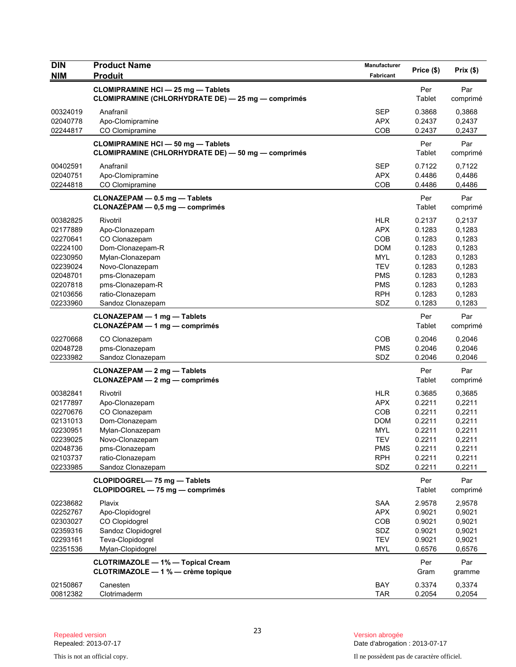| <b>DIN</b><br><b>NIM</b> | <b>Product Name</b><br><b>Produit</b>                                                           | Manufacturer<br>Fabricant | Price (\$)       | Prix(\$)         |
|--------------------------|-------------------------------------------------------------------------------------------------|---------------------------|------------------|------------------|
|                          | <b>CLOMIPRAMINE HCI - 25 mg - Tablets</b><br>CLOMIPRAMINE (CHLORHYDRATE DE) - 25 mg - comprimés |                           | Per<br>Tablet    | Par<br>comprimé  |
| 00324019<br>02040778     | Anafranil<br>Apo-Clomipramine                                                                   | <b>SEP</b><br><b>APX</b>  | 0.3868<br>0.2437 | 0,3868<br>0,2437 |
| 02244817                 | CO Clomipramine                                                                                 | COB                       | 0.2437           | 0,2437           |
|                          | <b>CLOMIPRAMINE HCI - 50 mg - Tablets</b><br>CLOMIPRAMINE (CHLORHYDRATE DE) - 50 mg - comprimés |                           | Per<br>Tablet    | Par<br>comprimé  |
| 00402591                 | Anafranil                                                                                       | <b>SEP</b>                | 0.7122           | 0,7122           |
| 02040751<br>02244818     | Apo-Clomipramine<br>CO Clomipramine                                                             | <b>APX</b><br>COB         | 0.4486<br>0.4486 | 0,4486<br>0,4486 |
|                          | CLONAZEPAM - 0.5 mg - Tablets<br>$CLONAZÉPAM - 0,5 mg - comprimés$                              |                           | Per<br>Tablet    | Par<br>comprimé  |
| 00382825                 | Rivotril                                                                                        | <b>HLR</b>                | 0.2137           | 0,2137           |
| 02177889                 | Apo-Clonazepam                                                                                  | <b>APX</b>                | 0.1283           | 0,1283           |
| 02270641                 | CO Clonazepam                                                                                   | COB                       | 0.1283           | 0,1283           |
| 02224100                 | Dom-Clonazepam-R                                                                                | <b>DOM</b>                | 0.1283           | 0,1283           |
| 02230950                 | Mylan-Clonazepam                                                                                | <b>MYL</b>                | 0.1283           | 0,1283           |
| 02239024<br>02048701     | Novo-Clonazepam<br>pms-Clonazepam                                                               | <b>TEV</b><br><b>PMS</b>  | 0.1283<br>0.1283 | 0,1283<br>0,1283 |
| 02207818                 | pms-Clonazepam-R                                                                                | <b>PMS</b>                | 0.1283           | 0,1283           |
| 02103656                 | ratio-Clonazepam                                                                                | <b>RPH</b>                | 0.1283           | 0,1283           |
| 02233960                 | Sandoz Clonazepam                                                                               | SDZ                       | 0.1283           | 0,1283           |
|                          | <b>CLONAZEPAM - 1 mg - Tablets</b><br>CLONAZÉPAM - 1 mg - comprimés                             |                           | Per<br>Tablet    | Par<br>comprimé  |
| 02270668                 | CO Clonazepam                                                                                   | COB                       | 0.2046           | 0,2046           |
| 02048728                 | pms-Clonazepam                                                                                  | <b>PMS</b>                | 0.2046           | 0,2046           |
| 02233982                 | Sandoz Clonazepam                                                                               | SDZ                       | 0.2046           | 0,2046           |
|                          | <b>CLONAZEPAM - 2 mg - Tablets</b><br>$CLONAZÉPAM - 2 mg - comprimés$                           |                           | Per<br>Tablet    | Par<br>comprimé  |
| 00382841                 | Rivotril                                                                                        | <b>HLR</b>                | 0.3685           | 0,3685           |
| 02177897                 | Apo-Clonazepam                                                                                  | <b>APX</b>                | 0.2211           | 0,2211           |
| 02270676                 | CO Clonazepam                                                                                   | COB                       | 0.2211           | 0,2211           |
| 02131013<br>02230951     | Dom-Clonazepam                                                                                  | <b>DOM</b>                | 0.2211           | 0,2211           |
| 02239025                 | Mylan-Clonazepam<br>Novo-Clonazepam                                                             | <b>MYL</b><br>TEV         | 0.2211<br>0.2211 | 0,2211<br>0,2211 |
| 02048736                 | pms-Clonazepam                                                                                  | <b>PMS</b>                | 0.2211           | 0,2211           |
| 02103737                 | ratio-Clonazepam                                                                                | <b>RPH</b>                | 0.2211           | 0,2211           |
| 02233985                 | Sandoz Clonazepam                                                                               | SDZ                       | 0.2211           | 0,2211           |
|                          | CLOPIDOGREL-75 mg - Tablets<br>CLOPIDOGREL - 75 mg - comprimés                                  |                           | Per<br>Tablet    | Par<br>comprimé  |
| 02238682                 | Plavix                                                                                          | <b>SAA</b>                | 2.9578           | 2,9578           |
| 02252767                 | Apo-Clopidogrel                                                                                 | <b>APX</b>                | 0.9021           | 0,9021           |
| 02303027                 | CO Clopidogrel                                                                                  | COB                       | 0.9021           | 0,9021           |
| 02359316                 | Sandoz Clopidogrel                                                                              | SDZ                       | 0.9021           | 0,9021           |
| 02293161                 | Teva-Clopidogrel                                                                                | <b>TEV</b>                | 0.9021           | 0,9021           |
| 02351536                 | Mylan-Clopidogrel                                                                               | <b>MYL</b>                | 0.6576           | 0,6576           |
|                          | <b>CLOTRIMAZOLE - 1% - Topical Cream</b><br>CLOTRIMAZOLE - 1 % - crème topique                  |                           | Per<br>Gram      | Par<br>gramme    |
| 02150867                 | Canesten                                                                                        | <b>BAY</b>                | 0.3374           | 0,3374           |
| 00812382                 | Clotrimaderm                                                                                    | <b>TAR</b>                | 0.2054           | 0,2054           |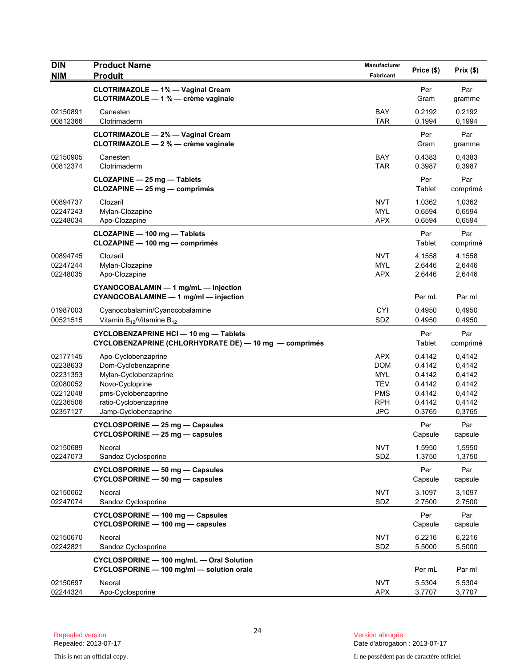| <b>DIN</b><br><b>NIM</b>                                                         | <b>Product Name</b><br><b>Produit</b>                                                                                                                          | Manufacturer<br>Fabricant                                                        | Price (\$)                                                         | Prix(\$)                                                           |
|----------------------------------------------------------------------------------|----------------------------------------------------------------------------------------------------------------------------------------------------------------|----------------------------------------------------------------------------------|--------------------------------------------------------------------|--------------------------------------------------------------------|
|                                                                                  | <b>CLOTRIMAZOLE - 1% - Vaginal Cream</b><br>CLOTRIMAZOLE - 1 % - crème vaginale                                                                                |                                                                                  | Per<br>Gram                                                        | Par<br>gramme                                                      |
| 02150891<br>00812366                                                             | Canesten<br>Clotrimaderm                                                                                                                                       | <b>BAY</b><br><b>TAR</b>                                                         | 0.2192<br>0.1994                                                   | 0,2192<br>0,1994                                                   |
|                                                                                  | <b>CLOTRIMAZOLE - 2% - Vaginal Cream</b><br>CLOTRIMAZOLE - 2 % - crème vaginale                                                                                |                                                                                  | Per<br>Gram                                                        | Par<br>gramme                                                      |
| 02150905<br>00812374                                                             | Canesten<br>Clotrimaderm                                                                                                                                       | BAY<br><b>TAR</b>                                                                | 0.4383<br>0.3987                                                   | 0,4383<br>0,3987                                                   |
|                                                                                  | CLOZAPINE - 25 mg - Tablets<br>CLOZAPINE - 25 mg - comprimés                                                                                                   |                                                                                  | Per<br>Tablet                                                      | Par<br>comprimé                                                    |
| 00894737<br>02247243<br>02248034                                                 | Clozaril<br>Mylan-Clozapine<br>Apo-Clozapine                                                                                                                   | <b>NVT</b><br><b>MYL</b><br><b>APX</b>                                           | 1.0362<br>0.6594<br>0.6594                                         | 1,0362<br>0,6594<br>0,6594                                         |
|                                                                                  | CLOZAPINE - 100 mg - Tablets<br>CLOZAPINE - 100 mg - comprimés                                                                                                 |                                                                                  | Per<br>Tablet                                                      | Par<br>comprimé                                                    |
| 00894745<br>02247244<br>02248035                                                 | Clozaril<br>Mylan-Clozapine<br>Apo-Clozapine                                                                                                                   | <b>NVT</b><br><b>MYL</b><br><b>APX</b>                                           | 4.1558<br>2.6446<br>2.6446                                         | 4,1558<br>2,6446<br>2,6446                                         |
|                                                                                  | CYANOCOBALAMIN - 1 mg/mL - Injection<br>CYANOCOBALAMINE - 1 mg/ml - injection                                                                                  |                                                                                  | Per mL                                                             | Par ml                                                             |
| 01987003<br>00521515                                                             | Cyanocobalamin/Cyanocobalamine<br>Vitamin $B_{12}$ /Vitamine $B_{12}$                                                                                          | <b>CYI</b><br>SDZ                                                                | 0.4950<br>0.4950                                                   | 0,4950<br>0,4950                                                   |
|                                                                                  | CYCLOBENZAPRINE HCI - 10 mg - Tablets<br>CYCLOBENZAPRINE (CHLORHYDRATE DE) $-$ 10 mg $-$ comprimés                                                             |                                                                                  | Per<br>Tablet                                                      | Par<br>comprimé                                                    |
| 02177145<br>02238633<br>02231353<br>02080052<br>02212048<br>02236506<br>02357127 | Apo-Cyclobenzaprine<br>Dom-Cyclobenzaprine<br>Mylan-Cyclobenzaprine<br>Novo-Cycloprine<br>pms-Cyclobenzaprine<br>ratio-Cyclobenzaprine<br>Jamp-Cyclobenzaprine | <b>APX</b><br><b>DOM</b><br>MYL<br>TEV<br><b>PMS</b><br><b>RPH</b><br><b>JPC</b> | 0.4142<br>0.4142<br>0.4142<br>0.4142<br>0.4142<br>0.4142<br>0.3765 | 0,4142<br>0,4142<br>0,4142<br>0,4142<br>0,4142<br>0,4142<br>0,3765 |
|                                                                                  | CYCLOSPORINE - 25 mg - Capsules<br>CYCLOSPORINE - 25 mg - capsules                                                                                             |                                                                                  | Per<br>Capsule                                                     | Par<br>capsule                                                     |
| 02150689<br>02247073                                                             | Neoral<br>Sandoz Cyclosporine                                                                                                                                  | <b>NVT</b><br>SDZ                                                                | 1.5950<br>1.3750                                                   | 1,5950<br>1,3750                                                   |
|                                                                                  | CYCLOSPORINE - 50 mg - Capsules<br>CYCLOSPORINE - 50 mg - capsules                                                                                             |                                                                                  | Per<br>Capsule                                                     | Par<br>capsule                                                     |
| 02150662<br>02247074                                                             | Neoral<br>Sandoz Cyclosporine                                                                                                                                  | <b>NVT</b><br>SDZ                                                                | 3.1097<br>2.7500                                                   | 3,1097<br>2,7500                                                   |
|                                                                                  | CYCLOSPORINE - 100 mg - Capsules<br>CYCLOSPORINE - 100 mg - capsules                                                                                           |                                                                                  | Per<br>Capsule                                                     | Par<br>capsule                                                     |
| 02150670<br>02242821                                                             | Neoral<br>Sandoz Cyclosporine                                                                                                                                  | <b>NVT</b><br>SDZ                                                                | 6.2216<br>5.5000                                                   | 6,2216<br>5,5000                                                   |
|                                                                                  | CYCLOSPORINE - 100 mg/mL - Oral Solution<br>CYCLOSPORINE - 100 mg/ml - solution orale                                                                          |                                                                                  | Per mL                                                             | Par ml                                                             |
| 02150697<br>02244324                                                             | Neoral<br>Apo-Cyclosporine                                                                                                                                     | <b>NVT</b><br><b>APX</b>                                                         | 5.5304<br>3.7707                                                   | 5,5304<br>3,7707                                                   |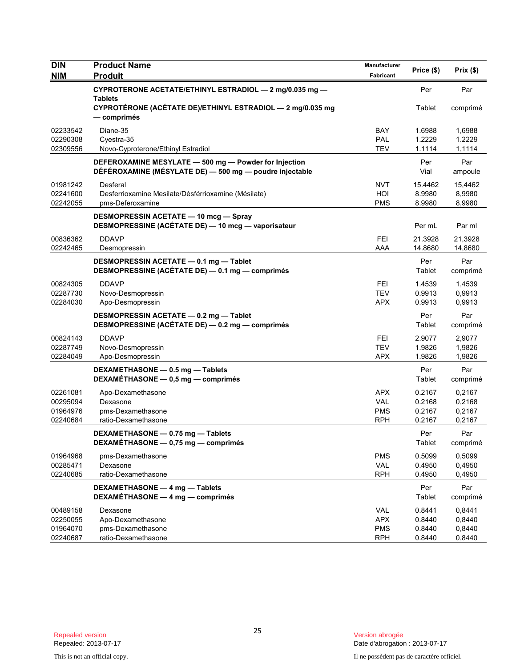| <b>DIN</b>                                   | <b>Product Name</b>                                                                                              | Manufacturer                                         | Price (\$)                           | Prix(\$)                             |
|----------------------------------------------|------------------------------------------------------------------------------------------------------------------|------------------------------------------------------|--------------------------------------|--------------------------------------|
| <b>NIM</b>                                   | <b>Produit</b>                                                                                                   | Fabricant                                            |                                      |                                      |
|                                              | CYPROTERONE ACETATE/ETHINYL ESTRADIOL - 2 mg/0.035 mg -                                                          |                                                      | Per                                  | Par                                  |
|                                              | <b>Tablets</b><br>CYPROTÉRONE (ACÉTATE DE)/ETHINYL ESTRADIOL - 2 mg/0.035 mg<br>— comprimés                      |                                                      | Tablet                               | comprimé                             |
| 02233542<br>02290308<br>02309556             | Diane-35<br>Cyestra-35<br>Novo-Cyproterone/Ethinyl Estradiol                                                     | <b>BAY</b><br><b>PAL</b><br><b>TEV</b>               | 1.6988<br>1.2229<br>1.1114           | 1,6988<br>1.2229<br>1,1114           |
|                                              | DEFEROXAMINE MESYLATE - 500 mg - Powder for Injection<br>DÉFÉROXAMINE (MÉSYLATE DE) - 500 mg - poudre injectable |                                                      | Per<br>Vial                          | Par<br>ampoule                       |
| 01981242<br>02241600<br>02242055             | Desferal<br>Desferrioxamine Mesilate/Désférrioxamine (Mésilate)<br>pms-Deferoxamine                              | <b>NVT</b><br>HOI<br><b>PMS</b>                      | 15.4462<br>8.9980<br>8.9980          | 15,4462<br>8,9980<br>8,9980          |
|                                              | <b>DESMOPRESSIN ACETATE - 10 mcg - Spray</b><br>DESMOPRESSINE (ACÉTATE DE) - 10 mcg - vaporisateur               |                                                      | Per mL                               | Par ml                               |
| 00836362<br>02242465                         | <b>DDAVP</b><br>Desmopressin                                                                                     | <b>FEI</b><br>AAA                                    | 21.3928<br>14.8680                   | 21,3928<br>14,8680                   |
|                                              | DESMOPRESSIN ACETATE - 0.1 mg - Tablet<br>DESMOPRESSINE (ACÉTATE DE) — 0.1 mg — comprimés                        |                                                      | Per<br>Tablet                        | Par<br>comprimé                      |
| 00824305<br>02287730<br>02284030             | <b>DDAVP</b><br>Novo-Desmopressin<br>Apo-Desmopressin                                                            | <b>FEI</b><br><b>TEV</b><br><b>APX</b>               | 1.4539<br>0.9913<br>0.9913           | 1,4539<br>0,9913<br>0,9913           |
|                                              | DESMOPRESSIN ACETATE - 0.2 mg - Tablet<br>DESMOPRESSINE (ACÉTATE DE) - 0.2 mg - comprimés                        |                                                      | Per<br>Tablet                        | Par<br>comprimé                      |
| 00824143<br>02287749<br>02284049             | <b>DDAVP</b><br>Novo-Desmopressin<br>Apo-Desmopressin                                                            | FEI<br><b>TEV</b><br><b>APX</b>                      | 2.9077<br>1.9826<br>1.9826           | 2,9077<br>1,9826<br>1,9826           |
|                                              | DEXAMETHASONE - 0.5 mg - Tablets<br>DEXAMÉTHASONE - 0,5 mg - comprimés                                           |                                                      | Per<br>Tablet                        | Par<br>comprimé                      |
| 02261081<br>00295094<br>01964976<br>02240684 | Apo-Dexamethasone<br>Dexasone<br>pms-Dexamethasone<br>ratio-Dexamethasone                                        | <b>APX</b><br><b>VAL</b><br><b>PMS</b><br><b>RPH</b> | 0.2167<br>0.2168<br>0.2167<br>0.2167 | 0,2167<br>0,2168<br>0,2167<br>0,2167 |
|                                              | DEXAMETHASONE - 0.75 mg - Tablets<br>DEXAMÉTHASONE - 0,75 mg - comprimés                                         |                                                      | Per<br>Tablet                        | Par<br>comprimé                      |
| 01964968<br>00285471<br>02240685             | pms-Dexamethasone<br>Dexasone<br>ratio-Dexamethasone                                                             | <b>PMS</b><br><b>VAL</b><br><b>RPH</b>               | 0.5099<br>0.4950<br>0.4950           | 0,5099<br>0,4950<br>0,4950           |
|                                              | DEXAMETHASONE - 4 mg - Tablets<br>DEXAMÉTHASONE - 4 mg - comprimés                                               |                                                      | Per<br>Tablet                        | Par<br>comprimé                      |
| 00489158<br>02250055<br>01964070<br>02240687 | Dexasone<br>Apo-Dexamethasone<br>pms-Dexamethasone<br>ratio-Dexamethasone                                        | <b>VAL</b><br><b>APX</b><br><b>PMS</b><br><b>RPH</b> | 0.8441<br>0.8440<br>0.8440<br>0.8440 | 0,8441<br>0,8440<br>0,8440<br>0,8440 |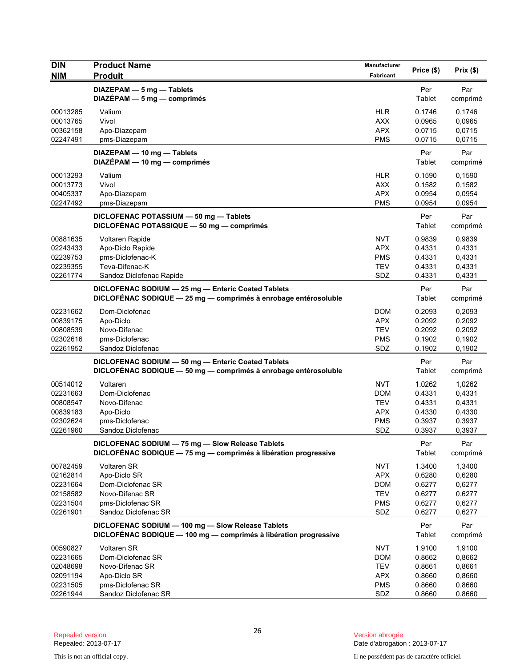| <b>DIN</b><br><b>NIM</b>                                             | <b>Product Name</b><br><b>Produit</b>                                                                                   | Manufacturer<br>Fabricant                                                 | Price (\$)                                               | Prix(\$)                                                 |
|----------------------------------------------------------------------|-------------------------------------------------------------------------------------------------------------------------|---------------------------------------------------------------------------|----------------------------------------------------------|----------------------------------------------------------|
|                                                                      | DIAZEPAM - 5 mg - Tablets<br>$DIAZÉPAM - 5 mg - comprimés$                                                              |                                                                           | Per<br>Tablet                                            | Par<br>comprimé                                          |
| 00013285<br>00013765<br>00362158<br>02247491                         | Valium<br>Vivol<br>Apo-Diazepam<br>pms-Diazepam                                                                         | <b>HLR</b><br><b>AXX</b><br><b>APX</b><br><b>PMS</b>                      | 0.1746<br>0.0965<br>0.0715<br>0.0715                     | 0,1746<br>0,0965<br>0,0715<br>0,0715                     |
|                                                                      | DIAZEPAM - 10 mg - Tablets<br>DIAZÉPAM - 10 mg - comprimés                                                              |                                                                           | Per<br>Tablet                                            | Par<br>comprimé                                          |
| 00013293<br>00013773<br>00405337<br>02247492                         | Valium<br>Vivol<br>Apo-Diazepam<br>pms-Diazepam                                                                         | <b>HLR</b><br><b>AXX</b><br><b>APX</b><br><b>PMS</b>                      | 0.1590<br>0.1582<br>0.0954<br>0.0954                     | 0,1590<br>0,1582<br>0,0954<br>0,0954                     |
|                                                                      | DICLOFENAC POTASSIUM - 50 mg - Tablets<br>DICLOFÉNAC POTASSIQUE - 50 mg - comprimés                                     |                                                                           | Per<br>Tablet                                            | Par<br>comprimé                                          |
| 00881635<br>02243433<br>02239753<br>02239355<br>02261774             | Voltaren Rapide<br>Apo-Diclo Rapide<br>pms-Diclofenac-K<br>Teva-Difenac-K<br>Sandoz Diclofenac Rapide                   | <b>NVT</b><br><b>APX</b><br><b>PMS</b><br><b>TEV</b><br>SDZ               | 0.9839<br>0.4331<br>0.4331<br>0.4331<br>0.4331           | 0,9839<br>0,4331<br>0,4331<br>0,4331<br>0,4331           |
|                                                                      | DICLOFENAC SODIUM - 25 mg - Enteric Coated Tablets<br>DICLOFÉNAC SODIQUE - 25 mg - comprimés à enrobage entérosoluble   |                                                                           | Per<br>Tablet                                            | Par<br>comprimé                                          |
| 02231662<br>00839175<br>00808539<br>02302616<br>02261952             | Dom-Diclofenac<br>Apo-Diclo<br>Novo-Difenac<br>pms-Diclofenac<br>Sandoz Diclofenac                                      | <b>DOM</b><br><b>APX</b><br><b>TEV</b><br><b>PMS</b><br>SDZ               | 0.2093<br>0.2092<br>0.2092<br>0.1902<br>0.1902           | 0,2093<br>0,2092<br>0,2092<br>0,1902<br>0,1902           |
|                                                                      | DICLOFENAC SODIUM - 50 mg - Enteric Coated Tablets<br>DICLOFÉNAC SODIQUE - 50 mg - comprimés à enrobage entérosoluble   |                                                                           | Per<br>Tablet                                            | Par<br>comprimé                                          |
| 00514012<br>02231663<br>00808547<br>00839183<br>02302624<br>02261960 | Voltaren<br>Dom-Diclofenac<br>Novo-Difenac<br>Apo-Diclo<br>pms-Diclofenac<br>Sandoz Diclofenac                          | <b>NVT</b><br><b>DOM</b><br><b>TEV</b><br><b>APX</b><br><b>PMS</b><br>SDZ | 1.0262<br>0.4331<br>0.4331<br>0.4330<br>0.3937<br>0.3937 | 1,0262<br>0,4331<br>0,4331<br>0,4330<br>0,3937<br>0,3937 |
|                                                                      | DICLOFENAC SODIUM - 75 mg - Slow Release Tablets<br>DICLOFÉNAC SODIQUE - 75 mg - comprimés à libération progressive     |                                                                           | Per<br>Tablet                                            | Par<br>comprimé                                          |
| 00782459<br>02162814<br>02231664<br>02158582<br>02231504<br>02261901 | <b>Voltaren SR</b><br>Apo-Diclo SR<br>Dom-Diclofenac SR<br>Novo-Difenac SR<br>pms-Diclofenac SR<br>Sandoz Diclofenac SR | <b>NVT</b><br><b>APX</b><br><b>DOM</b><br><b>TEV</b><br><b>PMS</b><br>SDZ | 1.3400<br>0.6280<br>0.6277<br>0.6277<br>0.6277<br>0.6277 | 1,3400<br>0,6280<br>0,6277<br>0,6277<br>0,6277<br>0,6277 |
|                                                                      | DICLOFENAC SODIUM - 100 mg - Slow Release Tablets<br>DICLOFÉNAC SODIQUE - 100 mg - comprimés à libération progressive   |                                                                           | Per<br>Tablet                                            | Par<br>comprimé                                          |
| 00590827<br>02231665<br>02048698<br>02091194<br>02231505<br>02261944 | Voltaren SR<br>Dom-Diclofenac SR<br>Novo-Difenac SR<br>Apo-Diclo SR<br>pms-Diclofenac SR<br>Sandoz Diclofenac SR        | <b>NVT</b><br><b>DOM</b><br><b>TEV</b><br><b>APX</b><br><b>PMS</b><br>SDZ | 1.9100<br>0.8662<br>0.8661<br>0.8660<br>0.8660<br>0.8660 | 1,9100<br>0,8662<br>0,8661<br>0,8660<br>0,8660<br>0,8660 |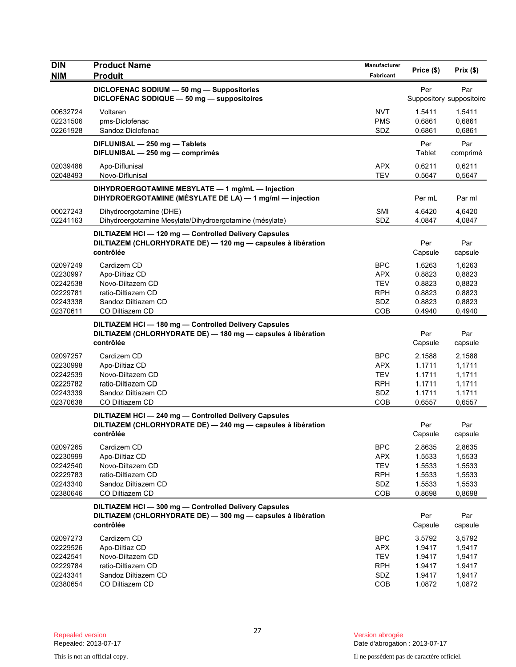| <b>DIN</b><br><b>NIM</b>                                             | <b>Product Name</b><br><b>Produit</b>                                                                                              | Manufacturer<br>Fabricant                                                 | Price (\$)                                               | Prix(\$)                                                 |
|----------------------------------------------------------------------|------------------------------------------------------------------------------------------------------------------------------------|---------------------------------------------------------------------------|----------------------------------------------------------|----------------------------------------------------------|
|                                                                      | DICLOFENAC SODIUM - 50 mg - Suppositories<br>DICLOFÉNAC SODIQUE - 50 mg - suppositoires                                            |                                                                           | Per                                                      | Par<br>Suppository suppositoire                          |
| 00632724<br>02231506<br>02261928                                     | Voltaren<br>pms-Diclofenac<br>Sandoz Diclofenac                                                                                    | <b>NVT</b><br><b>PMS</b><br>SDZ                                           | 1.5411<br>0.6861<br>0.6861                               | 1,5411<br>0,6861<br>0,6861                               |
|                                                                      | DIFLUNISAL - 250 mg - Tablets<br>DIFLUNISAL - 250 mg - comprimés                                                                   |                                                                           | Per<br>Tablet                                            | Par<br>comprimé                                          |
| 02039486<br>02048493                                                 | Apo-Diflunisal<br>Novo-Diflunisal                                                                                                  | <b>APX</b><br><b>TEV</b>                                                  | 0.6211<br>0.5647                                         | 0,6211<br>0,5647                                         |
|                                                                      | DIHYDROERGOTAMINE MESYLATE - 1 mg/mL - Injection<br>DIHYDROERGOTAMINE (MÉSYLATE DE LA) - 1 mg/ml - injection                       |                                                                           | Per mL                                                   | Par ml                                                   |
| 00027243<br>02241163                                                 | Dihydroergotamine (DHE)<br>Dihydroergotamine Mesylate/Dihydroergotamine (mésylate)                                                 | <b>SMI</b><br>SDZ                                                         | 4.6420<br>4.0847                                         | 4,6420<br>4,0847                                         |
|                                                                      | DILTIAZEM HCI - 120 mg - Controlled Delivery Capsules<br>DILTIAZEM (CHLORHYDRATE DE) - 120 mg - capsules à libération<br>contrôlée |                                                                           | Per<br>Capsule                                           | Par<br>capsule                                           |
| 02097249<br>02230997<br>02242538<br>02229781<br>02243338<br>02370611 | Cardizem CD<br>Apo-Diltiaz CD<br>Novo-Diltazem CD<br>ratio-Diltiazem CD<br>Sandoz Diltiazem CD<br>CO Diltiazem CD                  | <b>BPC</b><br><b>APX</b><br><b>TEV</b><br><b>RPH</b><br>SDZ<br>COB        | 1.6263<br>0.8823<br>0.8823<br>0.8823<br>0.8823<br>0.4940 | 1,6263<br>0,8823<br>0,8823<br>0,8823<br>0,8823<br>0,4940 |
|                                                                      | DILTIAZEM HCI-180 mg-Controlled Delivery Capsules<br>DILTIAZEM (CHLORHYDRATE DE) - 180 mg - capsules à libération<br>contrôlée     |                                                                           | Per<br>Capsule                                           | Par<br>capsule                                           |
| 02097257<br>02230998<br>02242539<br>02229782<br>02243339<br>02370638 | Cardizem CD<br>Apo-Diltiaz CD<br>Novo-Diltazem CD<br>ratio-Diltiazem CD<br>Sandoz Diltiazem CD<br>CO Diltiazem CD                  | <b>BPC</b><br><b>APX</b><br><b>TEV</b><br><b>RPH</b><br>SDZ<br><b>COB</b> | 2.1588<br>1.1711<br>1.1711<br>1.1711<br>1.1711<br>0.6557 | 2,1588<br>1,1711<br>1,1711<br>1,1711<br>1,1711<br>0,6557 |
|                                                                      | DILTIAZEM HCI-240 mg-Controlled Delivery Capsules<br>DILTIAZEM (CHLORHYDRATE DE) - 240 mg - capsules à libération<br>contrôlée     |                                                                           | Per<br>Capsule                                           | Par<br>capsule                                           |
| 02097265<br>02230999<br>02242540<br>02229783<br>02243340<br>02380646 | Cardizem CD<br>Apo-Diltiaz CD<br>Novo-Diltazem CD<br>ratio-Diltiazem CD<br>Sandoz Diltiazem CD<br>CO Diltiazem CD                  | <b>BPC</b><br><b>APX</b><br><b>TEV</b><br><b>RPH</b><br>SDZ<br>COB        | 2.8635<br>1.5533<br>1.5533<br>1.5533<br>1.5533<br>0.8698 | 2,8635<br>1,5533<br>1,5533<br>1,5533<br>1,5533<br>0,8698 |
|                                                                      | DILTIAZEM HCI-300 mg-Controlled Delivery Capsules<br>DILTIAZEM (CHLORHYDRATE DE) - 300 mg - capsules à libération<br>contrôlée     |                                                                           | Per<br>Capsule                                           | Par<br>capsule                                           |
| 02097273<br>02229526<br>02242541<br>02229784<br>02243341             | Cardizem CD<br>Apo-Diltiaz CD<br>Novo-Diltazem CD<br>ratio-Diltiazem CD<br>Sandoz Diltiazem CD                                     | <b>BPC</b><br><b>APX</b><br><b>TEV</b><br><b>RPH</b><br>SDZ               | 3.5792<br>1.9417<br>1.9417<br>1.9417<br>1.9417           | 3,5792<br>1,9417<br>1,9417<br>1,9417<br>1,9417           |
| 02380654                                                             | CO Diltiazem CD                                                                                                                    | COB                                                                       | 1.0872                                                   | 1,0872                                                   |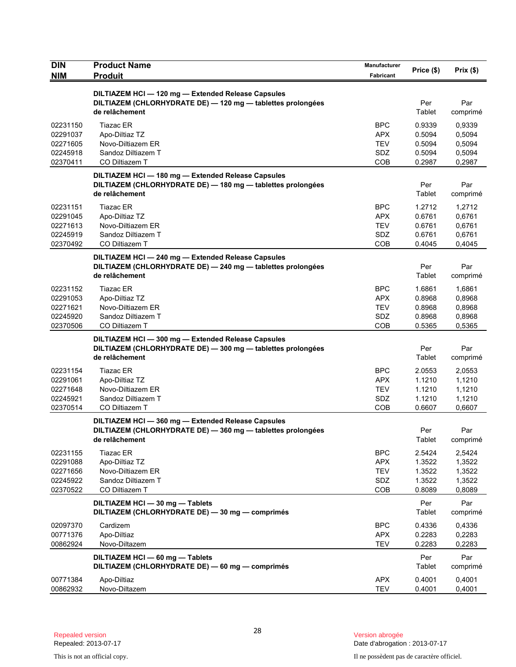| <b>DIN</b>           | <b>Product Name</b>                                                                                                                 | Manufacturer             | Price (\$)       | Prix (\$)        |
|----------------------|-------------------------------------------------------------------------------------------------------------------------------------|--------------------------|------------------|------------------|
| <b>NIM</b>           | <b>Produit</b>                                                                                                                      | Fabricant                |                  |                  |
|                      | DILTIAZEM HCI - 120 mg - Extended Release Capsules<br>DILTIAZEM (CHLORHYDRATE DE) - 120 mg - tablettes prolongées<br>de relâchement |                          | Per<br>Tablet    | Par<br>comprimé  |
| 02231150             | <b>Tiazac ER</b>                                                                                                                    | <b>BPC</b>               | 0.9339           | 0,9339           |
| 02291037             | Apo-Diltiaz TZ                                                                                                                      | <b>APX</b>               | 0.5094           | 0,5094           |
| 02271605<br>02245918 | Novo-Diltiazem ER<br>Sandoz Diltiazem T                                                                                             | TEV<br>SDZ               | 0.5094<br>0.5094 | 0,5094<br>0,5094 |
| 02370411             | CO Diltiazem T                                                                                                                      | <b>COB</b>               | 0.2987           | 0,2987           |
|                      | DILTIAZEM HCI-180 mg-Extended Release Capsules<br>DILTIAZEM (CHLORHYDRATE DE) - 180 mg - tablettes prolongées<br>de relâchement     |                          | Per<br>Tablet    | Par<br>comprimé  |
| 02231151             | <b>Tiazac ER</b>                                                                                                                    | <b>BPC</b>               | 1.2712           | 1,2712           |
| 02291045             | Apo-Diltiaz TZ                                                                                                                      | <b>APX</b>               | 0.6761           | 0,6761           |
| 02271613             | Novo-Diltiazem ER                                                                                                                   | TEV                      | 0.6761           | 0,6761           |
| 02245919             | Sandoz Diltiazem T                                                                                                                  | SDZ                      | 0.6761           | 0,6761           |
| 02370492             | CO Diltiazem T                                                                                                                      | <b>COB</b>               | 0.4045           | 0,4045           |
|                      | DILTIAZEM HCI-240 mg-Extended Release Capsules<br>DILTIAZEM (CHLORHYDRATE DE) - 240 mg - tablettes prolongées<br>de relâchement     |                          | Per<br>Tablet    | Par<br>comprimé  |
| 02231152             | <b>Tiazac ER</b>                                                                                                                    | <b>BPC</b>               | 1.6861           | 1,6861           |
| 02291053             | Apo-Diltiaz TZ                                                                                                                      | <b>APX</b>               | 0.8968           | 0,8968           |
| 02271621             | Novo-Diltiazem ER                                                                                                                   | TEV                      | 0.8968           | 0,8968           |
| 02245920             | Sandoz Diltiazem T                                                                                                                  | SDZ                      | 0.8968           | 0,8968           |
| 02370506             | CO Diltiazem T                                                                                                                      | COB                      | 0.5365           | 0,5365           |
|                      | DILTIAZEM HCI-300 mg-Extended Release Capsules<br>DILTIAZEM (CHLORHYDRATE DE) - 300 mg - tablettes prolongées<br>de relâchement     |                          | Per<br>Tablet    | Par<br>comprimé  |
| 02231154             | <b>Tiazac ER</b>                                                                                                                    | <b>BPC</b>               | 2.0553           | 2,0553           |
| 02291061             | Apo-Diltiaz TZ                                                                                                                      | <b>APX</b>               | 1.1210           | 1,1210           |
| 02271648             | Novo-Diltiazem ER                                                                                                                   | <b>TEV</b>               | 1.1210           | 1,1210           |
| 02245921             | Sandoz Diltiazem T                                                                                                                  | SDZ                      | 1.1210           | 1,1210           |
| 02370514             | CO Diltiazem T                                                                                                                      | COB                      | 0.6607           | 0,6607           |
|                      | DILTIAZEM HCI-360 mg-Extended Release Capsules<br>DILTIAZEM (CHLORHYDRATE DE) - 360 mg - tablettes prolongées<br>de relâchement     |                          | Per<br>Tablet    | Par<br>comprimé  |
|                      |                                                                                                                                     |                          |                  |                  |
| 02231155<br>02291088 | <b>Tiazac ER</b><br>Apo-Diltiaz TZ                                                                                                  | <b>BPC</b><br><b>APX</b> | 2.5424<br>1.3522 | 2,5424<br>1,3522 |
| 02271656             | Novo-Diltiazem ER                                                                                                                   | <b>TEV</b>               | 1.3522           | 1,3522           |
| 02245922             | Sandoz Diltiazem T                                                                                                                  | SDZ                      | 1.3522           | 1,3522           |
| 02370522             | CO Diltiazem T                                                                                                                      | COB                      | 0.8089           | 0,8089           |
|                      | DILTIAZEM HCI - 30 mg - Tablets<br>DILTIAZEM (CHLORHYDRATE DE) - 30 mg - comprimés                                                  |                          | Per<br>Tablet    | Par<br>comprimé  |
| 02097370             | Cardizem                                                                                                                            | <b>BPC</b>               | 0.4336           | 0,4336           |
| 00771376             | Apo-Diltiaz                                                                                                                         | <b>APX</b>               | 0.2283           | 0,2283           |
| 00862924             | Novo-Diltazem                                                                                                                       | <b>TEV</b>               | 0.2283           | 0,2283           |
|                      | DILTIAZEM HCI - 60 mg - Tablets<br>DILTIAZEM (CHLORHYDRATE DE) - 60 mg - comprimés                                                  |                          | Per<br>Tablet    | Par<br>comprimé  |
| 00771384             | Apo-Diltiaz                                                                                                                         | <b>APX</b>               | 0.4001           | 0,4001           |
| 00862932             | Novo-Diltazem                                                                                                                       | <b>TEV</b>               | 0.4001           | 0,4001           |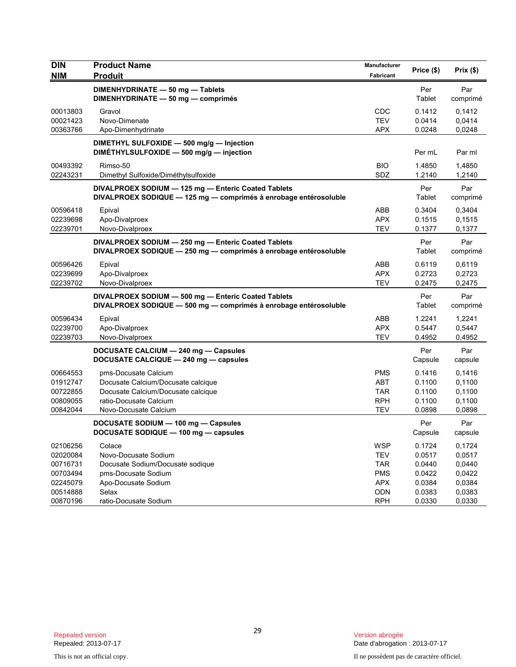| <b>DIN</b><br><b>NIM</b>                                 | <b>Product Name</b><br><b>Produit</b>                                                                                                               | Manufacturer<br>Fabricant                                          | Price (\$)                                               | Prix(\$)                                       |
|----------------------------------------------------------|-----------------------------------------------------------------------------------------------------------------------------------------------------|--------------------------------------------------------------------|----------------------------------------------------------|------------------------------------------------|
|                                                          | DIMENHYDRINATE - 50 mg - Tablets<br>DIMENHYDRINATE - 50 mg - comprimés                                                                              |                                                                    | Per<br>Tablet                                            | Par<br>comprimé                                |
| 00013803<br>00021423<br>00363766                         | Gravol<br>Novo-Dimenate<br>Apo-Dimenhydrinate                                                                                                       | <b>CDC</b><br><b>TEV</b><br><b>APX</b>                             | 0.1412<br>0.0414<br>0.0248                               | 0.1412<br>0,0414<br>0,0248                     |
|                                                          | DIMETHYL SULFOXIDE - 500 mg/g - Injection<br>DIMÉTHYLSULFOXIDE - 500 mg/g - injection                                                               |                                                                    | Per mL                                                   | Par ml                                         |
| 00493392<br>02243231                                     | Rimso-50<br>Dimethyl Sulfoxide/Diméthylsulfoxide                                                                                                    | <b>BIO</b><br>SDZ                                                  | 1.4850<br>1.2140                                         | 1,4850<br>1,2140                               |
|                                                          | DIVALPROEX SODIUM - 125 mg - Enteric Coated Tablets<br>DIVALPROEX SODIQUE - 125 mg - comprimés à enrobage entérosoluble                             |                                                                    | Per<br>Tablet                                            | Par<br>comprimé                                |
| 00596418<br>02239698<br>02239701                         | Epival<br>Apo-Divalproex<br>Novo-Divalproex                                                                                                         | ABB<br><b>APX</b><br><b>TEV</b>                                    | 0.3404<br>0.1515<br>0.1377                               | 0,3404<br>0,1515<br>0,1377                     |
|                                                          | DIVALPROEX SODIUM - 250 mg - Enteric Coated Tablets<br>DIVALPROEX SODIQUE - 250 mg - comprimés à enrobage entérosoluble                             |                                                                    | Per<br>Tablet                                            | Par<br>comprimé                                |
| 00596426<br>02239699<br>02239702                         | Epival<br>Apo-Divalproex<br>Novo-Divalproex                                                                                                         | ABB<br><b>APX</b><br><b>TEV</b>                                    | 0.6119<br>0.2723<br>0.2475                               | 0,6119<br>0,2723<br>0,2475                     |
|                                                          | DIVALPROEX SODIUM - 500 mg - Enteric Coated Tablets<br>DIVALPROEX SODIQUE - 500 mg - comprimés à enrobage entérosoluble                             |                                                                    | Per<br>Tablet                                            | Par<br>comprimé                                |
| 00596434<br>02239700<br>02239703                         | Epival<br>Apo-Divalproex<br>Novo-Divalproex                                                                                                         | ABB<br><b>APX</b><br><b>TEV</b>                                    | 1.2241<br>0.5447<br>0.4952                               | 1,2241<br>0,5447<br>0,4952                     |
|                                                          | DOCUSATE CALCIUM - 240 mg - Capsules<br>DOCUSATE CALCIQUE - 240 mg - capsules                                                                       |                                                                    | Per<br>Capsule                                           | Par<br>capsule                                 |
| 00664553<br>01912747<br>00722855<br>00809055<br>00842044 | pms-Docusate Calcium<br>Docusate Calcium/Docusate calcique<br>Docusate Calcium/Docusate calcique<br>ratio-Docusate Calcium<br>Novo-Docusate Calcium | <b>PMS</b><br><b>ABT</b><br><b>TAR</b><br><b>RPH</b><br><b>TEV</b> | 0.1416<br>0.1100<br>0.1100<br>0.1100<br>0.0898           | 0,1416<br>0,1100<br>0,1100<br>0,1100<br>0,0898 |
|                                                          | DOCUSATE SODIUM - 100 mg - Capsules<br>DOCUSATE SODIQUE - 100 mg - capsules                                                                         |                                                                    | Per<br>Capsule                                           | Par<br>capsule                                 |
| 02106256<br>02020084<br>00716731<br>00703494<br>02245079 | Colace<br>Novo-Docusate Sodium<br>Docusate Sodium/Docusate sodique<br>pms-Docusate Sodium<br>Apo-Docusate Sodium<br>Selax                           | <b>WSP</b><br><b>TEV</b><br><b>TAR</b><br><b>PMS</b><br>APX<br>ODN | 0.1724<br>0.0517<br>0.0440<br>0.0422<br>0.0384<br>0.0383 | 0,1724<br>0,0517<br>0,0440<br>0,0422<br>0,0384 |
| 00514888<br>00870196                                     | ratio-Docusate Sodium                                                                                                                               | <b>RPH</b>                                                         | 0.0330                                                   | 0,0383<br>0,0330                               |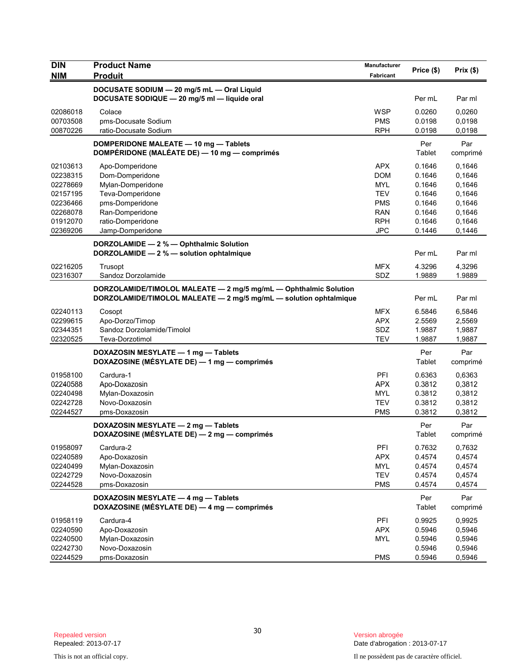| <b>DIN</b>           | <b>Product Name</b>                                               | Manufacturer     |            |                  |
|----------------------|-------------------------------------------------------------------|------------------|------------|------------------|
| <b>NIM</b>           | <b>Produit</b>                                                    | <b>Fabricant</b> | Price (\$) | Prix(\$)         |
|                      | DOCUSATE SODIUM - 20 mg/5 mL - Oral Liquid                        |                  |            |                  |
|                      | DOCUSATE SODIQUE - 20 mg/5 ml - liquide oral                      |                  | Per mL     | Par ml           |
| 02086018             | Colace                                                            | <b>WSP</b>       | 0.0260     | 0.0260           |
| 00703508             | pms-Docusate Sodium                                               | <b>PMS</b>       | 0.0198     | 0,0198           |
| 00870226             | ratio-Docusate Sodium                                             | <b>RPH</b>       | 0.0198     | 0,0198           |
|                      | DOMPERIDONE MALEATE - 10 mg - Tablets                             |                  | Per        | Par              |
|                      | DOMPÉRIDONE (MALÉATE DE) - 10 mg - comprimés                      |                  | Tablet     | comprimé         |
|                      |                                                                   | <b>APX</b>       | 0.1646     |                  |
| 02103613<br>02238315 | Apo-Domperidone<br>Dom-Domperidone                                | <b>DOM</b>       | 0.1646     | 0,1646<br>0,1646 |
| 02278669             | Mylan-Domperidone                                                 | <b>MYL</b>       | 0.1646     | 0,1646           |
| 02157195             | Teva-Domperidone                                                  | <b>TEV</b>       | 0.1646     | 0,1646           |
| 02236466             | pms-Domperidone                                                   | <b>PMS</b>       | 0.1646     | 0,1646           |
| 02268078             | Ran-Domperidone                                                   | <b>RAN</b>       | 0.1646     | 0,1646           |
| 01912070             | ratio-Domperidone                                                 | <b>RPH</b>       | 0.1646     | 0,1646           |
| 02369206             | Jamp-Domperidone                                                  | <b>JPC</b>       | 0.1446     | 0,1446           |
|                      | DORZOLAMIDE - 2 % - Ophthalmic Solution                           |                  |            |                  |
|                      | DORZOLAMIDE - 2 % - solution ophtalmique                          |                  | Per mL     | Par ml           |
| 02216205             | Trusopt                                                           | <b>MFX</b>       | 4.3296     | 4,3296           |
| 02316307             | Sandoz Dorzolamide                                                | SDZ              | 1.9889     | 1.9889           |
|                      | DORZOLAMIDE/TIMOLOL MALEATE - 2 mg/5 mg/mL - Ophthalmic Solution  |                  |            |                  |
|                      | DORZOLAMIDE/TIMOLOL MALEATE - 2 mg/5 mg/mL - solution ophtalmique |                  | Per mL     | Par ml           |
| 02240113             | Cosopt                                                            | <b>MFX</b>       | 6.5846     | 6,5846           |
| 02299615             | Apo-Dorzo/Timop                                                   | <b>APX</b>       | 2.5569     | 2,5569           |
| 02344351             | Sandoz Dorzolamide/Timolol                                        | SDZ              | 1.9887     | 1,9887           |
| 02320525             | Teva-Dorzotimol                                                   | <b>TEV</b>       | 1.9887     | 1,9887           |
|                      | DOXAZOSIN MESYLATE - 1 mg - Tablets                               |                  | Per        | Par              |
|                      | DOXAZOSINE (MÉSYLATE DE) - 1 mg - comprimés                       |                  | Tablet     | comprimé         |
| 01958100             | Cardura-1                                                         | PFI              | 0.6363     | 0,6363           |
| 02240588             | Apo-Doxazosin                                                     | <b>APX</b>       | 0.3812     | 0,3812           |
| 02240498             | Mylan-Doxazosin                                                   | <b>MYL</b>       | 0.3812     | 0,3812           |
| 02242728             | Novo-Doxazosin                                                    | <b>TEV</b>       | 0.3812     | 0,3812           |
| 02244527             | pms-Doxazosin                                                     | <b>PMS</b>       | 0.3812     | 0,3812           |
|                      | DOXAZOSIN MESYLATE - 2 mg - Tablets                               |                  | Per        | Par              |
|                      | DOXAZOSINE (MÉSYLATE DE) — 2 mg — comprimés                       |                  | Tablet     | comprimé         |
| 01958097             | Cardura-2                                                         | PFI              | 0.7632     | 0,7632           |
| 02240589             | Apo-Doxazosin                                                     | <b>APX</b>       | 0.4574     | 0,4574           |
| 02240499             | Mylan-Doxazosin                                                   | <b>MYL</b>       | 0.4574     | 0,4574           |
| 02242729             | Novo-Doxazosin                                                    | <b>TEV</b>       | 0.4574     | 0,4574           |
| 02244528             | pms-Doxazosin                                                     | <b>PMS</b>       | 0.4574     | 0,4574           |
|                      | DOXAZOSIN MESYLATE - 4 mg - Tablets                               |                  | Per        | Par              |
|                      | DOXAZOSINE (MÉSYLATE DE) - 4 mg - comprimés                       |                  | Tablet     | comprimé         |
| 01958119             | Cardura-4                                                         | PFI              | 0.9925     | 0,9925           |
| 02240590             | Apo-Doxazosin                                                     | <b>APX</b>       | 0.5946     | 0,5946           |
| 02240500             | Mylan-Doxazosin                                                   | <b>MYL</b>       | 0.5946     | 0,5946           |
| 02242730             | Novo-Doxazosin                                                    |                  | 0.5946     | 0,5946           |
| 02244529             | pms-Doxazosin                                                     | <b>PMS</b>       | 0.5946     | 0,5946           |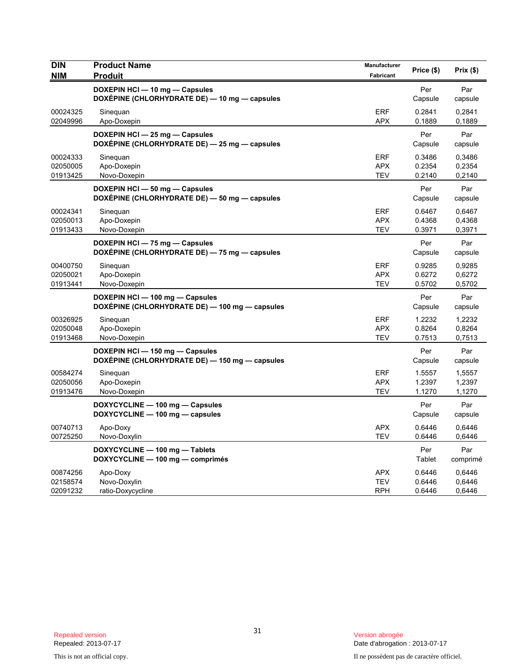| <b>DIN</b><br><b>NIM</b>         | <b>Product Name</b><br><b>Produit</b>                                             | Manufacturer<br>Fabricant              | Price (\$)                 | Prix (\$)                  |
|----------------------------------|-----------------------------------------------------------------------------------|----------------------------------------|----------------------------|----------------------------|
|                                  | DOXEPIN HCI - 10 mg - Capsules<br>DOXÉPINE (CHLORHYDRATE DE) — 10 mg — capsules   |                                        | Per<br>Capsule             | Par<br>capsule             |
| 00024325<br>02049996             | Sineguan<br>Apo-Doxepin                                                           | <b>ERF</b><br><b>APX</b>               | 0.2841<br>0.1889           | 0,2841<br>0,1889           |
|                                  | DOXEPIN HCI - 25 mg - Capsules<br>DOXÉPINE (CHLORHYDRATE DE) - 25 mg - capsules   |                                        | Per<br>Capsule             | Par<br>capsule             |
| 00024333<br>02050005<br>01913425 | Sineguan<br>Apo-Doxepin<br>Novo-Doxepin                                           | <b>ERF</b><br><b>APX</b><br><b>TEV</b> | 0.3486<br>0.2354<br>0.2140 | 0,3486<br>0,2354<br>0,2140 |
|                                  | DOXEPIN HCI - 50 mg - Capsules<br>DOXEPINE (CHLORHYDRATE DE) - 50 mg - capsules   |                                        | Per<br>Capsule             | Par<br>capsule             |
| 00024341<br>02050013<br>01913433 | Sinequan<br>Apo-Doxepin<br>Novo-Doxepin                                           | <b>ERF</b><br><b>APX</b><br><b>TEV</b> | 0.6467<br>0.4368<br>0.3971 | 0,6467<br>0,4368<br>0,3971 |
|                                  | DOXEPIN HCI - 75 mg - Capsules<br>DOXEPINE (CHLORHYDRATE DE) - 75 mg - capsules   |                                        | Per<br>Capsule             | Par<br>capsule             |
| 00400750<br>02050021<br>01913441 | Sineguan<br>Apo-Doxepin<br>Novo-Doxepin                                           | <b>ERF</b><br><b>APX</b><br><b>TEV</b> | 0.9285<br>0.6272<br>0.5702 | 0,9285<br>0,6272<br>0,5702 |
|                                  | DOXEPIN HCI-100 mg-Capsules<br>DOXÉPINE (CHLORHYDRATE DE) — 100 mg — capsules     |                                        | Per<br>Capsule             | Par<br>capsule             |
| 00326925<br>02050048<br>01913468 | Sineguan<br>Apo-Doxepin<br>Novo-Doxepin                                           | <b>ERF</b><br><b>APX</b><br><b>TEV</b> | 1.2232<br>0.8264<br>0.7513 | 1,2232<br>0,8264<br>0,7513 |
|                                  | DOXEPIN HCI - 150 mg - Capsules<br>DOXEPINE (CHLORHYDRATE DE) - 150 mg - capsules |                                        | Per<br>Capsule             | Par<br>capsule             |
| 00584274<br>02050056<br>01913476 | Sinequan<br>Apo-Doxepin<br>Novo-Doxepin                                           | <b>ERF</b><br><b>APX</b><br><b>TEV</b> | 1.5557<br>1.2397<br>1.1270 | 1,5557<br>1,2397<br>1,1270 |
|                                  | DOXYCYCLINE - 100 mg - Capsules<br>DOXYCYCLINE - 100 mg - capsules                |                                        | Per<br>Capsule             | Par<br>capsule             |
| 00740713<br>00725250             | Apo-Doxy<br>Novo-Doxylin                                                          | <b>APX</b><br><b>TEV</b>               | 0.6446<br>0.6446           | 0,6446<br>0,6446           |
|                                  | DOXYCYCLINE - 100 mg - Tablets<br>DOXYCYCLINE - 100 mg - comprimés                |                                        | Per<br>Tablet              | Par<br>comprimé            |
| 00874256<br>02158574<br>02091232 | Apo-Doxy<br>Novo-Doxylin<br>ratio-Doxycycline                                     | <b>APX</b><br><b>TEV</b><br>RPH        | 0.6446<br>0.6446<br>0.6446 | 0,6446<br>0,6446<br>0,6446 |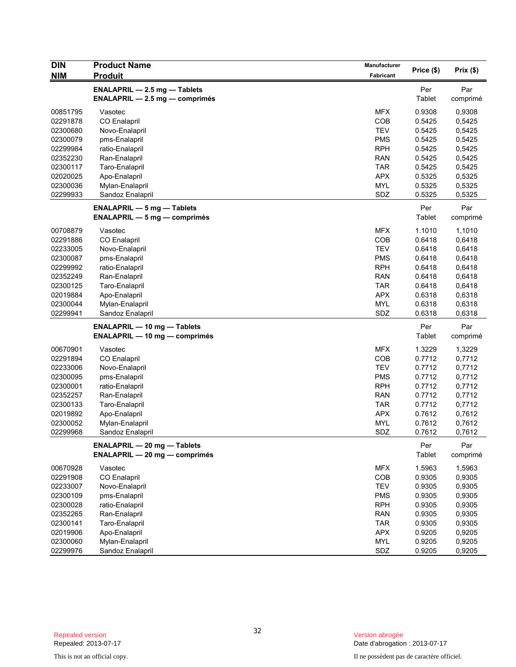| <b>DIN</b> | <b>Product Name</b>                                                        | Manufacturer |            | Prix(\$) |
|------------|----------------------------------------------------------------------------|--------------|------------|----------|
| <b>NIM</b> | <b>Produit</b>                                                             | Fabricant    | Price (\$) |          |
|            | <b>ENALAPRIL - 2.5 mg - Tablets</b>                                        |              | Per        | Par      |
|            | <b>ENALAPRIL - 2.5 mg - comprimés</b>                                      |              | Tablet     | comprimé |
| 00851795   | Vasotec                                                                    | <b>MFX</b>   | 0.9308     | 0,9308   |
| 02291878   | <b>CO Enalapril</b>                                                        | <b>COB</b>   | 0.5425     | 0,5425   |
| 02300680   | Novo-Enalapril                                                             | <b>TEV</b>   | 0.5425     | 0,5425   |
| 02300079   | pms-Enalapril                                                              | <b>PMS</b>   | 0.5425     | 0.5425   |
| 02299984   | ratio-Enalapril                                                            | <b>RPH</b>   | 0.5425     | 0,5425   |
| 02352230   | Ran-Enalapril                                                              | <b>RAN</b>   | 0.5425     | 0,5425   |
| 02300117   | Taro-Enalapril                                                             | <b>TAR</b>   | 0.5425     | 0,5425   |
| 02020025   | Apo-Enalapril                                                              | <b>APX</b>   | 0.5325     | 0,5325   |
| 02300036   | Mylan-Enalapril                                                            | <b>MYL</b>   | 0.5325     | 0,5325   |
| 02299933   | Sandoz Enalapril                                                           | SDZ          | 0.5325     | 0,5325   |
|            | <b>ENALAPRIL - 5 mg - Tablets</b>                                          |              | Per        | Par      |
|            | $ENALAPRIL - 5 mg - comprimés$                                             |              | Tablet     | comprimé |
| 00708879   | Vasotec                                                                    | <b>MFX</b>   | 1.1010     | 1,1010   |
| 02291886   | <b>CO Enalapril</b>                                                        | <b>COB</b>   | 0.6418     | 0,6418   |
| 02233005   | Novo-Enalapril                                                             | <b>TEV</b>   | 0.6418     | 0,6418   |
| 02300087   | pms-Enalapril                                                              | <b>PMS</b>   | 0.6418     | 0,6418   |
| 02299992   | ratio-Enalapril                                                            | <b>RPH</b>   | 0.6418     | 0,6418   |
| 02352249   | Ran-Enalapril                                                              | <b>RAN</b>   | 0.6418     | 0,6418   |
| 02300125   | Taro-Enalapril                                                             | <b>TAR</b>   | 0.6418     | 0,6418   |
| 02019884   | Apo-Enalapril                                                              | <b>APX</b>   | 0.6318     | 0,6318   |
| 02300044   | Mylan-Enalapril                                                            | <b>MYL</b>   | 0.6318     | 0,6318   |
| 02299941   | Sandoz Enalapril                                                           | SDZ          | 0.6318     | 0,6318   |
|            |                                                                            |              | Per        | Par      |
|            | <b>ENALAPRIL - 10 mg - Tablets</b><br><b>ENALAPRIL - 10 mg - comprimés</b> |              | Tablet     | comprimé |
| 00670901   | Vasotec                                                                    | <b>MFX</b>   | 1.3229     | 1,3229   |
| 02291894   | <b>CO Enalapril</b>                                                        | COB          | 0.7712     | 0,7712   |
| 02233006   | Novo-Enalapril                                                             | <b>TEV</b>   | 0.7712     | 0,7712   |
| 02300095   | pms-Enalapril                                                              | <b>PMS</b>   | 0.7712     | 0,7712   |
| 02300001   | ratio-Enalapril                                                            | <b>RPH</b>   | 0.7712     | 0,7712   |
| 02352257   | Ran-Enalapril                                                              | <b>RAN</b>   | 0.7712     | 0,7712   |
| 02300133   | Taro-Enalapril                                                             | <b>TAR</b>   | 0.7712     | 0,7712   |
| 02019892   | Apo-Enalapril                                                              | <b>APX</b>   | 0.7612     | 0,7612   |
| 02300052   | Mylan-Enalapril                                                            | <b>MYL</b>   | 0.7612     | 0,7612   |
| 02299968   | Sandoz Enalapril                                                           | SDZ          | 0.7612     | 0,7612   |
|            | <b>ENALAPRIL - 20 mg - Tablets</b>                                         |              | Per        | Par      |
|            | <b>ENALAPRIL - 20 mg - comprimés</b>                                       |              | Tablet     | comprimé |
| 00670928   | Vasotec                                                                    | <b>MFX</b>   | 1.5963     | 1,5963   |
| 02291908   | CO Enalapril                                                               | COB          | 0.9305     | 0,9305   |
| 02233007   | Novo-Enalapril                                                             | <b>TEV</b>   | 0.9305     | 0,9305   |
| 02300109   | pms-Enalapril                                                              | <b>PMS</b>   | 0.9305     | 0,9305   |
| 02300028   | ratio-Enalapril                                                            | <b>RPH</b>   | 0.9305     | 0,9305   |
| 02352265   | Ran-Enalapril                                                              | <b>RAN</b>   | 0.9305     | 0,9305   |
| 02300141   | Taro-Enalapril                                                             | <b>TAR</b>   | 0.9305     | 0,9305   |
| 02019906   | Apo-Enalapril                                                              | <b>APX</b>   | 0.9205     | 0,9205   |
| 02300060   | Mylan-Enalapril                                                            | MYL          | 0.9205     | 0,9205   |
| 02299976   | Sandoz Enalapril                                                           | SDZ          | 0.9205     | 0,9205   |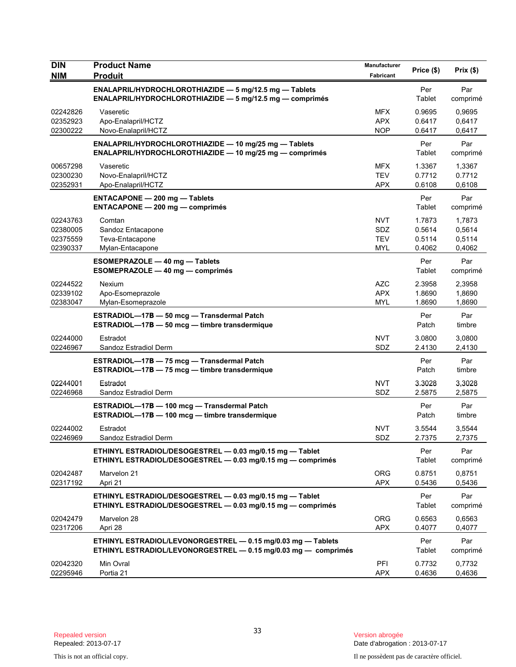| <b>DIN</b><br><b>NIM</b>                     | <b>Product Name</b><br><b>Produit</b>                                                                                          | Manufacturer<br>Fabricant              | Price (\$)                           | Prix(\$)                             |
|----------------------------------------------|--------------------------------------------------------------------------------------------------------------------------------|----------------------------------------|--------------------------------------|--------------------------------------|
|                                              | ENALAPRIL/HYDROCHLOROTHIAZIDE - 5 mg/12.5 mg - Tablets<br><b>ENALAPRIL/HYDROCHLOROTHIAZIDE — 5 mg/12.5 mg — comprimés</b>      |                                        | Per<br>Tablet                        | Par<br>comprimé                      |
| 02242826<br>02352923<br>02300222             | Vaseretic<br>Apo-Enalapril/HCTZ<br>Novo-Enalapril/HCTZ                                                                         | <b>MFX</b><br><b>APX</b><br><b>NOP</b> | 0.9695<br>0.6417<br>0.6417           | 0,9695<br>0,6417<br>0,6417           |
|                                              | ENALAPRIL/HYDROCHLOROTHIAZIDE - 10 mg/25 mg - Tablets<br>ENALAPRIL/HYDROCHLOROTHIAZIDE - 10 mg/25 mg - comprimés               |                                        | Per<br>Tablet                        | Par<br>comprimé                      |
| 00657298<br>02300230<br>02352931             | Vaseretic<br>Novo-Enalapril/HCTZ<br>Apo-Enalapril/HCTZ                                                                         | <b>MFX</b><br><b>TEV</b><br><b>APX</b> | 1.3367<br>0.7712<br>0.6108           | 1,3367<br>0.7712<br>0,6108           |
|                                              | <b>ENTACAPONE - 200 mg - Tablets</b><br><b>ENTACAPONE - 200 mg - comprimés</b>                                                 |                                        | Per<br>Tablet                        | Par<br>comprimé                      |
| 02243763<br>02380005<br>02375559<br>02390337 | Comtan<br>Sandoz Entacapone<br>Teva-Entacapone<br>Mylan-Entacapone                                                             | <b>NVT</b><br>SDZ<br><b>TEV</b><br>MYL | 1.7873<br>0.5614<br>0.5114<br>0.4062 | 1,7873<br>0,5614<br>0,5114<br>0,4062 |
|                                              | <b>ESOMEPRAZOLE - 40 mg - Tablets</b><br>ESOMEPRAZOLE - 40 mg - comprimés                                                      |                                        | Per<br>Tablet                        | Par<br>comprimé                      |
| 02244522<br>02339102<br>02383047             | Nexium<br>Apo-Esomeprazole<br>Mylan-Esomeprazole                                                                               | <b>AZC</b><br><b>APX</b><br>MYL        | 2.3958<br>1.8690<br>1.8690           | 2,3958<br>1,8690<br>1,8690           |
|                                              | ESTRADIOL-17B - 50 mcg - Transdermal Patch<br>ESTRADIOL-17B - 50 mcg - timbre transdermique                                    |                                        | Per<br>Patch                         | Par<br>timbre                        |
| 02244000<br>02246967                         | Estradot<br>Sandoz Estradiol Derm                                                                                              | <b>NVT</b><br>SDZ                      | 3.0800<br>2.4130                     | 3,0800<br>2,4130                     |
|                                              | ESTRADIOL-17B - 75 mcg - Transdermal Patch<br>ESTRADIOL-17B - 75 mcg - timbre transdermique                                    |                                        | Per<br>Patch                         | Par<br>timbre                        |
| 02244001<br>02246968                         | Estradot<br>Sandoz Estradiol Derm                                                                                              | <b>NVT</b><br>SDZ                      | 3.3028<br>2.5875                     | 3,3028<br>2,5875                     |
|                                              | ESTRADIOL-17B - 100 mcg - Transdermal Patch<br>ESTRADIOL-17B - 100 mcg - timbre transdermique                                  |                                        | Per<br>Patch                         | Par<br>timbre                        |
| 02244002<br>02246969                         | Estradot<br>Sandoz Estradiol Derm                                                                                              | NVT<br>SDZ                             | 3.5544<br>2.7375                     | 3,5544<br>2,7375                     |
|                                              | ETHINYL ESTRADIOL/DESOGESTREL - 0.03 mg/0.15 mg - Tablet<br>ETHINYL ESTRADIOL/DESOGESTREL - 0.03 mg/0.15 mg - comprimés        |                                        | Per<br>Tablet                        | Par<br>comprimé                      |
| 02042487<br>02317192                         | Marvelon 21<br>Apri 21                                                                                                         | <b>ORG</b><br><b>APX</b>               | 0.8751<br>0.5436                     | 0,8751<br>0,5436                     |
|                                              | ETHINYL ESTRADIOL/DESOGESTREL - 0.03 mg/0.15 mg - Tablet<br>ETHINYL ESTRADIOL/DESOGESTREL - 0.03 mg/0.15 mg - comprimés        |                                        | Per<br>Tablet                        | Par<br>comprimé                      |
| 02042479<br>02317206                         | Marvelon 28<br>Apri 28                                                                                                         | <b>ORG</b><br><b>APX</b>               | 0.6563<br>0.4077                     | 0,6563<br>0,4077                     |
|                                              | ETHINYL ESTRADIOL/LEVONORGESTREL - 0.15 mg/0.03 mg - Tablets<br>ETHINYL ESTRADIOL/LEVONORGESTREL - 0.15 mg/0.03 mg - comprimés |                                        | Per<br>Tablet                        | Par<br>comprimé                      |
| 02042320<br>02295946                         | Min Ovral<br>Portia 21                                                                                                         | PFI<br><b>APX</b>                      | 0.7732<br>0.4636                     | 0,7732<br>0,4636                     |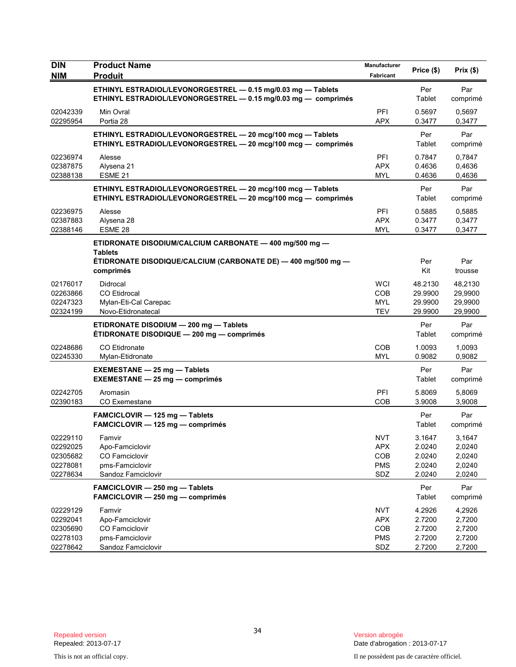| <b>DIN</b>                                               | <b>Product Name</b>                                                                                                                                     | Manufacturer                                         | Price (\$)                                     | Prix(\$)                                       |
|----------------------------------------------------------|---------------------------------------------------------------------------------------------------------------------------------------------------------|------------------------------------------------------|------------------------------------------------|------------------------------------------------|
| <b>NIM</b>                                               | <b>Produit</b>                                                                                                                                          | Fabricant                                            |                                                |                                                |
|                                                          | ETHINYL ESTRADIOL/LEVONORGESTREL - 0.15 mg/0.03 mg - Tablets<br>ETHINYL ESTRADIOL/LEVONORGESTREL - 0.15 mg/0.03 mg - comprimés                          |                                                      | Per<br>Tablet                                  | Par<br>comprimé                                |
| 02042339<br>02295954                                     | Min Ovral<br>Portia 28                                                                                                                                  | PFI<br><b>APX</b>                                    | 0.5697<br>0.3477                               | 0.5697<br>0,3477                               |
|                                                          | ETHINYL ESTRADIOL/LEVONORGESTREL - 20 mcg/100 mcg - Tablets<br>ETHINYL ESTRADIOL/LEVONORGESTREL - 20 mcg/100 mcg - comprimés                            |                                                      | Per<br>Tablet                                  | Par<br>comprimé                                |
| 02236974<br>02387875<br>02388138                         | Alesse<br>Alysena 21<br>ESME <sub>21</sub>                                                                                                              | PFI<br><b>APX</b><br><b>MYL</b>                      | 0.7847<br>0.4636<br>0.4636                     | 0,7847<br>0,4636<br>0,4636                     |
|                                                          | ETHINYL ESTRADIOL/LEVONORGESTREL - 20 mcg/100 mcg - Tablets<br>ETHINYL ESTRADIOL/LEVONORGESTREL - 20 mcg/100 mcg - comprimés                            |                                                      | Per<br>Tablet                                  | Par<br>comprimé                                |
| 02236975<br>02387883<br>02388146                         | Alesse<br>Alysena 28<br>ESME 28                                                                                                                         | PFI<br><b>APX</b><br><b>MYL</b>                      | 0.5885<br>0.3477<br>0.3477                     | 0,5885<br>0,3477<br>0,3477                     |
|                                                          | ETIDRONATE DISODIUM/CALCIUM CARBONATE - 400 mg/500 mg -<br><b>Tablets</b><br>ÉTIDRONATE DISODIQUE/CALCIUM (CARBONATE DE) — 400 mg/500 mg —<br>comprimés |                                                      | Per<br>Kit                                     | Par<br>trousse                                 |
| 02176017<br>02263866<br>02247323<br>02324199             | Didrocal<br><b>CO</b> Etidrocal<br>Mylan-Eti-Cal Carepac<br>Novo-Etidronatecal                                                                          | WCI<br>COB<br><b>MYL</b><br><b>TEV</b>               | 48.2130<br>29.9900<br>29.9900<br>29.9900       | 48,2130<br>29,9900<br>29,9900<br>29,9900       |
|                                                          | ETIDRONATE DISODIUM - 200 mg - Tablets<br>ÉTIDRONATE DISODIQUE - 200 mg - comprimés                                                                     |                                                      | Per<br>Tablet                                  | Par<br>comprimé                                |
| 02248686<br>02245330                                     | <b>CO</b> Etidronate<br>Mylan-Etidronate                                                                                                                | COB<br><b>MYL</b>                                    | 1.0093<br>0.9082                               | 1,0093<br>0,9082                               |
|                                                          | <b>EXEMESTANE - 25 mg - Tablets</b><br><b>EXEMESTANE - 25 mg - comprimés</b>                                                                            |                                                      | Per<br>Tablet                                  | Par<br>comprimé                                |
| 02242705<br>02390183                                     | Aromasin<br><b>CO Exemestane</b>                                                                                                                        | PFI<br>COB                                           | 5.8069<br>3.9008                               | 5,8069<br>3,9008                               |
|                                                          | FAMCICLOVIR - 125 mg - Tablets<br>FAMCICLOVIR - 125 mg - comprimés                                                                                      |                                                      | Per<br>Tablet                                  | Par<br>comprimé                                |
| 02229110<br>02292025<br>02305682<br>02278081<br>02278634 | Famvir<br>Apo-Famciclovir<br>CO Famciclovir<br>pms-Famciclovir<br>Sandoz Famciclovir                                                                    | <b>NVT</b><br><b>APX</b><br>COB<br><b>PMS</b><br>SDZ | 3.1647<br>2.0240<br>2.0240<br>2.0240<br>2.0240 | 3,1647<br>2,0240<br>2,0240<br>2,0240<br>2,0240 |
|                                                          | FAMCICLOVIR - 250 mg - Tablets<br>FAMCICLOVIR - 250 mg - comprimés                                                                                      |                                                      | Per<br>Tablet                                  | Par<br>comprimé                                |
| 02229129<br>02292041<br>02305690<br>02278103<br>02278642 | Famvir<br>Apo-Famciclovir<br><b>CO Famciclovir</b><br>pms-Famciclovir<br>Sandoz Famciclovir                                                             | <b>NVT</b><br><b>APX</b><br>COB<br><b>PMS</b><br>SDZ | 4.2926<br>2.7200<br>2.7200<br>2.7200<br>2.7200 | 4,2926<br>2,7200<br>2,7200<br>2,7200<br>2,7200 |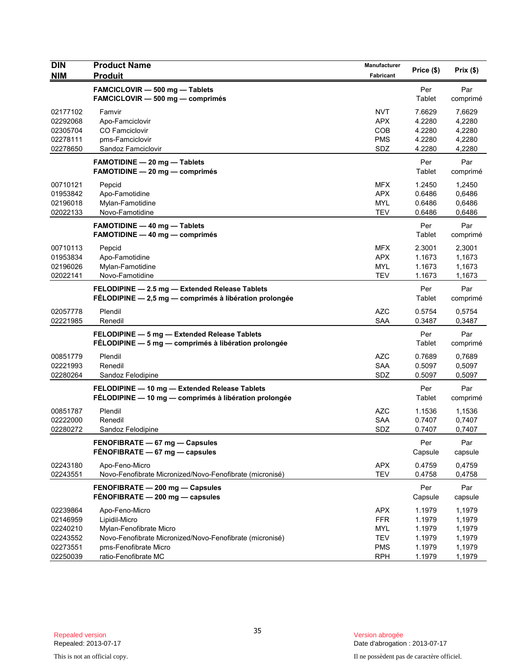| <b>DIN</b><br><b>NIM</b>                                             | <b>Product Name</b><br><b>Produit</b>                                                                                                                                   | Manufacturer<br>Fabricant                                                        | Price (\$)                                               | Prix(\$)                                                 |
|----------------------------------------------------------------------|-------------------------------------------------------------------------------------------------------------------------------------------------------------------------|----------------------------------------------------------------------------------|----------------------------------------------------------|----------------------------------------------------------|
|                                                                      | FAMCICLOVIR - 500 mg - Tablets<br>FAMCICLOVIR - 500 mg - comprimés                                                                                                      |                                                                                  | Per<br>Tablet                                            | Par<br>comprimé                                          |
| 02177102<br>02292068<br>02305704<br>02278111<br>02278650             | Famvir<br>Apo-Famciclovir<br>CO Famciclovir<br>pms-Famciclovir<br>Sandoz Famciclovir                                                                                    | <b>NVT</b><br><b>APX</b><br>COB<br><b>PMS</b><br>SDZ                             | 7.6629<br>4.2280<br>4.2280<br>4.2280<br>4.2280           | 7,6629<br>4,2280<br>4,2280<br>4,2280<br>4,2280           |
|                                                                      | <b>FAMOTIDINE - 20 mg - Tablets</b><br>FAMOTIDINE - 20 mg - comprimés                                                                                                   |                                                                                  | Per<br>Tablet                                            | Par<br>comprimé                                          |
| 00710121<br>01953842<br>02196018<br>02022133                         | Pepcid<br>Apo-Famotidine<br>Mylan-Famotidine<br>Novo-Famotidine                                                                                                         | <b>MFX</b><br><b>APX</b><br><b>MYL</b><br><b>TEV</b>                             | 1.2450<br>0.6486<br>0.6486<br>0.6486                     | 1,2450<br>0,6486<br>0,6486<br>0,6486                     |
|                                                                      | FAMOTIDINE - 40 mg - Tablets<br><b>FAMOTIDINE - 40 mg - comprimés</b>                                                                                                   |                                                                                  | Per<br>Tablet                                            | Par<br>comprimé                                          |
| 00710113<br>01953834<br>02196026<br>02022141                         | Pepcid<br>Apo-Famotidine<br>Mylan-Famotidine<br>Novo-Famotidine                                                                                                         | <b>MFX</b><br><b>APX</b><br><b>MYL</b><br><b>TEV</b>                             | 2.3001<br>1.1673<br>1.1673<br>1.1673                     | 2,3001<br>1,1673<br>1,1673<br>1,1673                     |
|                                                                      | FELODIPINE - 2.5 mg - Extended Release Tablets<br>FÉLODIPINE - 2,5 mg - comprimés à libération prolongée                                                                |                                                                                  | Per<br>Tablet                                            | Par<br>comprimé                                          |
| 02057778<br>02221985                                                 | Plendil<br>Renedil                                                                                                                                                      | <b>AZC</b><br><b>SAA</b>                                                         | 0.5754<br>0.3487                                         | 0,5754<br>0,3487                                         |
|                                                                      | FELODIPINE - 5 mg - Extended Release Tablets<br>FÉLODIPINE - 5 mg - comprimés à libération prolongée                                                                    |                                                                                  | Per<br>Tablet                                            | Par<br>comprimé                                          |
| 00851779<br>02221993<br>02280264                                     | Plendil<br>Renedil<br>Sandoz Felodipine                                                                                                                                 | <b>AZC</b><br><b>SAA</b><br>SDZ                                                  | 0.7689<br>0.5097<br>0.5097                               | 0,7689<br>0,5097<br>0,5097                               |
|                                                                      | FELODIPINE - 10 mg - Extended Release Tablets<br>FÉLODIPINE - 10 mg - comprimés à libération prolongée                                                                  |                                                                                  | Per<br>Tablet                                            | Par<br>comprimé                                          |
| 00851787<br>02222000<br>02280272                                     | Plendil<br>Renedil<br>Sandoz Felodipine                                                                                                                                 | <b>AZC</b><br>SAA<br>SDZ                                                         | 1.1536<br>0.7407<br>0.7407                               | 1,1536<br>0,7407<br>0,7407                               |
|                                                                      | FENOFIBRATE - 67 mg - Capsules<br>FÉNOFIBRATE - 67 mg - capsules                                                                                                        |                                                                                  | Per<br>Capsule                                           | Par<br>capsule                                           |
| 02243180<br>02243551                                                 | Apo-Feno-Micro<br>Novo-Fenofibrate Micronized/Novo-Fenofibrate (micronisé)                                                                                              | <b>APX</b><br><b>TEV</b>                                                         | 0.4759<br>0.4758                                         | 0,4759<br>0,4758                                         |
|                                                                      | FENOFIBRATE - 200 mg - Capsules<br>$FÉNOFIBRATE - 200 mg - capsules$                                                                                                    |                                                                                  | Per<br>Capsule                                           | Par<br>capsule                                           |
| 02239864<br>02146959<br>02240210<br>02243552<br>02273551<br>02250039 | Apo-Feno-Micro<br>Lipidil-Micro<br>Mylan-Fenofibrate Micro<br>Novo-Fenofibrate Micronized/Novo-Fenofibrate (micronisé)<br>pms-Fenofibrate Micro<br>ratio-Fenofibrate MC | <b>APX</b><br><b>FFR</b><br><b>MYL</b><br><b>TEV</b><br><b>PMS</b><br><b>RPH</b> | 1.1979<br>1.1979<br>1.1979<br>1.1979<br>1.1979<br>1.1979 | 1,1979<br>1,1979<br>1,1979<br>1,1979<br>1,1979<br>1,1979 |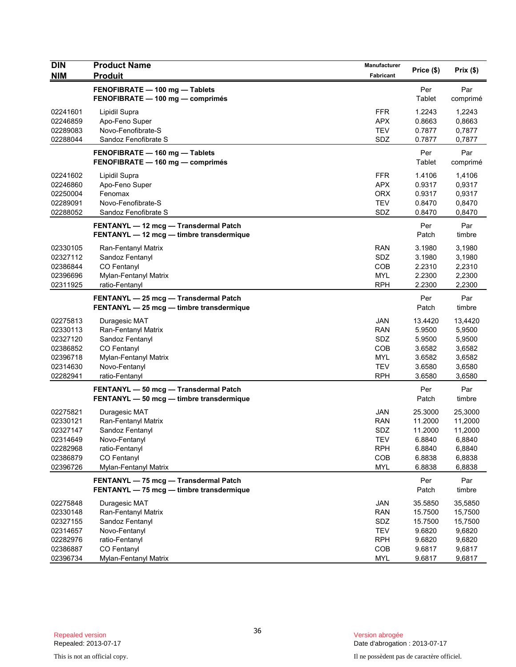| <b>DIN</b><br><b>NIM</b>                                                         | <b>Product Name</b>                                                                                                                | Manufacturer                                                                     | Price (\$)                                                            | Prix(\$)                                                              |
|----------------------------------------------------------------------------------|------------------------------------------------------------------------------------------------------------------------------------|----------------------------------------------------------------------------------|-----------------------------------------------------------------------|-----------------------------------------------------------------------|
|                                                                                  | <b>Produit</b>                                                                                                                     | Fabricant                                                                        |                                                                       |                                                                       |
|                                                                                  | FENOFIBRATE - 100 mg - Tablets<br>FENOFIBRATE - 100 mg - comprimés                                                                 |                                                                                  | Per<br>Tablet                                                         | Par<br>comprimé                                                       |
| 02241601<br>02246859<br>02289083<br>02288044                                     | Lipidil Supra<br>Apo-Feno Super<br>Novo-Fenofibrate-S<br>Sandoz Fenofibrate S                                                      | <b>FFR</b><br><b>APX</b><br><b>TEV</b><br>SDZ                                    | 1.2243<br>0.8663<br>0.7877<br>0.7877                                  | 1,2243<br>0,8663<br>0,7877<br>0,7877                                  |
|                                                                                  | FENOFIBRATE - 160 mg - Tablets<br>FENOFIBRATE - 160 mg - comprimés                                                                 |                                                                                  | Per<br>Tablet                                                         | Par<br>comprimé                                                       |
| 02241602<br>02246860<br>02250004<br>02289091<br>02288052                         | Lipidil Supra<br>Apo-Feno Super<br>Fenomax<br>Novo-Fenofibrate-S<br>Sandoz Fenofibrate S                                           | <b>FFR</b><br><b>APX</b><br><b>ORX</b><br><b>TEV</b><br>SDZ                      | 1.4106<br>0.9317<br>0.9317<br>0.8470<br>0.8470                        | 1,4106<br>0,9317<br>0,9317<br>0,8470<br>0,8470                        |
|                                                                                  | FENTANYL - 12 mcg - Transdermal Patch<br>FENTANYL - 12 mcg - timbre transdermique                                                  |                                                                                  | Per<br>Patch                                                          | Par<br>timbre                                                         |
| 02330105<br>02327112<br>02386844<br>02396696<br>02311925                         | Ran-Fentanyl Matrix<br>Sandoz Fentanyl<br>CO Fentanyl<br>Mylan-Fentanyl Matrix<br>ratio-Fentanyl                                   | <b>RAN</b><br>SDZ<br>COB<br><b>MYL</b><br><b>RPH</b>                             | 3.1980<br>3.1980<br>2.2310<br>2.2300<br>2.2300                        | 3,1980<br>3,1980<br>2,2310<br>2,2300<br>2,2300                        |
|                                                                                  | FENTANYL - 25 mcg - Transdermal Patch<br>FENTANYL - 25 mcg - timbre transdermique                                                  |                                                                                  | Per<br>Patch                                                          | Par<br>timbre                                                         |
| 02275813<br>02330113<br>02327120<br>02386852<br>02396718<br>02314630<br>02282941 | Duragesic MAT<br>Ran-Fentanyl Matrix<br>Sandoz Fentanyl<br>CO Fentanyl<br>Mylan-Fentanyl Matrix<br>Novo-Fentanyl<br>ratio-Fentanyl | <b>JAN</b><br><b>RAN</b><br>SDZ<br>COB<br><b>MYL</b><br><b>TEV</b><br><b>RPH</b> | 13.4420<br>5.9500<br>5.9500<br>3.6582<br>3.6582<br>3.6580<br>3.6580   | 13,4420<br>5,9500<br>5,9500<br>3,6582<br>3,6582<br>3,6580<br>3,6580   |
|                                                                                  | FENTANYL - 50 mcg - Transdermal Patch<br>FENTANYL - 50 mcg - timbre transdermique                                                  |                                                                                  | Per<br>Patch                                                          | Par<br>timbre                                                         |
| 02275821<br>02330121<br>02327147<br>02314649<br>02282968<br>02386879<br>02396726 | Duragesic MAT<br>Ran-Fentanyl Matrix<br>Sandoz Fentanyl<br>Novo-Fentanyl<br>ratio-Fentanyl<br>CO Fentanyl<br>Mylan-Fentanyl Matrix | <b>JAN</b><br><b>RAN</b><br>SDZ<br>TEV<br><b>RPH</b><br>COB<br><b>MYL</b>        | 25.3000<br>11.2000<br>11.2000<br>6.8840<br>6.8840<br>6.8838<br>6.8838 | 25,3000<br>11,2000<br>11,2000<br>6,8840<br>6,8840<br>6,8838<br>6,8838 |
|                                                                                  | FENTANYL - 75 mcg - Transdermal Patch<br>FENTANYL - 75 mcg - timbre transdermique                                                  |                                                                                  | Per<br>Patch                                                          | Par<br>timbre                                                         |
| 02275848<br>02330148<br>02327155<br>02314657<br>02282976<br>02386887             | Duragesic MAT<br>Ran-Fentanyl Matrix<br>Sandoz Fentanyl<br>Novo-Fentanyl<br>ratio-Fentanyl<br>CO Fentanyl                          | JAN<br><b>RAN</b><br>SDZ<br><b>TEV</b><br><b>RPH</b><br>COB                      | 35.5850<br>15.7500<br>15.7500<br>9.6820<br>9.6820<br>9.6817           | 35,5850<br>15,7500<br>15,7500<br>9,6820<br>9,6820<br>9,6817           |
| 02396734                                                                         | Mylan-Fentanyl Matrix                                                                                                              | <b>MYL</b>                                                                       | 9.6817                                                                | 9,6817                                                                |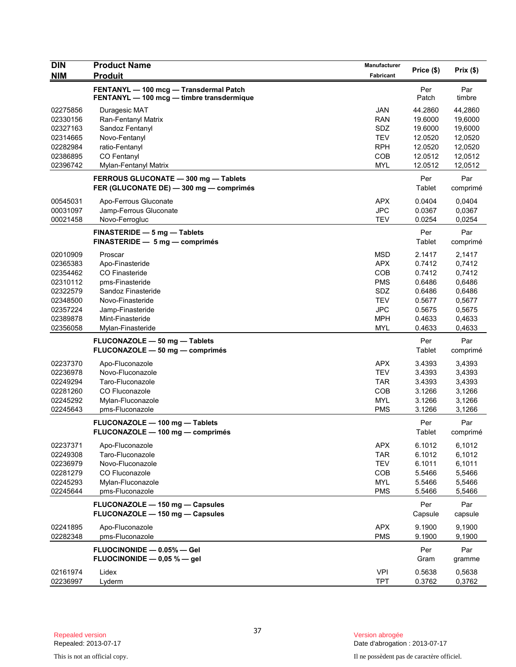| <b>DIN</b><br><b>NIM</b>                                                                                 | <b>Product Name</b><br><b>Produit</b>                                                                                                                                  | <b>Manufacturer</b><br>Fabricant                                                                             | Price (\$)                                                                             | Prix(\$)                                                                               |
|----------------------------------------------------------------------------------------------------------|------------------------------------------------------------------------------------------------------------------------------------------------------------------------|--------------------------------------------------------------------------------------------------------------|----------------------------------------------------------------------------------------|----------------------------------------------------------------------------------------|
|                                                                                                          | FENTANYL - 100 mcg - Transdermal Patch<br>FENTANYL - 100 mcg - timbre transdermique                                                                                    |                                                                                                              | Per<br>Patch                                                                           | Par<br>timbre                                                                          |
| 02275856<br>02330156<br>02327163<br>02314665<br>02282984<br>02386895<br>02396742                         | Duragesic MAT<br>Ran-Fentanyl Matrix<br>Sandoz Fentanyl<br>Novo-Fentanyl<br>ratio-Fentanyl<br>CO Fentanyl<br>Mylan-Fentanyl Matrix                                     | <b>JAN</b><br><b>RAN</b><br>SDZ<br><b>TEV</b><br><b>RPH</b><br><b>COB</b><br><b>MYL</b>                      | 44.2860<br>19.6000<br>19.6000<br>12.0520<br>12.0520<br>12.0512<br>12.0512              | 44,2860<br>19,6000<br>19,6000<br>12,0520<br>12,0520<br>12,0512<br>12,0512              |
|                                                                                                          | FERROUS GLUCONATE - 300 mg - Tablets<br>FER (GLUCONATE DE) - 300 mg - comprimés                                                                                        |                                                                                                              | Per<br>Tablet                                                                          | Par<br>comprimé                                                                        |
| 00545031<br>00031097<br>00021458                                                                         | Apo-Ferrous Gluconate<br>Jamp-Ferrous Gluconate<br>Novo-Ferrogluc                                                                                                      | <b>APX</b><br><b>JPC</b><br><b>TEV</b>                                                                       | 0.0404<br>0.0367<br>0.0254                                                             | 0,0404<br>0,0367<br>0,0254                                                             |
|                                                                                                          | FINASTERIDE - 5 mg - Tablets<br>FINASTERIDE - 5 mg - comprimés                                                                                                         |                                                                                                              | Per<br>Tablet                                                                          | Par<br>comprimé                                                                        |
| 02010909<br>02365383<br>02354462<br>02310112<br>02322579<br>02348500<br>02357224<br>02389878<br>02356058 | Proscar<br>Apo-Finasteride<br>CO Finasteride<br>pms-Finasteride<br>Sandoz Finasteride<br>Novo-Finasteride<br>Jamp-Finasteride<br>Mint-Finasteride<br>Mylan-Finasteride | <b>MSD</b><br><b>APX</b><br><b>COB</b><br><b>PMS</b><br>SDZ<br><b>TEV</b><br><b>JPC</b><br><b>MPH</b><br>MYL | 2.1417<br>0.7412<br>0.7412<br>0.6486<br>0.6486<br>0.5677<br>0.5675<br>0.4633<br>0.4633 | 2,1417<br>0,7412<br>0,7412<br>0,6486<br>0,6486<br>0,5677<br>0,5675<br>0,4633<br>0,4633 |
|                                                                                                          | FLUCONAZOLE - 50 mg - Tablets<br>FLUCONAZOLE - 50 mg - comprimés                                                                                                       |                                                                                                              | Per<br>Tablet                                                                          | Par<br>comprimé                                                                        |
| 02237370<br>02236978<br>02249294<br>02281260<br>02245292<br>02245643                                     | Apo-Fluconazole<br>Novo-Fluconazole<br>Taro-Fluconazole<br>CO Fluconazole<br>Mylan-Fluconazole<br>pms-Fluconazole                                                      | <b>APX</b><br><b>TEV</b><br><b>TAR</b><br><b>COB</b><br><b>MYL</b><br><b>PMS</b>                             | 3.4393<br>3.4393<br>3.4393<br>3.1266<br>3.1266<br>3.1266                               | 3,4393<br>3,4393<br>3,4393<br>3,1266<br>3,1266<br>3,1266                               |
|                                                                                                          | FLUCONAZOLE - 100 mg - Tablets<br>FLUCONAZOLE - 100 mg - comprimés                                                                                                     |                                                                                                              | Per<br>Tablet                                                                          | Par<br>comprimé                                                                        |
| 02237371<br>02249308<br>02236979<br>02281279<br>02245293<br>02245644                                     | Apo-Fluconazole<br>Taro-Fluconazole<br>Novo-Fluconazole<br>CO Fluconazole<br>Mylan-Fluconazole<br>pms-Fluconazole                                                      | <b>APX</b><br>TAR<br><b>TEV</b><br>COB<br>MYL<br><b>PMS</b>                                                  | 6.1012<br>6.1012<br>6.1011<br>5.5466<br>5.5466<br>5.5466                               | 6,1012<br>6,1012<br>6,1011<br>5,5466<br>5,5466<br>5,5466                               |
|                                                                                                          | FLUCONAZOLE - 150 mg - Capsules<br>FLUCONAZOLE - 150 mg - Capsules                                                                                                     |                                                                                                              | Per<br>Capsule                                                                         | Par<br>capsule                                                                         |
| 02241895<br>02282348                                                                                     | Apo-Fluconazole<br>pms-Fluconazole                                                                                                                                     | <b>APX</b><br><b>PMS</b>                                                                                     | 9.1900<br>9.1900                                                                       | 9,1900<br>9,1900                                                                       |
|                                                                                                          | FLUOCINONIDE - 0.05% - Gel<br>FLUOCINONIDE $-$ 0,05 % $-$ gel                                                                                                          |                                                                                                              | Per<br>Gram                                                                            | Par<br>gramme                                                                          |
| 02161974<br>02236997                                                                                     | Lidex<br>Lyderm                                                                                                                                                        | <b>VPI</b><br><b>TPT</b>                                                                                     | 0.5638<br>0.3762                                                                       | 0,5638<br>0,3762                                                                       |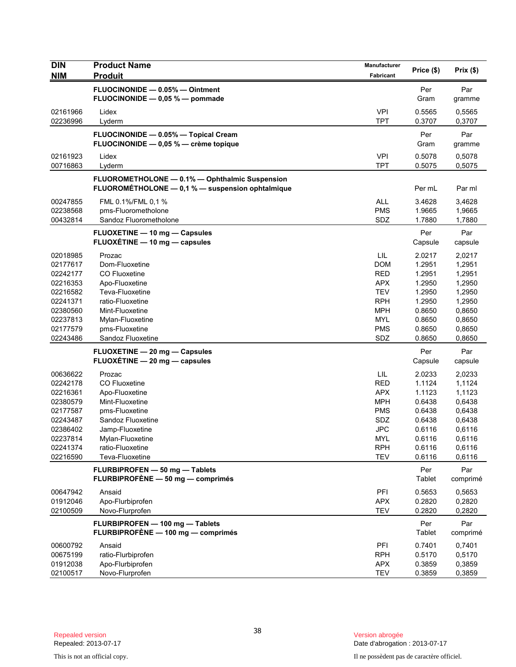| <b>DIN</b><br><b>NIM</b> | <b>Product Name</b><br><b>Produit</b>                                                              | <b>Manufacturer</b><br>Fabricant | Price (\$)       | Prix(\$)         |
|--------------------------|----------------------------------------------------------------------------------------------------|----------------------------------|------------------|------------------|
|                          | FLUOCINONIDE - 0.05% - Ointment                                                                    |                                  | Per              | Par              |
|                          | FLUOCINONIDE - 0,05 % - pommade                                                                    |                                  | Gram             | gramme           |
| 02161966                 | Lidex                                                                                              | <b>VPI</b>                       | 0.5565           | 0,5565           |
| 02236996                 | Lyderm                                                                                             | <b>TPT</b>                       | 0.3707           | 0,3707           |
|                          | FLUOCINONIDE - 0.05% - Topical Cream<br>FLUOCINONIDE - 0,05 % - crème topique                      |                                  | Per<br>Gram      | Par<br>gramme    |
| 02161923<br>00716863     | Lidex<br>Lyderm                                                                                    | <b>VPI</b><br><b>TPT</b>         | 0.5078<br>0.5075 | 0,5078<br>0,5075 |
|                          | FLUOROMETHOLONE - 0.1% - Ophthalmic Suspension<br>FLUOROMÉTHOLONE - 0,1 % - suspension ophtalmique |                                  | Per mL           | Par ml           |
| 00247855                 | FML 0.1%/FML 0,1 %                                                                                 | <b>ALL</b>                       | 3.4628           | 3,4628           |
| 02238568                 | pms-Fluorometholone                                                                                | <b>PMS</b>                       | 1.9665           | 1,9665           |
| 00432814                 | Sandoz Fluorometholone                                                                             | SDZ                              | 1.7880           | 1,7880           |
|                          | FLUOXETINE - 10 mg - Capsules<br>FLUOXETINE - 10 mg - capsules                                     |                                  | Per<br>Capsule   | Par<br>capsule   |
| 02018985                 | Prozac                                                                                             | LIL                              | 2.0217           | 2,0217           |
| 02177617                 | Dom-Fluoxetine                                                                                     | <b>DOM</b>                       | 1.2951           | 1,2951           |
| 02242177                 | CO Fluoxetine                                                                                      | <b>RED</b>                       | 1.2951           | 1,2951           |
| 02216353                 | Apo-Fluoxetine                                                                                     | <b>APX</b>                       | 1.2950           | 1,2950           |
| 02216582                 | Teva-Fluoxetine                                                                                    | <b>TEV</b>                       | 1.2950           | 1,2950           |
| 02241371                 | ratio-Fluoxetine                                                                                   | <b>RPH</b>                       | 1.2950           | 1,2950           |
| 02380560                 | Mint-Fluoxetine                                                                                    | <b>MPH</b>                       | 0.8650           | 0,8650           |
| 02237813                 | Mylan-Fluoxetine                                                                                   | <b>MYL</b>                       | 0.8650           | 0,8650           |
| 02177579                 | pms-Fluoxetine                                                                                     | <b>PMS</b>                       | 0.8650           | 0,8650           |
| 02243486                 | Sandoz Fluoxetine                                                                                  | SDZ                              | 0.8650           | 0,8650           |
|                          | FLUOXETINE - 20 mg - Capsules                                                                      |                                  | Per              | Par              |
|                          | FLUOXETINE - 20 mg - capsules                                                                      |                                  | Capsule          | capsule          |
| 00636622                 | Prozac                                                                                             | LIL                              | 2.0233           | 2,0233           |
| 02242178                 | CO Fluoxetine                                                                                      | <b>RED</b>                       | 1.1124           | 1,1124           |
| 02216361                 | Apo-Fluoxetine                                                                                     | <b>APX</b>                       | 1.1123           | 1,1123           |
| 02380579                 | Mint-Fluoxetine                                                                                    | <b>MPH</b>                       | 0.6438           | 0,6438           |
| 02177587                 | pms-Fluoxetine                                                                                     | <b>PMS</b>                       | 0.6438           | 0,6438           |
| 02243487                 | Sandoz Fluoxetine                                                                                  | SDZ                              | 0.6438           | 0,6438           |
| 02386402                 | Jamp-Fluoxetine                                                                                    | JPC                              | 0.6116           | 0,6116           |
| 02237814                 | Mylan-Fluoxetine                                                                                   | <b>MYL</b>                       | 0.6116           | 0,6116           |
| 02241374                 | ratio-Fluoxetine<br>Teva-Fluoxetine                                                                | <b>RPH</b><br><b>TEV</b>         | 0.6116           | 0,6116           |
| 02216590                 |                                                                                                    |                                  | 0.6116           | 0,6116           |
|                          | FLURBIPROFEN - 50 mg - Tablets<br>FLURBIPROFÈNE - 50 mg - comprimés                                |                                  | Per<br>Tablet    | Par<br>comprimé  |
| 00647942                 | Ansaid                                                                                             | PFI                              | 0.5653           | 0,5653           |
| 01912046                 | Apo-Flurbiprofen                                                                                   | <b>APX</b>                       | 0.2820           | 0,2820           |
| 02100509                 | Novo-Flurprofen                                                                                    | <b>TEV</b>                       | 0.2820           | 0,2820           |
|                          | FLURBIPROFEN - 100 mg - Tablets<br>FLURBIPROFÈNE - 100 mg - comprimés                              |                                  | Per<br>Tablet    | Par<br>comprimé  |
| 00600792                 | Ansaid                                                                                             | PFI                              | 0.7401           | 0,7401           |
| 00675199                 | ratio-Flurbiprofen                                                                                 | <b>RPH</b>                       | 0.5170           | 0,5170           |
| 01912038                 | Apo-Flurbiprofen                                                                                   | <b>APX</b>                       | 0.3859           | 0,3859           |
| 02100517                 | Novo-Flurprofen                                                                                    | <b>TEV</b>                       | 0.3859           | 0,3859           |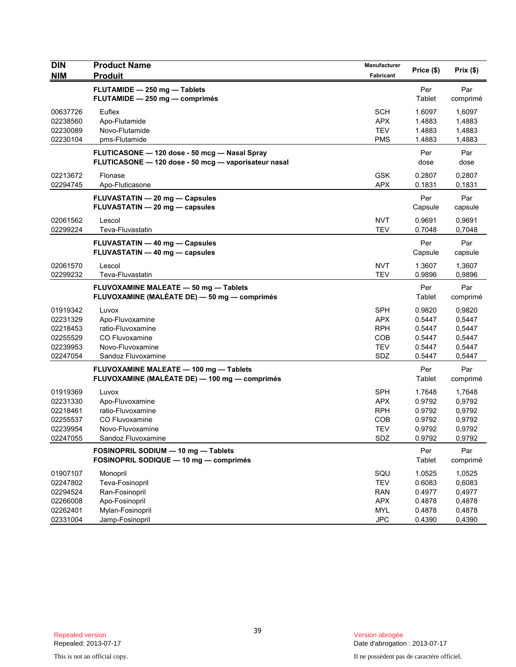| <b>DIN</b>           | <b>Product Name</b>                                  | Manufacturer             | Price (\$)       | Prix(\$)         |
|----------------------|------------------------------------------------------|--------------------------|------------------|------------------|
| <b>NIM</b>           | <b>Produit</b>                                       | Fabricant                |                  |                  |
|                      | FLUTAMIDE - 250 mg - Tablets                         |                          | Per              | Par              |
|                      | FLUTAMIDE - 250 mg - comprimés                       |                          | Tablet           | comprimé         |
| 00637726             | Euflex                                               | <b>SCH</b>               | 1.6097           | 1,6097           |
| 02238560             | Apo-Flutamide                                        | <b>APX</b>               | 1.4883           | 1,4883           |
| 02230089             | Novo-Flutamide                                       | <b>TEV</b>               | 1.4883           | 1,4883           |
| 02230104             | pms-Flutamide                                        | <b>PMS</b>               | 1.4883           | 1,4883           |
|                      | FLUTICASONE - 120 dose - 50 mcg - Nasal Spray        |                          | Per              | Par              |
|                      | FLUTICASONE - 120 dose - 50 mcg - vaporisateur nasal |                          | dose             | dose             |
| 02213672             | Flonase                                              | <b>GSK</b>               | 0.2807           | 0,2807           |
| 02294745             | Apo-Fluticasone                                      | <b>APX</b>               | 0.1831           | 0,1831           |
|                      | FLUVASTATIN - 20 mg - Capsules                       |                          | Per              | Par              |
|                      | FLUVASTATIN - 20 mg - capsules                       |                          | Capsule          | capsule          |
|                      |                                                      |                          |                  |                  |
| 02061562<br>02299224 | Lescol<br>Teva-Fluvastatin                           | <b>NVT</b><br><b>TEV</b> | 0.9691<br>0.7048 | 0,9691<br>0,7048 |
|                      |                                                      |                          |                  |                  |
|                      | <b>FLUVASTATIN - 40 mg - Capsules</b>                |                          | Per              | Par              |
|                      | FLUVASTATIN - 40 mg - capsules                       |                          | Capsule          | capsule          |
| 02061570             | Lescol                                               | <b>NVT</b>               | 1.3607           | 1,3607           |
| 02299232             | Teva-Fluvastatin                                     | <b>TEV</b>               | 0.9896           | 0,9896           |
|                      | FLUVOXAMINE MALEATE - 50 mg - Tablets                |                          | Per              | Par              |
|                      | FLUVOXAMINE (MALÉATE DE) - 50 mg - comprimés         |                          | Tablet           | comprimé         |
| 01919342             | Luvox                                                | <b>SPH</b>               | 0.9820           | 0,9820           |
| 02231329             | Apo-Fluvoxamine                                      | <b>APX</b>               | 0.5447           | 0,5447           |
| 02218453             | ratio-Fluvoxamine                                    | <b>RPH</b>               | 0.5447           | 0,5447           |
| 02255529             | <b>CO Fluvoxamine</b>                                | COB                      | 0.5447           | 0,5447           |
| 02239953             | Novo-Fluvoxamine                                     | <b>TEV</b>               | 0.5447           | 0,5447           |
| 02247054             | Sandoz Fluvoxamine                                   | SDZ                      | 0.5447           | 0,5447           |
|                      | FLUVOXAMINE MALEATE - 100 mg - Tablets               |                          | Per              | Par              |
|                      | FLUVOXAMINE (MALÉATE DE) — 100 mg — comprimés        |                          | Tablet           | comprimé         |
| 01919369             | Luvox                                                | <b>SPH</b>               | 1.7648           | 1,7648           |
| 02231330             | Apo-Fluvoxamine                                      | <b>APX</b>               | 0.9792           | 0,9792           |
| 02218461             | ratio-Fluvoxamine                                    | <b>RPH</b>               | 0.9792           | 0,9792           |
| 02255537             | <b>CO Fluvoxamine</b>                                | COB                      | 0.9792           | 0,9792           |
| 02239954             | Novo-Fluvoxamine                                     | <b>TEV</b>               | 0.9792           | 0,9792           |
| 02247055             | Sandoz Fluvoxamine                                   | SDZ                      | 0.9792           | 0,9792           |
|                      | FOSINOPRIL SODIUM - 10 mg - Tablets                  |                          | Per              | Par              |
|                      | FOSINOPRIL SODIQUE - 10 mg - comprimés               |                          | Tablet           | comprimé         |
| 01907107             | Monopril                                             | SQU                      | 1.0525           | 1,0525           |
| 02247802             | Teva-Fosinopril                                      | <b>TEV</b>               | 0.6083           | 0,6083           |
| 02294524             | Ran-Fosinopril                                       | <b>RAN</b>               | 0.4977           | 0,4977           |
| 02266008             | Apo-Fosinopril                                       | <b>APX</b>               | 0.4878           | 0,4878           |
| 02262401             | Mylan-Fosinopril                                     | <b>MYL</b>               | 0.4878           | 0,4878           |
| 02331004             | Jamp-Fosinopril                                      | <b>JPC</b>               | 0.4390           | 0,4390           |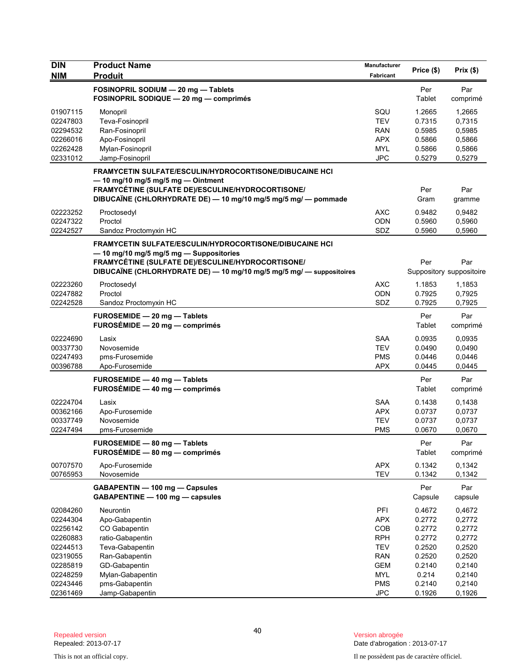| <b>DIN</b><br><b>NIM</b> | <b>Product Name</b><br><b>Produit</b>                                                                                                                                                                                                        | Manufacturer<br>Fabricant | Price (\$)     | Prix(\$)                        |
|--------------------------|----------------------------------------------------------------------------------------------------------------------------------------------------------------------------------------------------------------------------------------------|---------------------------|----------------|---------------------------------|
|                          | FOSINOPRIL SODIUM - 20 mg - Tablets<br>FOSINOPRIL SODIQUE - 20 mg - comprimés                                                                                                                                                                |                           | Per<br>Tablet  | Par<br>comprimé                 |
| 01907115                 | Monopril                                                                                                                                                                                                                                     | SQU                       | 1.2665         | 1,2665                          |
| 02247803                 | Teva-Fosinopril                                                                                                                                                                                                                              | <b>TEV</b>                | 0.7315         | 0,7315                          |
| 02294532                 | Ran-Fosinopril                                                                                                                                                                                                                               | <b>RAN</b>                | 0.5985         | 0,5985                          |
| 02266016                 | Apo-Fosinopril                                                                                                                                                                                                                               | <b>APX</b>                | 0.5866         | 0,5866                          |
| 02262428                 | Mylan-Fosinopril                                                                                                                                                                                                                             | <b>MYL</b>                | 0.5866         | 0,5866                          |
| 02331012                 | Jamp-Fosinopril                                                                                                                                                                                                                              | <b>JPC</b>                | 0.5279         | 0,5279                          |
|                          | <b>FRAMYCETIN SULFATE/ESCULIN/HYDROCORTISONE/DIBUCAINE HCI</b><br>$-$ 10 mg/10 mg/5 mg/5 mg $-$ Ointment<br>FRAMYCÉTINE (SULFATE DE)/ESCULINE/HYDROCORTISONE/<br>DIBUCAÏNE (CHLORHYDRATE DE) - 10 mg/10 mg/5 mg/5 mg/ - pommade              |                           | Per<br>Gram    | Par<br>gramme                   |
| 02223252                 | Proctosedyl                                                                                                                                                                                                                                  | <b>AXC</b>                | 0.9482         | 0,9482                          |
| 02247322                 | Proctol                                                                                                                                                                                                                                      | <b>ODN</b>                | 0.5960         | 0,5960                          |
| 02242527                 | Sandoz Proctomyxin HC                                                                                                                                                                                                                        | SDZ                       | 0.5960         | 0,5960                          |
|                          | <b>FRAMYCETIN SULFATE/ESCULIN/HYDROCORTISONE/DIBUCAINE HCI</b><br>-10 mg/10 mg/5 mg/5 mg - Suppositories<br><b>FRAMYCÉTINE (SULFATE DE)/ESCULINE/HYDROCORTISONE/</b><br>DIBUCAÏNE (CHLORHYDRATE DE) - 10 mg/10 mg/5 mg/5 mg/ - suppositoires |                           | Per            | Par<br>Suppository suppositoire |
| 02223260                 | Proctosedyl                                                                                                                                                                                                                                  | <b>AXC</b>                | 1.1853         | 1,1853                          |
| 02247882                 | Proctol                                                                                                                                                                                                                                      | ODN                       | 0.7925         | 0,7925                          |
| 02242528                 | Sandoz Proctomyxin HC                                                                                                                                                                                                                        | <b>SDZ</b>                | 0.7925         | 0,7925                          |
|                          | FUROSEMIDE - 20 mg - Tablets<br>FUROSÉMIDE - 20 mg - comprimés                                                                                                                                                                               |                           | Per<br>Tablet  | Par<br>comprimé                 |
| 02224690                 | Lasix                                                                                                                                                                                                                                        | <b>SAA</b>                | 0.0935         | 0,0935                          |
| 00337730                 | Novosemide                                                                                                                                                                                                                                   | <b>TEV</b>                | 0.0490         | 0,0490                          |
| 02247493                 | pms-Furosemide                                                                                                                                                                                                                               | <b>PMS</b>                | 0.0446         | 0,0446                          |
| 00396788                 | Apo-Furosemide                                                                                                                                                                                                                               | <b>APX</b>                | 0.0445         | 0,0445                          |
|                          | FUROSEMIDE - 40 mg - Tablets<br>FUROSÉMIDE - 40 mg - comprimés                                                                                                                                                                               |                           | Per<br>Tablet  | Par<br>comprimé                 |
| 02224704                 | Lasix                                                                                                                                                                                                                                        | <b>SAA</b>                | 0.1438         | 0,1438                          |
| 00362166                 | Apo-Furosemide                                                                                                                                                                                                                               | <b>APX</b>                | 0.0737         | 0,0737                          |
| 00337749                 | Novosemide                                                                                                                                                                                                                                   | <b>TEV</b>                | 0.0737         | 0,0737                          |
| 02247494                 | pms-Furosemide                                                                                                                                                                                                                               | <b>PMS</b>                | 0.0670         | 0,0670                          |
|                          | FUROSEMIDE - 80 mg - Tablets<br>FUROSÉMIDE - 80 mg - comprimés                                                                                                                                                                               |                           | Per<br>Tablet  | Par<br>comprimé                 |
| 00707570                 | Apo-Furosemide                                                                                                                                                                                                                               | <b>APX</b>                | 0.1342         | 0,1342                          |
| 00765953                 | Novosemide                                                                                                                                                                                                                                   | <b>TEV</b>                | 0.1342         | 0,1342                          |
|                          | GABAPENTIN - 100 mg - Capsules<br>GABAPENTINE - 100 mg - capsules                                                                                                                                                                            |                           | Per<br>Capsule | Par<br>capsule                  |
| 02084260                 | Neurontin                                                                                                                                                                                                                                    | PFI                       | 0.4672         | 0,4672                          |
| 02244304                 | Apo-Gabapentin                                                                                                                                                                                                                               | <b>APX</b>                | 0.2772         | 0,2772                          |
| 02256142                 | CO Gabapentin                                                                                                                                                                                                                                | COB                       | 0.2772         | 0,2772                          |
| 02260883                 | ratio-Gabapentin                                                                                                                                                                                                                             | <b>RPH</b>                | 0.2772         | 0,2772                          |
| 02244513                 | Teva-Gabapentin                                                                                                                                                                                                                              | <b>TEV</b>                | 0.2520         | 0,2520                          |
| 02319055                 | Ran-Gabapentin                                                                                                                                                                                                                               | <b>RAN</b>                | 0.2520         | 0,2520                          |
| 02285819                 | GD-Gabapentin                                                                                                                                                                                                                                | <b>GEM</b>                | 0.2140         | 0,2140                          |
| 02248259                 | Mylan-Gabapentin                                                                                                                                                                                                                             | <b>MYL</b>                | 0.214          | 0,2140                          |
| 02243446                 | pms-Gabapentin                                                                                                                                                                                                                               | <b>PMS</b>                | 0.2140         | 0,2140                          |
| 02361469                 | Jamp-Gabapentin                                                                                                                                                                                                                              | <b>JPC</b>                | 0.1926         | 0,1926                          |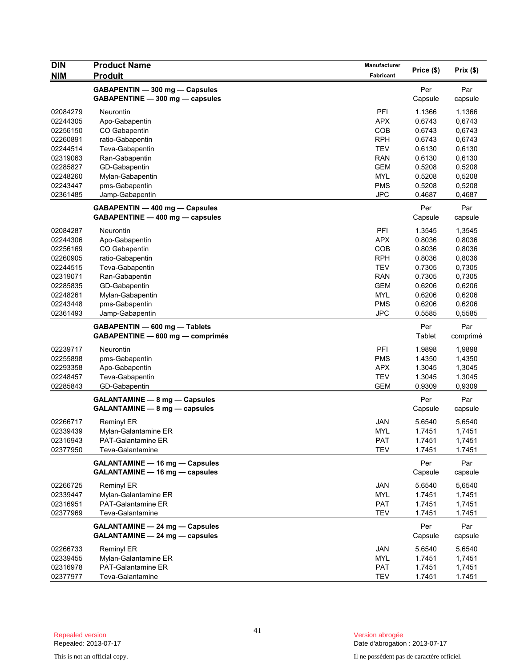| <b>DIN</b> | <b>Product Name</b>                   | Manufacturer |               |          |
|------------|---------------------------------------|--------------|---------------|----------|
| <b>NIM</b> | <b>Produit</b>                        | Fabricant    | Price (\$)    | Prix(\$) |
|            | GABAPENTIN - 300 mg - Capsules        |              | Per           | Par      |
|            | GABAPENTINE - 300 mg - capsules       |              | Capsule       | capsule  |
|            |                                       |              |               |          |
| 02084279   | Neurontin                             | PFI          | 1.1366        | 1,1366   |
| 02244305   | Apo-Gabapentin                        | <b>APX</b>   | 0.6743        | 0,6743   |
| 02256150   | CO Gabapentin                         | COB          | 0.6743        | 0,6743   |
| 02260891   | ratio-Gabapentin                      | <b>RPH</b>   | 0.6743        | 0,6743   |
| 02244514   | Teva-Gabapentin                       | TEV          | 0.6130        | 0,6130   |
| 02319063   | Ran-Gabapentin                        | <b>RAN</b>   | 0.6130        | 0,6130   |
| 02285827   | GD-Gabapentin                         | <b>GEM</b>   | 0.5208        | 0,5208   |
| 02248260   | Mylan-Gabapentin                      | <b>MYL</b>   | 0.5208        | 0,5208   |
| 02243447   | pms-Gabapentin                        | <b>PMS</b>   | 0.5208        | 0,5208   |
| 02361485   | Jamp-Gabapentin                       | <b>JPC</b>   | 0.4687        | 0,4687   |
|            | GABAPENTIN - 400 mg - Capsules        |              | Per           | Par      |
|            | GABAPENTINE - 400 mg - capsules       |              | Capsule       | capsule  |
| 02084287   | Neurontin                             | PFI          | 1.3545        | 1,3545   |
| 02244306   | Apo-Gabapentin                        | <b>APX</b>   | 0.8036        | 0,8036   |
| 02256169   | CO Gabapentin                         | COB          | 0.8036        | 0,8036   |
| 02260905   | ratio-Gabapentin                      | <b>RPH</b>   | 0.8036        | 0,8036   |
| 02244515   | Teva-Gabapentin                       | <b>TEV</b>   | 0.7305        | 0,7305   |
| 02319071   | Ran-Gabapentin                        | <b>RAN</b>   | 0.7305        | 0,7305   |
| 02285835   | GD-Gabapentin                         | <b>GEM</b>   | 0.6206        | 0,6206   |
| 02248261   | Mylan-Gabapentin                      | <b>MYL</b>   | 0.6206        | 0,6206   |
| 02243448   | pms-Gabapentin                        | <b>PMS</b>   | 0.6206        | 0,6206   |
| 02361493   | Jamp-Gabapentin                       | <b>JPC</b>   | 0.5585        | 0,5585   |
|            |                                       |              |               |          |
|            | GABAPENTIN - 600 mg - Tablets         |              | Per<br>Tablet | Par      |
|            | GABAPENTINE - 600 mg - comprimés      |              |               | comprimé |
| 02239717   | Neurontin                             | PFI          | 1.9898        | 1,9898   |
| 02255898   | pms-Gabapentin                        | <b>PMS</b>   | 1.4350        | 1,4350   |
| 02293358   | Apo-Gabapentin                        | <b>APX</b>   | 1.3045        | 1,3045   |
| 02248457   | Teva-Gabapentin                       | <b>TEV</b>   | 1.3045        | 1,3045   |
| 02285843   | GD-Gabapentin                         | <b>GEM</b>   | 0.9309        | 0,9309   |
|            | <b>GALANTAMINE - 8 mg - Capsules</b>  |              | Per           | Par      |
|            | GALANTAMINE - 8 mg - capsules         |              | Capsule       | capsule  |
|            |                                       |              |               |          |
| 02266717   | <b>Reminyl ER</b>                     | <b>JAN</b>   | 5.6540        | 5,6540   |
| 02339439   | Mylan-Galantamine ER                  | <b>MYL</b>   | 1.7451        | 1,7451   |
| 02316943   | PAT-Galantamine ER                    | <b>PAT</b>   | 1.7451        | 1,7451   |
| 02377950   | Teva-Galantamine                      | <b>TEV</b>   | 1.7451        | 1.7451   |
|            | <b>GALANTAMINE - 16 mg - Capsules</b> |              | Per           | Par      |
|            | GALANTAMINE - 16 mg - capsules        |              | Capsule       | capsule  |
| 02266725   | Reminyl ER                            | <b>JAN</b>   | 5.6540        | 5,6540   |
| 02339447   | Mylan-Galantamine ER                  | <b>MYL</b>   | 1.7451        | 1,7451   |
| 02316951   | <b>PAT-Galantamine ER</b>             | PAT          | 1.7451        | 1,7451   |
| 02377969   | Teva-Galantamine                      | TEV          | 1.7451        | 1.7451   |
|            |                                       |              |               |          |
|            | <b>GALANTAMINE - 24 mg - Capsules</b> |              | Per           | Par      |
|            | GALANTAMINE - 24 mg - capsules        |              | Capsule       | capsule  |
| 02266733   | <b>Reminyl ER</b>                     | JAN          | 5.6540        | 5,6540   |
| 02339455   | Mylan-Galantamine ER                  | MYL          | 1.7451        | 1,7451   |
| 02316978   | PAT-Galantamine ER                    | <b>PAT</b>   | 1.7451        | 1,7451   |
| 02377977   | Teva-Galantamine                      | TEV          | 1.7451        | 1.7451   |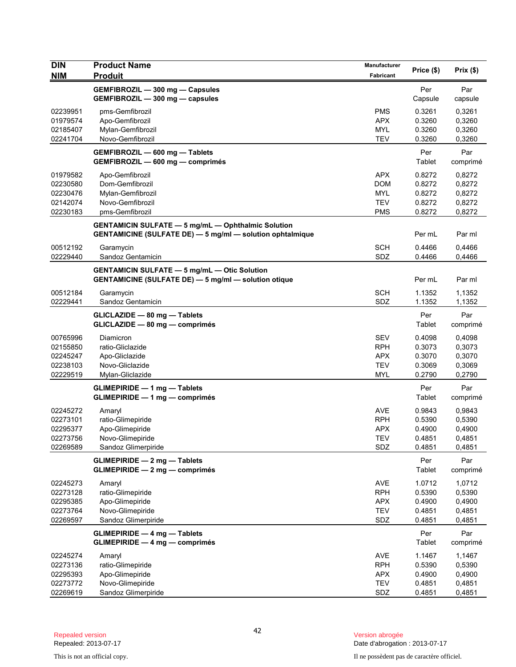| <b>DIN</b><br><b>NIM</b>                                 | <b>Product Name</b><br><b>Produit</b>                                                                                         | <b>Manufacturer</b><br>Fabricant                                   | Price (\$)                                     | Prix(\$)                                       |
|----------------------------------------------------------|-------------------------------------------------------------------------------------------------------------------------------|--------------------------------------------------------------------|------------------------------------------------|------------------------------------------------|
|                                                          | GEMFIBROZIL - 300 mg - Capsules<br>GEMFIBROZIL - 300 mg - capsules                                                            |                                                                    | Per<br>Capsule                                 | Par<br>capsule                                 |
| 02239951<br>01979574<br>02185407<br>02241704             | pms-Gemfibrozil<br>Apo-Gemfibrozil<br>Mylan-Gemfibrozil<br>Novo-Gemfibrozil                                                   | <b>PMS</b><br><b>APX</b><br><b>MYL</b><br><b>TEV</b>               | 0.3261<br>0.3260<br>0.3260<br>0.3260           | 0,3261<br>0,3260<br>0,3260<br>0,3260           |
|                                                          | GEMFIBROZIL - 600 mg - Tablets<br>GEMFIBROZIL - 600 mg - comprimés                                                            |                                                                    | Per<br>Tablet                                  | Par<br>comprimé                                |
| 01979582<br>02230580<br>02230476<br>02142074<br>02230183 | Apo-Gemfibrozil<br>Dom-Gemfibrozil<br>Mylan-Gemfibrozil<br>Novo-Gemfibrozil<br>pms-Gemfibrozil                                | <b>APX</b><br><b>DOM</b><br>MYL<br><b>TEV</b><br><b>PMS</b>        | 0.8272<br>0.8272<br>0.8272<br>0.8272<br>0.8272 | 0,8272<br>0,8272<br>0,8272<br>0,8272<br>0,8272 |
|                                                          | <b>GENTAMICIN SULFATE - 5 mg/mL - Ophthalmic Solution</b><br><b>GENTAMICINE (SULFATE DE) - 5 mg/ml - solution ophtalmique</b> |                                                                    | Per mL                                         | Par ml                                         |
| 00512192<br>02229440                                     | Garamycin<br>Sandoz Gentamicin                                                                                                | <b>SCH</b><br>SDZ                                                  | 0.4466<br>0.4466                               | 0.4466<br>0,4466                               |
|                                                          | <b>GENTAMICIN SULFATE - 5 mg/mL - Otic Solution</b><br><b>GENTAMICINE (SULFATE DE) - 5 mg/ml - solution otique</b>            |                                                                    | Per mL                                         | Par ml                                         |
| 00512184<br>02229441                                     | Garamycin<br>Sandoz Gentamicin                                                                                                | <b>SCH</b><br>SDZ                                                  | 1.1352<br>1.1352                               | 1,1352<br>1,1352                               |
|                                                          | GLICLAZIDE - 80 mg - Tablets<br>GLICLAZIDE - 80 mg - comprimés                                                                |                                                                    | Per<br>Tablet                                  | Par<br>comprimé                                |
| 00765996<br>02155850<br>02245247<br>02238103<br>02229519 | Diamicron<br>ratio-Gliclazide<br>Apo-Gliclazide<br>Novo-Gliclazide<br>Mylan-Gliclazide                                        | <b>SEV</b><br><b>RPH</b><br><b>APX</b><br><b>TEV</b><br><b>MYL</b> | 0.4098<br>0.3073<br>0.3070<br>0.3069<br>0.2790 | 0,4098<br>0,3073<br>0,3070<br>0,3069<br>0,2790 |
|                                                          | GLIMEPIRIDE - 1 mg - Tablets<br>GLIMEPIRIDE - 1 mg - comprimés                                                                |                                                                    | Per<br>Tablet                                  | Par<br>comprimé                                |
| 02245272<br>02273101<br>02295377<br>02273756<br>02269589 | Amaryl<br>ratio-Glimepiride<br>Apo-Glimepiride<br>Novo-Glimepiride<br>Sandoz Glimerpiride                                     | <b>AVE</b><br><b>RPH</b><br><b>APX</b><br>TEV<br>SDZ               | 0.9843<br>0.5390<br>0.4900<br>0.4851<br>0.4851 | 0,9843<br>0,5390<br>0,4900<br>0,4851<br>0,4851 |
|                                                          | <b>GLIMEPIRIDE - 2 mg - Tablets</b><br>$GLIMEPIRIDE - 2 mg - comprimés$                                                       |                                                                    | Per<br>Tablet                                  | Par<br>comprimé                                |
| 02245273<br>02273128<br>02295385<br>02273764<br>02269597 | Amaryl<br>ratio-Glimepiride<br>Apo-Glimepiride<br>Novo-Glimepiride<br>Sandoz Glimerpiride                                     | <b>AVE</b><br><b>RPH</b><br><b>APX</b><br><b>TEV</b><br>SDZ        | 1.0712<br>0.5390<br>0.4900<br>0.4851<br>0.4851 | 1,0712<br>0,5390<br>0,4900<br>0,4851<br>0,4851 |
|                                                          | <b>GLIMEPIRIDE - 4 mg - Tablets</b><br>GLIMEPIRIDE - 4 mg - comprimés                                                         |                                                                    | Per<br>Tablet                                  | Par<br>comprimé                                |
| 02245274<br>02273136<br>02295393<br>02273772<br>02269619 | Amaryl<br>ratio-Glimepiride<br>Apo-Glimepiride<br>Novo-Glimepiride<br>Sandoz Glimerpiride                                     | <b>AVE</b><br><b>RPH</b><br><b>APX</b><br><b>TEV</b><br>SDZ        | 1.1467<br>0.5390<br>0.4900<br>0.4851<br>0.4851 | 1,1467<br>0,5390<br>0,4900<br>0,4851<br>0,4851 |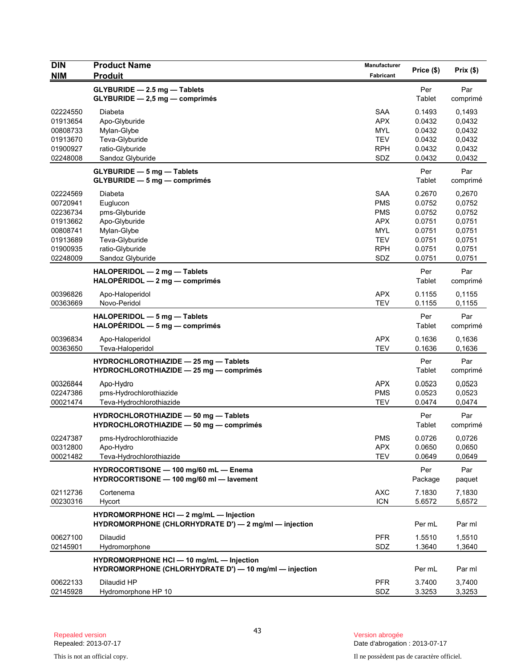| <b>DIN</b><br><b>NIM</b>                                                                     | <b>Product Name</b><br><b>Produit</b>                                                                                         | Manufacturer<br>Fabricant                                                                             | Price (\$)                                                                   | Prix(\$)                                                                     |
|----------------------------------------------------------------------------------------------|-------------------------------------------------------------------------------------------------------------------------------|-------------------------------------------------------------------------------------------------------|------------------------------------------------------------------------------|------------------------------------------------------------------------------|
|                                                                                              | GLYBURIDE - 2.5 mg - Tablets<br>$GLYBURIDE - 2.5 mg - comprimés$                                                              |                                                                                                       | Per<br>Tablet                                                                | Par<br>comprimé                                                              |
| 02224550<br>01913654<br>00808733<br>01913670<br>01900927<br>02248008                         | Diabeta<br>Apo-Glyburide<br>Mylan-Glybe<br>Teva-Glyburide<br>ratio-Glyburide<br>Sandoz Glyburide                              | <b>SAA</b><br><b>APX</b><br><b>MYL</b><br><b>TEV</b><br><b>RPH</b><br>SDZ                             | 0.1493<br>0.0432<br>0.0432<br>0.0432<br>0.0432<br>0.0432                     | 0.1493<br>0,0432<br>0,0432<br>0,0432<br>0,0432<br>0,0432                     |
|                                                                                              | <b>GLYBURIDE - 5 mg - Tablets</b><br>GLYBURIDE - 5 mg - comprimés                                                             |                                                                                                       | Per<br>Tablet                                                                | Par<br>comprimé                                                              |
| 02224569<br>00720941<br>02236734<br>01913662<br>00808741<br>01913689<br>01900935<br>02248009 | Diabeta<br>Euglucon<br>pms-Glyburide<br>Apo-Glyburide<br>Mylan-Glybe<br>Teva-Glyburide<br>ratio-Glyburide<br>Sandoz Glyburide | <b>SAA</b><br><b>PMS</b><br><b>PMS</b><br><b>APX</b><br><b>MYL</b><br><b>TEV</b><br><b>RPH</b><br>SDZ | 0.2670<br>0.0752<br>0.0752<br>0.0751<br>0.0751<br>0.0751<br>0.0751<br>0.0751 | 0,2670<br>0,0752<br>0,0752<br>0,0751<br>0,0751<br>0,0751<br>0,0751<br>0,0751 |
|                                                                                              | HALOPERIDOL - 2 mg - Tablets<br>$HALOPÉRIDOL - 2 mg - comprimés$                                                              |                                                                                                       | Per<br>Tablet                                                                | Par<br>comprimé                                                              |
| 00396826<br>00363669                                                                         | Apo-Haloperidol<br>Novo-Peridol                                                                                               | <b>APX</b><br><b>TEV</b>                                                                              | 0.1155<br>0.1155                                                             | 0,1155<br>0,1155                                                             |
|                                                                                              | HALOPERIDOL - 5 mg - Tablets<br>$HALOPÉRIDOL - 5 mg - comprimés$                                                              |                                                                                                       | Per<br>Tablet                                                                | Par<br>comprimé                                                              |
| 00396834<br>00363650                                                                         | Apo-Haloperidol<br>Teva-Haloperidol                                                                                           | <b>APX</b><br><b>TEV</b>                                                                              | 0.1636<br>0.1636                                                             | 0,1636<br>0,1636                                                             |
|                                                                                              | HYDROCHLOROTHIAZIDE - 25 mg - Tablets<br>HYDROCHLOROTHIAZIDE - 25 mg - comprimés                                              |                                                                                                       | Per<br>Tablet                                                                | Par<br>comprimé                                                              |
| 00326844<br>02247386<br>00021474                                                             | Apo-Hydro<br>pms-Hydrochlorothiazide<br>Teva-Hydrochlorothiazide                                                              | <b>APX</b><br><b>PMS</b><br><b>TEV</b>                                                                | 0.0523<br>0.0523<br>0.0474                                                   | 0,0523<br>0,0523<br>0,0474                                                   |
|                                                                                              | HYDROCHLOROTHIAZIDE - 50 mg - Tablets<br>HYDROCHLOROTHIAZIDE - 50 mg - comprimés                                              |                                                                                                       | Per<br>Tablet                                                                | Par<br>comprimé                                                              |
| 02247387<br>00312800<br>00021482                                                             | pms-Hydrochlorothiazide<br>Apo-Hydro<br>Teva-Hydrochlorothiazide                                                              | <b>PMS</b><br><b>APX</b><br><b>TEV</b>                                                                | 0.0726<br>0.0650<br>0.0649                                                   | 0,0726<br>0.0650<br>0,0649                                                   |
|                                                                                              | HYDROCORTISONE - 100 mg/60 mL - Enema<br>HYDROCORTISONE - 100 mg/60 ml - lavement                                             |                                                                                                       | Per<br>Package                                                               | Par<br>paquet                                                                |
| 02112736<br>00230316                                                                         | Cortenema<br>Hycort                                                                                                           | <b>AXC</b><br><b>ICN</b>                                                                              | 7.1830<br>5.6572                                                             | 7,1830<br>5,6572                                                             |
|                                                                                              | HYDROMORPHONE HCI - 2 mg/mL - Injection<br>HYDROMORPHONE (CHLORHYDRATE D') - 2 mg/ml - injection                              |                                                                                                       | Per mL                                                                       | Par ml                                                                       |
| 00627100<br>02145901                                                                         | <b>Dilaudid</b><br>Hydromorphone                                                                                              | <b>PFR</b><br>SDZ                                                                                     | 1.5510<br>1.3640                                                             | 1,5510<br>1,3640                                                             |
|                                                                                              | HYDROMORPHONE HCI - 10 mg/mL - Injection<br>HYDROMORPHONE (CHLORHYDRATE D') - 10 mg/ml - injection                            |                                                                                                       | Per mL                                                                       | Par ml                                                                       |
| 00622133<br>02145928                                                                         | Dilaudid HP<br>Hydromorphone HP 10                                                                                            | <b>PFR</b><br>SDZ                                                                                     | 3.7400<br>3.3253                                                             | 3,7400<br>3,3253                                                             |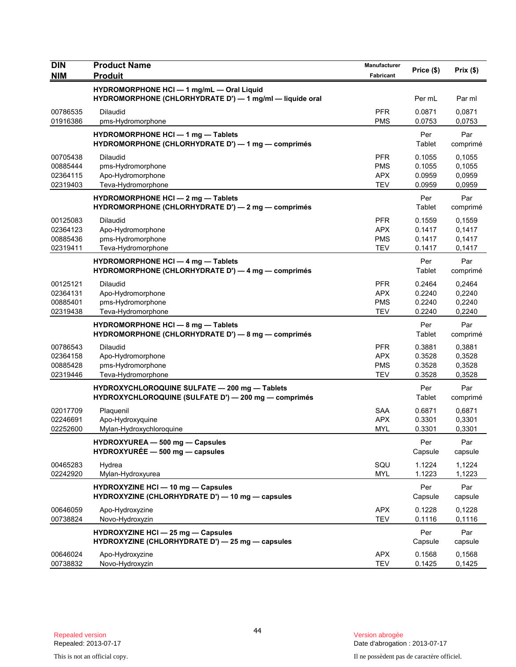| <b>DIN</b>                                   | <b>Product Name</b>                                                                                   | Manufacturer                                         | Price (\$)                           | Prix(\$)                             |
|----------------------------------------------|-------------------------------------------------------------------------------------------------------|------------------------------------------------------|--------------------------------------|--------------------------------------|
| <b>NIM</b>                                   | <b>Produit</b>                                                                                        | <b>Fabricant</b>                                     |                                      |                                      |
|                                              | HYDROMORPHONE HCI - 1 mg/mL - Oral Liquid<br>HYDROMORPHONE (CHLORHYDRATE D') - 1 mg/ml - liquide oral |                                                      | Per mL                               | Par ml                               |
| 00786535<br>01916386                         | Dilaudid<br>pms-Hydromorphone                                                                         | <b>PFR</b><br><b>PMS</b>                             | 0.0871<br>0.0753                     | 0,0871<br>0,0753                     |
|                                              | HYDROMORPHONE HCI - 1 mg - Tablets<br>HYDROMORPHONE (CHLORHYDRATE D') - 1 mg - comprimés              |                                                      | Per<br>Tablet                        | Par<br>comprimé                      |
| 00705438<br>00885444<br>02364115<br>02319403 | <b>Dilaudid</b><br>pms-Hydromorphone<br>Apo-Hydromorphone<br>Teva-Hydromorphone                       | <b>PFR</b><br><b>PMS</b><br><b>APX</b><br><b>TEV</b> | 0.1055<br>0.1055<br>0.0959<br>0.0959 | 0,1055<br>0,1055<br>0,0959<br>0,0959 |
|                                              | <b>HYDROMORPHONE HCI - 2 mg - Tablets</b><br>HYDROMORPHONE (CHLORHYDRATE D') - 2 mg - comprimés       |                                                      | Per<br>Tablet                        | Par<br>comprimé                      |
| 00125083<br>02364123<br>00885436<br>02319411 | <b>Dilaudid</b><br>Apo-Hydromorphone<br>pms-Hydromorphone<br>Teva-Hydromorphone                       | <b>PFR</b><br><b>APX</b><br><b>PMS</b><br><b>TEV</b> | 0.1559<br>0.1417<br>0.1417<br>0.1417 | 0,1559<br>0,1417<br>0,1417<br>0,1417 |
|                                              | <b>HYDROMORPHONE HCI - 4 mg - Tablets</b><br>HYDROMORPHONE (CHLORHYDRATE D') - 4 mg - comprimés       |                                                      | Per<br>Tablet                        | Par<br>comprimé                      |
| 00125121<br>02364131<br>00885401<br>02319438 | <b>Dilaudid</b><br>Apo-Hydromorphone<br>pms-Hydromorphone<br>Teva-Hydromorphone                       | <b>PFR</b><br><b>APX</b><br><b>PMS</b><br><b>TEV</b> | 0.2464<br>0.2240<br>0.2240<br>0.2240 | 0,2464<br>0,2240<br>0,2240<br>0,2240 |
|                                              | HYDROMORPHONE HCI - 8 mg - Tablets<br>HYDROMORPHONE (CHLORHYDRATE D') - 8 mg - comprimés              |                                                      | Per<br>Tablet                        | Par<br>comprimé                      |
| 00786543<br>02364158<br>00885428<br>02319446 | <b>Dilaudid</b><br>Apo-Hydromorphone<br>pms-Hydromorphone<br>Teva-Hydromorphone                       | <b>PFR</b><br><b>APX</b><br><b>PMS</b><br><b>TEV</b> | 0.3881<br>0.3528<br>0.3528<br>0.3528 | 0,3881<br>0,3528<br>0,3528<br>0,3528 |
|                                              | HYDROXYCHLOROQUINE SULFATE - 200 mg - Tablets<br>HYDROXYCHLOROQUINE (SULFATE D') - 200 mg - comprimés |                                                      | Per<br>Tablet                        | Par<br>comprimé                      |
| 02017709<br>02246691<br>02252600             | Plaquenil<br>Apo-Hydroxyquine<br>Mylan-Hydroxychloroquine                                             | <b>SAA</b><br><b>APX</b><br><b>MYL</b>               | 0.6871<br>0.3301<br>0.3301           | 0,6871<br>0,3301<br>0,3301           |
|                                              | HYDROXYUREA - 500 mg - Capsules<br>$HYDROXYURÉE - 500 mg - capsules$                                  |                                                      | Per<br>Capsule                       | Par<br>capsule                       |
| 00465283<br>02242920                         | Hydrea<br>Mylan-Hydroxyurea                                                                           | SQU<br><b>MYL</b>                                    | 1.1224<br>1.1223                     | 1,1224<br>1,1223                     |
|                                              | <b>HYDROXYZINE HCI - 10 mg - Capsules</b><br>HYDROXYZINE (CHLORHYDRATE D') - 10 mg - capsules         |                                                      | Per<br>Capsule                       | Par<br>capsule                       |
| 00646059<br>00738824                         | Apo-Hydroxyzine<br>Novo-Hydroxyzin                                                                    | <b>APX</b><br><b>TEV</b>                             | 0.1228<br>0.1116                     | 0,1228<br>0,1116                     |
|                                              | <b>HYDROXYZINE HCI - 25 mg - Capsules</b><br>HYDROXYZINE (CHLORHYDRATE D') - 25 mg - capsules         |                                                      | Per<br>Capsule                       | Par<br>capsule                       |
| 00646024<br>00738832                         | Apo-Hydroxyzine<br>Novo-Hydroxyzin                                                                    | <b>APX</b><br><b>TEV</b>                             | 0.1568<br>0.1425                     | 0,1568<br>0,1425                     |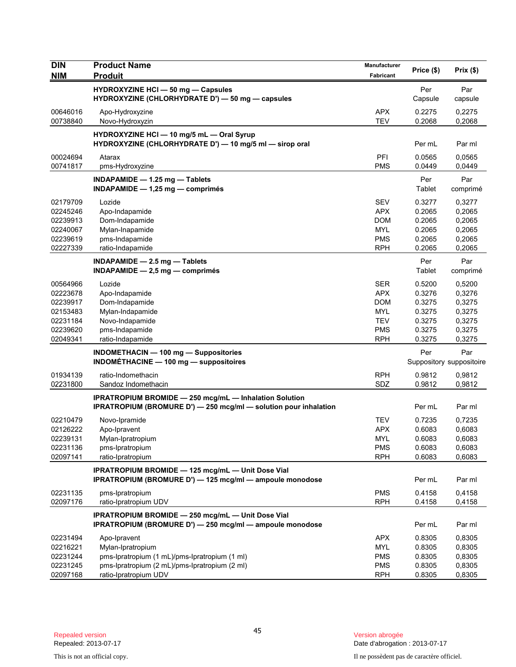| <b>DIN</b>           | <b>Product Name</b>                                                                                                                      | <b>Manufacturer</b>      | Price (\$)       | Prix(\$)                 |
|----------------------|------------------------------------------------------------------------------------------------------------------------------------------|--------------------------|------------------|--------------------------|
| <b>NIM</b>           | <b>Produit</b>                                                                                                                           | Fabricant                |                  |                          |
|                      | <b>HYDROXYZINE HCI - 50 mg - Capsules</b><br>HYDROXYZINE (CHLORHYDRATE D') — 50 mg — capsules                                            |                          | Per<br>Capsule   | Par<br>capsule           |
| 00646016<br>00738840 | Apo-Hydroxyzine<br>Novo-Hydroxyzin                                                                                                       | <b>APX</b><br><b>TEV</b> | 0.2275<br>0.2068 | 0,2275<br>0,2068         |
|                      | HYDROXYZINE HCI - 10 mg/5 mL - Oral Syrup<br>HYDROXYZINE (CHLORHYDRATE D') - 10 mg/5 ml - sirop oral                                     |                          | Per mL           | Par ml                   |
| 00024694<br>00741817 | Atarax<br>pms-Hydroxyzine                                                                                                                | PFI<br><b>PMS</b>        | 0.0565<br>0.0449 | 0,0565<br>0,0449         |
|                      | INDAPAMIDE $-$ 1.25 mg $-$ Tablets<br>INDAPAMIDE $-$ 1,25 mg $-$ comprimes                                                               |                          | Per<br>Tablet    | Par<br>comprimé          |
| 02179709             | Lozide                                                                                                                                   | <b>SEV</b>               | 0.3277           | 0,3277                   |
| 02245246             | Apo-Indapamide                                                                                                                           | <b>APX</b>               | 0.2065           | 0,2065                   |
| 02239913             | Dom-Indapamide                                                                                                                           | <b>DOM</b>               | 0.2065           | 0,2065                   |
| 02240067             | Mylan-Inapamide                                                                                                                          | <b>MYL</b>               | 0.2065           | 0,2065                   |
| 02239619<br>02227339 | pms-Indapamide<br>ratio-Indapamide                                                                                                       | <b>PMS</b><br><b>RPH</b> | 0.2065<br>0.2065 | 0,2065<br>0,2065         |
|                      |                                                                                                                                          |                          |                  |                          |
|                      | INDAPAMIDE $-2.5$ mg $-$ Tablets<br>$INDAPAMIDE - 2.5 mg - comprimés$                                                                    |                          | Per<br>Tablet    | Par<br>comprimé          |
| 00564966             | Lozide                                                                                                                                   | <b>SER</b>               | 0.5200           | 0,5200                   |
| 02223678             | Apo-Indapamide                                                                                                                           | <b>APX</b>               | 0.3276           | 0,3276                   |
| 02239917             | Dom-Indapamide                                                                                                                           | <b>DOM</b>               | 0.3275           | 0,3275                   |
| 02153483             | Mylan-Indapamide                                                                                                                         | <b>MYL</b>               | 0.3275           | 0,3275                   |
| 02231184<br>02239620 | Novo-Indapamide<br>pms-Indapamide                                                                                                        | <b>TEV</b><br><b>PMS</b> | 0.3275<br>0.3275 | 0,3275<br>0,3275         |
| 02049341             | ratio-Indapamide                                                                                                                         | <b>RPH</b>               | 0.3275           | 0,3275                   |
|                      | <b>INDOMETHACIN - 100 mg - Suppositories</b>                                                                                             |                          | Per              | Par                      |
|                      | <b>INDOMÉTHACINE - 100 mg - suppositoires</b>                                                                                            |                          |                  | Suppository suppositoire |
| 01934139             | ratio-Indomethacin                                                                                                                       | <b>RPH</b>               | 0.9812           | 0,9812                   |
| 02231800             | Sandoz Indomethacin                                                                                                                      | SDZ                      | 0.9812           | 0,9812                   |
|                      | <b>IPRATROPIUM BROMIDE - 250 mcg/mL - Inhalation Solution</b><br><b>IPRATROPIUM (BROMURE D') - 250 mcg/ml - solution pour inhalation</b> |                          | Per mL           | Par ml                   |
| 02210479             | Novo-Ipramide                                                                                                                            | TEV                      | 0.7235           | 0,7235                   |
| 02126222             | Apo-Ipravent                                                                                                                             | <b>APX</b>               | 0.6083           | 0,6083                   |
| 02239131             | Mylan-Ipratropium                                                                                                                        | <b>MYL</b>               | 0.6083           | 0,6083                   |
| 02231136             | pms-Ipratropium                                                                                                                          | <b>PMS</b>               | 0.6083           | 0,6083                   |
| 02097141             | ratio-Ipratropium                                                                                                                        | <b>RPH</b>               | 0.6083           | 0,6083                   |
|                      | IPRATROPIUM BROMIDE - 125 mcg/mL - Unit Dose Vial<br>IPRATROPIUM (BROMURE D') - 125 mcg/ml - ampoule monodose                            |                          | Per mL           | Par ml                   |
| 02231135             | pms-Ipratropium                                                                                                                          | <b>PMS</b>               | 0.4158           | 0,4158                   |
| 02097176             | ratio-Ipratropium UDV                                                                                                                    | <b>RPH</b>               | 0.4158           | 0,4158                   |
|                      | IPRATROPIUM BROMIDE - 250 mcg/mL - Unit Dose Vial<br>IPRATROPIUM (BROMURE D') - 250 mcg/ml - ampoule monodose                            |                          | Per mL           | Par ml                   |
| 02231494             | Apo-Ipravent                                                                                                                             | <b>APX</b>               | 0.8305           | 0,8305                   |
| 02216221             | Mylan-Ipratropium                                                                                                                        | MYL                      | 0.8305           | 0,8305                   |
| 02231244             | pms-Ipratropium (1 mL)/pms-Ipratropium (1 ml)                                                                                            | <b>PMS</b>               | 0.8305           | 0,8305                   |
| 02231245             | pms-Ipratropium (2 mL)/pms-Ipratropium (2 ml)                                                                                            | <b>PMS</b>               | 0.8305           | 0,8305                   |
| 02097168             | ratio-Ipratropium UDV                                                                                                                    | <b>RPH</b>               | 0.8305           | 0,8305                   |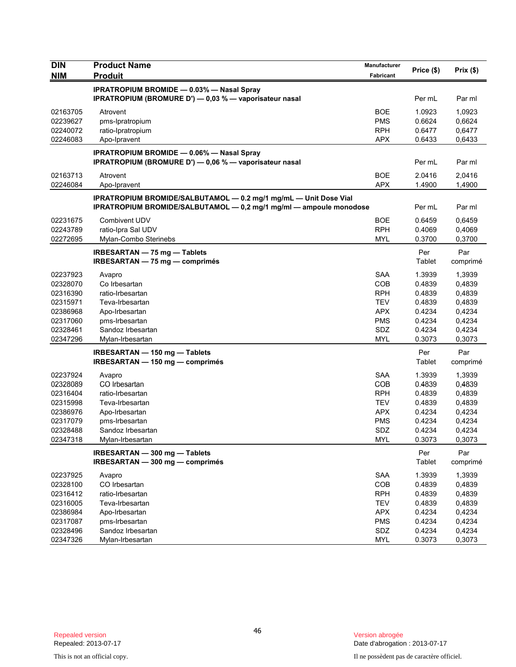| <b>DIN</b> | <b>Product Name</b>                                                | Manufacturer | Price (\$)    | Prix(\$)        |
|------------|--------------------------------------------------------------------|--------------|---------------|-----------------|
| <b>NIM</b> | <b>Produit</b>                                                     | Fabricant    |               |                 |
|            | <b>IPRATROPIUM BROMIDE - 0.03% - Nasal Spray</b>                   |              |               |                 |
|            | IPRATROPIUM (BROMURE D') — 0,03 % — vaporisateur nasal             |              | Per mL        | Par ml          |
| 02163705   | Atrovent                                                           | <b>BOE</b>   | 1.0923        | 1,0923          |
| 02239627   | pms-Ipratropium                                                    | <b>PMS</b>   | 0.6624        | 0,6624          |
| 02240072   | ratio-Ipratropium                                                  | <b>RPH</b>   | 0.6477        | 0,6477          |
| 02246083   | Apo-Ipravent                                                       | <b>APX</b>   | 0.6433        | 0,6433          |
|            | <b>IPRATROPIUM BROMIDE - 0.06% - Nasal Spray</b>                   |              |               |                 |
|            | IPRATROPIUM (BROMURE D') - 0,06 % - vaporisateur nasal             |              | Per mL        | Par ml          |
| 02163713   | Atrovent                                                           | <b>BOE</b>   | 2.0416        | 2,0416          |
| 02246084   | Apo-Ipravent                                                       | <b>APX</b>   | 1.4900        | 1,4900          |
|            | IPRATROPIUM BROMIDE/SALBUTAMOL - 0.2 mg/1 mg/mL - Unit Dose Vial   |              |               |                 |
|            | IPRATROPIUM BROMIDE/SALBUTAMOL - 0,2 mg/1 mg/ml - ampoule monodose |              | Per mL        | Par ml          |
| 02231675   | Combivent UDV                                                      | <b>BOE</b>   | 0.6459        | 0,6459          |
| 02243789   | ratio-Ipra Sal UDV                                                 | <b>RPH</b>   | 0.4069        | 0,4069          |
| 02272695   | Mylan-Combo Sterinebs                                              | <b>MYL</b>   | 0.3700        | 0,3700          |
|            | $IRBESARTAN - 75 mg - Tablets$                                     |              | Per           | Par             |
|            | IRBESARTAN - 75 mg - comprimés                                     |              | Tablet        | comprimé        |
| 02237923   | Avapro                                                             | <b>SAA</b>   | 1.3939        | 1,3939          |
| 02328070   | Co Irbesartan                                                      | COB          | 0.4839        | 0,4839          |
| 02316390   | ratio-Irbesartan                                                   | <b>RPH</b>   | 0.4839        | 0,4839          |
| 02315971   | Teva-Irbesartan                                                    | <b>TEV</b>   | 0.4839        | 0,4839          |
| 02386968   | Apo-Irbesartan                                                     | <b>APX</b>   | 0.4234        | 0,4234          |
| 02317060   | pms-Irbesartan                                                     | <b>PMS</b>   | 0.4234        | 0,4234          |
| 02328461   | Sandoz Irbesartan                                                  | SDZ          | 0.4234        | 0,4234          |
| 02347296   | Mylan-Irbesartan                                                   | <b>MYL</b>   | 0.3073        | 0,3073          |
|            | IRBESARTAN - 150 mg - Tablets                                      |              | Per           | Par             |
|            | IRBESARTAN - 150 mg - comprimés                                    |              | Tablet        | comprimé        |
| 02237924   | Avapro                                                             | <b>SAA</b>   | 1.3939        | 1,3939          |
| 02328089   | CO Irbesartan                                                      | COB          | 0.4839        | 0,4839          |
| 02316404   | ratio-Irbesartan                                                   | <b>RPH</b>   | 0.4839        | 0,4839          |
| 02315998   | Teva-Irbesartan                                                    | <b>TEV</b>   | 0.4839        | 0,4839          |
| 02386976   | Apo-Irbesartan                                                     | <b>APX</b>   | 0.4234        | 0,4234          |
| 02317079   | pms-Irbesartan                                                     | PMS          | 0.4234        | 0,4234          |
| 02328488   | Sandoz Irbesartan                                                  | SDZ          | 0.4234        | 0,4234          |
| 02347318   | Mylan-Irbesartan                                                   | <b>MYL</b>   | 0.3073        | 0,3073          |
|            | IRBESARTAN - 300 mg - Tablets<br>IRBESARTAN - 300 mg - comprimés   |              | Per<br>Tablet | Par<br>comprimé |
| 02237925   | Avapro                                                             | <b>SAA</b>   | 1.3939        | 1,3939          |
| 02328100   | CO Irbesartan                                                      | COB          | 0.4839        | 0,4839          |
| 02316412   | ratio-Irbesartan                                                   | <b>RPH</b>   | 0.4839        | 0,4839          |
| 02316005   | Teva-Irbesartan                                                    | <b>TEV</b>   | 0.4839        | 0,4839          |
| 02386984   | Apo-Irbesartan                                                     | <b>APX</b>   | 0.4234        | 0,4234          |
| 02317087   | pms-Irbesartan                                                     | <b>PMS</b>   | 0.4234        | 0,4234          |
| 02328496   | Sandoz Irbesartan                                                  | SDZ          | 0.4234        | 0,4234          |
| 02347326   | Mylan-Irbesartan                                                   | <b>MYL</b>   | 0.3073        | 0,3073          |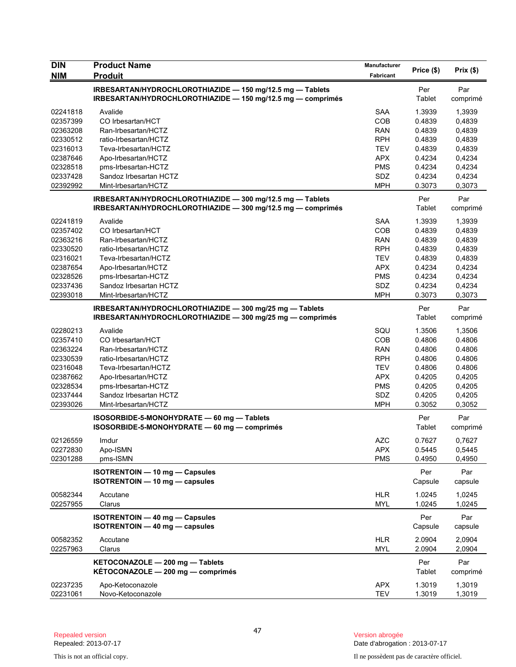| <b>DIN</b>           | <b>Product Name</b>                                                            | Manufacturer             | Price (\$)       | Prix(\$)         |
|----------------------|--------------------------------------------------------------------------------|--------------------------|------------------|------------------|
| NIM                  | <b>Produit</b>                                                                 | Fabricant                |                  |                  |
|                      | IRBESARTAN/HYDROCHLOROTHIAZIDE - 150 mg/12.5 mg - Tablets                      |                          | Per              | Par              |
|                      | IRBESARTAN/HYDROCHLOROTHIAZIDE - 150 mg/12.5 mg - comprimés                    |                          | Tablet           | comprimé         |
| 02241818             | Avalide                                                                        | <b>SAA</b>               | 1.3939           | 1,3939           |
| 02357399             | CO Irbesartan/HCT                                                              | COB                      | 0.4839           | 0,4839           |
| 02363208             | Ran-Irbesartan/HCTZ                                                            | <b>RAN</b>               | 0.4839           | 0,4839           |
| 02330512             | ratio-Irbesartan/HCTZ                                                          | <b>RPH</b>               | 0.4839           | 0,4839           |
| 02316013             | Teva-Irbesartan/HCTZ                                                           | <b>TEV</b>               | 0.4839           | 0,4839           |
| 02387646             | Apo-Irbesartan/HCTZ                                                            | <b>APX</b>               | 0.4234           | 0,4234           |
| 02328518             | pms-Irbesartan-HCTZ                                                            | <b>PMS</b>               | 0.4234           | 0,4234           |
| 02337428             | Sandoz Irbesartan HCTZ                                                         | SDZ                      | 0.4234           | 0,4234           |
| 02392992             | Mint-Irbesartan/HCTZ                                                           | <b>MPH</b>               | 0.3073           | 0,3073           |
|                      | IRBESARTAN/HYDROCHLOROTHIAZIDE - 300 mg/12.5 mg - Tablets                      |                          | Per              | Par              |
|                      | IRBESARTAN/HYDROCHLOROTHIAZIDE - 300 mg/12.5 mg - comprimés                    |                          | Tablet           | comprimé         |
| 02241819             | Avalide                                                                        | SAA                      | 1.3939           | 1,3939           |
| 02357402             | CO Irbesartan/HCT                                                              | COB                      | 0.4839           | 0,4839           |
| 02363216             | Ran-Irbesartan/HCTZ                                                            | <b>RAN</b>               | 0.4839           | 0,4839           |
| 02330520             | ratio-Irbesartan/HCTZ                                                          | <b>RPH</b>               | 0.4839           | 0,4839           |
| 02316021             | Teva-Irbesartan/HCTZ                                                           | <b>TEV</b>               | 0.4839           | 0,4839           |
| 02387654             | Apo-Irbesartan/HCTZ                                                            | <b>APX</b>               | 0.4234           | 0,4234           |
| 02328526             | pms-Irbesartan-HCTZ                                                            | <b>PMS</b>               | 0.4234           | 0,4234           |
| 02337436             | Sandoz Irbesartan HCTZ                                                         | SDZ                      | 0.4234           | 0,4234           |
| 02393018             | Mint-Irbesartan/HCTZ                                                           | <b>MPH</b>               | 0.3073           | 0,3073           |
|                      | IRBESARTAN/HYDROCHLOROTHIAZIDE - 300 mg/25 mg - Tablets                        |                          | Per              | Par              |
|                      | IRBESARTAN/HYDROCHLOROTHIAZIDE - 300 mg/25 mg - comprimés                      |                          | Tablet           | comprimé         |
| 02280213             | Avalide                                                                        | SQU                      | 1.3506           | 1,3506           |
| 02357410             | CO Irbesartan/HCT                                                              | COB                      | 0.4806           | 0.4806           |
| 02363224             | Ran-Irbesartan/HCTZ                                                            | <b>RAN</b>               | 0.4806           | 0.4806           |
| 02330539             | ratio-Irbesartan/HCTZ                                                          | <b>RPH</b>               | 0.4806           | 0.4806           |
| 02316048             | Teva-Irbesartan/HCTZ                                                           | <b>TEV</b>               | 0.4806           | 0.4806           |
| 02387662             | Apo-Irbesartan/HCTZ                                                            | <b>APX</b>               | 0.4205           | 0,4205           |
| 02328534             | pms-Irbesartan-HCTZ                                                            | <b>PMS</b>               | 0.4205           | 0,4205           |
| 02337444             | Sandoz Irbesartan HCTZ                                                         | SDZ                      | 0.4205           | 0,4205           |
| 02393026             | Mint-Irbesartan/HCTZ                                                           | <b>MPH</b>               | 0.3052           | 0,3052           |
|                      | ISOSORBIDE-5-MONOHYDRATE - 60 mg - Tablets                                     |                          | Per              | Par              |
|                      | ISOSORBIDE-5-MONOHYDRATE - 60 mg - comprimés                                   |                          | Tablet           | comprimé         |
| 02126559             | Imdur                                                                          | AZC                      | 0.7627           | 0,7627           |
| 02272830             | Apo-ISMN                                                                       | <b>APX</b>               | 0.5445           | 0,5445           |
| 02301288             | pms-ISMN                                                                       | <b>PMS</b>               | 0.4950           | 0,4950           |
|                      | <b>ISOTRENTOIN - 10 mg - Capsules</b>                                          |                          | Per              | Par              |
|                      | ISOTRENTOIN - 10 mg - capsules                                                 |                          | Capsule          | capsule          |
|                      |                                                                                |                          |                  |                  |
| 00582344<br>02257955 | Accutane<br>Clarus                                                             | <b>HLR</b><br><b>MYL</b> | 1.0245<br>1.0245 | 1,0245<br>1,0245 |
|                      |                                                                                |                          |                  |                  |
|                      | <b>ISOTRENTOIN - 40 mg - Capsules</b><br><b>ISOTRENTOIN - 40 mg - capsules</b> |                          | Per<br>Capsule   | Par<br>capsule   |
|                      |                                                                                |                          |                  |                  |
| 00582352             | Accutane                                                                       | <b>HLR</b>               | 2.0904           | 2,0904           |
| 02257963             | Clarus                                                                         | <b>MYL</b>               | 2.0904           | 2,0904           |
|                      | KETOCONAZOLE - 200 mg - Tablets                                                |                          | Per              | Par              |
|                      | KÉTOCONAZOLE - 200 mg - comprimés                                              |                          | Tablet           | comprimé         |
| 02237235             | Apo-Ketoconazole                                                               | <b>APX</b>               | 1.3019           | 1,3019           |
| 02231061             | Novo-Ketoconazole                                                              | <b>TEV</b>               | 1.3019           | 1,3019           |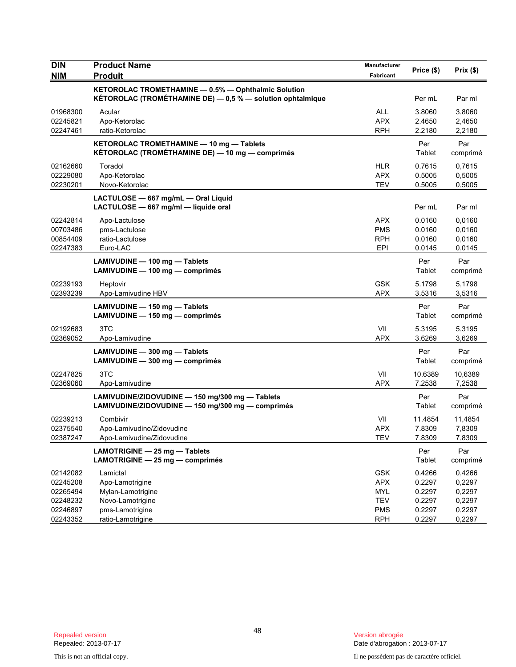| <b>DIN</b><br><b>NIM</b>                                             | <b>Product Name</b><br><b>Produit</b>                                                                             | Manufacturer<br>Fabricant                                                 | Price (\$)                                               | Prix(\$)                                                 |
|----------------------------------------------------------------------|-------------------------------------------------------------------------------------------------------------------|---------------------------------------------------------------------------|----------------------------------------------------------|----------------------------------------------------------|
|                                                                      | KETOROLAC TROMETHAMINE - 0.5% - Ophthalmic Solution<br>KÉTOROLAC (TROMÉTHAMINE DE) - 0,5 % - solution ophtalmique |                                                                           | Per mL                                                   | Par ml                                                   |
| 01968300<br>02245821<br>02247461                                     | Acular<br>Apo-Ketorolac<br>ratio-Ketorolac                                                                        | <b>ALL</b><br><b>APX</b><br><b>RPH</b>                                    | 3.8060<br>2.4650<br>2.2180                               | 3,8060<br>2,4650<br>2,2180                               |
|                                                                      | KETOROLAC TROMETHAMINE - 10 mg - Tablets<br>KÉTOROLAC (TROMÉTHAMINE DE) - 10 mg - comprimés                       |                                                                           | Per<br>Tablet                                            | Par<br>comprimé                                          |
| 02162660<br>02229080<br>02230201                                     | Toradol<br>Apo-Ketorolac<br>Novo-Ketorolac                                                                        | <b>HLR</b><br><b>APX</b><br><b>TEV</b>                                    | 0.7615<br>0.5005<br>0.5005                               | 0,7615<br>0,5005<br>0,5005                               |
|                                                                      | LACTULOSE - 667 mg/mL - Oral Liquid<br>LACTULOSE - 667 mg/ml - liquide oral                                       |                                                                           | Per mL                                                   | Par ml                                                   |
| 02242814<br>00703486<br>00854409<br>02247383                         | Apo-Lactulose<br>pms-Lactulose<br>ratio-Lactulose<br>Euro-LAC                                                     | <b>APX</b><br><b>PMS</b><br><b>RPH</b><br>EPI                             | 0.0160<br>0.0160<br>0.0160<br>0.0145                     | 0,0160<br>0,0160<br>0,0160<br>0,0145                     |
|                                                                      | LAMIVUDINE - 100 mg - Tablets<br>LAMIVUDINE - 100 mg - comprimés                                                  |                                                                           | Per<br>Tablet                                            | Par<br>comprimé                                          |
| 02239193<br>02393239                                                 | Heptovir<br>Apo-Lamivudine HBV                                                                                    | <b>GSK</b><br><b>APX</b>                                                  | 5.1798<br>3.5316                                         | 5,1798<br>3,5316                                         |
|                                                                      | LAMIVUDINE - 150 mg - Tablets<br>LAMIVUDINE - 150 mg - comprimés                                                  |                                                                           | Per<br>Tablet                                            | Par<br>comprimé                                          |
| 02192683<br>02369052                                                 | 3TC<br>Apo-Lamivudine                                                                                             | VII<br><b>APX</b>                                                         | 5.3195<br>3.6269                                         | 5,3195<br>3,6269                                         |
|                                                                      | LAMIVUDINE - 300 mg - Tablets<br>LAMIVUDINE - 300 mg - comprimés                                                  |                                                                           | Per<br>Tablet                                            | Par<br>comprimé                                          |
| 02247825<br>02369060                                                 | 3TC<br>Apo-Lamivudine                                                                                             | VII<br><b>APX</b>                                                         | 10.6389<br>7.2538                                        | 10,6389<br>7,2538                                        |
|                                                                      | LAMIVUDINE/ZIDOVUDINE - 150 mg/300 mg - Tablets<br>LAMIVUDINE/ZIDOVUDINE - 150 mg/300 mg - comprimés              |                                                                           | Per<br>Tablet                                            | Par<br>comprimé                                          |
| 02239213<br>02375540<br>02387247                                     | Combivir<br>Apo-Lamivudine/Zidovudine<br>Apo-Lamivudine/Zidovudine                                                | VII<br><b>APX</b><br>TEV                                                  | 11.4854<br>7.8309<br>7.8309                              | 11,4854<br>7,8309<br>7,8309                              |
|                                                                      | LAMOTRIGINE - 25 mg - Tablets<br>LAMOTRIGINE - 25 mg - comprimés                                                  |                                                                           | Per<br>Tablet                                            | Par<br>comprimé                                          |
| 02142082<br>02245208<br>02265494<br>02248232<br>02246897<br>02243352 | Lamictal<br>Apo-Lamotrigine<br>Mylan-Lamotrigine<br>Novo-Lamotrigine<br>pms-Lamotrigine<br>ratio-Lamotrigine      | <b>GSK</b><br><b>APX</b><br>MYL<br><b>TEV</b><br><b>PMS</b><br><b>RPH</b> | 0.4266<br>0.2297<br>0.2297<br>0.2297<br>0.2297<br>0.2297 | 0,4266<br>0,2297<br>0,2297<br>0,2297<br>0,2297<br>0,2297 |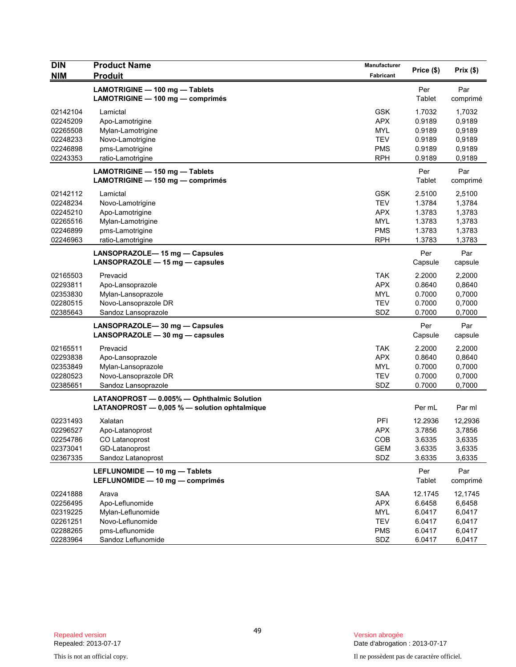| <b>DIN</b> | <b>Product Name</b>                              | Manufacturer | Price (\$) | Prix(\$) |
|------------|--------------------------------------------------|--------------|------------|----------|
| <b>NIM</b> | <b>Produit</b>                                   | Fabricant    |            |          |
|            | LAMOTRIGINE - 100 mg - Tablets                   |              | Per        | Par      |
|            | LAMOTRIGINE - 100 mg - comprimés                 |              | Tablet     | comprimé |
| 02142104   | Lamictal                                         | <b>GSK</b>   | 1.7032     | 1,7032   |
| 02245209   | Apo-Lamotrigine                                  | <b>APX</b>   | 0.9189     | 0,9189   |
| 02265508   | Mylan-Lamotrigine                                | MYL          | 0.9189     | 0,9189   |
| 02248233   | Novo-Lamotrigine                                 | <b>TEV</b>   | 0.9189     | 0,9189   |
| 02246898   | pms-Lamotrigine                                  | <b>PMS</b>   | 0.9189     | 0,9189   |
| 02243353   | ratio-Lamotrigine                                | <b>RPH</b>   | 0.9189     | 0,9189   |
|            | LAMOTRIGINE - 150 mg - Tablets                   |              | Per        | Par      |
|            | LAMOTRIGINE - 150 mg - comprimés                 |              | Tablet     | comprimé |
| 02142112   | Lamictal                                         | <b>GSK</b>   | 2.5100     | 2,5100   |
| 02248234   | Novo-Lamotrigine                                 | <b>TEV</b>   | 1.3784     | 1,3784   |
| 02245210   | Apo-Lamotrigine                                  | <b>APX</b>   | 1.3783     | 1,3783   |
| 02265516   | Mylan-Lamotrigine                                | MYL          | 1.3783     | 1,3783   |
| 02246899   | pms-Lamotrigine                                  | <b>PMS</b>   | 1.3783     | 1,3783   |
| 02246963   | ratio-Lamotrigine                                | <b>RPH</b>   | 1.3783     | 1,3783   |
|            | LANSOPRAZOLE-15 mg - Capsules                    |              | Per        | Par      |
|            | LANSOPRAZOLE - 15 mg - capsules                  |              | Capsule    | capsule  |
| 02165503   | Prevacid                                         | <b>TAK</b>   | 2.2000     | 2,2000   |
| 02293811   | Apo-Lansoprazole                                 | <b>APX</b>   | 0.8640     | 0,8640   |
| 02353830   | Mylan-Lansoprazole                               | <b>MYL</b>   | 0.7000     | 0,7000   |
| 02280515   | Novo-Lansoprazole DR                             | <b>TEV</b>   | 0.7000     | 0,7000   |
| 02385643   | Sandoz Lansoprazole                              | SDZ          | 0.7000     | 0,7000   |
|            | LANSOPRAZOLE-30 mg - Capsules                    |              | Per        | Par      |
|            | LANSOPRAZOLE $-30$ mg $-$ capsules               |              | Capsule    | capsule  |
| 02165511   | Prevacid                                         | <b>TAK</b>   | 2.2000     | 2,2000   |
| 02293838   | Apo-Lansoprazole                                 | <b>APX</b>   | 0.8640     | 0,8640   |
| 02353849   | Mylan-Lansoprazole                               | <b>MYL</b>   | 0.7000     | 0,7000   |
| 02280523   | Novo-Lansoprazole DR                             | <b>TEV</b>   | 0.7000     | 0,7000   |
| 02385651   | Sandoz Lansoprazole                              | SDZ          | 0.7000     | 0,7000   |
|            | LATANOPROST - 0.005% - Ophthalmic Solution       |              |            |          |
|            | LATANOPROST $-$ 0,005 % $-$ solution ophtalmique |              | Per mL     | Par ml   |
| 02231493   | Xalatan                                          | PFI          | 12.2936    | 12,2936  |
| 02296527   | Apo-Latanoprost                                  | <b>APX</b>   | 3.7856     | 3,7856   |
| 02254786   | CO Latanoprost                                   | COB          | 3.6335     | 3,6335   |
| 02373041   | GD-Latanoprost                                   | <b>GEM</b>   | 3.6335     | 3,6335   |
| 02367335   | Sandoz Latanoprost                               | SDZ          | 3.6335     | 3,6335   |
|            | LEFLUNOMIDE - 10 mg - Tablets                    |              | Per        | Par      |
|            | LEFLUNOMIDE - 10 mg - comprimés                  |              | Tablet     | comprimé |
| 02241888   | Arava                                            | <b>SAA</b>   | 12.1745    | 12,1745  |
| 02256495   | Apo-Leflunomide                                  | <b>APX</b>   | 6.6458     | 6,6458   |
| 02319225   | Mylan-Leflunomide                                | MYL          | 6.0417     | 6,0417   |
| 02261251   | Novo-Leflunomide                                 | <b>TEV</b>   | 6.0417     | 6,0417   |
| 02288265   | pms-Leflunomide                                  | <b>PMS</b>   | 6.0417     | 6,0417   |
| 02283964   | Sandoz Leflunomide                               | SDZ          | 6.0417     | 6,0417   |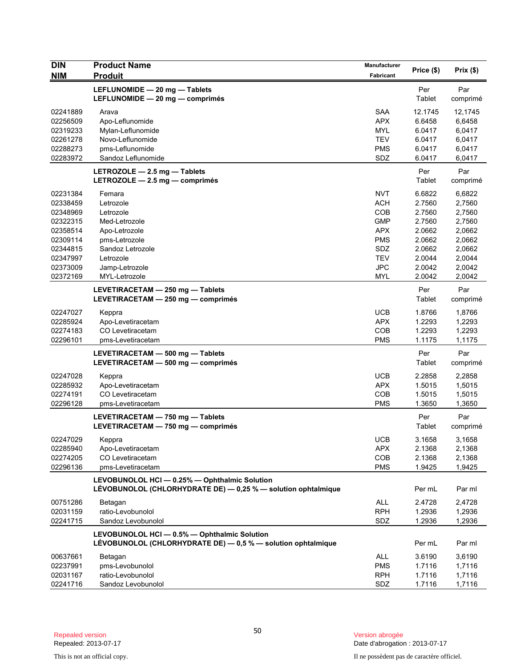| <b>DIN</b><br><b>NIM</b>                                                                                             | <b>Product Name</b><br><b>Produit</b>                                                                                                                   | Manufacturer<br>Fabricant                                                                                                  | Price (\$)                                                                                       | Prix(\$)                                                                                         |
|----------------------------------------------------------------------------------------------------------------------|---------------------------------------------------------------------------------------------------------------------------------------------------------|----------------------------------------------------------------------------------------------------------------------------|--------------------------------------------------------------------------------------------------|--------------------------------------------------------------------------------------------------|
|                                                                                                                      | LEFLUNOMIDE - 20 mg - Tablets<br>LEFLUNOMIDE - 20 mg - comprimés                                                                                        |                                                                                                                            | Per<br>Tablet                                                                                    | Par<br>comprimé                                                                                  |
| 02241889<br>02256509<br>02319233<br>02261278<br>02288273<br>02283972                                                 | Arava<br>Apo-Leflunomide<br>Mylan-Leflunomide<br>Novo-Leflunomide<br>pms-Leflunomide<br>Sandoz Leflunomide                                              | <b>SAA</b><br><b>APX</b><br><b>MYL</b><br><b>TEV</b><br>PMS<br>SDZ                                                         | 12.1745<br>6.6458<br>6.0417<br>6.0417<br>6.0417<br>6.0417                                        | 12,1745<br>6,6458<br>6,0417<br>6,0417<br>6,0417<br>6,0417                                        |
|                                                                                                                      | LETROZOLE - 2.5 mg - Tablets<br>LETROZOLE $-2.5$ mg $-$ comprimés                                                                                       |                                                                                                                            | Per<br>Tablet                                                                                    | Par<br>comprimé                                                                                  |
| 02231384<br>02338459<br>02348969<br>02322315<br>02358514<br>02309114<br>02344815<br>02347997<br>02373009<br>02372169 | Femara<br>Letrozole<br>Letrozole<br>Med-Letrozole<br>Apo-Letrozole<br>pms-Letrozole<br>Sandoz Letrozole<br>Letrozole<br>Jamp-Letrozole<br>MYL-Letrozole | <b>NVT</b><br><b>ACH</b><br><b>COB</b><br><b>GMP</b><br><b>APX</b><br><b>PMS</b><br>SDZ<br>TEV<br><b>JPC</b><br><b>MYL</b> | 6.6822<br>2.7560<br>2.7560<br>2.7560<br>2.0662<br>2.0662<br>2.0662<br>2.0044<br>2.0042<br>2.0042 | 6,6822<br>2,7560<br>2,7560<br>2,7560<br>2,0662<br>2,0662<br>2,0662<br>2,0044<br>2,0042<br>2,0042 |
|                                                                                                                      | LEVETIRACETAM - 250 mg - Tablets<br>LEVETIRACETAM - 250 mg - comprimés                                                                                  |                                                                                                                            | Per<br>Tablet                                                                                    | Par<br>comprimé                                                                                  |
| 02247027<br>02285924<br>02274183<br>02296101                                                                         | Keppra<br>Apo-Levetiracetam<br>CO Levetiracetam<br>pms-Levetiracetam                                                                                    | <b>UCB</b><br><b>APX</b><br>COB<br><b>PMS</b>                                                                              | 1.8766<br>1.2293<br>1.2293<br>1.1175                                                             | 1,8766<br>1,2293<br>1,2293<br>1,1175                                                             |
|                                                                                                                      | LEVETIRACETAM - 500 mg - Tablets<br>LEVETIRACETAM - 500 mg - comprimés                                                                                  |                                                                                                                            | Per<br>Tablet                                                                                    | Par<br>comprimé                                                                                  |
| 02247028<br>02285932<br>02274191<br>02296128                                                                         | Keppra<br>Apo-Levetiracetam<br>CO Levetiracetam<br>pms-Levetiracetam                                                                                    | <b>UCB</b><br><b>APX</b><br><b>COB</b><br><b>PMS</b>                                                                       | 2.2858<br>1.5015<br>1.5015<br>1.3650                                                             | 2,2858<br>1,5015<br>1,5015<br>1,3650                                                             |
|                                                                                                                      | LEVETIRACETAM - 750 mg - Tablets<br>LEVETIRACETAM - 750 mg - comprimés                                                                                  |                                                                                                                            | Per<br>Tablet                                                                                    | Par<br>comprimé                                                                                  |
| 02247029<br>02285940<br>02274205<br>02296136                                                                         | Keppra<br>Apo-Levetiracetam<br>CO Levetiracetam<br>pms-Levetiracetam                                                                                    | <b>UCB</b><br><b>APX</b><br>COB<br><b>PMS</b>                                                                              | 3.1658<br>2.1368<br>2.1368<br>1.9425                                                             | 3,1658<br>2,1368<br>2,1368<br>1,9425                                                             |
|                                                                                                                      | LEVOBUNOLOL HCI - 0.25% - Ophthalmic Solution<br>LÉVOBUNOLOL (CHLORHYDRATE DE) — 0,25 % — solution ophtalmique                                          |                                                                                                                            | Per mL                                                                                           | Par ml                                                                                           |
| 00751286<br>02031159<br>02241715                                                                                     | Betagan<br>ratio-Levobunolol<br>Sandoz Levobunolol                                                                                                      | <b>ALL</b><br><b>RPH</b><br>SDZ                                                                                            | 2.4728<br>1.2936<br>1.2936                                                                       | 2,4728<br>1,2936<br>1,2936                                                                       |
|                                                                                                                      | LEVOBUNOLOL HCI - 0.5% - Ophthalmic Solution<br>LÉVOBUNOLOL (CHLORHYDRATE DE) - 0,5 % - solution ophtalmique                                            |                                                                                                                            | Per mL                                                                                           | Par ml                                                                                           |
| 00637661<br>02237991<br>02031167<br>02241716                                                                         | Betagan<br>pms-Levobunolol<br>ratio-Levobunolol<br>Sandoz Levobunolol                                                                                   | <b>ALL</b><br><b>PMS</b><br><b>RPH</b><br>SDZ                                                                              | 3.6190<br>1.7116<br>1.7116<br>1.7116                                                             | 3,6190<br>1,7116<br>1,7116<br>1,7116                                                             |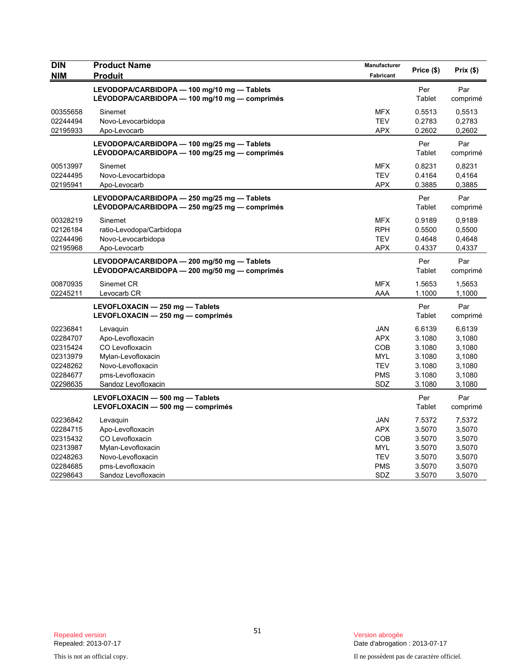| <b>DIN</b><br><b>NIM</b>                                                         | <b>Product Name</b><br><b>Produit</b>                                                                                                 | Manufacturer<br>Fabricant                                                        | Price (\$)                                                         | Prix (\$)                                                          |
|----------------------------------------------------------------------------------|---------------------------------------------------------------------------------------------------------------------------------------|----------------------------------------------------------------------------------|--------------------------------------------------------------------|--------------------------------------------------------------------|
|                                                                                  | LEVODOPA/CARBIDOPA - 100 mg/10 mg - Tablets<br>LÉVODOPA/CARBIDOPA — 100 mg/10 mg — comprimés                                          |                                                                                  | Per<br>Tablet                                                      | Par<br>comprimé                                                    |
| 00355658<br>02244494<br>02195933                                                 | Sinemet<br>Novo-Levocarbidopa<br>Apo-Levocarb                                                                                         | <b>MFX</b><br><b>TEV</b><br><b>APX</b>                                           | 0.5513<br>0.2783<br>0.2602                                         | 0,5513<br>0,2783<br>0,2602                                         |
|                                                                                  | LEVODOPA/CARBIDOPA - 100 mg/25 mg - Tablets<br>LÉVODOPA/CARBIDOPA - 100 mg/25 mg - comprimés                                          |                                                                                  | Per<br>Tablet                                                      | Par<br>comprimé                                                    |
| 00513997<br>02244495<br>02195941                                                 | Sinemet<br>Novo-Levocarbidopa<br>Apo-Levocarb                                                                                         | <b>MFX</b><br><b>TEV</b><br><b>APX</b>                                           | 0.8231<br>0.4164<br>0.3885                                         | 0,8231<br>0,4164<br>0,3885                                         |
|                                                                                  | LEVODOPA/CARBIDOPA - 250 mg/25 mg - Tablets<br>LÉVODOPA/CARBIDOPA - 250 mg/25 mg - comprimés                                          |                                                                                  | Per<br>Tablet                                                      | Par<br>comprimé                                                    |
| 00328219<br>02126184<br>02244496<br>02195968                                     | Sinemet<br>ratio-Levodopa/Carbidopa<br>Novo-Levocarbidopa<br>Apo-Levocarb                                                             | <b>MFX</b><br><b>RPH</b><br><b>TEV</b><br><b>APX</b>                             | 0.9189<br>0.5500<br>0.4648<br>0.4337                               | 0,9189<br>0,5500<br>0,4648<br>0,4337                               |
|                                                                                  | LEVODOPA/CARBIDOPA - 200 mg/50 mg - Tablets<br>LÉVODOPA/CARBIDOPA — 200 mg/50 mg — comprimés                                          |                                                                                  | Per<br>Tablet                                                      | Par<br>comprimé                                                    |
| 00870935<br>02245211                                                             | Sinemet CR<br>Levocarb CR                                                                                                             | <b>MFX</b><br>AAA                                                                | 1.5653<br>1.1000                                                   | 1,5653<br>1,1000                                                   |
|                                                                                  | LEVOFLOXACIN - 250 mg - Tablets<br>LEVOFLOXACIN - 250 mg - comprimés                                                                  |                                                                                  | Per<br>Tablet                                                      | Par<br>comprimé                                                    |
| 02236841<br>02284707<br>02315424<br>02313979<br>02248262<br>02284677<br>02298635 | Levaguin<br>Apo-Levofloxacin<br>CO Levofloxacin<br>Mylan-Levofloxacin<br>Novo-Levofloxacin<br>pms-Levofloxacin<br>Sandoz Levofloxacin | <b>JAN</b><br><b>APX</b><br>COB<br><b>MYL</b><br><b>TEV</b><br>PMS<br>SDZ        | 6.6139<br>3.1080<br>3.1080<br>3.1080<br>3.1080<br>3.1080<br>3.1080 | 6,6139<br>3,1080<br>3,1080<br>3,1080<br>3,1080<br>3,1080<br>3,1080 |
|                                                                                  | LEVOFLOXACIN - 500 mg - Tablets<br>LEVOFLOXACIN - 500 mg - comprimés                                                                  |                                                                                  | Per<br>Tablet                                                      | Par<br>comprimé                                                    |
| 02236842<br>02284715<br>02315432<br>02313987<br>02248263<br>02284685             | Levaguin<br>Apo-Levofloxacin<br>CO Levofloxacin<br>Mylan-Levofloxacin<br>Novo-Levofloxacin<br>pms-Levofloxacin                        | <b>JAN</b><br><b>APX</b><br><b>COB</b><br><b>MYL</b><br><b>TEV</b><br><b>PMS</b> | 7.5372<br>3.5070<br>3.5070<br>3.5070<br>3.5070<br>3.5070           | 7,5372<br>3,5070<br>3,5070<br>3,5070<br>3,5070<br>3,5070           |
| 02298643                                                                         | Sandoz Levofloxacin                                                                                                                   | <b>SDZ</b>                                                                       | 3.5070                                                             | 3,5070                                                             |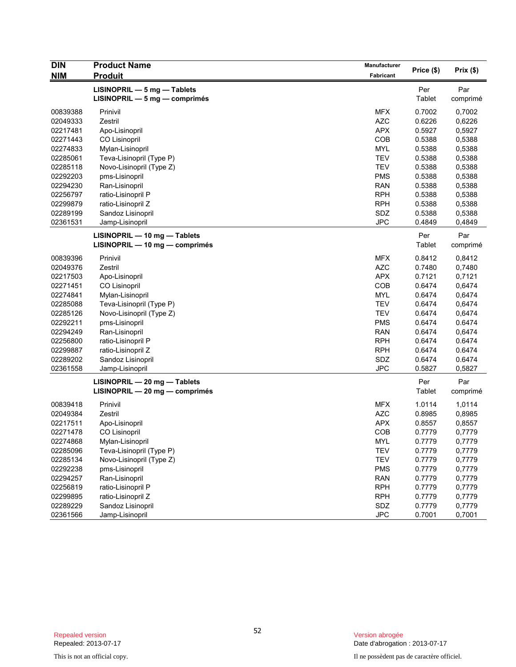| <b>DIN</b> | <b>Product Name</b>              | Manufacturer |            |          |
|------------|----------------------------------|--------------|------------|----------|
| <b>NIM</b> | <b>Produit</b>                   | Fabricant    | Price (\$) | Prix(\$) |
|            | LISINOPRIL - 5 mg - Tablets      |              | Per        | Par      |
|            | $LISINOPRIL - 5 mg - comprimés$  |              | Tablet     | comprimé |
| 00839388   | Prinivil                         | <b>MFX</b>   | 0.7002     | 0,7002   |
| 02049333   | Zestril                          | <b>AZC</b>   | 0.6226     | 0,6226   |
| 02217481   | Apo-Lisinopril                   | <b>APX</b>   | 0.5927     | 0,5927   |
| 02271443   | CO Lisinopril                    | <b>COB</b>   | 0.5388     | 0,5388   |
| 02274833   | Mylan-Lisinopril                 | <b>MYL</b>   | 0.5388     | 0,5388   |
| 02285061   | Teva-Lisinopril (Type P)         | <b>TEV</b>   | 0.5388     | 0,5388   |
| 02285118   | Novo-Lisinopril (Type Z)         | <b>TEV</b>   | 0.5388     | 0,5388   |
| 02292203   | pms-Lisinopril                   | <b>PMS</b>   | 0.5388     | 0,5388   |
| 02294230   | Ran-Lisinopril                   | <b>RAN</b>   | 0.5388     | 0,5388   |
| 02256797   | ratio-Lisinopril P               | <b>RPH</b>   | 0.5388     | 0,5388   |
| 02299879   | ratio-Lisinopril Z               | <b>RPH</b>   | 0.5388     | 0,5388   |
| 02289199   | Sandoz Lisinopril                | SDZ          | 0.5388     | 0,5388   |
| 02361531   | Jamp-Lisinopril                  | <b>JPC</b>   | 0.4849     | 0,4849   |
|            | LISINOPRIL - 10 mg - Tablets     |              | Per        | Par      |
|            | LISINOPRIL - 10 mg - comprimés   |              | Tablet     | comprimé |
| 00839396   | Prinivil                         | <b>MFX</b>   | 0.8412     | 0,8412   |
| 02049376   | Zestril                          | <b>AZC</b>   | 0.7480     | 0,7480   |
| 02217503   | Apo-Lisinopril                   | <b>APX</b>   | 0.7121     | 0,7121   |
| 02271451   | CO Lisinopril                    | COB          | 0.6474     | 0,6474   |
| 02274841   | Mylan-Lisinopril                 | <b>MYL</b>   | 0.6474     | 0,6474   |
| 02285088   | Teva-Lisinopril (Type P)         | <b>TEV</b>   | 0.6474     | 0,6474   |
| 02285126   | Novo-Lisinopril (Type Z)         | <b>TEV</b>   | 0.6474     | 0,6474   |
| 02292211   | pms-Lisinopril                   | <b>PMS</b>   | 0.6474     | 0.6474   |
| 02294249   | Ran-Lisinopril                   | <b>RAN</b>   | 0.6474     | 0,6474   |
| 02256800   | ratio-Lisinopril P               | <b>RPH</b>   | 0.6474     | 0.6474   |
| 02299887   | ratio-Lisinopril Z               | <b>RPH</b>   | 0.6474     | 0.6474   |
| 02289202   | Sandoz Lisinopril                | SDZ          | 0.6474     | 0.6474   |
| 02361558   | Jamp-Lisinopril                  | <b>JPC</b>   | 0.5827     | 0,5827   |
|            | $LISINOPRIL - 20 mg - Tables$    |              | Per        | Par      |
|            | $LISINOPRIL - 20 mg - comprimés$ |              | Tablet     | comprimé |
| 00839418   | Prinivil                         | <b>MFX</b>   | 1.0114     | 1,0114   |
| 02049384   | Zestril                          | <b>AZC</b>   | 0.8985     | 0,8985   |
| 02217511   | Apo-Lisinopril                   | <b>APX</b>   | 0.8557     | 0,8557   |
| 02271478   | <b>CO Lisinopril</b>             | COB          | 0.7779     | 0,7779   |
| 02274868   | Mylan-Lisinopril                 | <b>MYL</b>   | 0.7779     | 0,7779   |
| 02285096   | Teva-Lisinopril (Type P)         | <b>TEV</b>   | 0.7779     | 0,7779   |
| 02285134   | Novo-Lisinopril (Type Z)         | <b>TEV</b>   | 0.7779     | 0,7779   |
| 02292238   | pms-Lisinopril                   | <b>PMS</b>   | 0.7779     | 0,7779   |
| 02294257   | Ran-Lisinopril                   | <b>RAN</b>   | 0.7779     | 0,7779   |
| 02256819   | ratio-Lisinopril P               | <b>RPH</b>   | 0.7779     | 0,7779   |
| 02299895   | ratio-Lisinopril Z               | <b>RPH</b>   | 0.7779     | 0,7779   |
| 02289229   | Sandoz Lisinopril                | <b>SDZ</b>   | 0.7779     | 0,7779   |
| 02361566   | Jamp-Lisinopril                  | <b>JPC</b>   | 0.7001     | 0,7001   |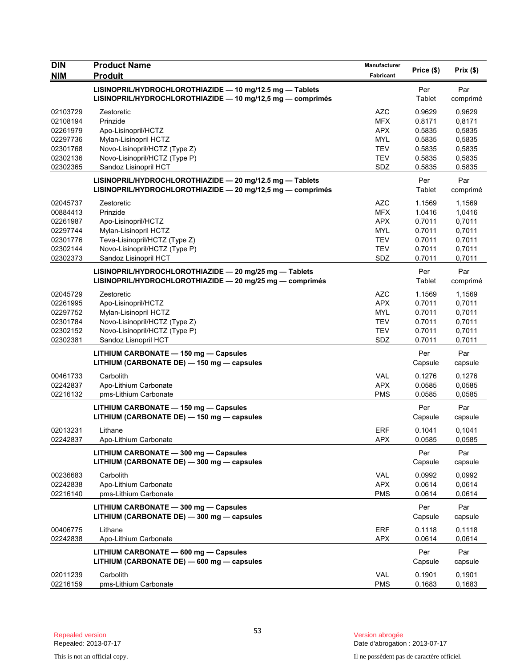| <b>DIN</b>           | <b>Product Name</b>                                                                                                    | <b>Manufacturer</b>      | Price (\$)       | Prix(\$)         |
|----------------------|------------------------------------------------------------------------------------------------------------------------|--------------------------|------------------|------------------|
| <b>NIM</b>           | <b>Produit</b>                                                                                                         | Fabricant                |                  |                  |
|                      | LISINOPRIL/HYDROCHLOROTHIAZIDE - 10 mg/12.5 mg - Tablets<br>LISINOPRIL/HYDROCHLOROTHIAZIDE - 10 mg/12,5 mg - comprimés |                          | Per<br>Tablet    | Par<br>comprimé  |
| 02103729             | Zestoretic                                                                                                             | <b>AZC</b>               | 0.9629           | 0,9629           |
| 02108194             | Prinzide                                                                                                               | <b>MFX</b>               | 0.8171           | 0,8171           |
| 02261979             | Apo-Lisinopril/HCTZ                                                                                                    | <b>APX</b>               | 0.5835           | 0,5835           |
| 02297736             | Mylan-Lisinopril HCTZ                                                                                                  | <b>MYL</b>               | 0.5835           | 0,5835           |
| 02301768<br>02302136 | Novo-Lisinopril/HCTZ (Type Z)<br>Novo-Lisinopril/HCTZ (Type P)                                                         | <b>TEV</b><br><b>TEV</b> | 0.5835<br>0.5835 | 0,5835<br>0,5835 |
| 02302365             | Sandoz Lisinopril HCT                                                                                                  | SDZ                      | 0.5835           | 0.5835           |
|                      | LISINOPRIL/HYDROCHLOROTHIAZIDE - 20 mg/12.5 mg - Tablets<br>LISINOPRIL/HYDROCHLOROTHIAZIDE - 20 mg/12,5 mg - comprimés |                          | Per<br>Tablet    | Par<br>comprimé  |
| 02045737             | Zestoretic                                                                                                             | <b>AZC</b>               | 1.1569           | 1,1569           |
| 00884413             | Prinzide                                                                                                               | <b>MFX</b>               | 1.0416           | 1,0416           |
| 02261987             | Apo-Lisinopril/HCTZ                                                                                                    | <b>APX</b>               | 0.7011           | 0,7011           |
| 02297744             | Mylan-Lisinopril HCTZ                                                                                                  | <b>MYL</b>               | 0.7011           | 0,7011           |
| 02301776             | Teva-Lisinopril/HCTZ (Type Z)                                                                                          | <b>TEV</b>               | 0.7011           | 0,7011           |
| 02302144             | Novo-Lisinopril/HCTZ (Type P)                                                                                          | <b>TEV</b>               | 0.7011           | 0,7011           |
| 02302373             | Sandoz Lisinopril HCT                                                                                                  | SDZ                      | 0.7011           | 0,7011           |
|                      | LISINOPRIL/HYDROCHLOROTHIAZIDE - 20 mg/25 mg - Tablets<br>LISINOPRIL/HYDROCHLOROTHIAZIDE - 20 mg/25 mg - comprimés     |                          | Per<br>Tablet    | Par<br>comprimé  |
| 02045729             | Zestoretic                                                                                                             | <b>AZC</b>               | 1.1569           | 1,1569           |
| 02261995             | Apo-Lisinopril/HCTZ                                                                                                    | <b>APX</b>               | 0.7011           | 0,7011           |
| 02297752             | Mylan-Lisinopril HCTZ                                                                                                  | <b>MYL</b>               | 0.7011           | 0,7011           |
| 02301784             | Novo-Lisinopril/HCTZ (Type Z)                                                                                          | <b>TEV</b>               | 0.7011           | 0,7011           |
| 02302152             | Novo-Lisinopril/HCTZ (Type P)                                                                                          | <b>TEV</b>               | 0.7011           | 0,7011           |
| 02302381             | Sandoz Lisnopril HCT                                                                                                   | SDZ                      | 0.7011           | 0,7011           |
|                      | LITHIUM CARBONATE - 150 mg - Capsules<br>LITHIUM (CARBONATE DE) - 150 mg - capsules                                    |                          | Per<br>Capsule   | Par<br>capsule   |
| 00461733             | Carbolith                                                                                                              | <b>VAL</b>               | 0.1276           | 0,1276           |
| 02242837             | Apo-Lithium Carbonate                                                                                                  | <b>APX</b>               | 0.0585           | 0,0585           |
| 02216132             | pms-Lithium Carbonate                                                                                                  | <b>PMS</b>               | 0.0585           | 0,0585           |
|                      | LITHIUM CARBONATE - 150 mg - Capsules                                                                                  |                          | Per              | Par              |
|                      | LITHIUM (CARBONATE DE) - 150 mg - capsules                                                                             |                          | Capsule          | capsule          |
| 02013231             | Lithane                                                                                                                | <b>ERF</b>               | 0.1041           | 0,1041           |
| 02242837             | Apo-Lithium Carbonate                                                                                                  | <b>APX</b>               | 0.0585           | 0,0585           |
|                      | LITHIUM CARBONATE - 300 mg - Capsules<br>LITHIUM (CARBONATE DE) - 300 mg - capsules                                    |                          | Per<br>Capsule   | Par<br>capsule   |
| 00236683             | Carbolith                                                                                                              | <b>VAL</b>               | 0.0992           | 0,0992           |
| 02242838             | Apo-Lithium Carbonate                                                                                                  | <b>APX</b>               | 0.0614           | 0,0614           |
| 02216140             | pms-Lithium Carbonate                                                                                                  | <b>PMS</b>               | 0.0614           | 0,0614           |
|                      | LITHIUM CARBONATE - 300 mg - Capsules<br>LITHIUM (CARBONATE DE) - 300 mg - capsules                                    |                          | Per<br>Capsule   | Par<br>capsule   |
| 00406775             | Lithane                                                                                                                | ERF                      | 0.1118           | 0,1118           |
| 02242838             | Apo-Lithium Carbonate                                                                                                  | <b>APX</b>               | 0.0614           | 0,0614           |
|                      | LITHIUM CARBONATE - 600 mg - Capsules<br>LITHIUM (CARBONATE DE) - 600 mg - capsules                                    |                          | Per<br>Capsule   | Par<br>capsule   |
| 02011239             | Carbolith                                                                                                              | VAL                      | 0.1901           | 0,1901           |
| 02216159             | pms-Lithium Carbonate                                                                                                  | <b>PMS</b>               | 0.1683           | 0,1683           |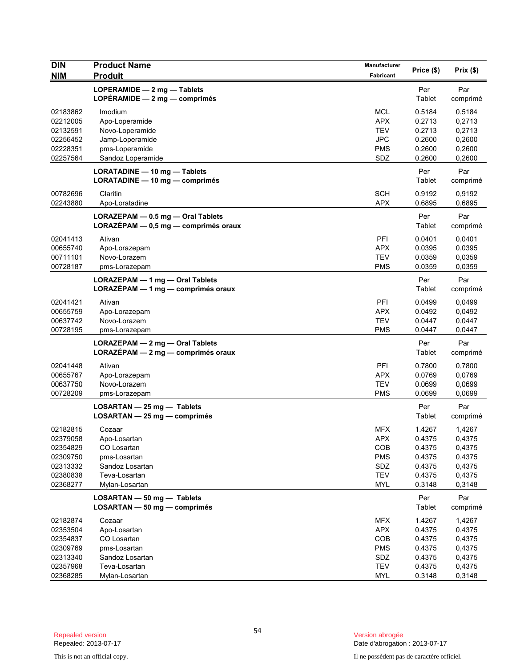| <b>DIN</b>           | <b>Product Name</b>                  | <b>Manufacturer</b>      |                  |                  |
|----------------------|--------------------------------------|--------------------------|------------------|------------------|
| <b>NIM</b>           | <b>Produit</b>                       | Fabricant                | Price (\$)       | Prix(\$)         |
|                      | LOPERAMIDE - 2 mg - Tablets          |                          | Per              | Par              |
|                      | LOPÉRAMIDE $-2$ mg $-$ comprimés     |                          | Tablet           | comprimé         |
|                      |                                      |                          |                  |                  |
| 02183862             | Imodium                              | <b>MCL</b>               | 0.5184           | 0,5184           |
| 02212005             | Apo-Loperamide                       | <b>APX</b><br><b>TEV</b> | 0.2713<br>0.2713 | 0,2713           |
| 02132591<br>02256452 | Novo-Loperamide<br>Jamp-Loperamide   | <b>JPC</b>               | 0.2600           | 0,2713<br>0,2600 |
| 02228351             | pms-Loperamide                       | <b>PMS</b>               | 0.2600           | 0,2600           |
| 02257564             | Sandoz Loperamide                    | SDZ                      | 0.2600           | 0,2600           |
|                      |                                      |                          |                  |                  |
|                      | LORATADINE - 10 mg - Tablets         |                          | Per              | Par              |
|                      | LORATADINE - 10 mg - comprimés       |                          | Tablet           | comprimé         |
| 00782696             | Claritin                             | <b>SCH</b>               | 0.9192           | 0,9192           |
| 02243880             | Apo-Loratadine                       | <b>APX</b>               | 0.6895           | 0,6895           |
|                      | LORAZEPAM - 0.5 mg - Oral Tablets    |                          | Per              | Par              |
|                      | LORAZÉPAM - 0,5 mg - comprimés oraux |                          | Tablet           | comprimé         |
| 02041413             | Ativan                               | PFI                      | 0.0401           | 0,0401           |
| 00655740             | Apo-Lorazepam                        | <b>APX</b>               | 0.0395           | 0,0395           |
| 00711101             | Novo-Lorazem                         | <b>TEV</b>               | 0.0359           | 0,0359           |
| 00728187             | pms-Lorazepam                        | <b>PMS</b>               | 0.0359           | 0,0359           |
|                      |                                      |                          |                  |                  |
|                      | LORAZEPAM - 1 mg - Oral Tablets      |                          | Per              | Par              |
|                      | LORAZÉPAM - 1 mg - comprimés oraux   |                          | Tablet           | comprimé         |
| 02041421             | Ativan                               | <b>PFI</b>               | 0.0499           | 0,0499           |
| 00655759             | Apo-Lorazepam                        | <b>APX</b>               | 0.0492           | 0,0492           |
| 00637742             | Novo-Lorazem                         | <b>TEV</b>               | 0.0447           | 0,0447           |
| 00728195             | pms-Lorazepam                        | <b>PMS</b>               | 0.0447           | 0,0447           |
|                      | LORAZEPAM - 2 mg - Oral Tablets      |                          | Per              | Par              |
|                      | $LORAZÉPAM - 2 mg - comprimés oraux$ |                          | Tablet           | comprimé         |
| 02041448             | Ativan                               | PFI                      | 0.7800           | 0,7800           |
| 00655767             | Apo-Lorazepam                        | <b>APX</b>               | 0.0769           | 0,0769           |
| 00637750             | Novo-Lorazem                         | <b>TEV</b>               | 0.0699           | 0,0699           |
| 00728209             | pms-Lorazepam                        | <b>PMS</b>               | 0.0699           | 0,0699           |
|                      | $LOSARTAN - 25 mg - Tables$          |                          | Per              | Par              |
|                      | LOSARTAN - 25 mg - comprimés         |                          | Tablet           | comprimé         |
|                      |                                      |                          |                  |                  |
| 02182815             | Cozaar                               | <b>MFX</b>               | 1.4267           | 1,4267           |
| 02379058<br>02354829 | Apo-Losartan<br>CO Losartan          | <b>APX</b>               | 0.4375           | 0,4375           |
| 02309750             | pms-Losartan                         | COB<br><b>PMS</b>        | 0.4375<br>0.4375 | 0,4375<br>0,4375 |
| 02313332             | Sandoz Losartan                      | SDZ                      | 0.4375           | 0,4375           |
| 02380838             | Teva-Losartan                        | <b>TEV</b>               | 0.4375           | 0,4375           |
| 02368277             | Mylan-Losartan                       | <b>MYL</b>               | 0.3148           | 0,3148           |
|                      |                                      |                          |                  |                  |
|                      | LOSARTAN - 50 mg - Tablets           |                          | Per              | Par              |
|                      | $LOSARTAN - 50 mg - comprimés$       |                          | Tablet           | comprimé         |
| 02182874             | Cozaar                               | <b>MFX</b>               | 1.4267           | 1,4267           |
| 02353504             | Apo-Losartan                         | <b>APX</b>               | 0.4375           | 0,4375           |
| 02354837             | CO Losartan                          | COB                      | 0.4375           | 0,4375           |
| 02309769             | pms-Losartan                         | <b>PMS</b>               | 0.4375           | 0,4375           |
| 02313340             | Sandoz Losartan                      | SDZ                      | 0.4375           | 0,4375           |
| 02357968             | Teva-Losartan                        | <b>TEV</b>               | 0.4375           | 0,4375           |
| 02368285             | Mylan-Losartan                       | MYL                      | 0.3148           | 0,3148           |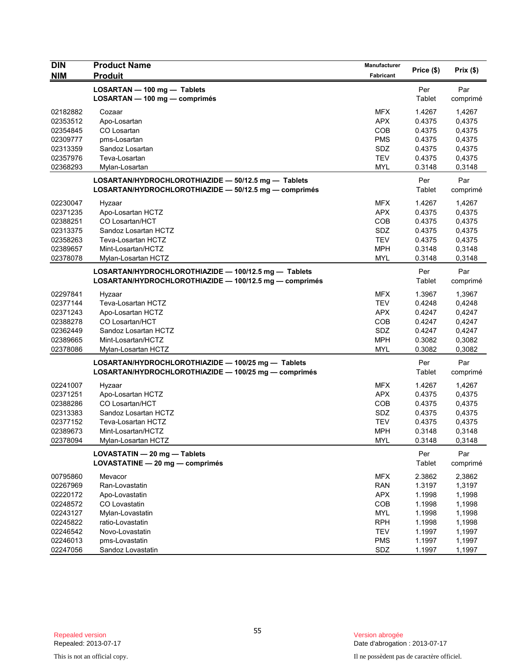| <b>DIN</b> | <b>Product Name</b>                                                                                            | <b>Manufacturer</b> | Price (\$)    | Prix(\$) |
|------------|----------------------------------------------------------------------------------------------------------------|---------------------|---------------|----------|
| <b>NIM</b> | <b>Produit</b>                                                                                                 | Fabricant           |               |          |
|            | LOSARTAN - 100 mg - Tablets                                                                                    |                     | Per           | Par      |
|            | LOSARTAN - 100 mg - comprimés                                                                                  |                     | Tablet        | comprimé |
| 02182882   | Cozaar                                                                                                         | <b>MFX</b>          | 1.4267        | 1,4267   |
| 02353512   | Apo-Losartan                                                                                                   | <b>APX</b>          | 0.4375        | 0,4375   |
| 02354845   | CO Losartan                                                                                                    | COB                 | 0.4375        | 0,4375   |
| 02309777   | pms-Losartan                                                                                                   | <b>PMS</b>          | 0.4375        | 0,4375   |
| 02313359   | Sandoz Losartan                                                                                                | SDZ                 | 0.4375        | 0,4375   |
| 02357976   | Teva-Losartan                                                                                                  | <b>TEV</b>          | 0.4375        | 0,4375   |
| 02368293   | Mylan-Losartan                                                                                                 | MYL                 | 0.3148        | 0,3148   |
|            | LOSARTAN/HYDROCHLOROTHIAZIDE - 50/12.5 mg - Tablets                                                            |                     | Per           | Par      |
|            | LOSARTAN/HYDROCHLOROTHIAZIDE - 50/12.5 mg - comprimés                                                          |                     | Tablet        | comprimé |
| 02230047   | Hyzaar                                                                                                         | <b>MFX</b>          | 1.4267        | 1,4267   |
| 02371235   | Apo-Losartan HCTZ                                                                                              | <b>APX</b>          | 0.4375        | 0,4375   |
| 02388251   | CO Losartan/HCT                                                                                                | COB                 | 0.4375        | 0,4375   |
| 02313375   | Sandoz Losartan HCTZ                                                                                           | SDZ                 | 0.4375        | 0,4375   |
| 02358263   | Teva-Losartan HCTZ                                                                                             | <b>TEV</b>          | 0.4375        | 0,4375   |
| 02389657   | Mint-Losartan/HCTZ                                                                                             | <b>MPH</b>          | 0.3148        | 0,3148   |
| 02378078   | Mylan-Losartan HCTZ                                                                                            | MYL                 | 0.3148        | 0,3148   |
|            |                                                                                                                |                     |               |          |
|            | LOSARTAN/HYDROCHLOROTHIAZIDE - 100/12.5 mg - Tablets<br>LOSARTAN/HYDROCHLOROTHIAZIDE - 100/12.5 mg - comprimés |                     | Per<br>Tablet | Par      |
|            |                                                                                                                |                     |               | comprimé |
| 02297841   | Hyzaar                                                                                                         | <b>MFX</b>          | 1.3967        | 1,3967   |
| 02377144   | Teva-Losartan HCTZ                                                                                             | <b>TEV</b>          | 0.4248        | 0,4248   |
| 02371243   | Apo-Losartan HCTZ                                                                                              | <b>APX</b>          | 0.4247        | 0,4247   |
| 02388278   | CO Losartan/HCT                                                                                                | COB                 | 0.4247        | 0,4247   |
| 02362449   | Sandoz Losartan HCTZ                                                                                           | SDZ                 | 0.4247        | 0,4247   |
| 02389665   | Mint-Losartan/HCTZ                                                                                             | <b>MPH</b>          | 0.3082        | 0,3082   |
| 02378086   | Mylan-Losartan HCTZ                                                                                            | MYL                 | 0.3082        | 0,3082   |
|            | LOSARTAN/HYDROCHLOROTHIAZIDE - 100/25 mg - Tablets                                                             |                     | Per           | Par      |
|            | LOSARTAN/HYDROCHLOROTHIAZIDE - 100/25 mg - comprimés                                                           |                     | Tablet        | comprimé |
| 02241007   | Hyzaar                                                                                                         | <b>MFX</b>          | 1.4267        | 1,4267   |
| 02371251   | Apo-Losartan HCTZ                                                                                              | <b>APX</b>          | 0.4375        | 0,4375   |
| 02388286   | CO Losartan/HCT                                                                                                | COB                 | 0.4375        | 0,4375   |
| 02313383   | Sandoz Losartan HCTZ                                                                                           | SDZ                 | 0.4375        | 0,4375   |
| 02377152   | Teva-Losartan HCTZ                                                                                             | <b>TEV</b>          | 0.4375        | 0,4375   |
| 02389673   | Mint-Losartan/HCTZ                                                                                             | <b>MPH</b>          | 0.3148        | 0,3148   |
| 02378094   | Mylan-Losartan HCTZ                                                                                            | <b>MYL</b>          | 0.3148        | 0,3148   |
|            |                                                                                                                |                     |               | Par      |
|            | LOVASTATIN - 20 mg - Tablets<br>LOVASTATINE - 20 mg - comprimés                                                |                     | Per<br>Tablet | comprimé |
|            |                                                                                                                |                     |               |          |
| 00795860   | Mevacor                                                                                                        | <b>MFX</b>          | 2.3862        | 2,3862   |
| 02267969   | Ran-Lovastatin                                                                                                 | <b>RAN</b>          | 1.3197        | 1,3197   |
| 02220172   | Apo-Lovastatin                                                                                                 | <b>APX</b>          | 1.1998        | 1,1998   |
| 02248572   | CO Lovastatin                                                                                                  | COB                 | 1.1998        | 1,1998   |
| 02243127   | Mylan-Lovastatin                                                                                               | MYL                 | 1.1998        | 1,1998   |
| 02245822   | ratio-Lovastatin                                                                                               | <b>RPH</b>          | 1.1998        | 1,1998   |
| 02246542   | Novo-Lovastatin                                                                                                | <b>TEV</b>          | 1.1997        | 1,1997   |
| 02246013   | pms-Lovastatin                                                                                                 | <b>PMS</b>          | 1.1997        | 1,1997   |
| 02247056   | Sandoz Lovastatin                                                                                              | SDZ                 | 1.1997        | 1,1997   |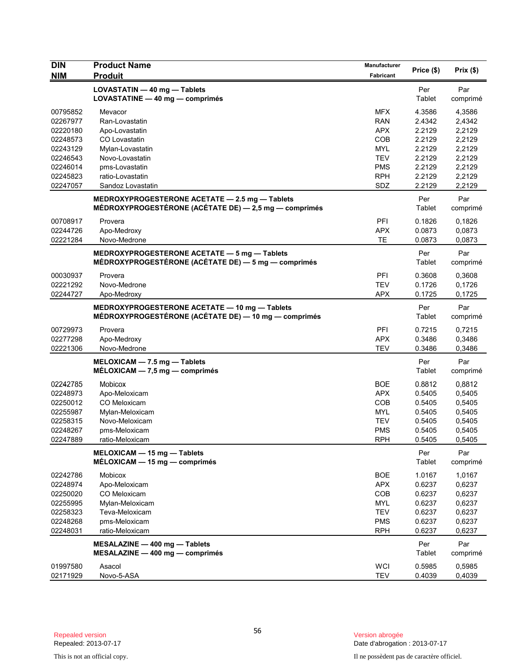| Fabricant<br>LOVASTATIN - 40 mg - Tablets<br>Per<br>Par<br>LOVASTATINE - 40 mg - comprimés<br>Tablet<br>comprimé<br><b>MFX</b><br>4.3586<br>00795852<br>Mevacor<br>4,3586<br>02267977<br>Ran-Lovastatin<br><b>RAN</b><br>2.4342<br>2,4342<br><b>APX</b><br>02220180<br>2.2129<br>2,2129<br>Apo-Lovastatin<br>CO Lovastatin<br><b>COB</b><br>2.2129<br>2,2129<br>02248573<br>Mylan-Lovastatin<br><b>MYL</b><br>2.2129<br>2,2129<br>02243129<br><b>TEV</b><br>2.2129<br>2,2129<br>02246543<br>Novo-Lovastatin<br>02246014<br>pms-Lovastatin<br>2.2129<br>2,2129<br>PMS<br>02245823<br>ratio-Lovastatin<br><b>RPH</b><br>2.2129<br>2,2129<br>02247057<br>SDZ<br>2.2129<br>2,2129<br>Sandoz Lovastatin<br>MEDROXYPROGESTERONE ACETATE - 2.5 mg - Tablets<br>Per<br>Par<br>MÉDROXYPROGESTÉRONE (ACÉTATE DE) — 2,5 mg — comprimés<br>Tablet<br>comprimé<br>PFI<br>0.1826<br>00708917<br>Provera<br>0,1826<br>02244726<br>Apo-Medroxy<br><b>APX</b><br>0.0873<br>0,0873<br>02221284<br>TE<br>0.0873<br>0,0873<br>Novo-Medrone<br>MEDROXYPROGESTERONE ACETATE - 5 mg - Tablets<br>Per<br>Par<br>MÉDROXYPROGESTÉRONE (ACÉTATE DE) — 5 mg — comprimés<br>Tablet<br>comprimé<br>PFI<br>00030937<br>Provera<br>0.3608<br>0,3608<br><b>TEV</b><br>02221292<br>Novo-Medrone<br>0.1726<br>0,1726<br>02244727<br><b>APX</b><br>0.1725<br>0,1725<br>Apo-Medroxy<br>Par<br>MEDROXYPROGESTERONE ACETATE - 10 mg - Tablets<br>Per<br>MÉDROXYPROGESTÉRONE (ACÉTATE DE) — 10 mg — comprimés<br>Tablet<br>comprimé<br>00729973<br>PFI<br>0.7215<br>Provera<br>0,7215<br>02277298<br>Apo-Medroxy<br><b>APX</b><br>0.3486<br>0,3486<br><b>TEV</b><br>02221306<br>Novo-Medrone<br>0.3486<br>0,3486<br>Per<br>$MELOXICAM - 7.5 mg - Tables$<br>Par<br>Tablet<br>$MÉLOXICAM - 7.5 mg - comprimés$<br>comprimé<br><b>BOE</b><br>02242785<br>Mobicox<br>0.8812<br>0,8812<br><b>APX</b><br>0,5405<br>02248973<br>Apo-Meloxicam<br>0.5405<br>02250012<br>CO Meloxicam<br>COB<br>0,5405<br>0.5405<br>0,5405<br>02255987<br>Mylan-Meloxicam<br>MYL<br>0.5405<br><b>TEV</b><br>0.5405<br>0,5405<br>02258315<br>Novo-Meloxicam<br>02248267<br>pms-Meloxicam<br>PMS<br>0.5405<br>0,5405<br>02247889<br>ratio-Meloxicam<br>RPH<br>0.5405<br>0,5405<br>MELOXICAM - 15 mg - Tablets<br>Per<br>Par<br>MÉLOXICAM - 15 mg - comprimés<br>Tablet<br>comprimé<br><b>BOE</b><br>1.0167<br>02242786<br><b>Mobicox</b><br>1,0167<br>02248974<br>Apo-Meloxicam<br><b>APX</b><br>0.6237<br>0,6237<br>02250020<br>CO Meloxicam<br>COB<br>0.6237<br>0,6237<br>02255995<br>MYL<br>0.6237<br>0,6237<br>Mylan-Meloxicam<br>0.6237<br>02258323<br><b>TEV</b><br>0,6237<br>Teva-Meloxicam<br>02248268<br><b>PMS</b><br>0.6237<br>0,6237<br>pms-Meloxicam<br>02248031<br><b>RPH</b><br>0.6237<br>0,6237<br>ratio-Meloxicam<br>MESALAZINE - 400 mg - Tablets<br>Per<br>Par<br>Tablet<br>MESALAZINE - 400 mg - comprimés<br>comprimé<br><b>WCI</b><br>0.5985<br>01997580<br>Asacol<br>0,5985<br><b>TEV</b><br>02171929<br>Novo-5-ASA<br>0.4039<br>0,4039 | <b>DIN</b> | <b>Product Name</b> | Manufacturer | Price (\$) | Prix(\$) |
|----------------------------------------------------------------------------------------------------------------------------------------------------------------------------------------------------------------------------------------------------------------------------------------------------------------------------------------------------------------------------------------------------------------------------------------------------------------------------------------------------------------------------------------------------------------------------------------------------------------------------------------------------------------------------------------------------------------------------------------------------------------------------------------------------------------------------------------------------------------------------------------------------------------------------------------------------------------------------------------------------------------------------------------------------------------------------------------------------------------------------------------------------------------------------------------------------------------------------------------------------------------------------------------------------------------------------------------------------------------------------------------------------------------------------------------------------------------------------------------------------------------------------------------------------------------------------------------------------------------------------------------------------------------------------------------------------------------------------------------------------------------------------------------------------------------------------------------------------------------------------------------------------------------------------------------------------------------------------------------------------------------------------------------------------------------------------------------------------------------------------------------------------------------------------------------------------------------------------------------------------------------------------------------------------------------------------------------------------------------------------------------------------------------------------------------------------------------------------------------------------------------------------------------------------------------------------------------------------------------------------------------------------------------------------------------------------------------------------------------------------------------------------------------------------------------------------------------------------------------------------------------------------------------------------------------------------------------------------------------------|------------|---------------------|--------------|------------|----------|
|                                                                                                                                                                                                                                                                                                                                                                                                                                                                                                                                                                                                                                                                                                                                                                                                                                                                                                                                                                                                                                                                                                                                                                                                                                                                                                                                                                                                                                                                                                                                                                                                                                                                                                                                                                                                                                                                                                                                                                                                                                                                                                                                                                                                                                                                                                                                                                                                                                                                                                                                                                                                                                                                                                                                                                                                                                                                                                                                                                                              | <b>NIM</b> | <b>Produit</b>      |              |            |          |
|                                                                                                                                                                                                                                                                                                                                                                                                                                                                                                                                                                                                                                                                                                                                                                                                                                                                                                                                                                                                                                                                                                                                                                                                                                                                                                                                                                                                                                                                                                                                                                                                                                                                                                                                                                                                                                                                                                                                                                                                                                                                                                                                                                                                                                                                                                                                                                                                                                                                                                                                                                                                                                                                                                                                                                                                                                                                                                                                                                                              |            |                     |              |            |          |
|                                                                                                                                                                                                                                                                                                                                                                                                                                                                                                                                                                                                                                                                                                                                                                                                                                                                                                                                                                                                                                                                                                                                                                                                                                                                                                                                                                                                                                                                                                                                                                                                                                                                                                                                                                                                                                                                                                                                                                                                                                                                                                                                                                                                                                                                                                                                                                                                                                                                                                                                                                                                                                                                                                                                                                                                                                                                                                                                                                                              |            |                     |              |            |          |
|                                                                                                                                                                                                                                                                                                                                                                                                                                                                                                                                                                                                                                                                                                                                                                                                                                                                                                                                                                                                                                                                                                                                                                                                                                                                                                                                                                                                                                                                                                                                                                                                                                                                                                                                                                                                                                                                                                                                                                                                                                                                                                                                                                                                                                                                                                                                                                                                                                                                                                                                                                                                                                                                                                                                                                                                                                                                                                                                                                                              |            |                     |              |            |          |
|                                                                                                                                                                                                                                                                                                                                                                                                                                                                                                                                                                                                                                                                                                                                                                                                                                                                                                                                                                                                                                                                                                                                                                                                                                                                                                                                                                                                                                                                                                                                                                                                                                                                                                                                                                                                                                                                                                                                                                                                                                                                                                                                                                                                                                                                                                                                                                                                                                                                                                                                                                                                                                                                                                                                                                                                                                                                                                                                                                                              |            |                     |              |            |          |
|                                                                                                                                                                                                                                                                                                                                                                                                                                                                                                                                                                                                                                                                                                                                                                                                                                                                                                                                                                                                                                                                                                                                                                                                                                                                                                                                                                                                                                                                                                                                                                                                                                                                                                                                                                                                                                                                                                                                                                                                                                                                                                                                                                                                                                                                                                                                                                                                                                                                                                                                                                                                                                                                                                                                                                                                                                                                                                                                                                                              |            |                     |              |            |          |
|                                                                                                                                                                                                                                                                                                                                                                                                                                                                                                                                                                                                                                                                                                                                                                                                                                                                                                                                                                                                                                                                                                                                                                                                                                                                                                                                                                                                                                                                                                                                                                                                                                                                                                                                                                                                                                                                                                                                                                                                                                                                                                                                                                                                                                                                                                                                                                                                                                                                                                                                                                                                                                                                                                                                                                                                                                                                                                                                                                                              |            |                     |              |            |          |
|                                                                                                                                                                                                                                                                                                                                                                                                                                                                                                                                                                                                                                                                                                                                                                                                                                                                                                                                                                                                                                                                                                                                                                                                                                                                                                                                                                                                                                                                                                                                                                                                                                                                                                                                                                                                                                                                                                                                                                                                                                                                                                                                                                                                                                                                                                                                                                                                                                                                                                                                                                                                                                                                                                                                                                                                                                                                                                                                                                                              |            |                     |              |            |          |
|                                                                                                                                                                                                                                                                                                                                                                                                                                                                                                                                                                                                                                                                                                                                                                                                                                                                                                                                                                                                                                                                                                                                                                                                                                                                                                                                                                                                                                                                                                                                                                                                                                                                                                                                                                                                                                                                                                                                                                                                                                                                                                                                                                                                                                                                                                                                                                                                                                                                                                                                                                                                                                                                                                                                                                                                                                                                                                                                                                                              |            |                     |              |            |          |
|                                                                                                                                                                                                                                                                                                                                                                                                                                                                                                                                                                                                                                                                                                                                                                                                                                                                                                                                                                                                                                                                                                                                                                                                                                                                                                                                                                                                                                                                                                                                                                                                                                                                                                                                                                                                                                                                                                                                                                                                                                                                                                                                                                                                                                                                                                                                                                                                                                                                                                                                                                                                                                                                                                                                                                                                                                                                                                                                                                                              |            |                     |              |            |          |
|                                                                                                                                                                                                                                                                                                                                                                                                                                                                                                                                                                                                                                                                                                                                                                                                                                                                                                                                                                                                                                                                                                                                                                                                                                                                                                                                                                                                                                                                                                                                                                                                                                                                                                                                                                                                                                                                                                                                                                                                                                                                                                                                                                                                                                                                                                                                                                                                                                                                                                                                                                                                                                                                                                                                                                                                                                                                                                                                                                                              |            |                     |              |            |          |
|                                                                                                                                                                                                                                                                                                                                                                                                                                                                                                                                                                                                                                                                                                                                                                                                                                                                                                                                                                                                                                                                                                                                                                                                                                                                                                                                                                                                                                                                                                                                                                                                                                                                                                                                                                                                                                                                                                                                                                                                                                                                                                                                                                                                                                                                                                                                                                                                                                                                                                                                                                                                                                                                                                                                                                                                                                                                                                                                                                                              |            |                     |              |            |          |
|                                                                                                                                                                                                                                                                                                                                                                                                                                                                                                                                                                                                                                                                                                                                                                                                                                                                                                                                                                                                                                                                                                                                                                                                                                                                                                                                                                                                                                                                                                                                                                                                                                                                                                                                                                                                                                                                                                                                                                                                                                                                                                                                                                                                                                                                                                                                                                                                                                                                                                                                                                                                                                                                                                                                                                                                                                                                                                                                                                                              |            |                     |              |            |          |
|                                                                                                                                                                                                                                                                                                                                                                                                                                                                                                                                                                                                                                                                                                                                                                                                                                                                                                                                                                                                                                                                                                                                                                                                                                                                                                                                                                                                                                                                                                                                                                                                                                                                                                                                                                                                                                                                                                                                                                                                                                                                                                                                                                                                                                                                                                                                                                                                                                                                                                                                                                                                                                                                                                                                                                                                                                                                                                                                                                                              |            |                     |              |            |          |
|                                                                                                                                                                                                                                                                                                                                                                                                                                                                                                                                                                                                                                                                                                                                                                                                                                                                                                                                                                                                                                                                                                                                                                                                                                                                                                                                                                                                                                                                                                                                                                                                                                                                                                                                                                                                                                                                                                                                                                                                                                                                                                                                                                                                                                                                                                                                                                                                                                                                                                                                                                                                                                                                                                                                                                                                                                                                                                                                                                                              |            |                     |              |            |          |
|                                                                                                                                                                                                                                                                                                                                                                                                                                                                                                                                                                                                                                                                                                                                                                                                                                                                                                                                                                                                                                                                                                                                                                                                                                                                                                                                                                                                                                                                                                                                                                                                                                                                                                                                                                                                                                                                                                                                                                                                                                                                                                                                                                                                                                                                                                                                                                                                                                                                                                                                                                                                                                                                                                                                                                                                                                                                                                                                                                                              |            |                     |              |            |          |
|                                                                                                                                                                                                                                                                                                                                                                                                                                                                                                                                                                                                                                                                                                                                                                                                                                                                                                                                                                                                                                                                                                                                                                                                                                                                                                                                                                                                                                                                                                                                                                                                                                                                                                                                                                                                                                                                                                                                                                                                                                                                                                                                                                                                                                                                                                                                                                                                                                                                                                                                                                                                                                                                                                                                                                                                                                                                                                                                                                                              |            |                     |              |            |          |
|                                                                                                                                                                                                                                                                                                                                                                                                                                                                                                                                                                                                                                                                                                                                                                                                                                                                                                                                                                                                                                                                                                                                                                                                                                                                                                                                                                                                                                                                                                                                                                                                                                                                                                                                                                                                                                                                                                                                                                                                                                                                                                                                                                                                                                                                                                                                                                                                                                                                                                                                                                                                                                                                                                                                                                                                                                                                                                                                                                                              |            |                     |              |            |          |
|                                                                                                                                                                                                                                                                                                                                                                                                                                                                                                                                                                                                                                                                                                                                                                                                                                                                                                                                                                                                                                                                                                                                                                                                                                                                                                                                                                                                                                                                                                                                                                                                                                                                                                                                                                                                                                                                                                                                                                                                                                                                                                                                                                                                                                                                                                                                                                                                                                                                                                                                                                                                                                                                                                                                                                                                                                                                                                                                                                                              |            |                     |              |            |          |
|                                                                                                                                                                                                                                                                                                                                                                                                                                                                                                                                                                                                                                                                                                                                                                                                                                                                                                                                                                                                                                                                                                                                                                                                                                                                                                                                                                                                                                                                                                                                                                                                                                                                                                                                                                                                                                                                                                                                                                                                                                                                                                                                                                                                                                                                                                                                                                                                                                                                                                                                                                                                                                                                                                                                                                                                                                                                                                                                                                                              |            |                     |              |            |          |
|                                                                                                                                                                                                                                                                                                                                                                                                                                                                                                                                                                                                                                                                                                                                                                                                                                                                                                                                                                                                                                                                                                                                                                                                                                                                                                                                                                                                                                                                                                                                                                                                                                                                                                                                                                                                                                                                                                                                                                                                                                                                                                                                                                                                                                                                                                                                                                                                                                                                                                                                                                                                                                                                                                                                                                                                                                                                                                                                                                                              |            |                     |              |            |          |
|                                                                                                                                                                                                                                                                                                                                                                                                                                                                                                                                                                                                                                                                                                                                                                                                                                                                                                                                                                                                                                                                                                                                                                                                                                                                                                                                                                                                                                                                                                                                                                                                                                                                                                                                                                                                                                                                                                                                                                                                                                                                                                                                                                                                                                                                                                                                                                                                                                                                                                                                                                                                                                                                                                                                                                                                                                                                                                                                                                                              |            |                     |              |            |          |
|                                                                                                                                                                                                                                                                                                                                                                                                                                                                                                                                                                                                                                                                                                                                                                                                                                                                                                                                                                                                                                                                                                                                                                                                                                                                                                                                                                                                                                                                                                                                                                                                                                                                                                                                                                                                                                                                                                                                                                                                                                                                                                                                                                                                                                                                                                                                                                                                                                                                                                                                                                                                                                                                                                                                                                                                                                                                                                                                                                                              |            |                     |              |            |          |
|                                                                                                                                                                                                                                                                                                                                                                                                                                                                                                                                                                                                                                                                                                                                                                                                                                                                                                                                                                                                                                                                                                                                                                                                                                                                                                                                                                                                                                                                                                                                                                                                                                                                                                                                                                                                                                                                                                                                                                                                                                                                                                                                                                                                                                                                                                                                                                                                                                                                                                                                                                                                                                                                                                                                                                                                                                                                                                                                                                                              |            |                     |              |            |          |
|                                                                                                                                                                                                                                                                                                                                                                                                                                                                                                                                                                                                                                                                                                                                                                                                                                                                                                                                                                                                                                                                                                                                                                                                                                                                                                                                                                                                                                                                                                                                                                                                                                                                                                                                                                                                                                                                                                                                                                                                                                                                                                                                                                                                                                                                                                                                                                                                                                                                                                                                                                                                                                                                                                                                                                                                                                                                                                                                                                                              |            |                     |              |            |          |
|                                                                                                                                                                                                                                                                                                                                                                                                                                                                                                                                                                                                                                                                                                                                                                                                                                                                                                                                                                                                                                                                                                                                                                                                                                                                                                                                                                                                                                                                                                                                                                                                                                                                                                                                                                                                                                                                                                                                                                                                                                                                                                                                                                                                                                                                                                                                                                                                                                                                                                                                                                                                                                                                                                                                                                                                                                                                                                                                                                                              |            |                     |              |            |          |
|                                                                                                                                                                                                                                                                                                                                                                                                                                                                                                                                                                                                                                                                                                                                                                                                                                                                                                                                                                                                                                                                                                                                                                                                                                                                                                                                                                                                                                                                                                                                                                                                                                                                                                                                                                                                                                                                                                                                                                                                                                                                                                                                                                                                                                                                                                                                                                                                                                                                                                                                                                                                                                                                                                                                                                                                                                                                                                                                                                                              |            |                     |              |            |          |
|                                                                                                                                                                                                                                                                                                                                                                                                                                                                                                                                                                                                                                                                                                                                                                                                                                                                                                                                                                                                                                                                                                                                                                                                                                                                                                                                                                                                                                                                                                                                                                                                                                                                                                                                                                                                                                                                                                                                                                                                                                                                                                                                                                                                                                                                                                                                                                                                                                                                                                                                                                                                                                                                                                                                                                                                                                                                                                                                                                                              |            |                     |              |            |          |
|                                                                                                                                                                                                                                                                                                                                                                                                                                                                                                                                                                                                                                                                                                                                                                                                                                                                                                                                                                                                                                                                                                                                                                                                                                                                                                                                                                                                                                                                                                                                                                                                                                                                                                                                                                                                                                                                                                                                                                                                                                                                                                                                                                                                                                                                                                                                                                                                                                                                                                                                                                                                                                                                                                                                                                                                                                                                                                                                                                                              |            |                     |              |            |          |
|                                                                                                                                                                                                                                                                                                                                                                                                                                                                                                                                                                                                                                                                                                                                                                                                                                                                                                                                                                                                                                                                                                                                                                                                                                                                                                                                                                                                                                                                                                                                                                                                                                                                                                                                                                                                                                                                                                                                                                                                                                                                                                                                                                                                                                                                                                                                                                                                                                                                                                                                                                                                                                                                                                                                                                                                                                                                                                                                                                                              |            |                     |              |            |          |
|                                                                                                                                                                                                                                                                                                                                                                                                                                                                                                                                                                                                                                                                                                                                                                                                                                                                                                                                                                                                                                                                                                                                                                                                                                                                                                                                                                                                                                                                                                                                                                                                                                                                                                                                                                                                                                                                                                                                                                                                                                                                                                                                                                                                                                                                                                                                                                                                                                                                                                                                                                                                                                                                                                                                                                                                                                                                                                                                                                                              |            |                     |              |            |          |
|                                                                                                                                                                                                                                                                                                                                                                                                                                                                                                                                                                                                                                                                                                                                                                                                                                                                                                                                                                                                                                                                                                                                                                                                                                                                                                                                                                                                                                                                                                                                                                                                                                                                                                                                                                                                                                                                                                                                                                                                                                                                                                                                                                                                                                                                                                                                                                                                                                                                                                                                                                                                                                                                                                                                                                                                                                                                                                                                                                                              |            |                     |              |            |          |
|                                                                                                                                                                                                                                                                                                                                                                                                                                                                                                                                                                                                                                                                                                                                                                                                                                                                                                                                                                                                                                                                                                                                                                                                                                                                                                                                                                                                                                                                                                                                                                                                                                                                                                                                                                                                                                                                                                                                                                                                                                                                                                                                                                                                                                                                                                                                                                                                                                                                                                                                                                                                                                                                                                                                                                                                                                                                                                                                                                                              |            |                     |              |            |          |
|                                                                                                                                                                                                                                                                                                                                                                                                                                                                                                                                                                                                                                                                                                                                                                                                                                                                                                                                                                                                                                                                                                                                                                                                                                                                                                                                                                                                                                                                                                                                                                                                                                                                                                                                                                                                                                                                                                                                                                                                                                                                                                                                                                                                                                                                                                                                                                                                                                                                                                                                                                                                                                                                                                                                                                                                                                                                                                                                                                                              |            |                     |              |            |          |
|                                                                                                                                                                                                                                                                                                                                                                                                                                                                                                                                                                                                                                                                                                                                                                                                                                                                                                                                                                                                                                                                                                                                                                                                                                                                                                                                                                                                                                                                                                                                                                                                                                                                                                                                                                                                                                                                                                                                                                                                                                                                                                                                                                                                                                                                                                                                                                                                                                                                                                                                                                                                                                                                                                                                                                                                                                                                                                                                                                                              |            |                     |              |            |          |
|                                                                                                                                                                                                                                                                                                                                                                                                                                                                                                                                                                                                                                                                                                                                                                                                                                                                                                                                                                                                                                                                                                                                                                                                                                                                                                                                                                                                                                                                                                                                                                                                                                                                                                                                                                                                                                                                                                                                                                                                                                                                                                                                                                                                                                                                                                                                                                                                                                                                                                                                                                                                                                                                                                                                                                                                                                                                                                                                                                                              |            |                     |              |            |          |
|                                                                                                                                                                                                                                                                                                                                                                                                                                                                                                                                                                                                                                                                                                                                                                                                                                                                                                                                                                                                                                                                                                                                                                                                                                                                                                                                                                                                                                                                                                                                                                                                                                                                                                                                                                                                                                                                                                                                                                                                                                                                                                                                                                                                                                                                                                                                                                                                                                                                                                                                                                                                                                                                                                                                                                                                                                                                                                                                                                                              |            |                     |              |            |          |
|                                                                                                                                                                                                                                                                                                                                                                                                                                                                                                                                                                                                                                                                                                                                                                                                                                                                                                                                                                                                                                                                                                                                                                                                                                                                                                                                                                                                                                                                                                                                                                                                                                                                                                                                                                                                                                                                                                                                                                                                                                                                                                                                                                                                                                                                                                                                                                                                                                                                                                                                                                                                                                                                                                                                                                                                                                                                                                                                                                                              |            |                     |              |            |          |
|                                                                                                                                                                                                                                                                                                                                                                                                                                                                                                                                                                                                                                                                                                                                                                                                                                                                                                                                                                                                                                                                                                                                                                                                                                                                                                                                                                                                                                                                                                                                                                                                                                                                                                                                                                                                                                                                                                                                                                                                                                                                                                                                                                                                                                                                                                                                                                                                                                                                                                                                                                                                                                                                                                                                                                                                                                                                                                                                                                                              |            |                     |              |            |          |
|                                                                                                                                                                                                                                                                                                                                                                                                                                                                                                                                                                                                                                                                                                                                                                                                                                                                                                                                                                                                                                                                                                                                                                                                                                                                                                                                                                                                                                                                                                                                                                                                                                                                                                                                                                                                                                                                                                                                                                                                                                                                                                                                                                                                                                                                                                                                                                                                                                                                                                                                                                                                                                                                                                                                                                                                                                                                                                                                                                                              |            |                     |              |            |          |
|                                                                                                                                                                                                                                                                                                                                                                                                                                                                                                                                                                                                                                                                                                                                                                                                                                                                                                                                                                                                                                                                                                                                                                                                                                                                                                                                                                                                                                                                                                                                                                                                                                                                                                                                                                                                                                                                                                                                                                                                                                                                                                                                                                                                                                                                                                                                                                                                                                                                                                                                                                                                                                                                                                                                                                                                                                                                                                                                                                                              |            |                     |              |            |          |
|                                                                                                                                                                                                                                                                                                                                                                                                                                                                                                                                                                                                                                                                                                                                                                                                                                                                                                                                                                                                                                                                                                                                                                                                                                                                                                                                                                                                                                                                                                                                                                                                                                                                                                                                                                                                                                                                                                                                                                                                                                                                                                                                                                                                                                                                                                                                                                                                                                                                                                                                                                                                                                                                                                                                                                                                                                                                                                                                                                                              |            |                     |              |            |          |
|                                                                                                                                                                                                                                                                                                                                                                                                                                                                                                                                                                                                                                                                                                                                                                                                                                                                                                                                                                                                                                                                                                                                                                                                                                                                                                                                                                                                                                                                                                                                                                                                                                                                                                                                                                                                                                                                                                                                                                                                                                                                                                                                                                                                                                                                                                                                                                                                                                                                                                                                                                                                                                                                                                                                                                                                                                                                                                                                                                                              |            |                     |              |            |          |
|                                                                                                                                                                                                                                                                                                                                                                                                                                                                                                                                                                                                                                                                                                                                                                                                                                                                                                                                                                                                                                                                                                                                                                                                                                                                                                                                                                                                                                                                                                                                                                                                                                                                                                                                                                                                                                                                                                                                                                                                                                                                                                                                                                                                                                                                                                                                                                                                                                                                                                                                                                                                                                                                                                                                                                                                                                                                                                                                                                                              |            |                     |              |            |          |
|                                                                                                                                                                                                                                                                                                                                                                                                                                                                                                                                                                                                                                                                                                                                                                                                                                                                                                                                                                                                                                                                                                                                                                                                                                                                                                                                                                                                                                                                                                                                                                                                                                                                                                                                                                                                                                                                                                                                                                                                                                                                                                                                                                                                                                                                                                                                                                                                                                                                                                                                                                                                                                                                                                                                                                                                                                                                                                                                                                                              |            |                     |              |            |          |
|                                                                                                                                                                                                                                                                                                                                                                                                                                                                                                                                                                                                                                                                                                                                                                                                                                                                                                                                                                                                                                                                                                                                                                                                                                                                                                                                                                                                                                                                                                                                                                                                                                                                                                                                                                                                                                                                                                                                                                                                                                                                                                                                                                                                                                                                                                                                                                                                                                                                                                                                                                                                                                                                                                                                                                                                                                                                                                                                                                                              |            |                     |              |            |          |
|                                                                                                                                                                                                                                                                                                                                                                                                                                                                                                                                                                                                                                                                                                                                                                                                                                                                                                                                                                                                                                                                                                                                                                                                                                                                                                                                                                                                                                                                                                                                                                                                                                                                                                                                                                                                                                                                                                                                                                                                                                                                                                                                                                                                                                                                                                                                                                                                                                                                                                                                                                                                                                                                                                                                                                                                                                                                                                                                                                                              |            |                     |              |            |          |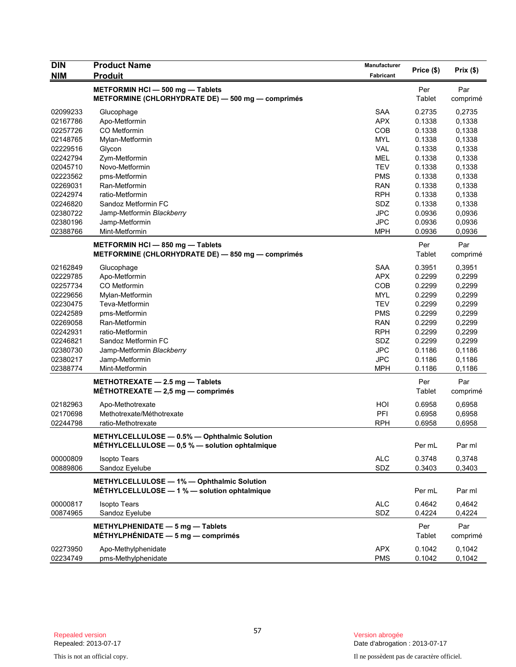| <b>DIN</b>           | <b>Product Name</b>                                                                            | <b>Manufacturer</b>      | Price (\$)       | Prix(\$)         |
|----------------------|------------------------------------------------------------------------------------------------|--------------------------|------------------|------------------|
| <b>NIM</b>           | <b>Produit</b>                                                                                 | Fabricant                |                  |                  |
|                      | METFORMIN HCI-500 mg-Tablets<br>METFORMINE (CHLORHYDRATE DE) - 500 mg - comprimés              |                          | Per<br>Tablet    | Par<br>comprimé  |
| 02099233             | Glucophage                                                                                     | <b>SAA</b>               | 0.2735           | 0,2735           |
| 02167786             | Apo-Metformin                                                                                  | <b>APX</b>               | 0.1338           | 0,1338           |
| 02257726             | CO Metformin                                                                                   | COB                      | 0.1338           | 0,1338           |
| 02148765             | Mylan-Metformin                                                                                | <b>MYL</b>               | 0.1338           | 0,1338           |
| 02229516             | Glycon                                                                                         | <b>VAL</b>               | 0.1338           | 0,1338           |
| 02242794             | Zym-Metformin                                                                                  | <b>MEL</b>               | 0.1338           | 0,1338           |
| 02045710             | Novo-Metformin                                                                                 | <b>TEV</b>               | 0.1338           | 0,1338           |
| 02223562             | pms-Metformin                                                                                  | <b>PMS</b>               | 0.1338           | 0,1338           |
| 02269031             | Ran-Metformin                                                                                  | <b>RAN</b>               | 0.1338           | 0,1338           |
| 02242974             | ratio-Metformin                                                                                | <b>RPH</b>               | 0.1338           | 0,1338           |
| 02246820             | Sandoz Metformin FC                                                                            | SDZ                      | 0.1338           | 0,1338           |
| 02380722             | Jamp-Metformin Blackberry                                                                      | <b>JPC</b>               | 0.0936           | 0,0936           |
| 02380196             | Jamp-Metformin                                                                                 | <b>JPC</b>               | 0.0936           | 0,0936           |
| 02388766             | Mint-Metformin                                                                                 | <b>MPH</b>               | 0.0936           | 0,0936           |
|                      | METFORMIN HCI-850 mg-Tablets                                                                   |                          | Per              | Par              |
|                      | METFORMINE (CHLORHYDRATE DE) - 850 mg - comprimés                                              |                          | Tablet           | comprimé         |
| 02162849             | Glucophage                                                                                     | <b>SAA</b>               | 0.3951           | 0,3951           |
| 02229785             | Apo-Metformin                                                                                  | <b>APX</b>               | 0.2299           | 0,2299           |
| 02257734             | CO Metformin                                                                                   | COB                      | 0.2299           | 0,2299           |
| 02229656             | Mylan-Metformin                                                                                | <b>MYL</b>               | 0.2299           | 0,2299           |
| 02230475             | Teva-Metformin                                                                                 | <b>TEV</b>               | 0.2299           | 0,2299           |
| 02242589             | pms-Metformin                                                                                  | <b>PMS</b>               | 0.2299           | 0,2299           |
| 02269058             | Ran-Metformin                                                                                  | <b>RAN</b>               | 0.2299           | 0,2299           |
| 02242931             | ratio-Metformin                                                                                | <b>RPH</b>               | 0.2299           | 0,2299           |
| 02246821             | Sandoz Metformin FC                                                                            | SDZ                      | 0.2299           | 0,2299           |
| 02380730             | Jamp-Metformin Blackberry                                                                      | <b>JPC</b>               | 0.1186           | 0,1186           |
| 02380217             | Jamp-Metformin                                                                                 | <b>JPC</b>               | 0.1186           | 0,1186           |
| 02388774             | Mint-Metformin                                                                                 | <b>MPH</b>               | 0.1186           | 0,1186           |
|                      | METHOTREXATE - 2.5 mg - Tablets<br>MÉTHOTREXATE $-2,5$ mg $-$ comprimés                        |                          | Per<br>Tablet    | Par<br>comprimé  |
| 02182963             | Apo-Methotrexate                                                                               | HOI                      | 0.6958           | 0,6958           |
| 02170698             | Methotrexate/Méthotrexate                                                                      | PFI                      | 0.6958           | 0,6958           |
| 02244798             | ratio-Methotrexate                                                                             | <b>RPH</b>               | 0.6958           | 0,6958           |
|                      | METHYLCELLULOSE - 0.5% - Ophthalmic Solution<br>MÉTHYLCELLULOSE - 0,5 % - solution ophtalmique |                          | Per mL           | Par ml           |
|                      |                                                                                                |                          |                  |                  |
| 00000809             | <b>Isopto Tears</b>                                                                            | <b>ALC</b>               | 0.3748           | 0,3748           |
| 00889806             | Sandoz Eyelube                                                                                 | SDZ                      | 0.3403           | 0,3403           |
|                      | METHYLCELLULOSE - 1% - Ophthalmic Solution<br>MÉTHYLCELLULOSE - 1 % - solution ophtalmique     |                          | Per mL           | Par ml           |
| 00000817             | <b>Isopto Tears</b>                                                                            | <b>ALC</b>               | 0.4642           | 0,4642           |
| 00874965             | Sandoz Eyelube                                                                                 | SDZ                      | 0.4224           | 0,4224           |
|                      | METHYLPHENIDATE - 5 mg - Tablets<br>MÉTHYLPHÉNIDATE $-5$ mg $-$ comprimés                      |                          | Per<br>Tablet    | Par<br>comprimé  |
| 02273950<br>02234749 | Apo-Methylphenidate<br>pms-Methylphenidate                                                     | <b>APX</b><br><b>PMS</b> | 0.1042<br>0.1042 | 0,1042<br>0,1042 |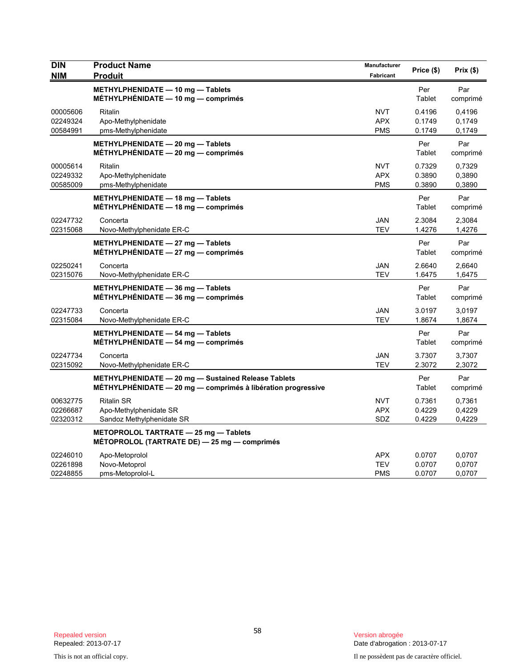| <b>DIN</b><br><b>NIM</b>         | <b>Product Name</b><br><b>Produit</b>                                                                               | Manufacturer<br>Fabricant              | Price (\$)                 | Prix(\$)                   |
|----------------------------------|---------------------------------------------------------------------------------------------------------------------|----------------------------------------|----------------------------|----------------------------|
|                                  | METHYLPHENIDATE - 10 mg - Tablets<br>MÉTHYLPHÉNIDATE - 10 mg - comprimés                                            |                                        | Per<br>Tablet              | Par<br>comprimé            |
| 00005606<br>02249324<br>00584991 | Ritalin<br>Apo-Methylphenidate<br>pms-Methylphenidate                                                               | <b>NVT</b><br><b>APX</b><br><b>PMS</b> | 0.4196<br>0.1749<br>0.1749 | 0,4196<br>0,1749<br>0,1749 |
|                                  | METHYLPHENIDATE - 20 mg - Tablets<br>$MÉTHYLPHÉNIDATE - 20 mg - comprimés$                                          |                                        | Per<br>Tablet              | Par<br>comprimé            |
| 00005614<br>02249332<br>00585009 | <b>Ritalin</b><br>Apo-Methylphenidate<br>pms-Methylphenidate                                                        | <b>NVT</b><br><b>APX</b><br><b>PMS</b> | 0.7329<br>0.3890<br>0.3890 | 0,7329<br>0,3890<br>0,3890 |
|                                  | METHYLPHENIDATE - 18 mg - Tablets<br>MÉTHYLPHÉNIDATE - 18 mg - comprimés                                            |                                        | Per<br>Tablet              | Par<br>comprimé            |
| 02247732<br>02315068             | Concerta<br>Novo-Methylphenidate ER-C                                                                               | <b>JAN</b><br><b>TEV</b>               | 2.3084<br>1.4276           | 2,3084<br>1,4276           |
|                                  | METHYLPHENIDATE - 27 mg - Tablets<br>MÉTHYLPHÉNIDATE $-27$ mg $-$ comprimés                                         |                                        | Per<br>Tablet              | Par<br>comprimé            |
| 02250241<br>02315076             | Concerta<br>Novo-Methylphenidate ER-C                                                                               | <b>JAN</b><br><b>TEV</b>               | 2.6640<br>1.6475           | 2,6640<br>1,6475           |
|                                  | METHYLPHENIDATE - 36 mg - Tablets<br>$MÉTHYLPHÉNIDATE - 36 mg - comprimés$                                          |                                        | Per<br>Tablet              | Par<br>comprimé            |
| 02247733<br>02315084             | Concerta<br>Novo-Methylphenidate ER-C                                                                               | <b>JAN</b><br>TEV                      | 3.0197<br>1.8674           | 3,0197<br>1,8674           |
|                                  | METHYLPHENIDATE - 54 mg - Tablets<br>MÉTHYLPHÉNIDATE $-$ 54 mg $-$ comprimés                                        |                                        | Per<br>Tablet              | Par<br>comprimé            |
| 02247734<br>02315092             | Concerta<br>Novo-Methylphenidate ER-C                                                                               | <b>JAN</b><br>TEV                      | 3.7307<br>2.3072           | 3,7307<br>2,3072           |
|                                  | METHYLPHENIDATE - 20 mg - Sustained Release Tablets<br>MÉTHYLPHÉNIDATE - 20 mg - comprimés à libération progressive |                                        | Per<br>Tablet              | Par<br>comprimé            |
| 00632775<br>02266687<br>02320312 | <b>Ritalin SR</b><br>Apo-Methylphenidate SR<br>Sandoz Methylphenidate SR                                            | NVT<br><b>APX</b><br>SDZ               | 0.7361<br>0.4229<br>0.4229 | 0,7361<br>0,4229<br>0,4229 |
|                                  | METOPROLOL TARTRATE - 25 mg - Tablets<br>MÉTOPROLOL (TARTRATE DE) - 25 mg - comprimés                               |                                        |                            |                            |
| 02246010<br>02261898<br>02248855 | Apo-Metoprolol<br>Novo-Metoprol<br>pms-Metoprolol-L                                                                 | APX<br><b>TEV</b><br><b>PMS</b>        | 0.0707<br>0.0707<br>0.0707 | 0,0707<br>0,0707<br>0,0707 |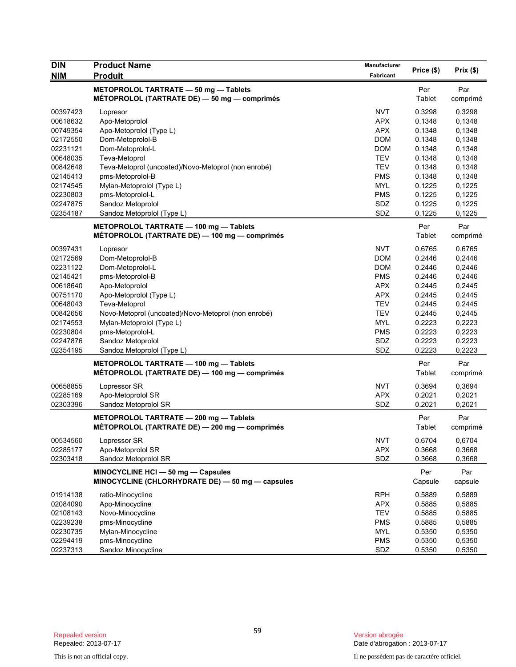| <b>DIN</b> | <b>Product Name</b>                                                                     | <b>Manufacturer</b> |                |                 |
|------------|-----------------------------------------------------------------------------------------|---------------------|----------------|-----------------|
| <b>NIM</b> | <b>Produit</b>                                                                          | Fabricant           | Price (\$)     | Prix(\$)        |
|            | METOPROLOL TARTRATE - 50 mg - Tablets<br>MÉTOPROLOL (TARTRATE DE) - 50 mg - comprimés   |                     | Per<br>Tablet  | Par<br>comprimé |
| 00397423   | Lopresor                                                                                | <b>NVT</b>          | 0.3298         | 0,3298          |
| 00618632   | Apo-Metoprolol                                                                          | <b>APX</b>          | 0.1348         | 0,1348          |
| 00749354   | Apo-Metoprolol (Type L)                                                                 | <b>APX</b>          | 0.1348         | 0,1348          |
| 02172550   | Dom-Metoprolol-B                                                                        | <b>DOM</b>          | 0.1348         | 0,1348          |
| 02231121   | Dom-Metoprolol-L                                                                        | <b>DOM</b>          | 0.1348         | 0,1348          |
| 00648035   | Teva-Metoprol                                                                           | <b>TEV</b>          | 0.1348         | 0,1348          |
| 00842648   | Teva-Metoprol (uncoated)/Novo-Metoprol (non enrobé)                                     | <b>TEV</b>          | 0.1348         | 0,1348          |
| 02145413   | pms-Metoprolol-B                                                                        | <b>PMS</b>          | 0.1348         | 0,1348          |
| 02174545   | Mylan-Metoprolol (Type L)                                                               | <b>MYL</b>          | 0.1225         | 0,1225          |
| 02230803   | pms-Metoprolol-L                                                                        | <b>PMS</b>          | 0.1225         | 0,1225          |
| 02247875   | Sandoz Metoprolol                                                                       | SDZ                 | 0.1225         | 0,1225          |
| 02354187   | Sandoz Metoprolol (Type L)                                                              | SDZ                 | 0.1225         | 0,1225          |
|            |                                                                                         |                     |                |                 |
|            | METOPROLOL TARTRATE - 100 mg - Tablets                                                  |                     | Per            | Par             |
|            | MÉTOPROLOL (TARTRATE DE) - 100 mg - comprimés                                           |                     | Tablet         | comprimé        |
| 00397431   | Lopresor                                                                                | <b>NVT</b>          | 0.6765         | 0,6765          |
| 02172569   | Dom-Metoprolol-B                                                                        | <b>DOM</b>          | 0.2446         | 0,2446          |
| 02231122   | Dom-Metoprolol-L                                                                        | <b>DOM</b>          | 0.2446         | 0,2446          |
| 02145421   | pms-Metoprolol-B                                                                        | <b>PMS</b>          | 0.2446         | 0,2446          |
| 00618640   | Apo-Metoprolol                                                                          | <b>APX</b>          | 0.2445         | 0,2445          |
| 00751170   | Apo-Metoprolol (Type L)                                                                 | <b>APX</b>          | 0.2445         | 0,2445          |
| 00648043   | Teva-Metoprol                                                                           | <b>TEV</b>          | 0.2445         | 0,2445          |
| 00842656   | Novo-Metoprol (uncoated)/Novo-Metoprol (non enrobé)                                     | <b>TEV</b>          | 0.2445         | 0,2445          |
| 02174553   | Mylan-Metoprolol (Type L)                                                               | <b>MYL</b>          | 0.2223         | 0,2223          |
| 02230804   | pms-Metoprolol-L                                                                        | <b>PMS</b>          | 0.2223         | 0,2223          |
| 02247876   | Sandoz Metoprolol                                                                       | SDZ                 | 0.2223         | 0,2223          |
| 02354195   | Sandoz Metoprolol (Type L)                                                              | SDZ                 | 0.2223         | 0,2223          |
|            | METOPROLOL TARTRATE - 100 mg - Tablets<br>MÉTOPROLOL (TARTRATE DE) — 100 mg — comprimés |                     | Per<br>Tablet  | Par<br>comprimé |
| 00658855   | Lopressor SR                                                                            | <b>NVT</b>          | 0.3694         | 0,3694          |
| 02285169   | Apo-Metoprolol SR                                                                       | <b>APX</b>          | 0.2021         | 0,2021          |
| 02303396   | Sandoz Metoprolol SR                                                                    | SDZ                 | 0.2021         | 0,2021          |
|            | METOPROLOL TARTRATE - 200 mg - Tablets<br>MÉTOPROLOL (TARTRATE DE) - 200 mg - comprimés |                     | Per<br>Tablet  | Par<br>comprimé |
| 00534560   | Lopressor SR                                                                            | <b>NVT</b>          | 0.6704         | 0,6704          |
| 02285177   | Apo-Metoprolol SR                                                                       | <b>APX</b>          | 0.3668         | 0,3668          |
| 02303418   | Sandoz Metoprolol SR                                                                    | SDZ                 | 0.3668         | 0,3668          |
|            | MINOCYCLINE HCI - 50 mg - Capsules<br>MINOCYCLINE (CHLORHYDRATE DE) - 50 mg - capsules  |                     | Per<br>Capsule | Par<br>capsule  |
| 01914138   | ratio-Minocycline                                                                       | <b>RPH</b>          | 0.5889         | 0,5889          |
| 02084090   | Apo-Minocycline                                                                         | <b>APX</b>          | 0.5885         | 0,5885          |
| 02108143   | Novo-Minocycline                                                                        | <b>TEV</b>          | 0.5885         | 0,5885          |
| 02239238   | pms-Minocycline                                                                         | <b>PMS</b>          | 0.5885         | 0,5885          |
| 02230735   | Mylan-Minocycline                                                                       | <b>MYL</b>          | 0.5350         | 0,5350          |
| 02294419   | pms-Minocycline                                                                         | <b>PMS</b>          | 0.5350         | 0,5350          |
| 02237313   | Sandoz Minocycline                                                                      | SDZ                 | 0.5350         | 0,5350          |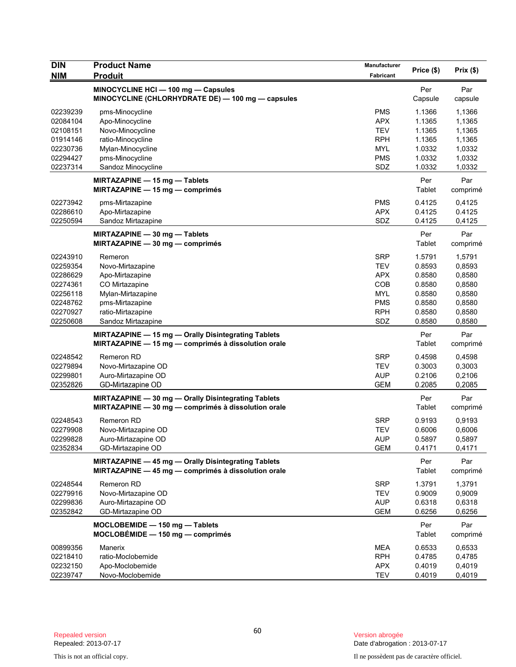| <b>DIN</b><br><b>NIM</b> | <b>Product Name</b><br><b>Produit</b>               | <b>Manufacturer</b><br>Fabricant | Price (\$)    | Prix(\$) |
|--------------------------|-----------------------------------------------------|----------------------------------|---------------|----------|
|                          | MINOCYCLINE HCI - 100 mg - Capsules                 |                                  | Per           | Par      |
|                          | MINOCYCLINE (CHLORHYDRATE DE) - 100 mg - capsules   |                                  | Capsule       | capsule  |
| 02239239                 | pms-Minocycline                                     | <b>PMS</b>                       | 1.1366        | 1,1366   |
| 02084104                 | Apo-Minocycline                                     | <b>APX</b>                       | 1.1365        | 1,1365   |
| 02108151                 | Novo-Minocycline                                    | <b>TEV</b>                       | 1.1365        | 1,1365   |
| 01914146                 | ratio-Minocycline                                   | <b>RPH</b>                       | 1.1365        | 1,1365   |
| 02230736                 | Mylan-Minocycline                                   | <b>MYL</b>                       | 1.0332        | 1,0332   |
| 02294427                 | pms-Minocycline                                     | <b>PMS</b>                       | 1.0332        | 1,0332   |
| 02237314                 | Sandoz Minocycline                                  | SDZ                              | 1.0332        | 1,0332   |
|                          | MIRTAZAPINE - 15 mg - Tablets                       |                                  | Per           | Par      |
|                          | MIRTAZAPINE $-$ 15 mg $-$ comprimés                 |                                  | Tablet        | comprimé |
| 02273942                 | pms-Mirtazapine                                     | <b>PMS</b>                       | 0.4125        | 0,4125   |
| 02286610                 | Apo-Mirtazapine                                     | <b>APX</b>                       | 0.4125        | 0.4125   |
| 02250594                 | Sandoz Mirtazapine                                  | SDZ                              | 0.4125        | 0,4125   |
|                          | MIRTAZAPINE - 30 mg - Tablets                       |                                  | Per           | Par      |
|                          | MIRTAZAPINE $-30$ mg $-$ comprimés                  |                                  | Tablet        | comprimé |
| 02243910                 | Remeron                                             | <b>SRP</b>                       | 1.5791        | 1,5791   |
| 02259354                 | Novo-Mirtazapine                                    | <b>TEV</b>                       | 0.8593        | 0,8593   |
| 02286629                 | Apo-Mirtazapine                                     | <b>APX</b>                       | 0.8580        | 0,8580   |
| 02274361                 | CO Mirtazapine                                      | COB                              | 0.8580        | 0,8580   |
| 02256118                 | Mylan-Mirtazapine                                   | <b>MYL</b>                       | 0.8580        | 0,8580   |
| 02248762                 | pms-Mirtazapine                                     | <b>PMS</b>                       | 0.8580        | 0,8580   |
| 02270927                 | ratio-Mirtazapine                                   | <b>RPH</b>                       | 0.8580        | 0,8580   |
| 02250608                 | Sandoz Mirtazapine                                  | SDZ                              | 0.8580        | 0,8580   |
|                          | MIRTAZAPINE - 15 mg - Orally Disintegrating Tablets |                                  | Per           | Par      |
|                          | MIRTAZAPINE - 15 mg - comprimés à dissolution orale |                                  | Tablet        | comprimé |
| 02248542                 | Remeron RD                                          | <b>SRP</b>                       | 0.4598        | 0,4598   |
| 02279894                 | Novo-Mirtazapine OD                                 | <b>TEV</b>                       | 0.3003        | 0,3003   |
| 02299801                 | Auro-Mirtazapine OD                                 | <b>AUP</b>                       | 0.2106        | 0,2106   |
| 02352826                 | GD-Mirtazapine OD                                   | <b>GEM</b>                       | 0.2085        | 0,2085   |
|                          | MIRTAZAPINE - 30 mg - Orally Disintegrating Tablets |                                  | Per           | Par      |
|                          | MIRTAZAPINE - 30 mg - comprimés à dissolution orale |                                  | <b>Tablet</b> | comprimé |
| 02248543                 | <b>Remeron RD</b>                                   | <b>SRP</b>                       | 0.9193        | 0,9193   |
| 02279908                 | Novo-Mirtazapine OD                                 | TEV                              | 0.6006        | 0,6006   |
| 02299828                 | Auro-Mirtazapine OD                                 | <b>AUP</b>                       | 0.5897        | 0,5897   |
| 02352834                 | GD-Mirtazapine OD                                   | <b>GEM</b>                       | 0.4171        | 0,4171   |
|                          | MIRTAZAPINE - 45 mg - Orally Disintegrating Tablets |                                  | Per           | Par      |
|                          | MIRTAZAPINE - 45 mg - comprimés à dissolution orale |                                  | Tablet        | comprimé |
| 02248544                 | Remeron RD                                          | <b>SRP</b>                       | 1.3791        | 1,3791   |
| 02279916                 | Novo-Mirtazapine OD                                 | TEV                              | 0.9009        | 0,9009   |
| 02299836                 | Auro-Mirtazapine OD                                 | <b>AUP</b>                       | 0.6318        | 0,6318   |
| 02352842                 | GD-Mirtazapine OD                                   | <b>GEM</b>                       | 0.6256        | 0,6256   |
|                          | MOCLOBEMIDE - 150 mg - Tablets                      |                                  | Per           | Par      |
|                          | $MOCLOBÉMIDE - 150 mg - comprimés$                  |                                  | <b>Tablet</b> | comprimé |
| 00899356                 | Manerix                                             | <b>MEA</b>                       | 0.6533        | 0,6533   |
| 02218410                 | ratio-Moclobemide                                   | <b>RPH</b>                       | 0.4785        | 0,4785   |
| 02232150                 | Apo-Moclobemide                                     | <b>APX</b>                       | 0.4019        | 0,4019   |
| 02239747                 | Novo-Moclobemide                                    | <b>TEV</b>                       | 0.4019        | 0,4019   |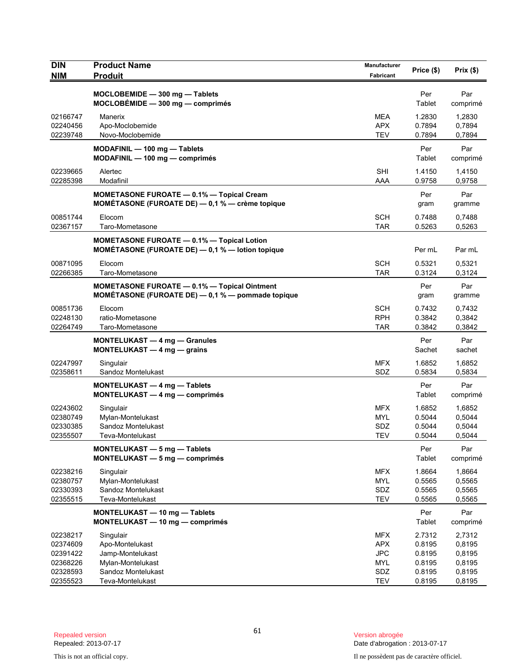| <b>DIN</b>           | <b>Product Name</b>                                 | Manufacturer      | Price (\$)       | Prix(\$)         |
|----------------------|-----------------------------------------------------|-------------------|------------------|------------------|
| <b>NIM</b>           | <b>Produit</b>                                      | Fabricant         |                  |                  |
|                      | MOCLOBEMIDE - 300 mg - Tablets                      |                   | Per              | Par              |
|                      | MOCLOBÉMIDE - 300 mg - comprimés                    |                   | Tablet           | comprimé         |
| 02166747             | Manerix                                             | MEA               | 1.2830           | 1,2830           |
| 02240456             | Apo-Moclobemide                                     | <b>APX</b>        | 0.7894           | 0,7894           |
| 02239748             | Novo-Moclobemide                                    | <b>TEV</b>        | 0.7894           | 0,7894           |
|                      | MODAFINIL - 100 mg - Tablets                        |                   | Per              | Par              |
|                      | MODAFINIL - 100 mg - comprimés                      |                   | Tablet           | comprimé         |
| 02239665             | Alertec                                             | <b>SHI</b>        | 1.4150           | 1,4150           |
| 02285398             | Modafinil                                           | AAA               | 0.9758           | 0,9758           |
|                      | <b>MOMETASONE FUROATE - 0.1% - Topical Cream</b>    |                   | Per              | Par              |
|                      | MOMÉTASONE (FUROATE DE) - 0,1 % - crème topique     |                   | gram             | gramme           |
| 00851744             | Elocom                                              | <b>SCH</b>        | 0.7488           | 0,7488           |
| 02367157             | Taro-Mometasone                                     | TAR               | 0.5263           | 0,5263           |
|                      | <b>MOMETASONE FUROATE - 0.1% - Topical Lotion</b>   |                   |                  |                  |
|                      | MOMÉTASONE (FUROATE DE) - 0,1 % - lotion topique    |                   | Per mL           | Par mL           |
| 00871095             | Elocom                                              | <b>SCH</b>        | 0.5321           | 0,5321           |
| 02266385             | Taro-Mometasone                                     | <b>TAR</b>        | 0.3124           | 0,3124           |
|                      | <b>MOMETASONE FUROATE - 0.1% - Topical Ointment</b> |                   | Per              | Par              |
|                      | MOMÉTASONE (FUROATE DE) - 0,1 % - pommade topique   |                   | gram             | gramme           |
| 00851736             | Elocom                                              | <b>SCH</b>        | 0.7432           | 0,7432           |
| 02248130             | ratio-Mometasone                                    | <b>RPH</b>        | 0.3842           | 0,3842           |
| 02264749             | Taro-Mometasone                                     | <b>TAR</b>        | 0.3842           | 0,3842           |
|                      | <b>MONTELUKAST - 4 mg - Granules</b>                |                   | Per              | Par              |
|                      | MONTELUKAST $-4$ mg $-$ grains                      |                   | Sachet           | sachet           |
| 02247997             | Singulair                                           | <b>MFX</b>        | 1.6852           | 1,6852           |
| 02358611             | Sandoz Montelukast                                  | SDZ               | 0.5834           | 0,5834           |
|                      | <b>MONTELUKAST - 4 mg - Tablets</b>                 |                   | Per              | Par              |
|                      | MONTELUKAST - 4 mg - comprimés                      |                   | Tablet           | comprimé         |
| 02243602             | Singulair                                           | <b>MFX</b>        | 1.6852           | 1,6852           |
| 02380749<br>02330385 | Mylan-Montelukast<br>Sandoz Montelukast             | <b>MYL</b><br>SDZ | 0.5044<br>0.5044 | 0,5044<br>0,5044 |
| 02355507             | Teva-Montelukast                                    | <b>TEV</b>        | 0.5044           | 0,5044           |
|                      | MONTELUKAST - 5 mg - Tablets                        |                   | Per              | Par              |
|                      | MONTELUKAST - 5 mg - comprimés                      |                   | Tablet           | comprimé         |
| 02238216             | Singulair                                           | <b>MFX</b>        | 1.8664           | 1,8664           |
| 02380757             | Mylan-Montelukast                                   | <b>MYL</b>        | 0.5565           | 0,5565           |
| 02330393             | Sandoz Montelukast                                  | SDZ               | 0.5565           | 0,5565           |
| 02355515             | Teva-Montelukast                                    | <b>TEV</b>        | 0.5565           | 0,5565           |
|                      | MONTELUKAST - 10 mg - Tablets                       |                   | Per              | Par              |
|                      | MONTELUKAST - 10 mg - comprimés                     |                   | Tablet           | comprimé         |
| 02238217             | Singulair                                           | <b>MFX</b>        | 2.7312           | 2,7312           |
| 02374609             | Apo-Montelukast                                     | <b>APX</b>        | 0.8195           | 0,8195           |
| 02391422             | Jamp-Montelukast                                    | <b>JPC</b>        | 0.8195           | 0,8195           |
| 02368226             | Mylan-Montelukast                                   | <b>MYL</b>        | 0.8195           | 0,8195           |
| 02328593             | Sandoz Montelukast                                  | SDZ               | 0.8195           | 0,8195           |
| 02355523             | Teva-Montelukast                                    | <b>TEV</b>        | 0.8195           | 0,8195           |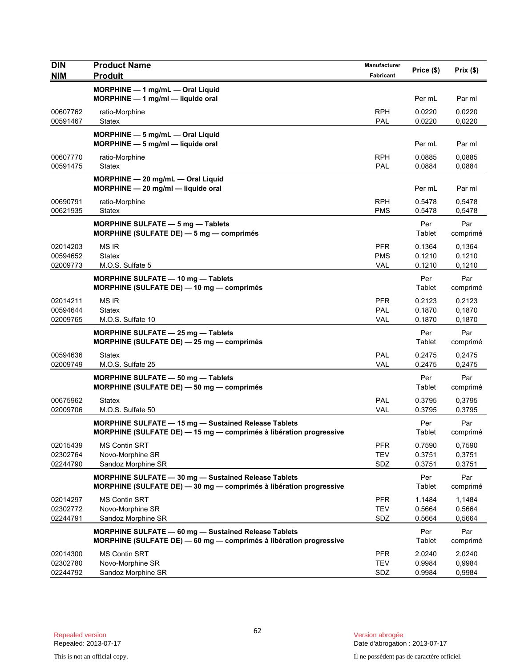| <b>DIN</b>           | <b>Product Name</b>                                                                                                               | Manufacturer             | Price (\$)       | Prix(\$)         |
|----------------------|-----------------------------------------------------------------------------------------------------------------------------------|--------------------------|------------------|------------------|
| <b>NIM</b>           | <b>Produit</b>                                                                                                                    | Fabricant                |                  |                  |
|                      | MORPHINE - 1 mg/mL - Oral Liquid<br>MORPHINE - 1 mg/ml - liquide oral                                                             |                          | Per mL           | Par ml           |
| 00607762<br>00591467 | ratio-Morphine<br>Statex                                                                                                          | <b>RPH</b><br>PAL        | 0.0220<br>0.0220 | 0,0220<br>0,0220 |
|                      | MORPHINE - 5 mg/mL - Oral Liquid<br>MORPHINE - 5 mg/ml - liquide oral                                                             |                          | Per mL           | Par ml           |
| 00607770<br>00591475 | ratio-Morphine<br>Statex                                                                                                          | <b>RPH</b><br>PAL        | 0.0885<br>0.0884 | 0.0885<br>0,0884 |
|                      | MORPHINE - 20 mg/mL - Oral Liquid<br>$MORPHINE - 20$ mg/ml - liquide oral                                                         |                          | Per mL           | Par ml           |
| 00690791<br>00621935 | ratio-Morphine<br>Statex                                                                                                          | <b>RPH</b><br><b>PMS</b> | 0.5478<br>0.5478 | 0,5478<br>0,5478 |
|                      | MORPHINE SULFATE - 5 mg - Tablets<br>MORPHINE (SULFATE DE) - 5 mg - comprimés                                                     |                          | Per<br>Tablet    | Par<br>comprimé  |
| 02014203             | <b>MS IR</b>                                                                                                                      | <b>PFR</b>               | 0.1364           | 0,1364           |
| 00594652<br>02009773 | <b>Statex</b><br>M.O.S. Sulfate 5                                                                                                 | <b>PMS</b><br><b>VAL</b> | 0.1210<br>0.1210 | 0,1210<br>0,1210 |
|                      | <b>MORPHINE SULFATE - 10 mg - Tablets</b><br>MORPHINE (SULFATE DE) - 10 mg - comprimés                                            |                          | Per<br>Tablet    | Par<br>comprimé  |
| 02014211<br>00594644 | <b>MS IR</b><br><b>Statex</b>                                                                                                     | <b>PFR</b><br>PAL        | 0.2123<br>0.1870 | 0,2123<br>0,1870 |
| 02009765             | M.O.S. Sulfate 10                                                                                                                 | <b>VAL</b>               | 0.1870           | 0,1870           |
|                      | MORPHINE SULFATE - 25 mg - Tablets<br>MORPHINE (SULFATE DE) - 25 mg - comprimés                                                   |                          | Per<br>Tablet    | Par<br>comprimé  |
| 00594636<br>02009749 | <b>Statex</b><br>M.O.S. Sulfate 25                                                                                                | PAL<br><b>VAL</b>        | 0.2475<br>0.2475 | 0,2475<br>0,2475 |
|                      | MORPHINE SULFATE - 50 mg - Tablets<br>MORPHINE (SULFATE DE) - 50 mg - comprimés                                                   |                          | Per<br>Tablet    | Par<br>comprimé  |
| 00675962<br>02009706 | Statex<br>M.O.S. Sulfate 50                                                                                                       | PAL<br><b>VAL</b>        | 0.3795<br>0.3795 | 0,3795<br>0,3795 |
|                      | <b>MORPHINE SULFATE - 15 mg - Sustained Release Tablets</b><br>MORPHINE (SULFATE DE) - 15 mg - comprimés à libération progressive |                          | Per<br>Tablet    | Par<br>comprimé  |
| 02015439             | <b>MS Contin SRT</b>                                                                                                              | <b>PFR</b>               | 0.7590           | 0,7590           |
| 02302764<br>02244790 | Novo-Morphine SR<br>Sandoz Morphine SR                                                                                            | <b>TEV</b><br>SDZ        | 0.3751<br>0.3751 | 0,3751<br>0,3751 |
|                      | MORPHINE SULFATE - 30 mg - Sustained Release Tablets<br>MORPHINE (SULFATE DE) - 30 mg - comprimés à libération progressive        |                          | Per<br>Tablet    | Par<br>comprimé  |
| 02014297             | <b>MS Contin SRT</b>                                                                                                              | <b>PFR</b>               | 1.1484           | 1,1484           |
| 02302772<br>02244791 | Novo-Morphine SR<br>Sandoz Morphine SR                                                                                            | <b>TEV</b><br>SDZ        | 0.5664<br>0.5664 | 0,5664<br>0,5664 |
|                      | MORPHINE SULFATE - 60 mg - Sustained Release Tablets<br>MORPHINE (SULFATE DE) - 60 mg - comprimés à libération progressive        |                          | Per<br>Tablet    | Par<br>comprimé  |
| 02014300             | <b>MS Contin SRT</b>                                                                                                              | <b>PFR</b>               | 2.0240           | 2,0240           |
| 02302780<br>02244792 | Novo-Morphine SR<br>Sandoz Morphine SR                                                                                            | <b>TEV</b><br>SDZ        | 0.9984<br>0.9984 | 0,9984<br>0,9984 |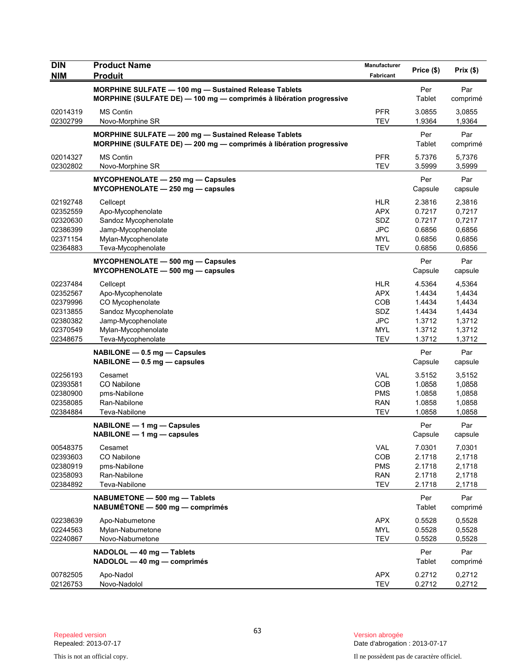| <b>DIN</b><br><b>NIM</b>                                                         | <b>Product Name</b><br><b>Produit</b>                                                                                                        | <b>Manufacturer</b><br>Fabricant                                                 | Price (\$)                                                         | Prix(\$)                                                           |
|----------------------------------------------------------------------------------|----------------------------------------------------------------------------------------------------------------------------------------------|----------------------------------------------------------------------------------|--------------------------------------------------------------------|--------------------------------------------------------------------|
|                                                                                  | MORPHINE SULFATE - 100 mg - Sustained Release Tablets<br>MORPHINE (SULFATE DE) - 100 mg - comprimés à libération progressive                 |                                                                                  | Per<br>Tablet                                                      | Par<br>comprimé                                                    |
| 02014319<br>02302799                                                             | <b>MS Contin</b><br>Novo-Morphine SR                                                                                                         | <b>PFR</b><br><b>TEV</b>                                                         | 3.0855<br>1.9364                                                   | 3,0855<br>1,9364                                                   |
|                                                                                  | MORPHINE SULFATE - 200 mg - Sustained Release Tablets<br>MORPHINE (SULFATE DE) - 200 mg - comprimés à libération progressive                 |                                                                                  | Per<br>Tablet                                                      | Par<br>comprimé                                                    |
| 02014327<br>02302802                                                             | <b>MS Contin</b><br>Novo-Morphine SR                                                                                                         | <b>PFR</b><br><b>TEV</b>                                                         | 5.7376<br>3.5999                                                   | 5,7376<br>3,5999                                                   |
|                                                                                  | MYCOPHENOLATE - 250 mg - Capsules<br>MYCOPHENOLATE - 250 mg - capsules                                                                       |                                                                                  | Per<br>Capsule                                                     | Par<br>capsule                                                     |
| 02192748<br>02352559<br>02320630<br>02386399<br>02371154<br>02364883             | Cellcept<br>Apo-Mycophenolate<br>Sandoz Mycophenolate<br>Jamp-Mycophenolate<br>Mylan-Mycophenolate<br>Teva-Mycophenolate                     | <b>HLR</b><br><b>APX</b><br><b>SDZ</b><br><b>JPC</b><br><b>MYL</b><br><b>TEV</b> | 2.3816<br>0.7217<br>0.7217<br>0.6856<br>0.6856<br>0.6856           | 2,3816<br>0,7217<br>0,7217<br>0,6856<br>0,6856<br>0,6856           |
|                                                                                  | MYCOPHENOLATE - 500 mg - Capsules<br>$MYCOPHENOLATE - 500 mg - capsules$                                                                     |                                                                                  | Per<br>Capsule                                                     | Par<br>capsule                                                     |
| 02237484<br>02352567<br>02379996<br>02313855<br>02380382<br>02370549<br>02348675 | Cellcept<br>Apo-Mycophenolate<br>CO Mycophenolate<br>Sandoz Mycophenolate<br>Jamp-Mycophenolate<br>Mylan-Mycophenolate<br>Teva-Mycophenolate | <b>HLR</b><br><b>APX</b><br>COB<br><b>SDZ</b><br><b>JPC</b><br>MYL<br><b>TEV</b> | 4.5364<br>1.4434<br>1.4434<br>1.4434<br>1.3712<br>1.3712<br>1.3712 | 4,5364<br>1,4434<br>1,4434<br>1,4434<br>1,3712<br>1,3712<br>1,3712 |
|                                                                                  | NABILONE - 0.5 mg - Capsules<br>$NABILITY - 0.5$ mg $-$ capsules                                                                             |                                                                                  | Per<br>Capsule                                                     | Par<br>capsule                                                     |
| 02256193<br>02393581<br>02380900<br>02358085<br>02384884                         | Cesamet<br>CO Nabilone<br>pms-Nabilone<br>Ran-Nabilone<br>Teva-Nabilone                                                                      | <b>VAL</b><br>COB<br><b>PMS</b><br><b>RAN</b><br><b>TEV</b>                      | 3.5152<br>1.0858<br>1.0858<br>1.0858<br>1.0858                     | 3,5152<br>1,0858<br>1,0858<br>1,0858<br>1,0858                     |
|                                                                                  | NABILONE - 1 mg - Capsules<br>$NABILITY - 1 mg - capsules$                                                                                   |                                                                                  | Per<br>Capsule                                                     | Par<br>capsule                                                     |
| 00548375<br>02393603<br>02380919<br>02358093<br>02384892                         | Cesamet<br>CO Nabilone<br>pms-Nabilone<br>Ran-Nabilone<br>Teva-Nabilone                                                                      | <b>VAL</b><br>COB<br><b>PMS</b><br><b>RAN</b><br><b>TEV</b>                      | 7.0301<br>2.1718<br>2.1718<br>2.1718<br>2.1718                     | 7,0301<br>2,1718<br>2,1718<br>2,1718<br>2,1718                     |
|                                                                                  | NABUMETONE - 500 mg - Tablets<br>NABUMÉTONE - 500 mg - comprimés                                                                             |                                                                                  | Per<br>Tablet                                                      | Par<br>comprimé                                                    |
| 02238639<br>02244563<br>02240867                                                 | Apo-Nabumetone<br>Mylan-Nabumetone<br>Novo-Nabumetone                                                                                        | <b>APX</b><br>MYL<br>TEV                                                         | 0.5528<br>0.5528<br>0.5528                                         | 0,5528<br>0,5528<br>0,5528                                         |
|                                                                                  | NADOLOL - 40 mg - Tablets<br>NADOLOL - 40 mg - comprimés                                                                                     |                                                                                  | Per<br>Tablet                                                      | Par<br>comprimé                                                    |
| 00782505<br>02126753                                                             | Apo-Nadol<br>Novo-Nadolol                                                                                                                    | <b>APX</b><br>TEV                                                                | 0.2712<br>0.2712                                                   | 0,2712<br>0,2712                                                   |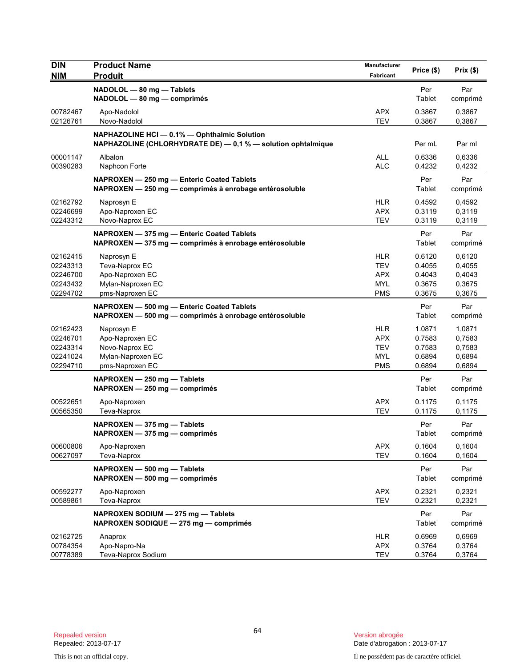| <b>DIN</b>                                               | <b>Product Name</b>                                                                                          | Manufacturer                                                       | Price (\$)                                     | Prix(\$)                                       |
|----------------------------------------------------------|--------------------------------------------------------------------------------------------------------------|--------------------------------------------------------------------|------------------------------------------------|------------------------------------------------|
| <b>NIM</b>                                               | <b>Produit</b>                                                                                               | <b>Fabricant</b>                                                   |                                                |                                                |
|                                                          | NADOLOL - 80 mg - Tablets<br>NADOLOL - 80 mg - comprimés                                                     |                                                                    | Per<br>Tablet                                  | Par<br>comprimé                                |
| 00782467<br>02126761                                     | Apo-Nadolol<br>Novo-Nadolol                                                                                  | <b>APX</b><br><b>TEV</b>                                           | 0.3867<br>0.3867                               | 0,3867<br>0,3867                               |
|                                                          | NAPHAZOLINE HCI - 0.1% - Ophthalmic Solution<br>NAPHAZOLINE (CHLORHYDRATE DE) - 0,1 % - solution ophtalmique |                                                                    | Per mL                                         | Par ml                                         |
| 00001147<br>00390283                                     | Albalon<br>Naphcon Forte                                                                                     | ALL<br><b>ALC</b>                                                  | 0.6336<br>0.4232                               | 0,6336<br>0,4232                               |
|                                                          | NAPROXEN - 250 mg - Enteric Coated Tablets<br>NAPROXEN - 250 mg - comprimés à enrobage entérosoluble         |                                                                    | Per<br>Tablet                                  | Par<br>comprimé                                |
| 02162792<br>02246699<br>02243312                         | Naprosyn E<br>Apo-Naproxen EC<br>Novo-Naprox EC                                                              | <b>HLR</b><br><b>APX</b><br><b>TEV</b>                             | 0.4592<br>0.3119<br>0.3119                     | 0,4592<br>0,3119<br>0,3119                     |
|                                                          | NAPROXEN - 375 mg - Enteric Coated Tablets<br>NAPROXEN - 375 mg - comprimés à enrobage entérosoluble         |                                                                    | Per<br>Tablet                                  | Par<br>comprimé                                |
| 02162415<br>02243313<br>02246700<br>02243432<br>02294702 | Naprosyn E<br>Teva-Naprox EC<br>Apo-Naproxen EC<br>Mylan-Naproxen EC<br>pms-Naproxen EC                      | <b>HLR</b><br><b>TEV</b><br><b>APX</b><br><b>MYL</b><br><b>PMS</b> | 0.6120<br>0.4055<br>0.4043<br>0.3675<br>0.3675 | 0,6120<br>0,4055<br>0,4043<br>0,3675<br>0,3675 |
|                                                          | NAPROXEN - 500 mg - Enteric Coated Tablets<br>NAPROXEN - 500 mg - comprimés à enrobage entérosoluble         |                                                                    | Per<br>Tablet                                  | Par<br>comprimé                                |
| 02162423<br>02246701<br>02243314<br>02241024<br>02294710 | Naprosyn E<br>Apo-Naproxen EC<br>Novo-Naprox EC<br>Mylan-Naproxen EC<br>pms-Naproxen EC                      | <b>HLR</b><br><b>APX</b><br><b>TEV</b><br><b>MYL</b><br><b>PMS</b> | 1.0871<br>0.7583<br>0.7583<br>0.6894<br>0.6894 | 1,0871<br>0,7583<br>0,7583<br>0,6894<br>0,6894 |
|                                                          | NAPROXEN - 250 mg - Tablets<br>$NAPROXEN - 250 mg - comprimés$                                               |                                                                    | Per<br>Tablet                                  | Par<br>comprimé                                |
| 00522651<br>00565350                                     | Apo-Naproxen<br>Teva-Naprox                                                                                  | <b>APX</b><br><b>TEV</b>                                           | 0.1175<br>0.1175                               | 0,1175<br>0,1175                               |
|                                                          | $NAPROXEN - 375 mg -$ Tablets<br>NAPROXEN - 375 mg - comprimés                                               |                                                                    | Per<br>Tablet                                  | Par<br>comprimé                                |
| 00600806<br>00627097                                     | Apo-Naproxen<br>Teva-Naprox                                                                                  | <b>APX</b><br><b>TEV</b>                                           | 0.1604<br>0.1604                               | 0,1604<br>0,1604                               |
|                                                          | NAPROXEN - 500 mg - Tablets<br>NAPROXEN - 500 mg - comprimés                                                 |                                                                    | Per<br>Tablet                                  | Par<br>comprimé                                |
| 00592277<br>00589861                                     | Apo-Naproxen<br>Teva-Naprox                                                                                  | <b>APX</b><br><b>TEV</b>                                           | 0.2321<br>0.2321                               | 0,2321<br>0,2321                               |
|                                                          | NAPROXEN SODIUM - 275 mg - Tablets<br>NAPROXEN SODIQUE - 275 mg - comprimés                                  |                                                                    | Per<br>Tablet                                  | Par<br>comprimé                                |
| 02162725<br>00784354<br>00778389                         | Anaprox<br>Apo-Napro-Na<br>Teva-Naprox Sodium                                                                | HLR<br><b>APX</b><br><b>TEV</b>                                    | 0.6969<br>0.3764<br>0.3764                     | 0,6969<br>0,3764<br>0,3764                     |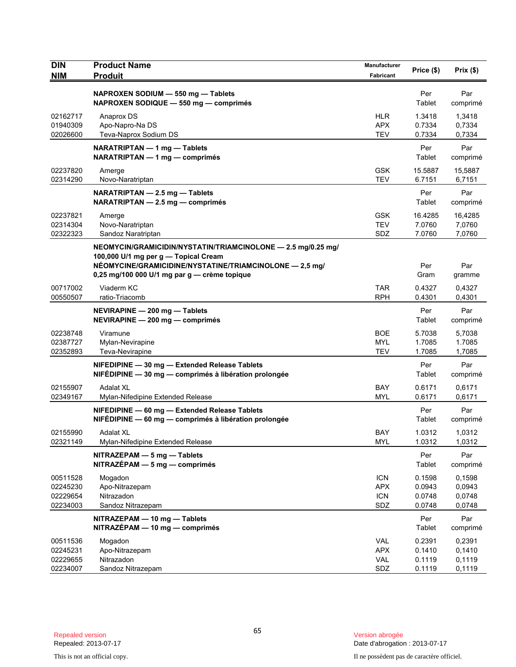| <b>DIN</b><br><b>NIM</b>                     | <b>Product Name</b><br><b>Produit</b>                                                                                                                                                                           | Manufacturer<br><b>Fabricant</b>              | Price (\$)                           | Prix (\$)                            |
|----------------------------------------------|-----------------------------------------------------------------------------------------------------------------------------------------------------------------------------------------------------------------|-----------------------------------------------|--------------------------------------|--------------------------------------|
|                                              | NAPROXEN SODIUM - 550 mg - Tablets<br>NAPROXEN SODIQUE - 550 mg - comprimés                                                                                                                                     |                                               | Per<br>Tablet                        | Par<br>comprimé                      |
| 02162717<br>01940309<br>02026600             | Anaprox DS<br>Apo-Napro-Na DS<br>Teva-Naprox Sodium DS                                                                                                                                                          | <b>HLR</b><br><b>APX</b><br><b>TEV</b>        | 1.3418<br>0.7334<br>0.7334           | 1,3418<br>0,7334<br>0,7334           |
|                                              | NARATRIPTAN - 1 mg - Tablets<br>NARATRIPTAN - 1 mg - comprimés                                                                                                                                                  |                                               | Per<br>Tablet                        | Par<br>comprimé                      |
| 02237820<br>02314290                         | Amerge<br>Novo-Naratriptan                                                                                                                                                                                      | <b>GSK</b><br><b>TEV</b>                      | 15.5887<br>6.7151                    | 15,5887<br>6,7151                    |
|                                              | NARATRIPTAN - 2.5 mg - Tablets<br>NARATRIPTAN - 2.5 mg - comprimés                                                                                                                                              |                                               | Per<br>Tablet                        | Par<br>comprimé                      |
| 02237821<br>02314304<br>02322323             | Amerge<br>Novo-Naratriptan<br>Sandoz Naratriptan                                                                                                                                                                | <b>GSK</b><br><b>TEV</b><br>SDZ               | 16.4285<br>7.0760<br>7.0760          | 16,4285<br>7,0760<br>7,0760          |
|                                              | NEOMYCIN/GRAMICIDIN/NYSTATIN/TRIAMCINOLONE - 2.5 mg/0.25 mg/<br>100,000 U/1 mg per g - Topical Cream<br>NÉOMYCINE/GRAMICIDINE/NYSTATINE/TRIAMCINOLONE - 2,5 mg/<br>0,25 mg/100 000 U/1 mg par g - crème topique |                                               | Per<br>Gram                          | Par<br>gramme                        |
| 00717002<br>00550507                         | Viaderm KC<br>ratio-Triacomb                                                                                                                                                                                    | <b>TAR</b><br><b>RPH</b>                      | 0.4327<br>0.4301                     | 0,4327<br>0,4301                     |
|                                              | NEVIRAPINE - 200 mg - Tablets<br>NEVIRAPINE - 200 mg - comprimés                                                                                                                                                |                                               | Per<br>Tablet                        | Par<br>comprimé                      |
| 02238748<br>02387727<br>02352893             | Viramune<br>Mylan-Nevirapine<br>Teva-Nevirapine                                                                                                                                                                 | <b>BOE</b><br><b>MYL</b><br><b>TEV</b>        | 5.7038<br>1.7085<br>1.7085           | 5,7038<br>1.7085<br>1,7085           |
|                                              | NIFEDIPINE - 30 mg - Extended Release Tablets<br>NIFÉDIPINE - 30 mg - comprimés à libération prolongée                                                                                                          |                                               | Per<br>Tablet                        | Par<br>comprimé                      |
| 02155907<br>02349167                         | Adalat XL<br>Mylan-Nifedipine Extended Release                                                                                                                                                                  | <b>BAY</b><br><b>MYL</b>                      | 0.6171<br>0.6171                     | 0.6171<br>0,6171                     |
|                                              | NIFEDIPINE - 60 mg - Extended Release Tablets<br>NIFÉDIPINE — 60 mg — comprimés à libération prolongée                                                                                                          |                                               | Per<br>Tablet                        | Par<br>comprimé                      |
| 02155990<br>02321149                         | <b>Adalat XL</b><br>Mylan-Nifedipine Extended Release                                                                                                                                                           | <b>BAY</b><br><b>MYL</b>                      | 1.0312<br>1.0312                     | 1,0312<br>1,0312                     |
|                                              | NITRAZEPAM - 5 mg - Tablets<br>$NITRAZÉPAM - 5 mg - comprimés$                                                                                                                                                  |                                               | Per<br>Tablet                        | Par<br>comprimé                      |
| 00511528<br>02245230<br>02229654<br>02234003 | Mogadon<br>Apo-Nitrazepam<br>Nitrazadon<br>Sandoz Nitrazepam                                                                                                                                                    | <b>ICN</b><br><b>APX</b><br><b>ICN</b><br>SDZ | 0.1598<br>0.0943<br>0.0748<br>0.0748 | 0,1598<br>0,0943<br>0,0748<br>0,0748 |
|                                              | NITRAZEPAM - 10 mg - Tablets<br>NITRAZÉPAM - 10 mg - comprimés                                                                                                                                                  |                                               | Per<br>Tablet                        | Par<br>comprimé                      |
| 00511536<br>02245231<br>02229655<br>02234007 | Mogadon<br>Apo-Nitrazepam<br>Nitrazadon<br>Sandoz Nitrazepam                                                                                                                                                    | <b>VAL</b><br><b>APX</b><br>VAL<br>SDZ        | 0.2391<br>0.1410<br>0.1119<br>0.1119 | 0,2391<br>0,1410<br>0,1119<br>0,1119 |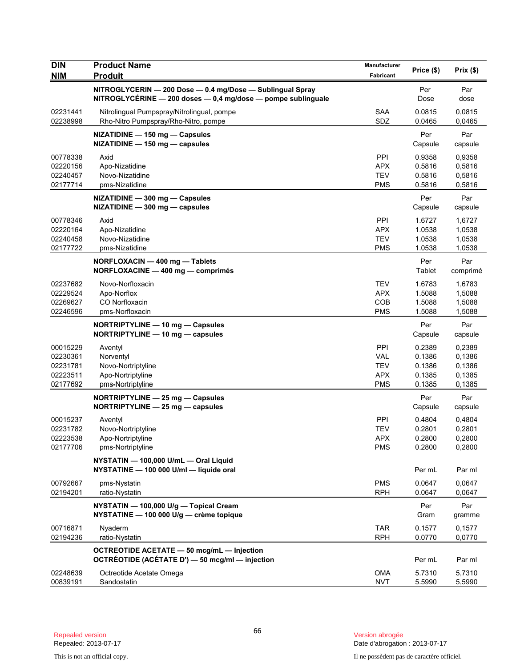| <b>DIN</b><br><b>NIM</b>                                 | <b>Product Name</b><br><b>Produit</b>                                                                                           | Manufacturer<br>Fabricant                                   | Price (\$)                                     | Prix(\$)                                       |
|----------------------------------------------------------|---------------------------------------------------------------------------------------------------------------------------------|-------------------------------------------------------------|------------------------------------------------|------------------------------------------------|
|                                                          | NITROGLYCERIN - 200 Dose - 0.4 mg/Dose - Sublingual Spray<br>$NITROGLYCÉRINE - 200$ doses $- 0.4$ mg/dose $-$ pompe sublinguale |                                                             | Per<br>Dose                                    | Par<br>dose                                    |
| 02231441<br>02238998                                     | Nitrolingual Pumpspray/Nitrolingual, pompe<br>Rho-Nitro Pumpspray/Rho-Nitro, pompe                                              | SAA<br>SDZ                                                  | 0.0815<br>0.0465                               | 0,0815<br>0,0465                               |
|                                                          | NIZATIDINE - 150 mg - Capsules<br>NIZATIDINE - 150 mg - capsules                                                                |                                                             | Per<br>Capsule                                 | Par<br>capsule                                 |
| 00778338<br>02220156<br>02240457<br>02177714             | Axid<br>Apo-Nizatidine<br>Novo-Nizatidine<br>pms-Nizatidine                                                                     | <b>PPI</b><br><b>APX</b><br><b>TEV</b><br><b>PMS</b>        | 0.9358<br>0.5816<br>0.5816<br>0.5816           | 0,9358<br>0,5816<br>0,5816<br>0,5816           |
|                                                          | NIZATIDINE - 300 mg - Capsules<br>NIZATIDINE - 300 mg - capsules                                                                |                                                             | Per<br>Capsule                                 | Par<br>capsule                                 |
| 00778346<br>02220164<br>02240458<br>02177722             | Axid<br>Apo-Nizatidine<br>Novo-Nizatidine<br>pms-Nizatidine                                                                     | PPI<br><b>APX</b><br><b>TEV</b><br><b>PMS</b>               | 1.6727<br>1.0538<br>1.0538<br>1.0538           | 1,6727<br>1,0538<br>1,0538<br>1,0538           |
|                                                          | NORFLOXACIN - 400 mg - Tablets<br>NORFLOXACINE - 400 mg - comprimés                                                             |                                                             | Per<br>Tablet                                  | Par<br>comprimé                                |
| 02237682<br>02229524<br>02269627<br>02246596             | Novo-Norfloxacin<br>Apo-Norflox<br>CO Norfloxacin<br>pms-Norfloxacin                                                            | <b>TEV</b><br><b>APX</b><br>COB<br><b>PMS</b>               | 1.6783<br>1.5088<br>1.5088<br>1.5088           | 1,6783<br>1,5088<br>1,5088<br>1,5088           |
|                                                          | NORTRIPTYLINE - 10 mg - Capsules<br>NORTRIPTYLINE - 10 mg - capsules                                                            |                                                             | Per<br>Capsule                                 | Par<br>capsule                                 |
| 00015229<br>02230361<br>02231781<br>02223511<br>02177692 | Aventyl<br>Norventyl<br>Novo-Nortriptyline<br>Apo-Nortriptyline<br>pms-Nortriptyline                                            | PPI<br><b>VAL</b><br><b>TEV</b><br><b>APX</b><br><b>PMS</b> | 0.2389<br>0.1386<br>0.1386<br>0.1385<br>0.1385 | 0,2389<br>0,1386<br>0,1386<br>0,1385<br>0,1385 |
|                                                          | NORTRIPTYLINE - 25 mg - Capsules<br>NORTRIPTYLINE - 25 mg - capsules                                                            |                                                             | Per<br>Capsule                                 | Par<br>capsule                                 |
| 00015237<br>02231782<br>02223538<br>02177706             | Aventyl<br>Novo-Nortriptyline<br>Apo-Nortriptyline<br>pms-Nortriptyline                                                         | PPI<br><b>TEV</b><br><b>APX</b><br><b>PMS</b>               | 0.4804<br>0.2801<br>0.2800<br>0.2800           | 0,4804<br>0,2801<br>0,2800<br>0,2800           |
|                                                          | NYSTATIN - 100,000 U/mL - Oral Liquid<br>NYSTATINE - 100 000 U/ml - liquide oral                                                |                                                             | Per mL                                         | Par ml                                         |
| 00792667<br>02194201                                     | pms-Nystatin<br>ratio-Nystatin                                                                                                  | <b>PMS</b><br><b>RPH</b>                                    | 0.0647<br>0.0647                               | 0,0647<br>0,0647                               |
|                                                          | NYSTATIN - 100,000 U/g - Topical Cream<br>NYSTATINE - 100 000 U/g - crème topique                                               |                                                             | Per<br>Gram                                    | Par<br>gramme                                  |
| 00716871<br>02194236                                     | Nyaderm<br>ratio-Nystatin                                                                                                       | <b>TAR</b><br><b>RPH</b>                                    | 0.1577<br>0.0770                               | 0,1577<br>0,0770                               |
|                                                          | OCTREOTIDE ACETATE - 50 mcg/mL - Injection<br>OCTRÉOTIDE (ACÉTATE D') - 50 mcg/ml - injection                                   |                                                             | Per mL                                         | Par ml                                         |
| 02248639<br>00839191                                     | Octreotide Acetate Omega<br>Sandostatin                                                                                         | <b>OMA</b><br><b>NVT</b>                                    | 5.7310<br>5.5990                               | 5,7310<br>5,5990                               |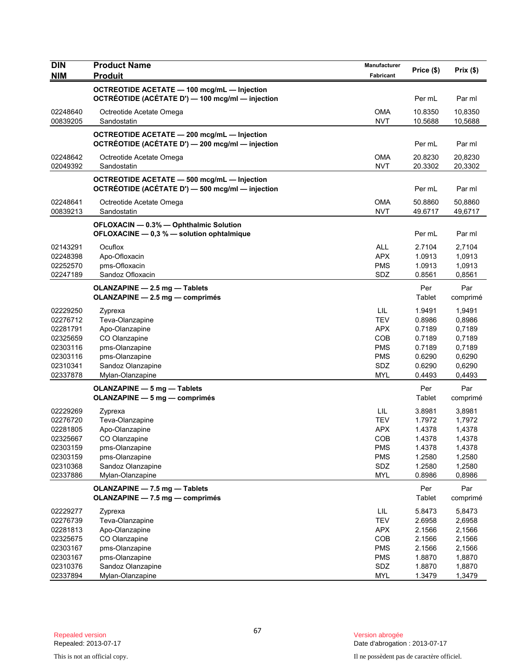| <b>DIN</b>           | <b>Product Name</b>                              | Manufacturer      | Price (\$)       | Prix(\$)         |
|----------------------|--------------------------------------------------|-------------------|------------------|------------------|
| <b>NIM</b>           | <b>Produit</b>                                   | Fabricant         |                  |                  |
|                      | OCTREOTIDE ACETATE - 100 mcg/mL - Injection      |                   |                  |                  |
|                      | OCTRÉOTIDE (ACÉTATE D') — 100 mcg/ml — injection |                   | Per mL           | Par ml           |
| 02248640             | Octreotide Acetate Omega                         | <b>OMA</b>        | 10.8350          | 10,8350          |
| 00839205             | Sandostatin                                      | <b>NVT</b>        | 10.5688          | 10,5688          |
|                      | OCTREOTIDE ACETATE - 200 mcg/mL - Injection      |                   |                  |                  |
|                      | OCTRÉOTIDE (ACÉTATE D') - 200 mcg/ml - injection |                   | Per mL           | Par ml           |
| 02248642             | Octreotide Acetate Omega                         | <b>OMA</b>        | 20.8230          | 20,8230          |
| 02049392             | Sandostatin                                      | <b>NVT</b>        | 20.3302          | 20,3302          |
|                      | OCTREOTIDE ACETATE - 500 mcg/mL - Injection      |                   |                  |                  |
|                      | OCTRÉOTIDE (ACÉTATE D') - 500 mcg/ml - injection |                   | Per mL           | Par ml           |
| 02248641             | Octreotide Acetate Omega                         | <b>OMA</b>        | 50.8860          | 50,8860          |
| 00839213             | Sandostatin                                      | <b>NVT</b>        | 49.6717          | 49,6717          |
|                      | OFLOXACIN - 0.3% - Ophthalmic Solution           |                   |                  |                  |
|                      | OFLOXACINE - 0,3 % - solution ophtalmique        |                   | Per mL           | Par ml           |
| 02143291             | Ocuflox                                          | <b>ALL</b>        | 2.7104           | 2,7104           |
| 02248398             | Apo-Ofloxacin                                    | <b>APX</b>        | 1.0913           | 1,0913           |
| 02252570             | pms-Ofloxacin                                    | <b>PMS</b>        | 1.0913           | 1,0913           |
| 02247189             | Sandoz Ofloxacin                                 | SDZ               | 0.8561           | 0,8561           |
|                      | OLANZAPINE - 2.5 mg - Tablets                    |                   | Per              | Par              |
|                      | OLANZAPINE - 2.5 mg - comprimés                  |                   | Tablet           | comprimé         |
| 02229250             | Zyprexa                                          | LIL               | 1.9491           | 1,9491           |
| 02276712             | Teva-Olanzapine                                  | <b>TEV</b>        | 0.8986           | 0,8986           |
| 02281791             | Apo-Olanzapine                                   | <b>APX</b><br>COB | 0.7189<br>0.7189 | 0,7189           |
| 02325659<br>02303116 | CO Olanzapine<br>pms-Olanzapine                  | <b>PMS</b>        | 0.7189           | 0,7189<br>0,7189 |
| 02303116             | pms-Olanzapine                                   | <b>PMS</b>        | 0.6290           | 0,6290           |
| 02310341             | Sandoz Olanzapine                                | SDZ               | 0.6290           | 0,6290           |
| 02337878             | Mylan-Olanzapine                                 | <b>MYL</b>        | 0.4493           | 0,4493           |
|                      | <b>OLANZAPINE - 5 mg - Tablets</b>               |                   | Per              | Par              |
|                      | <b>OLANZAPINE - 5 mg - comprimés</b>             |                   | Tablet           | comprimé         |
| 02229269             | Zyprexa                                          | LIL               | 3.8981           | 3,8981           |
| 02276720             | Teva-Olanzapine                                  | <b>TEV</b>        | 1.7972           | 1,7972           |
| 02281805             | Apo-Olanzapine                                   | <b>APX</b>        | 1.4378           | 1,4378           |
| 02325667             | CO Olanzapine                                    | COB               | 1.4378           | 1,4378           |
| 02303159             | pms-Olanzapine                                   | <b>PMS</b>        | 1.4378           | 1,4378           |
| 02303159             | pms-Olanzapine                                   | <b>PMS</b>        | 1.2580           | 1,2580           |
| 02310368             | Sandoz Olanzapine                                | SDZ               | 1.2580           | 1,2580           |
| 02337886             | Mylan-Olanzapine                                 | <b>MYL</b>        | 0.8986           | 0,8986           |
|                      | OLANZAPINE - 7.5 mg - Tablets                    |                   | Per              | Par              |
|                      | OLANZAPINE - 7.5 mg - comprimés                  |                   | Tablet           | comprimé         |
| 02229277             | Zyprexa                                          | LIL               | 5.8473           | 5,8473           |
| 02276739             | Teva-Olanzapine                                  | <b>TEV</b>        | 2.6958           | 2,6958           |
| 02281813             | Apo-Olanzapine                                   | <b>APX</b>        | 2.1566           | 2,1566           |
| 02325675             | CO Olanzapine                                    | COB               | 2.1566           | 2,1566           |
| 02303167             | pms-Olanzapine                                   | <b>PMS</b>        | 2.1566           | 2,1566           |
| 02303167             | pms-Olanzapine                                   | <b>PMS</b>        | 1.8870           | 1,8870           |
| 02310376             | Sandoz Olanzapine                                | SDZ               | 1.8870           | 1,8870           |
| 02337894             | Mylan-Olanzapine                                 | <b>MYL</b>        | 1.3479           | 1,3479           |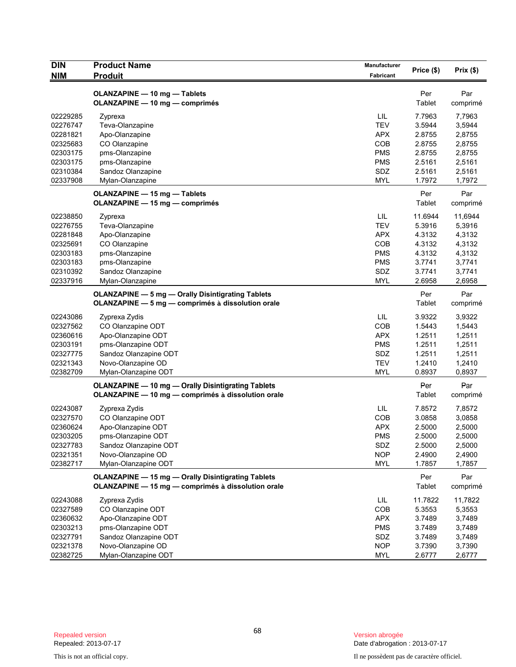| <b>DIN</b> | <b>Product Name</b>                                       | Manufacturer     | Price (\$) | Prix(\$) |
|------------|-----------------------------------------------------------|------------------|------------|----------|
| <b>NIM</b> | <b>Produit</b>                                            | <b>Fabricant</b> |            |          |
|            | OLANZAPINE - 10 mg - Tablets                              |                  | Per        | Par      |
|            | <b>OLANZAPINE - 10 mg - comprimés</b>                     |                  | Tablet     | comprimé |
| 02229285   | Zyprexa                                                   | LIL              | 7.7963     | 7,7963   |
| 02276747   | Teva-Olanzapine                                           | <b>TEV</b>       | 3.5944     | 3,5944   |
| 02281821   | Apo-Olanzapine                                            | <b>APX</b>       | 2.8755     | 2,8755   |
| 02325683   | CO Olanzapine                                             | COB              | 2.8755     | 2,8755   |
| 02303175   | pms-Olanzapine                                            | <b>PMS</b>       | 2.8755     | 2,8755   |
| 02303175   | pms-Olanzapine                                            | <b>PMS</b>       | 2.5161     | 2,5161   |
| 02310384   | Sandoz Olanzapine                                         | SDZ              | 2.5161     | 2,5161   |
| 02337908   | Mylan-Olanzapine                                          | <b>MYL</b>       | 1.7972     | 1,7972   |
|            | OLANZAPINE - 15 mg - Tablets                              |                  | Per        | Par      |
|            | OLANZAPINE - 15 mg - comprimés                            |                  | Tablet     | comprimé |
| 02238850   | Zyprexa                                                   | LIL              | 11.6944    | 11,6944  |
| 02276755   | Teva-Olanzapine                                           | <b>TEV</b>       | 5.3916     | 5,3916   |
| 02281848   | Apo-Olanzapine                                            | <b>APX</b>       | 4.3132     | 4,3132   |
| 02325691   | CO Olanzapine                                             | COB              | 4.3132     | 4,3132   |
| 02303183   | pms-Olanzapine                                            | <b>PMS</b>       | 4.3132     | 4,3132   |
| 02303183   | pms-Olanzapine                                            | <b>PMS</b>       | 3.7741     | 3,7741   |
| 02310392   | Sandoz Olanzapine                                         | SDZ              | 3.7741     | 3,7741   |
| 02337916   | Mylan-Olanzapine                                          | <b>MYL</b>       | 2.6958     | 2,6958   |
|            | <b>OLANZAPINE - 5 mg - Orally Disintigrating Tablets</b>  |                  | Per        | Par      |
|            | OLANZAPINE - 5 mg - comprimés à dissolution orale         |                  | Tablet     | comprimé |
| 02243086   | Zyprexa Zydis                                             | LIL              | 3.9322     | 3,9322   |
| 02327562   | CO Olanzapine ODT                                         | COB              | 1.5443     | 1,5443   |
| 02360616   | Apo-Olanzapine ODT                                        | <b>APX</b>       | 1.2511     | 1,2511   |
| 02303191   | pms-Olanzapine ODT                                        | <b>PMS</b>       | 1.2511     | 1,2511   |
| 02327775   | Sandoz Olanzapine ODT                                     | SDZ              | 1.2511     | 1,2511   |
| 02321343   | Novo-Olanzapine OD                                        | <b>TEV</b>       | 1.2410     | 1,2410   |
| 02382709   | Mylan-Olanzapine ODT                                      | <b>MYL</b>       | 0.8937     | 0,8937   |
|            | <b>OLANZAPINE - 10 mg - Orally Disintigrating Tablets</b> |                  | Per        | Par      |
|            | OLANZAPINE - 10 mg - comprimés à dissolution orale        |                  | Tablet     | comprimé |
| 02243087   | Zyprexa Zydis                                             | LIL              | 7.8572     | 7,8572   |
| 02327570   | CO Olanzapine ODT                                         | COB              | 3.0858     | 3,0858   |
| 02360624   | Apo-Olanzapine ODT                                        | <b>APX</b>       | 2.5000     | 2,5000   |
| 02303205   | pms-Olanzapine ODT                                        | <b>PMS</b>       | 2.5000     | 2,5000   |
| 02327783   | Sandoz Olanzapine ODT                                     | SDZ              | 2.5000     | 2,5000   |
| 02321351   | Novo-Olanzapine OD                                        | <b>NOP</b>       | 2.4900     | 2,4900   |
| 02382717   | Mylan-Olanzapine ODT                                      | <b>MYL</b>       | 1.7857     | 1,7857   |
|            | <b>OLANZAPINE - 15 mg - Orally Disintigrating Tablets</b> |                  | Per        | Par      |
|            | OLANZAPINE - 15 mg - comprimés à dissolution orale        |                  | Tablet     | comprimé |
| 02243088   | Zyprexa Zydis                                             | LIL              | 11.7822    | 11,7822  |
| 02327589   | CO Olanzapine ODT                                         | COB              | 5.3553     | 5,3553   |
| 02360632   | Apo-Olanzapine ODT                                        | <b>APX</b>       | 3.7489     | 3,7489   |
| 02303213   | pms-Olanzapine ODT                                        | <b>PMS</b>       | 3.7489     | 3,7489   |
| 02327791   | Sandoz Olanzapine ODT                                     | SDZ              | 3.7489     | 3,7489   |
| 02321378   | Novo-Olanzapine OD                                        | <b>NOP</b>       | 3.7390     | 3,7390   |
| 02382725   | Mylan-Olanzapine ODT                                      | <b>MYL</b>       | 2.6777     | 2,6777   |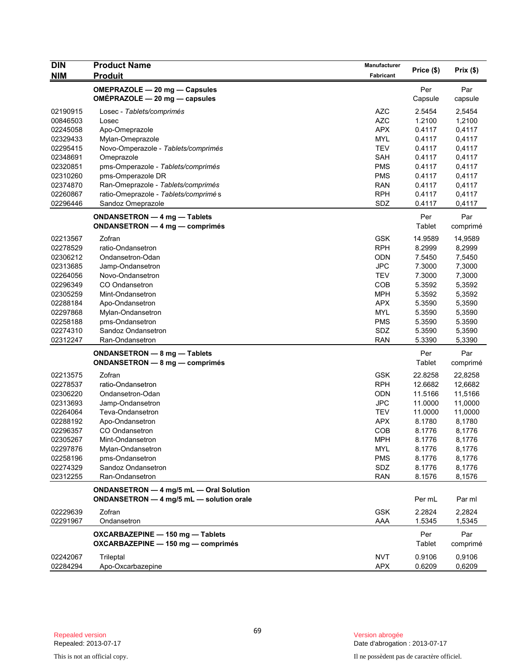| <b>DIN</b> | <b>Product Name</b>                      | Manufacturer |            | Prix(\$) |
|------------|------------------------------------------|--------------|------------|----------|
| NIM        | <b>Produit</b>                           | Fabricant    | Price (\$) |          |
|            | OMEPRAZOLE - 20 mg - Capsules            |              | Per        | Par      |
|            | OMÉPRAZOLE - 20 mg - capsules            |              | Capsule    | capsule  |
| 02190915   |                                          | <b>AZC</b>   | 2.5454     | 2,5454   |
| 00846503   | Losec - Tablets/comprimés<br>Losec       | <b>AZC</b>   | 1.2100     | 1,2100   |
| 02245058   | Apo-Omeprazole                           | <b>APX</b>   | 0.4117     | 0,4117   |
| 02329433   | Mylan-Omeprazole                         | <b>MYL</b>   | 0.4117     | 0,4117   |
| 02295415   | Novo-Omperazole - Tablets/comprimés      | <b>TEV</b>   | 0.4117     | 0,4117   |
| 02348691   | Omeprazole                               | <b>SAH</b>   | 0.4117     | 0,4117   |
| 02320851   | pms-Omperazole - Tablets/comprimés       | <b>PMS</b>   | 0.4117     | 0,4117   |
| 02310260   | pms-Omperazole DR                        | <b>PMS</b>   | 0.4117     | 0,4117   |
| 02374870   | Ran-Omeprazole - Tablets/comprimés       | <b>RAN</b>   | 0.4117     | 0,4117   |
| 02260867   | ratio-Omeprazole - Tablets/comprimés     | <b>RPH</b>   | 0.4117     | 0,4117   |
| 02296446   | Sandoz Omeprazole                        | SDZ          | 0.4117     | 0,4117   |
|            | ONDANSETRON - 4 mg - Tablets             |              | Per        | Par      |
|            | ONDANSETRON - 4 mg - comprimés           |              | Tablet     | comprimé |
|            |                                          |              |            |          |
| 02213567   | Zofran                                   | <b>GSK</b>   | 14.9589    | 14,9589  |
| 02278529   | ratio-Ondansetron                        | <b>RPH</b>   | 8.2999     | 8,2999   |
| 02306212   | Ondansetron-Odan                         | ODN          | 7.5450     | 7,5450   |
| 02313685   | Jamp-Ondansetron                         | <b>JPC</b>   | 7.3000     | 7,3000   |
| 02264056   | Novo-Ondansetron                         | <b>TEV</b>   | 7.3000     | 7,3000   |
| 02296349   | CO Ondansetron                           | COB          | 5.3592     | 5,3592   |
| 02305259   | Mint-Ondansetron                         | <b>MPH</b>   | 5.3592     | 5,3592   |
| 02288184   | Apo-Ondansetron                          | <b>APX</b>   | 5.3590     | 5,3590   |
| 02297868   | Mylan-Ondansetron                        | <b>MYL</b>   | 5.3590     | 5,3590   |
| 02258188   | pms-Ondansetron                          | <b>PMS</b>   | 5.3590     | 5.3590   |
| 02274310   | Sandoz Ondansetron                       | SDZ          | 5.3590     | 5,3590   |
| 02312247   | Ran-Ondansetron                          | <b>RAN</b>   | 5.3390     | 5,3390   |
|            | ONDANSETRON - 8 mg - Tablets             |              | Per        | Par      |
|            | ONDANSETRON - 8 mg - comprimés           |              | Tablet     | comprimé |
| 02213575   | Zofran                                   | <b>GSK</b>   | 22.8258    | 22,8258  |
| 02278537   | ratio-Ondansetron                        | <b>RPH</b>   | 12.6682    | 12,6682  |
| 02306220   | Ondansetron-Odan                         | ODN          | 11.5166    | 11,5166  |
| 02313693   | Jamp-Ondansetron                         | <b>JPC</b>   | 11.0000    | 11,0000  |
| 02264064   | Teva-Ondansetron                         | <b>TEV</b>   | 11.0000    | 11,0000  |
| 02288192   | Apo-Ondansetron                          | <b>APX</b>   | 8.1780     | 8,1780   |
| 02296357   | <b>CO Ondansetron</b>                    | COB          | 8.1776     | 8,1776   |
| 02305267   | Mint-Ondansetron                         | MPH          | 8.1776     | 8,1776   |
| 02297876   | Mylan-Ondansetron                        | MYL          | 8.1776     | 8,1776   |
| 02258196   | pms-Ondansetron                          | <b>PMS</b>   | 8.1776     | 8,1776   |
| 02274329   | Sandoz Ondansetron                       | SDZ          | 8.1776     | 8,1776   |
| 02312255   | Ran-Ondansetron                          | <b>RAN</b>   | 8.1576     | 8,1576   |
|            | ONDANSETRON - 4 mg/5 mL - Oral Solution  |              |            |          |
|            | ONDANSETRON - 4 mg/5 mL - solution orale |              | Per mL     | Par ml   |
| 02229639   | Zofran                                   | <b>GSK</b>   | 2.2824     | 2,2824   |
| 02291967   | Ondansetron                              | AAA          | 1.5345     | 1,5345   |
|            | OXCARBAZEPINE - 150 mg - Tablets         |              | Per        | Par      |
|            | OXCARBAZEPINE - 150 mg - comprimés       |              | Tablet     | comprimé |
| 02242067   | Trileptal                                | <b>NVT</b>   | 0.9106     | 0,9106   |
| 02284294   | Apo-Oxcarbazepine                        | <b>APX</b>   | 0.6209     | 0,6209   |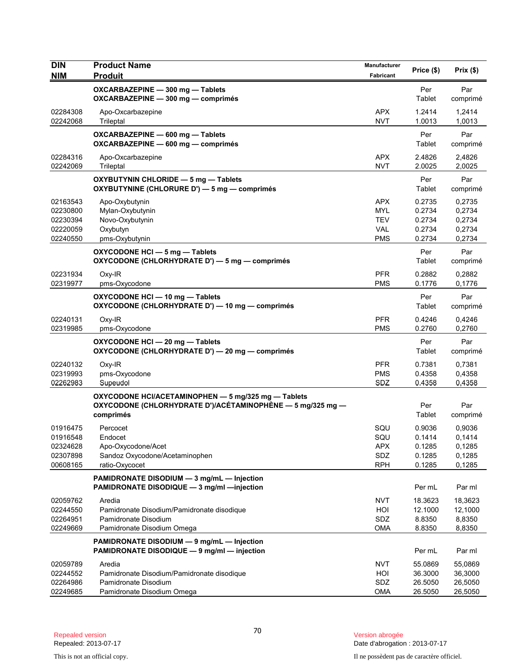| <b>DIN</b><br><b>NIM</b>                                 | <b>Product Name</b><br><b>Produit</b>                                                                                          | Manufacturer<br><b>Fabricant</b>                                   | Price (\$)                                            | Prix(\$)                                              |
|----------------------------------------------------------|--------------------------------------------------------------------------------------------------------------------------------|--------------------------------------------------------------------|-------------------------------------------------------|-------------------------------------------------------|
|                                                          | OXCARBAZEPINE - 300 mg - Tablets<br>OXCARBAZEPINE - 300 mg - comprimés                                                         |                                                                    | Per<br>Tablet                                         | Par<br>comprimé                                       |
| 02284308<br>02242068                                     | Apo-Oxcarbazepine<br>Trileptal                                                                                                 | <b>APX</b><br><b>NVT</b>                                           | 1.2414<br>1.0013                                      | 1,2414<br>1,0013                                      |
|                                                          | OXCARBAZEPINE - 600 mg - Tablets<br>OXCARBAZEPINE - 600 mg - comprimés                                                         |                                                                    | Per<br>Tablet                                         | Par<br>comprimé                                       |
| 02284316<br>02242069                                     | Apo-Oxcarbazepine<br>Trileptal                                                                                                 | <b>APX</b><br><b>NVT</b>                                           | 2.4826<br>2.0025                                      | 2,4826<br>2,0025                                      |
|                                                          | OXYBUTYNIN CHLORIDE - 5 mg - Tablets<br>OXYBUTYNINE (CHLORURE D') - 5 mg - comprimés                                           |                                                                    | Per<br>Tablet                                         | Par<br>comprimé                                       |
| 02163543<br>02230800<br>02230394<br>02220059<br>02240550 | Apo-Oxybutynin<br>Mylan-Oxybutynin<br>Novo-Oxybutynin<br>Oxybutyn<br>pms-Oxybutynin                                            | <b>APX</b><br><b>MYL</b><br><b>TEV</b><br><b>VAL</b><br><b>PMS</b> | 0.2735<br>0.2734<br>0.2734<br>0.2734<br>0.2734<br>Per | 0,2735<br>0,2734<br>0,2734<br>0,2734<br>0,2734<br>Par |
| 02231934                                                 | OXYCODONE HCI - 5 mg - Tablets<br>OXYCODONE (CHLORHYDRATE D') - 5 mg - comprimés<br>$Oxy-IR$                                   | <b>PFR</b>                                                         | Tablet<br>0.2882                                      | comprimé<br>0,2882                                    |
| 02319977                                                 | pms-Oxycodone<br>OXYCODONE HCI-10 mg-Tablets<br>OXYCODONE (CHLORHYDRATE D') - 10 mg - comprimés                                | <b>PMS</b>                                                         | 0.1776<br>Per<br>Tablet                               | 0,1776<br>Par<br>comprimé                             |
| 02240131<br>02319985                                     | $Oxy-IR$<br>pms-Oxycodone                                                                                                      | <b>PFR</b><br><b>PMS</b>                                           | 0.4246<br>0.2760                                      | 0,4246<br>0,2760                                      |
|                                                          | OXYCODONE HCI-20 mg-Tablets<br>OXYCODONE (CHLORHYDRATE D') - 20 mg - comprimés                                                 |                                                                    | Per<br>Tablet                                         | Par<br>comprimé                                       |
| 02240132<br>02319993<br>02262983                         | $Oxy-IR$<br>pms-Oxycodone<br>Supeudol                                                                                          | <b>PFR</b><br><b>PMS</b><br>SDZ                                    | 0.7381<br>0.4358<br>0.4358                            | 0,7381<br>0,4358<br>0,4358                            |
|                                                          | OXYCODONE HCI/ACETAMINOPHEN - 5 mg/325 mg - Tablets<br>OXYCODONE (CHLORHYDRATE D')/ACÉTAMINOPHÈNE - 5 mg/325 mg -<br>comprimés |                                                                    | Per<br>Tablet                                         | Par<br>comprimé                                       |
| 01916475<br>01916548<br>02324628<br>02307898<br>00608165 | Percocet<br>Endocet<br>Apo-Oxycodone/Acet<br>Sandoz Oxycodone/Acetaminophen<br>ratio-Oxycocet                                  | SQU<br>SQU<br>APX<br>SDZ<br><b>RPH</b>                             | 0.9036<br>0.1414<br>0.1285<br>0.1285<br>0.1285        | 0,9036<br>0,1414<br>0,1285<br>0,1285<br>0,1285        |
|                                                          | PAMIDRONATE DISODIUM - 3 mg/mL - Injection<br>PAMIDRONATE DISODIQUE - 3 mg/ml -injection                                       |                                                                    | Per mL                                                | Par ml                                                |
| 02059762<br>02244550<br>02264951<br>02249669             | Aredia<br>Pamidronate Disodium/Pamidronate disodique<br>Pamidronate Disodium<br>Pamidronate Disodium Omega                     | <b>NVT</b><br>HOI<br>SDZ<br><b>OMA</b>                             | 18.3623<br>12.1000<br>8.8350<br>8.8350                | 18,3623<br>12,1000<br>8,8350<br>8,8350                |
|                                                          | PAMIDRONATE DISODIUM - 9 mg/mL - Injection<br>PAMIDRONATE DISODIQUE - 9 mg/ml - injection                                      |                                                                    | Per mL                                                | Par ml                                                |
| 02059789<br>02244552<br>02264986<br>02249685             | Aredia<br>Pamidronate Disodium/Pamidronate disodique<br>Pamidronate Disodium<br>Pamidronate Disodium Omega                     | <b>NVT</b><br>HOI<br>SDZ<br><b>OMA</b>                             | 55.0869<br>36.3000<br>26.5050<br>26.5050              | 55,0869<br>36,3000<br>26,5050<br>26,5050              |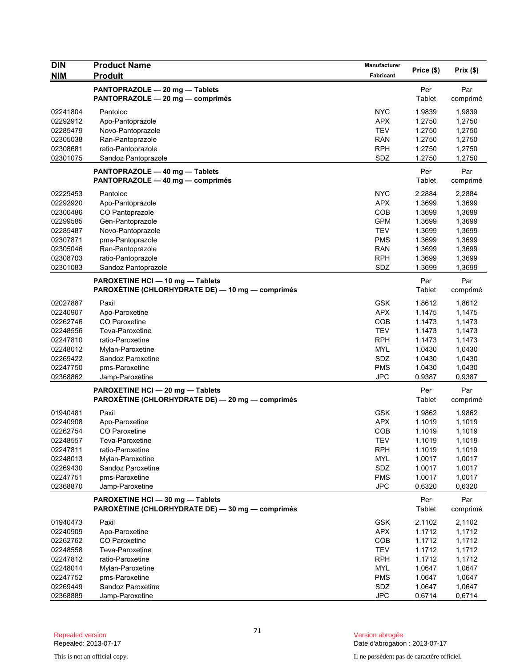| <b>DIN</b><br><b>NIM</b> | <b>Product Name</b><br><b>Produit</b>                                                | <b>Manufacturer</b><br>Fabricant | Price (\$)       | Prix(\$)         |
|--------------------------|--------------------------------------------------------------------------------------|----------------------------------|------------------|------------------|
|                          | PANTOPRAZOLE - 20 mg - Tablets                                                       |                                  | Per              | Par              |
|                          | PANTOPRAZOLE - 20 mg - comprimés                                                     |                                  | Tablet           | comprimé         |
| 02241804                 | Pantoloc                                                                             | <b>NYC</b>                       | 1.9839           | 1,9839           |
| 02292912                 | Apo-Pantoprazole                                                                     | <b>APX</b>                       | 1.2750           | 1,2750           |
| 02285479                 | Novo-Pantoprazole                                                                    | <b>TEV</b>                       | 1.2750           | 1,2750           |
| 02305038                 | Ran-Pantoprazole                                                                     | <b>RAN</b>                       | 1.2750           | 1,2750           |
| 02308681<br>02301075     | ratio-Pantoprazole<br>Sandoz Pantoprazole                                            | <b>RPH</b><br>SDZ                | 1.2750<br>1.2750 | 1,2750<br>1,2750 |
|                          |                                                                                      |                                  |                  |                  |
|                          | PANTOPRAZOLE - 40 mg - Tablets<br>PANTOPRAZOLE - 40 mg - comprimés                   |                                  | Per<br>Tablet    | Par<br>comprimé  |
| 02229453                 | Pantoloc                                                                             | <b>NYC</b>                       | 2.2884           | 2,2884           |
| 02292920                 | Apo-Pantoprazole                                                                     | <b>APX</b>                       | 1.3699           | 1,3699           |
| 02300486                 | CO Pantoprazole                                                                      | COB                              | 1.3699           | 1,3699           |
| 02299585                 | Gen-Pantoprazole                                                                     | <b>GPM</b>                       | 1.3699           | 1,3699           |
| 02285487                 | Novo-Pantoprazole                                                                    | <b>TEV</b>                       | 1.3699           | 1,3699           |
| 02307871                 | pms-Pantoprazole                                                                     | <b>PMS</b>                       | 1.3699           | 1,3699           |
| 02305046                 | Ran-Pantoprazole                                                                     | <b>RAN</b>                       | 1.3699           | 1,3699           |
| 02308703<br>02301083     | ratio-Pantoprazole<br>Sandoz Pantoprazole                                            | RPH<br>SDZ                       | 1.3699<br>1.3699 | 1,3699<br>1,3699 |
|                          | PAROXETINE HCI - 10 mg - Tablets                                                     |                                  | Per              | Par              |
|                          | PAROXÉTINE (CHLORHYDRATE DE) — 10 mg — comprimés                                     |                                  | Tablet           | comprimé         |
| 02027887                 | Paxil                                                                                | <b>GSK</b>                       | 1.8612           | 1,8612           |
| 02240907                 | Apo-Paroxetine                                                                       | <b>APX</b>                       | 1.1475           | 1,1475           |
| 02262746                 | CO Paroxetine                                                                        | COB                              | 1.1473           | 1,1473           |
| 02248556                 | Teva-Paroxetine                                                                      | <b>TEV</b>                       | 1.1473           | 1,1473           |
| 02247810                 | ratio-Paroxetine                                                                     | <b>RPH</b>                       | 1.1473           | 1,1473           |
| 02248012                 | Mylan-Paroxetine                                                                     | <b>MYL</b>                       | 1.0430           | 1,0430           |
| 02269422                 | Sandoz Paroxetine                                                                    | SDZ                              | 1.0430           | 1,0430           |
| 02247750                 | pms-Paroxetine                                                                       | <b>PMS</b>                       | 1.0430           | 1,0430           |
| 02368862                 | Jamp-Paroxetine                                                                      | <b>JPC</b>                       | 0.9387           | 0,9387           |
|                          | PAROXETINE HCI-20 mg-Tablets<br>PAROXÉTINE (CHLORHYDRATE DE) — 20 mg — comprimés     |                                  | Per<br>Tablet    | Par<br>comprimé  |
| 01940481                 | Paxil                                                                                | <b>GSK</b>                       | 1.9862           | 1,9862           |
| 02240908                 | Apo-Paroxetine                                                                       | <b>APX</b>                       | 1.1019           | 1,1019           |
| 02262754                 | CO Paroxetine                                                                        | COB                              | 1.1019           | 1,1019           |
| 02248557                 | Teva-Paroxetine                                                                      | <b>TEV</b>                       | 1.1019           | 1,1019           |
| 02247811                 | ratio-Paroxetine                                                                     | <b>RPH</b>                       | 1.1019           | 1,1019           |
| 02248013                 | Mylan-Paroxetine                                                                     | <b>MYL</b>                       | 1.0017           | 1,0017           |
| 02269430                 | Sandoz Paroxetine                                                                    | SDZ                              | 1.0017           | 1,0017           |
| 02247751                 | pms-Paroxetine                                                                       | <b>PMS</b>                       | 1.0017           | 1,0017           |
| 02368870                 | Jamp-Paroxetine                                                                      | JPC                              | 0.6320           | 0,6320           |
|                          | PAROXETINE HCI - 30 mg - Tablets<br>PAROXÉTINE (CHLORHYDRATE DE) - 30 mg - comprimés |                                  | Per<br>Tablet    | Par<br>comprimé  |
| 01940473                 | Paxil                                                                                | <b>GSK</b>                       | 2.1102           | 2,1102           |
| 02240909                 | Apo-Paroxetine                                                                       | <b>APX</b>                       | 1.1712           | 1,1712           |
| 02262762                 | CO Paroxetine                                                                        | COB                              | 1.1712           | 1,1712           |
| 02248558                 | Teva-Paroxetine                                                                      | <b>TEV</b>                       | 1.1712           | 1,1712           |
| 02247812                 | ratio-Paroxetine                                                                     | <b>RPH</b>                       | 1.1712           | 1,1712           |
| 02248014                 | Mylan-Paroxetine                                                                     | <b>MYL</b>                       | 1.0647           | 1,0647           |
| 02247752                 | pms-Paroxetine                                                                       | <b>PMS</b>                       | 1.0647           | 1,0647           |
| 02269449                 | Sandoz Paroxetine                                                                    | SDZ                              | 1.0647           | 1,0647           |
| 02368889                 | Jamp-Paroxetine                                                                      | <b>JPC</b>                       | 0.6714           | 0,6714           |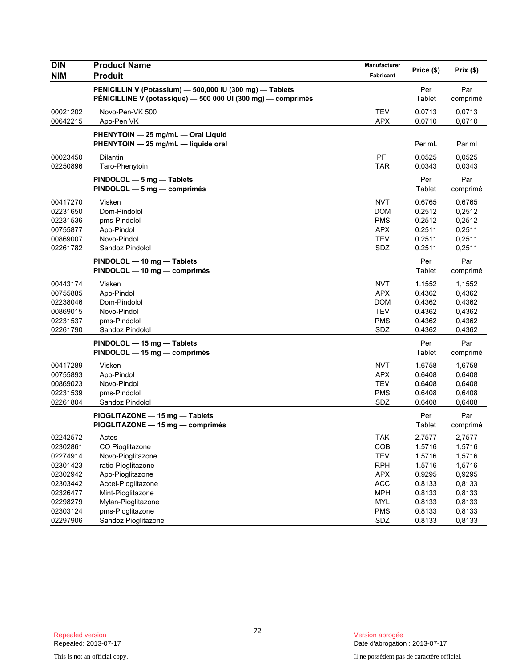| <b>DIN</b><br><b>NIM</b> | <b>Product Name</b><br><b>Produit</b>                                                                                    | Manufacturer<br>Fabricant | Price (\$)    | Prix(\$)        |
|--------------------------|--------------------------------------------------------------------------------------------------------------------------|---------------------------|---------------|-----------------|
|                          | PENICILLIN V (Potassium) - 500,000 IU (300 mg) - Tablets<br>PÉNICILLINE V (potassique) — 500 000 UI (300 mg) — comprimés |                           | Per<br>Tablet | Par<br>comprimé |
| 00021202                 | Novo-Pen-VK 500                                                                                                          | <b>TEV</b>                | 0.0713        | 0,0713          |
| 00642215                 | Apo-Pen VK                                                                                                               | <b>APX</b>                | 0.0710        | 0,0710          |
|                          | PHENYTOIN - 25 mg/mL - Oral Liquid<br>PHENYTOIN - 25 mg/mL - liquide oral                                                |                           | Per mL        | Par ml          |
| 00023450                 | <b>Dilantin</b>                                                                                                          | PFI                       | 0.0525        | 0,0525          |
| 02250896                 | Taro-Phenytoin                                                                                                           | <b>TAR</b>                | 0.0343        | 0,0343          |
|                          | PINDOLOL - 5 mg - Tablets<br>PINDOLOL - 5 mg - comprimés                                                                 |                           | Per<br>Tablet | Par<br>comprimé |
| 00417270                 | Visken                                                                                                                   | <b>NVT</b>                | 0.6765        | 0,6765          |
| 02231650                 | Dom-Pindolol                                                                                                             | <b>DOM</b>                | 0.2512        | 0,2512          |
| 02231536                 | pms-Pindolol                                                                                                             | <b>PMS</b>                | 0.2512        | 0,2512          |
| 00755877                 | Apo-Pindol                                                                                                               | <b>APX</b>                | 0.2511        | 0,2511          |
| 00869007                 | Novo-Pindol                                                                                                              | <b>TEV</b>                | 0.2511        | 0,2511          |
| 02261782                 | Sandoz Pindolol                                                                                                          | SDZ                       | 0.2511        | 0,2511          |
|                          | PINDOLOL - 10 mg - Tablets<br>PINDOLOL — 10 mg — comprimés                                                               |                           | Per<br>Tablet | Par<br>comprimé |
| 00443174                 | Visken                                                                                                                   | <b>NVT</b>                | 1.1552        | 1,1552          |
| 00755885                 | Apo-Pindol                                                                                                               | <b>APX</b>                | 0.4362        | 0,4362          |
| 02238046                 | Dom-Pindolol                                                                                                             | DOM                       | 0.4362        | 0,4362          |
| 00869015                 | Novo-Pindol                                                                                                              | <b>TEV</b>                | 0.4362        | 0,4362          |
| 02231537                 | pms-Pindolol                                                                                                             | <b>PMS</b>                | 0.4362        | 0,4362          |
| 02261790                 | Sandoz Pindolol                                                                                                          | SDZ                       | 0.4362        | 0,4362          |
|                          | PINDOLOL - 15 mg - Tablets<br>PINDOLOL - 15 mg - comprimés                                                               |                           | Per<br>Tablet | Par<br>comprimé |
| 00417289                 | Visken                                                                                                                   | <b>NVT</b>                | 1.6758        | 1,6758          |
| 00755893                 | Apo-Pindol                                                                                                               | <b>APX</b>                | 0.6408        | 0,6408          |
| 00869023                 | Novo-Pindol                                                                                                              | <b>TEV</b>                | 0.6408        | 0,6408          |
| 02231539                 | pms-Pindolol                                                                                                             | <b>PMS</b>                | 0.6408        | 0,6408          |
| 02261804                 | Sandoz Pindolol                                                                                                          | SDZ                       | 0.6408        | 0,6408          |
|                          | PIOGLITAZONE - 15 mg - Tablets<br>PIOGLITAZONE - 15 mg - comprimés                                                       |                           | Per<br>Tablet | Par<br>comprimé |
| 02242572                 | Actos                                                                                                                    | TAK                       | 2.7577        | 2,7577          |
| 02302861                 | CO Pioglitazone                                                                                                          | COB                       | 1.5716        | 1,5716          |
| 02274914                 | Novo-Pioglitazone                                                                                                        | <b>TEV</b>                | 1.5716        | 1,5716          |
| 02301423                 | ratio-Pioglitazone                                                                                                       | <b>RPH</b>                | 1.5716        | 1,5716          |
| 02302942                 | Apo-Pioglitazone                                                                                                         | <b>APX</b>                | 0.9295        | 0,9295          |
| 02303442                 | Accel-Pioglitazone                                                                                                       | <b>ACC</b>                | 0.8133        | 0,8133          |
| 02326477                 | Mint-Pioglitazone                                                                                                        | <b>MPH</b>                | 0.8133        | 0,8133          |
| 02298279                 | Mylan-Pioglitazone                                                                                                       | <b>MYL</b>                | 0.8133        | 0,8133          |
| 02303124                 | pms-Pioglitazone                                                                                                         | <b>PMS</b>                | 0.8133        | 0,8133          |
| 02297906                 | Sandoz Pioglitazone                                                                                                      | SDZ                       | 0.8133        | 0,8133          |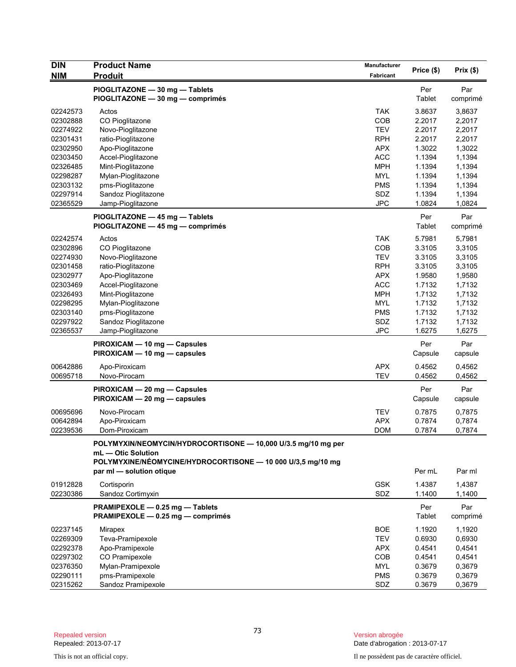| <b>DIN</b>           | <b>Product Name</b>                                           | <b>Manufacturer</b>      | Price (\$)       | Prix(\$)         |
|----------------------|---------------------------------------------------------------|--------------------------|------------------|------------------|
| NIM                  | <b>Produit</b>                                                | <b>Fabricant</b>         |                  |                  |
|                      | PIOGLITAZONE - 30 mg - Tablets                                |                          | Per              | Par              |
|                      | PIOGLITAZONE - 30 mg - comprimés                              |                          | Tablet           | comprimé         |
| 02242573             | Actos                                                         | <b>TAK</b>               | 3.8637           | 3,8637           |
| 02302888             | CO Pioglitazone                                               | COB                      | 2.2017           | 2,2017           |
| 02274922             | Novo-Pioglitazone                                             | <b>TEV</b>               | 2.2017           | 2,2017           |
| 02301431             | ratio-Pioglitazone                                            | <b>RPH</b>               | 2.2017           | 2,2017           |
| 02302950             | Apo-Pioglitazone                                              | <b>APX</b>               | 1.3022           | 1,3022           |
| 02303450             | Accel-Pioglitazone                                            | <b>ACC</b>               | 1.1394           | 1,1394           |
| 02326485             | Mint-Pioglitazone                                             | <b>MPH</b>               | 1.1394           | 1,1394           |
| 02298287             | Mylan-Pioglitazone                                            | <b>MYL</b>               | 1.1394           | 1,1394           |
| 02303132             | pms-Pioglitazone                                              | <b>PMS</b>               | 1.1394           | 1,1394           |
| 02297914             | Sandoz Pioglitazone                                           | SDZ                      | 1.1394           | 1,1394           |
| 02365529             | Jamp-Pioglitazone                                             | <b>JPC</b>               | 1.0824           | 1,0824           |
|                      | PIOGLITAZONE - 45 mg - Tablets                                |                          | Per              | Par              |
|                      | PIOGLITAZONE - 45 mg - comprimés                              |                          | Tablet           | comprimé         |
| 02242574             | Actos                                                         | <b>TAK</b>               | 5.7981           | 5,7981           |
| 02302896             | CO Pioglitazone                                               | COB                      | 3.3105           | 3,3105           |
| 02274930             | Novo-Pioglitazone                                             | <b>TEV</b>               | 3.3105           | 3,3105           |
| 02301458             | ratio-Pioglitazone                                            | <b>RPH</b>               | 3.3105           | 3,3105           |
| 02302977             | Apo-Pioglitazone                                              | <b>APX</b>               | 1.9580           | 1,9580           |
| 02303469             | Accel-Pioglitazone                                            | <b>ACC</b>               | 1.7132           | 1,7132           |
| 02326493             | Mint-Pioglitazone                                             | <b>MPH</b>               | 1.7132           | 1,7132           |
| 02298295             | Mylan-Pioglitazone                                            | <b>MYL</b>               | 1.7132           | 1,7132           |
| 02303140             | pms-Pioglitazone                                              | <b>PMS</b>               | 1.7132           | 1,7132           |
| 02297922             | Sandoz Pioglitazone                                           | SDZ                      | 1.7132           | 1,7132           |
| 02365537             | Jamp-Pioglitazone                                             | <b>JPC</b>               | 1.6275           | 1,6275           |
|                      | PIROXICAM - 10 mg - Capsules                                  |                          | Per              | Par              |
|                      | PIROXICAM - 10 mg - capsules                                  |                          | Capsule          | capsule          |
|                      |                                                               |                          |                  |                  |
| 00642886<br>00695718 | Apo-Piroxicam<br>Novo-Pirocam                                 | <b>APX</b><br><b>TEV</b> | 0.4562<br>0.4562 | 0,4562<br>0,4562 |
|                      |                                                               |                          |                  |                  |
|                      | PIROXICAM - 20 mg - Capsules                                  |                          | Per              | Par              |
|                      | PIROXICAM - 20 mg - capsules                                  |                          | Capsule          | capsule          |
| 00695696             | Novo-Pirocam                                                  | <b>TEV</b>               | 0.7875           | 0,7875           |
| 00642894             | Apo-Piroxicam                                                 | <b>APX</b>               | 0.7874           | 0,7874           |
| 02239536             | Dom-Piroxicam                                                 | <b>DOM</b>               | 0.7874           | 0,7874           |
|                      | POLYMYXIN/NEOMYCIN/HYDROCORTISONE - 10,000 U/3.5 mg/10 mg per |                          |                  |                  |
|                      | mL - Otic Solution                                            |                          |                  |                  |
|                      | POLYMYXINE/NÉOMYCINE/HYDROCORTISONE - 10 000 U/3,5 mg/10 mg   |                          |                  |                  |
|                      | par ml - solution otique                                      |                          | Per mL           | Par ml           |
| 01912828             | Cortisporin                                                   | <b>GSK</b>               | 1.4387           | 1,4387           |
| 02230386             | Sandoz Cortimyxin                                             | SDZ                      | 1.1400           | 1,1400           |
|                      |                                                               |                          |                  |                  |
|                      | PRAMIPEXOLE - 0.25 mg - Tablets                               |                          | Per              | Par              |
|                      | PRAMIPEXOLE - 0.25 mg - comprimés                             |                          | Tablet           | comprimé         |
| 02237145             | Mirapex                                                       | <b>BOE</b>               | 1.1920           | 1,1920           |
| 02269309             | Teva-Pramipexole                                              | <b>TEV</b>               | 0.6930           | 0,6930           |
| 02292378             | Apo-Pramipexole                                               | <b>APX</b>               | 0.4541           | 0,4541           |
| 02297302             | CO Pramipexole                                                | <b>COB</b>               | 0.4541           | 0,4541           |
| 02376350             | Mylan-Pramipexole                                             | <b>MYL</b>               | 0.3679           | 0,3679           |
| 02290111             | pms-Pramipexole                                               | <b>PMS</b>               | 0.3679           | 0,3679           |
| 02315262             | Sandoz Pramipexole                                            | SDZ                      | 0.3679           | 0,3679           |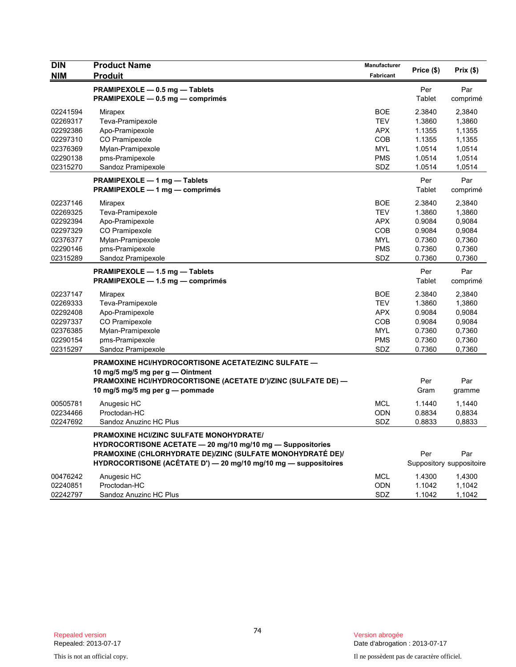| <b>DIN</b><br><b>NIM</b> | <b>Product Name</b><br><b>Produit</b>                                                                                                                                                                                                  | Manufacturer<br>Fabricant | Price (\$)    | Prix(\$)                        |
|--------------------------|----------------------------------------------------------------------------------------------------------------------------------------------------------------------------------------------------------------------------------------|---------------------------|---------------|---------------------------------|
|                          | PRAMIPEXOLE - 0.5 mg - Tablets<br>PRAMIPEXOLE - 0.5 mg - comprimés                                                                                                                                                                     |                           | Per<br>Tablet | Par<br>comprimé                 |
| 02241594                 | <b>Mirapex</b>                                                                                                                                                                                                                         | BOE                       | 2.3840        | 2,3840                          |
| 02269317                 | Teva-Pramipexole                                                                                                                                                                                                                       | <b>TEV</b>                | 1.3860        | 1,3860                          |
| 02292386                 | Apo-Pramipexole                                                                                                                                                                                                                        | <b>APX</b>                | 1.1355        | 1,1355                          |
| 02297310                 | CO Pramipexole                                                                                                                                                                                                                         | <b>COB</b>                | 1.1355        | 1,1355                          |
| 02376369                 | Mylan-Pramipexole                                                                                                                                                                                                                      | <b>MYL</b>                | 1.0514        | 1,0514                          |
| 02290138                 | pms-Pramipexole                                                                                                                                                                                                                        | <b>PMS</b>                | 1.0514        | 1,0514                          |
| 02315270                 | Sandoz Pramipexole                                                                                                                                                                                                                     | SDZ                       | 1.0514        | 1,0514                          |
|                          | PRAMIPEXOLE - 1 mg - Tablets<br>PRAMIPEXOLE — 1 mg — comprimés                                                                                                                                                                         |                           | Per<br>Tablet | Par<br>comprimé                 |
| 02237146                 | Mirapex                                                                                                                                                                                                                                | <b>BOE</b>                | 2.3840        | 2,3840                          |
| 02269325                 | Teva-Pramipexole                                                                                                                                                                                                                       | <b>TEV</b>                | 1.3860        | 1,3860                          |
| 02292394                 | Apo-Pramipexole                                                                                                                                                                                                                        | <b>APX</b>                | 0.9084        | 0,9084                          |
| 02297329                 | CO Pramipexole                                                                                                                                                                                                                         | COB                       | 0.9084        | 0,9084                          |
| 02376377                 | Mylan-Pramipexole                                                                                                                                                                                                                      | <b>MYL</b>                | 0.7360        | 0,7360                          |
| 02290146                 | pms-Pramipexole                                                                                                                                                                                                                        | <b>PMS</b>                | 0.7360        | 0,7360                          |
| 02315289                 | Sandoz Pramipexole                                                                                                                                                                                                                     | SDZ                       | 0.7360        | 0,7360                          |
|                          | PRAMIPEXOLE - 1.5 mg - Tablets<br>PRAMIPEXOLE - 1.5 mg - comprimés                                                                                                                                                                     |                           | Per<br>Tablet | Par<br>comprimé                 |
| 02237147                 | Mirapex                                                                                                                                                                                                                                | <b>BOE</b>                | 2.3840        | 2,3840                          |
| 02269333                 | Teva-Pramipexole                                                                                                                                                                                                                       | <b>TEV</b>                | 1.3860        | 1,3860                          |
| 02292408                 | Apo-Pramipexole                                                                                                                                                                                                                        | <b>APX</b>                | 0.9084        | 0,9084                          |
| 02297337                 | CO Pramipexole                                                                                                                                                                                                                         | <b>COB</b>                | 0.9084        | 0,9084                          |
| 02376385                 | Mylan-Pramipexole                                                                                                                                                                                                                      | <b>MYL</b>                | 0.7360        | 0,7360                          |
| 02290154                 | pms-Pramipexole                                                                                                                                                                                                                        | <b>PMS</b>                | 0.7360        | 0,7360                          |
| 02315297                 | Sandoz Pramipexole                                                                                                                                                                                                                     | SDZ                       | 0.7360        | 0,7360                          |
|                          | PRAMOXINE HCI/HYDROCORTISONE ACETATE/ZINC SULFATE -<br>10 mg/5 mg/5 mg per g - Ointment<br>PRAMOXINE HCI/HYDROCORTISONE (ACETATE D')/ZINC (SULFATE DE) -<br>10 mg/5 mg/5 mg per g - pommade                                            |                           | Per<br>Gram   | Par<br>gramme                   |
| 00505781                 | Anugesic HC                                                                                                                                                                                                                            | <b>MCL</b>                | 1.1440        | 1,1440                          |
| 02234466                 | Proctodan-HC                                                                                                                                                                                                                           | <b>ODN</b>                | 0.8834        | 0,8834                          |
| 02247692                 | Sandoz Anuzinc HC Plus                                                                                                                                                                                                                 | SDZ                       | 0.8833        | 0,8833                          |
|                          | PRAMOXINE HCI/ZINC SULFATE MONOHYDRATE/<br>HYDROCORTISONE ACETATE - 20 mg/10 mg/10 mg - Suppositories<br>PRAMOXINE (CHLORHYDRATE DE)/ZINC (SULFATE MONOHYDRATÉ DE)/<br>HYDROCORTISONE (ACÉTATE D') - 20 mg/10 mg/10 mg - suppositoires |                           | Per           | Par<br>Suppository suppositoire |
| 00476242                 | Anugesic HC                                                                                                                                                                                                                            | <b>MCL</b>                | 1.4300        | 1,4300                          |
| 02240851                 | Proctodan-HC                                                                                                                                                                                                                           | <b>ODN</b>                | 1.1042        | 1,1042                          |
| 02242797                 | Sandoz Anuzinc HC Plus                                                                                                                                                                                                                 | SDZ                       | 1.1042        | 1,1042                          |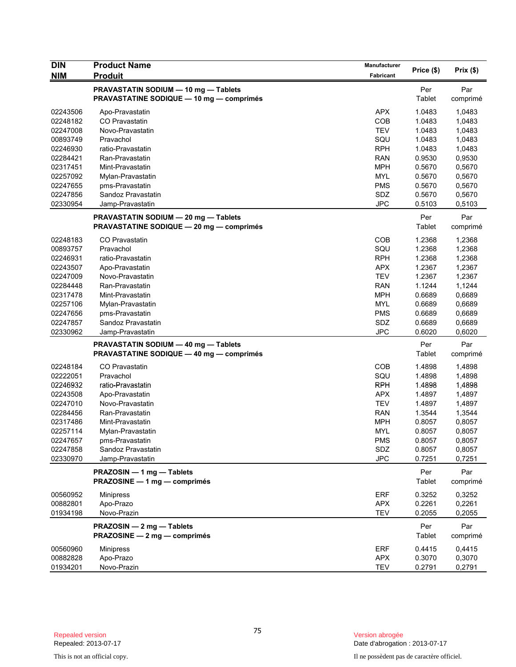| <b>DIN</b> | <b>Product Name</b>                             | <b>Manufacturer</b>      | Price (\$)       | Prix(\$)         |
|------------|-------------------------------------------------|--------------------------|------------------|------------------|
| NIM        | <b>Produit</b>                                  | Fabricant                |                  |                  |
|            | PRAVASTATIN SODIUM - 10 mg - Tablets            |                          | Per              | Par              |
|            | <b>PRAVASTATINE SODIQUE - 10 mg - comprimés</b> |                          | Tablet           | comprimé         |
| 02243506   | Apo-Pravastatin                                 | <b>APX</b>               | 1.0483           | 1,0483           |
| 02248182   | CO Pravastatin                                  | COB                      | 1.0483           | 1,0483           |
| 02247008   | Novo-Pravastatin                                | <b>TEV</b>               | 1.0483           | 1,0483           |
| 00893749   | Pravachol                                       | SQU                      | 1.0483           | 1,0483           |
| 02246930   | ratio-Pravastatin                               | <b>RPH</b>               | 1.0483           | 1,0483           |
| 02284421   | Ran-Pravastatin                                 | <b>RAN</b>               | 0.9530           | 0,9530           |
| 02317451   | Mint-Pravastatin                                | <b>MPH</b>               | 0.5670           | 0,5670           |
| 02257092   | Mylan-Pravastatin                               | <b>MYL</b>               | 0.5670           | 0,5670           |
| 02247655   | pms-Pravastatin                                 | <b>PMS</b>               | 0.5670           | 0,5670           |
| 02247856   | Sandoz Pravastatin                              | SDZ                      | 0.5670           | 0,5670           |
| 02330954   | Jamp-Pravastatin                                | <b>JPC</b>               | 0.5103           | 0,5103           |
|            | PRAVASTATIN SODIUM - 20 mg - Tablets            |                          | Per              | Par              |
|            | PRAVASTATINE SODIQUE - 20 mg - comprimés        |                          | Tablet           | comprimé         |
| 02248183   | <b>CO Pravastatin</b>                           | COB                      |                  | 1,2368           |
| 00893757   | Pravachol                                       | SQU                      | 1.2368<br>1.2368 | 1,2368           |
| 02246931   | ratio-Pravastatin                               | <b>RPH</b>               | 1.2368           | 1,2368           |
| 02243507   | Apo-Pravastatin                                 | <b>APX</b>               | 1.2367           | 1,2367           |
| 02247009   | Novo-Pravastatin                                | <b>TEV</b>               | 1.2367           | 1,2367           |
| 02284448   | Ran-Pravastatin                                 | <b>RAN</b>               | 1.1244           | 1,1244           |
| 02317478   | Mint-Pravastatin                                | <b>MPH</b>               | 0.6689           | 0,6689           |
| 02257106   | Mylan-Pravastatin                               | <b>MYL</b>               | 0.6689           | 0,6689           |
| 02247656   | pms-Pravastatin                                 | <b>PMS</b>               | 0.6689           | 0,6689           |
| 02247857   | Sandoz Pravastatin                              | SDZ                      | 0.6689           | 0,6689           |
| 02330962   | Jamp-Pravastatin                                | <b>JPC</b>               | 0.6020           | 0,6020           |
|            | PRAVASTATIN SODIUM - 40 mg - Tablets            |                          | Per              | Par              |
|            | <b>PRAVASTATINE SODIQUE - 40 mg - comprimés</b> |                          | Tablet           | comprimé         |
| 02248184   | CO Pravastatin                                  | COB                      | 1.4898           | 1,4898           |
| 02222051   | Pravachol                                       | SQU                      | 1.4898           | 1,4898           |
| 02246932   | ratio-Pravastatin                               | <b>RPH</b>               | 1.4898           | 1,4898           |
| 02243508   | Apo-Pravastatin                                 | <b>APX</b>               | 1.4897           | 1,4897           |
| 02247010   | Novo-Pravastatin                                | <b>TEV</b>               | 1.4897           | 1,4897           |
| 02284456   | Ran-Pravastatin                                 | <b>RAN</b>               | 1.3544           | 1,3544           |
| 02317486   | Mint-Pravastatin                                | <b>MPH</b>               | 0.8057           | 0,8057           |
| 02257114   | Mylan-Pravastatin                               | <b>MYL</b>               | 0.8057           | 0,8057           |
| 02247657   | pms-Pravastatin                                 | <b>PMS</b>               | 0.8057           | 0,8057           |
| 02247858   | Sandoz Pravastatin                              | SDZ                      | 0.8057           | 0,8057           |
| 02330970   | Jamp-Pravastatin                                | <b>JPC</b>               | 0.7251           | 0,7251           |
|            | PRAZOSIN - 1 mg - Tablets                       |                          | Per              | Par              |
|            | PRAZOSINE - 1 mg - comprimés                    |                          | Tablet           | comprimé         |
|            |                                                 |                          |                  |                  |
| 00560952   | <b>Minipress</b>                                | ERF                      | 0.3252           | 0,3252           |
| 00882801   | Apo-Prazo<br>Novo-Prazin                        | <b>APX</b><br><b>TEV</b> | 0.2261<br>0.2055 | 0,2261<br>0,2055 |
| 01934198   |                                                 |                          |                  |                  |
|            | PRAZOSIN - 2 mg - Tablets                       |                          | Per              | Par              |
|            | PRAZOSINE - 2 mg - comprimés                    |                          | Tablet           | comprimé         |
| 00560960   | <b>Minipress</b>                                | <b>ERF</b>               | 0.4415           | 0,4415           |
| 00882828   | Apo-Prazo                                       | <b>APX</b>               | 0.3070           | 0,3070           |
| 01934201   | Novo-Prazin                                     | <b>TEV</b>               | 0.2791           | 0,2791           |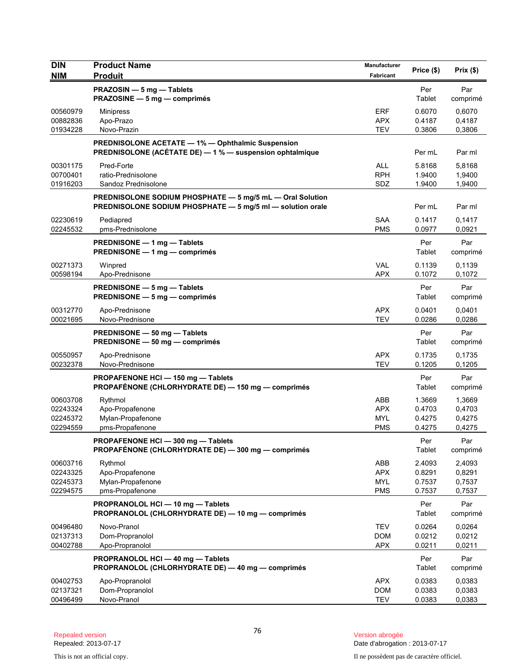| <b>DIN</b><br><b>NIM</b>                     | <b>Product Name</b><br><b>Produit</b>                                                                                   | Manufacturer<br>Fabricant                            | Price (\$)                           | Prix(\$)                             |
|----------------------------------------------|-------------------------------------------------------------------------------------------------------------------------|------------------------------------------------------|--------------------------------------|--------------------------------------|
|                                              | PRAZOSIN - 5 mg - Tablets<br>PRAZOSINE - 5 mg - comprimés                                                               |                                                      | Per<br>Tablet                        | Par<br>comprimé                      |
| 00560979<br>00882836<br>01934228             | <b>Minipress</b><br>Apo-Prazo<br>Novo-Prazin                                                                            | <b>ERF</b><br><b>APX</b><br><b>TEV</b>               | 0.6070<br>0.4187<br>0.3806           | 0.6070<br>0,4187<br>0,3806           |
|                                              | <b>PREDNISOLONE ACETATE - 1% - Ophthalmic Suspension</b><br>PREDNISOLONE (ACÉTATE DE) - 1 % - suspension ophtalmique    |                                                      | Per mL                               | Par ml                               |
| 00301175<br>00700401<br>01916203             | Pred-Forte<br>ratio-Prednisolone<br>Sandoz Prednisolone                                                                 | <b>ALL</b><br><b>RPH</b><br>SDZ                      | 5.8168<br>1.9400<br>1.9400           | 5,8168<br>1,9400<br>1,9400           |
|                                              | PREDNISOLONE SODIUM PHOSPHATE - 5 mg/5 mL - Oral Solution<br>PREDNISOLONE SODIUM PHOSPHATE - 5 mg/5 ml - solution orale |                                                      | Per mL                               | Par ml                               |
| 02230619<br>02245532                         | Pediapred<br>pms-Prednisolone                                                                                           | <b>SAA</b><br><b>PMS</b>                             | 0.1417<br>0.0977                     | 0,1417<br>0,0921                     |
|                                              | PREDNISONE - 1 mg - Tablets<br>PREDNISONE - 1 mg - comprimés                                                            |                                                      | Per<br>Tablet                        | Par<br>comprimé                      |
| 00271373<br>00598194                         | Winpred<br>Apo-Prednisone                                                                                               | VAL<br><b>APX</b>                                    | 0.1139<br>0.1072                     | 0,1139<br>0,1072                     |
|                                              | PREDNISONE - 5 mg - Tablets<br>PREDNISONE - 5 mg - comprimés                                                            |                                                      | Per<br>Tablet                        | Par<br>comprimé                      |
| 00312770<br>00021695                         | Apo-Prednisone<br>Novo-Prednisone                                                                                       | <b>APX</b><br><b>TEV</b>                             | 0.0401<br>0.0286                     | 0,0401<br>0,0286                     |
|                                              | PREDNISONE - 50 mg - Tablets<br>PREDNISONE - 50 mg - comprimés                                                          |                                                      | Per<br>Tablet                        | Par<br>comprimé                      |
| 00550957<br>00232378                         | Apo-Prednisone<br>Novo-Prednisone                                                                                       | <b>APX</b><br><b>TEV</b>                             | 0.1735<br>0.1205                     | 0,1735<br>0,1205                     |
|                                              | PROPAFENONE HCI - 150 mg - Tablets<br>PROPAFÉNONE (CHLORHYDRATE DE) - 150 mg - comprimés                                |                                                      | Per<br>Tablet                        | Par<br>comprimé                      |
| 00603708<br>02243324<br>02245372<br>02294559 | Rythmol<br>Apo-Propafenone<br>Mylan-Propafenone<br>pms-Propafenone                                                      | <b>ABB</b><br><b>APX</b><br><b>MYL</b><br><b>PMS</b> | 1.3669<br>0.4703<br>0.4275<br>0.4275 | 1,3669<br>0,4703<br>0,4275<br>0,4275 |
|                                              | PROPAFENONE HCI-300 mg-Tablets<br><b>PROPAFÉNONE (CHLORHYDRATE DE) — 300 mg — comprimés</b>                             |                                                      | Per<br>Tablet                        | Par<br>comprimé                      |
| 00603716<br>02243325<br>02245373<br>02294575 | Rythmol<br>Apo-Propafenone<br>Mylan-Propafenone<br>pms-Propafenone                                                      | ABB<br><b>APX</b><br><b>MYL</b><br><b>PMS</b>        | 2.4093<br>0.8291<br>0.7537<br>0.7537 | 2,4093<br>0,8291<br>0,7537<br>0,7537 |
|                                              | PROPRANOLOL HCI - 10 mg - Tablets<br>PROPRANOLOL (CHLORHYDRATE DE) - 10 mg - comprimés                                  |                                                      | Per<br>Tablet                        | Par<br>comprimé                      |
| 00496480<br>02137313<br>00402788             | Novo-Pranol<br>Dom-Propranolol<br>Apo-Propranolol                                                                       | <b>TEV</b><br><b>DOM</b><br><b>APX</b>               | 0.0264<br>0.0212<br>0.0211           | 0,0264<br>0,0212<br>0,0211           |
|                                              | PROPRANOLOL HCI-40 mg-Tablets<br>PROPRANOLOL (CHLORHYDRATE DE) - 40 mg - comprimés                                      |                                                      | Per<br>Tablet                        | Par<br>comprimé                      |
| 00402753<br>02137321<br>00496499             | Apo-Propranolol<br>Dom-Propranolol<br>Novo-Pranol                                                                       | <b>APX</b><br><b>DOM</b><br><b>TEV</b>               | 0.0383<br>0.0383<br>0.0383           | 0,0383<br>0,0383<br>0,0383           |

This is not an official copy. Il ne possèdent pas de caractère officiel.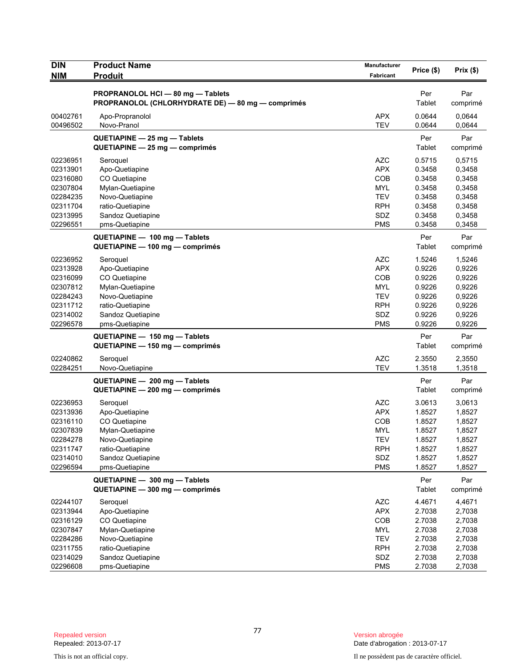| <b>DIN</b> | <b>Product Name</b>                               | Manufacturer | Price (\$) | Prix(\$) |
|------------|---------------------------------------------------|--------------|------------|----------|
| <b>NIM</b> | <b>Produit</b>                                    | Fabricant    |            |          |
|            | PROPRANOLOL HCI - 80 mg - Tablets                 |              | Per        | Par      |
|            | PROPRANOLOL (CHLORHYDRATE DE) - 80 mg - comprimés |              | Tablet     | comprimé |
| 00402761   | Apo-Propranolol                                   | <b>APX</b>   | 0.0644     | 0,0644   |
| 00496502   | Novo-Pranol                                       | <b>TEV</b>   | 0.0644     | 0,0644   |
|            | QUETIAPINE - 25 mg - Tablets                      |              | Per        | Par      |
|            | QUETIAPINE - 25 mg - comprimés                    |              | Tablet     | comprimé |
| 02236951   | Seroquel                                          | <b>AZC</b>   | 0.5715     | 0,5715   |
| 02313901   | Apo-Quetiapine                                    | <b>APX</b>   | 0.3458     | 0,3458   |
| 02316080   | CO Quetiapine                                     | <b>COB</b>   | 0.3458     | 0,3458   |
| 02307804   | Mylan-Quetiapine                                  | MYL          | 0.3458     | 0,3458   |
| 02284235   | Novo-Quetiapine                                   | <b>TEV</b>   | 0.3458     | 0,3458   |
| 02311704   | ratio-Quetiapine                                  | <b>RPH</b>   | 0.3458     | 0,3458   |
| 02313995   | Sandoz Quetiapine                                 | SDZ          | 0.3458     | 0,3458   |
| 02296551   | pms-Quetiapine                                    | <b>PMS</b>   | 0.3458     | 0,3458   |
|            | QUETIAPINE - 100 mg - Tablets                     |              | Per        | Par      |
|            | QUETIAPINE - 100 mg - comprimés                   |              | Tablet     | comprimé |
| 02236952   | Seroquel                                          | <b>AZC</b>   | 1.5246     | 1,5246   |
| 02313928   | Apo-Quetiapine                                    | <b>APX</b>   | 0.9226     | 0,9226   |
| 02316099   | CO Quetiapine                                     | <b>COB</b>   | 0.9226     | 0,9226   |
| 02307812   | Mylan-Quetiapine                                  | <b>MYL</b>   | 0.9226     | 0,9226   |
| 02284243   | Novo-Quetiapine                                   | <b>TEV</b>   | 0.9226     | 0,9226   |
| 02311712   | ratio-Quetiapine                                  | <b>RPH</b>   | 0.9226     | 0,9226   |
| 02314002   | Sandoz Quetiapine                                 | SDZ          | 0.9226     | 0,9226   |
| 02296578   | pms-Quetiapine                                    | <b>PMS</b>   | 0.9226     | 0,9226   |
|            | QUETIAPINE - 150 mg - Tablets                     |              | Per        | Par      |
|            | QUETIAPINE - 150 mg - comprimés                   |              | Tablet     | comprimé |
| 02240862   | Seroquel                                          | <b>AZC</b>   | 2.3550     | 2,3550   |
| 02284251   | Novo-Quetiapine                                   | <b>TEV</b>   | 1.3518     | 1,3518   |
|            | QUETIAPINE - 200 mg - Tablets                     |              | Per        | Par      |
|            | QUETIAPINE - 200 mg - comprimés                   |              | Tablet     | comprimé |
| 02236953   | Seroquel                                          | <b>AZC</b>   | 3.0613     | 3,0613   |
| 02313936   | Apo-Quetiapine                                    | <b>APX</b>   | 1.8527     | 1,8527   |
| 02316110   | CO Quetiapine                                     | COB          | 1.8527     | 1,8527   |
| 02307839   | Mylan-Quetiapine                                  | <b>MYL</b>   | 1.8527     | 1,8527   |
| 02284278   | Novo-Quetiapine                                   | TEV          | 1.8527     | 1,8527   |
| 02311747   | ratio-Quetiapine                                  | <b>RPH</b>   | 1.8527     | 1,8527   |
| 02314010   | Sandoz Quetiapine                                 | SDZ          | 1.8527     | 1,8527   |
| 02296594   | pms-Quetiapine                                    | <b>PMS</b>   | 1.8527     | 1,8527   |
|            | QUETIAPINE - 300 mg - Tablets                     |              | Per        | Par      |
|            | QUETIAPINE - 300 mg - comprimés                   |              | Tablet     | comprimé |
| 02244107   | Seroquel                                          | <b>AZC</b>   | 4.4671     | 4,4671   |
| 02313944   | Apo-Quetiapine                                    | <b>APX</b>   | 2.7038     | 2,7038   |
| 02316129   | CO Quetiapine                                     | COB          | 2.7038     | 2,7038   |
| 02307847   | Mylan-Quetiapine                                  | <b>MYL</b>   | 2.7038     | 2,7038   |
| 02284286   | Novo-Quetiapine                                   | <b>TEV</b>   | 2.7038     | 2,7038   |
| 02311755   | ratio-Quetiapine                                  | <b>RPH</b>   | 2.7038     | 2,7038   |
| 02314029   | Sandoz Quetiapine                                 | SDZ          | 2.7038     | 2,7038   |
| 02296608   | pms-Quetiapine                                    | <b>PMS</b>   | 2.7038     | 2,7038   |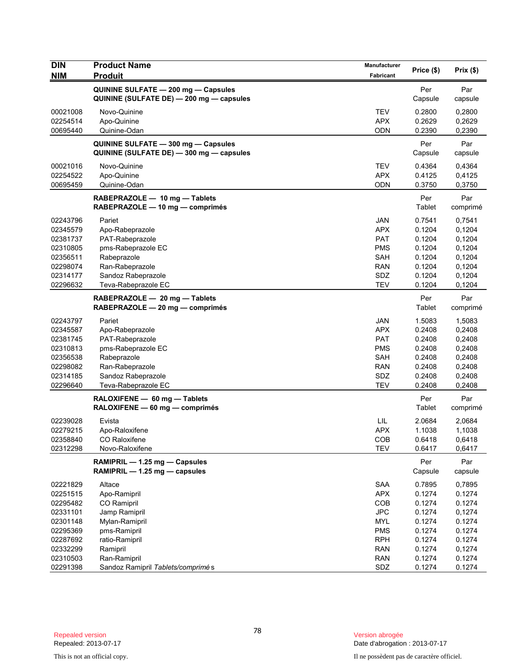| <b>DIN</b><br><b>NIM</b> | <b>Product Name</b><br><b>Produit</b>                                           | Manufacturer<br>Fabricant | Price (\$)     | Prix(\$)        |
|--------------------------|---------------------------------------------------------------------------------|---------------------------|----------------|-----------------|
|                          |                                                                                 |                           |                |                 |
|                          | QUININE SULFATE - 200 mg - Capsules<br>QUININE (SULFATE DE) - 200 mg - capsules |                           | Per<br>Capsule | Par<br>capsule  |
| 00021008                 | Novo-Quinine                                                                    | TEV                       | 0.2800         | 0,2800          |
| 02254514                 | Apo-Quinine                                                                     | <b>APX</b>                | 0.2629         | 0,2629          |
| 00695440                 | Quinine-Odan                                                                    | <b>ODN</b>                | 0.2390         | 0,2390          |
|                          | QUININE SULFATE - 300 mg - Capsules<br>QUININE (SULFATE DE) - 300 mg - capsules |                           | Per<br>Capsule | Par<br>capsule  |
| 00021016                 | Novo-Quinine                                                                    | <b>TEV</b>                | 0.4364         | 0,4364          |
| 02254522                 | Apo-Quinine                                                                     | <b>APX</b>                | 0.4125         | 0,4125          |
| 00695459                 | Quinine-Odan                                                                    | ODN                       | 0.3750         | 0,3750          |
|                          | RABEPRAZOLE - 10 mg - Tablets<br>RABEPRAZOLE - 10 mg - comprimés                |                           | Per<br>Tablet  | Par<br>comprimé |
| 02243796                 | Pariet                                                                          | <b>JAN</b>                | 0.7541         | 0,7541          |
| 02345579                 | Apo-Rabeprazole                                                                 | <b>APX</b>                | 0.1204         | 0,1204          |
| 02381737                 | PAT-Rabeprazole                                                                 | <b>PAT</b>                | 0.1204         | 0,1204          |
| 02310805                 | pms-Rabeprazole EC                                                              | <b>PMS</b>                | 0.1204         | 0,1204          |
| 02356511                 | Rabeprazole                                                                     | SAH                       | 0.1204         | 0,1204          |
| 02298074                 | Ran-Rabeprazole                                                                 | <b>RAN</b>                | 0.1204         | 0,1204          |
| 02314177                 | Sandoz Rabeprazole                                                              | SDZ                       | 0.1204         | 0,1204          |
| 02296632                 | Teva-Rabeprazole EC                                                             | <b>TEV</b>                | 0.1204         | 0,1204          |
|                          | RABEPRAZOLE - 20 mg - Tablets<br>RABEPRAZOLE - 20 mg - comprimés                |                           | Per<br>Tablet  | Par<br>comprimé |
| 02243797                 | Pariet                                                                          | <b>JAN</b>                | 1.5083         | 1,5083          |
| 02345587                 | Apo-Rabeprazole                                                                 | <b>APX</b>                | 0.2408         | 0,2408          |
| 02381745                 | PAT-Rabeprazole                                                                 | <b>PAT</b>                | 0.2408         | 0,2408          |
| 02310813                 | pms-Rabeprazole EC                                                              | <b>PMS</b>                | 0.2408         | 0,2408          |
| 02356538                 | Rabeprazole                                                                     | <b>SAH</b>                | 0.2408         | 0,2408          |
| 02298082                 | Ran-Rabeprazole                                                                 | <b>RAN</b>                | 0.2408         | 0,2408          |
| 02314185                 | Sandoz Rabeprazole                                                              | SDZ<br><b>TEV</b>         | 0.2408         | 0,2408          |
| 02296640                 | Teva-Rabeprazole EC                                                             |                           | 0.2408         | 0,2408          |
|                          | RALOXIFENE - 60 mg - Tablets<br>RALOXIFENE - 60 mg - comprimés                  |                           | Per<br>Tablet  | Par<br>comprimé |
| 02239028                 | Evista                                                                          | LIL                       | 2.0684         | 2,0684          |
| 02279215                 | Apo-Raloxifene                                                                  | <b>APX</b>                | 1.1038         | 1,1038          |
| 02358840                 | CO Raloxifene                                                                   | COB                       | 0.6418         | 0,6418          |
| 02312298                 | Novo-Raloxifene                                                                 | <b>TEV</b>                | 0.6417         | 0,6417          |
|                          | RAMIPRIL - 1.25 mg - Capsules<br>RAMIPRIL - 1.25 mg - capsules                  |                           | Per<br>Capsule | Par<br>capsule  |
| 02221829                 | Altace                                                                          | SAA                       | 0.7895         | 0,7895          |
| 02251515                 | Apo-Ramipril                                                                    | <b>APX</b>                | 0.1274         | 0.1274          |
| 02295482                 | CO Ramipril                                                                     | COB                       | 0.1274         | 0.1274          |
| 02331101                 | Jamp Ramipril                                                                   | <b>JPC</b>                | 0.1274         | 0,1274          |
| 02301148                 | Mylan-Ramipril                                                                  | <b>MYL</b>                | 0.1274         | 0.1274          |
| 02295369                 | pms-Ramipril                                                                    | <b>PMS</b>                | 0.1274         | 0.1274          |
| 02287692                 | ratio-Ramipril                                                                  | <b>RPH</b>                | 0.1274         | 0.1274          |
| 02332299                 | Ramipril                                                                        | <b>RAN</b>                | 0.1274         | 0,1274          |
| 02310503                 | Ran-Ramipril                                                                    | <b>RAN</b>                | 0.1274         | 0.1274          |
| 02291398                 | Sandoz Ramipril Tablets/comprimés                                               | SDZ                       | 0.1274         | 0.1274          |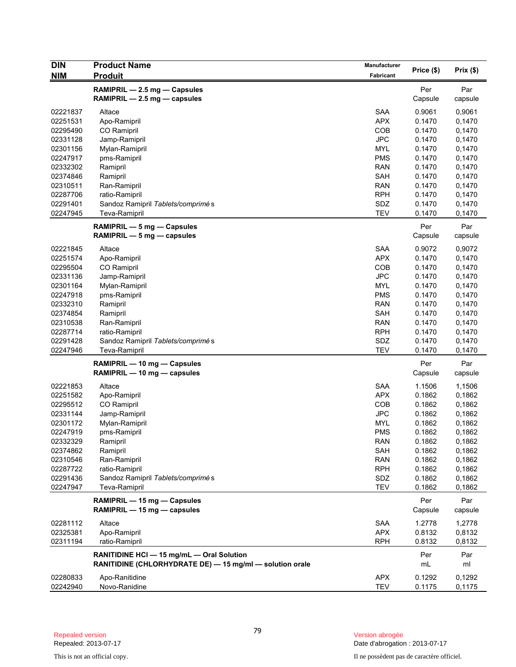| <b>DIN</b>           | <b>Product Name</b>                                      | Manufacturer             |                  |                  |
|----------------------|----------------------------------------------------------|--------------------------|------------------|------------------|
| <b>NIM</b>           | <b>Produit</b>                                           | Fabricant                | Price (\$)       | Prix(\$)         |
|                      | RAMIPRIL - 2.5 mg - Capsules                             |                          | Per              | Par              |
|                      | RAMIPRIL - 2.5 mg - capsules                             |                          | Capsule          | capsule          |
|                      |                                                          |                          |                  |                  |
| 02221837<br>02251531 | Altace                                                   | <b>SAA</b><br><b>APX</b> | 0.9061<br>0.1470 | 0,9061<br>0,1470 |
| 02295490             | Apo-Ramipril<br><b>CO</b> Ramipril                       | <b>COB</b>               | 0.1470           | 0,1470           |
| 02331128             | Jamp-Ramipril                                            | <b>JPC</b>               | 0.1470           | 0,1470           |
| 02301156             | Mylan-Ramipril                                           | <b>MYL</b>               | 0.1470           | 0,1470           |
| 02247917             | pms-Ramipril                                             | <b>PMS</b>               | 0.1470           | 0,1470           |
| 02332302             | Ramipril                                                 | <b>RAN</b>               | 0.1470           | 0,1470           |
| 02374846             | Ramipril                                                 | <b>SAH</b>               | 0.1470           | 0,1470           |
| 02310511             | Ran-Ramipril                                             | <b>RAN</b>               | 0.1470           | 0,1470           |
| 02287706             | ratio-Ramipril                                           | <b>RPH</b>               | 0.1470           | 0,1470           |
| 02291401             | Sandoz Ramipril Tablets/comprimés                        | SDZ                      | 0.1470           | 0,1470           |
| 02247945             | Teva-Ramipril                                            | <b>TEV</b>               | 0.1470           | 0,1470           |
|                      | RAMIPRIL - 5 mg - Capsules                               |                          | Per              | Par              |
|                      | RAMIPRIL $-5$ mg $-$ capsules                            |                          | Capsule          | capsule          |
|                      |                                                          |                          |                  |                  |
| 02221845             | Altace                                                   | <b>SAA</b>               | 0.9072           | 0,9072           |
| 02251574             | Apo-Ramipril                                             | <b>APX</b>               | 0.1470           | 0,1470           |
| 02295504             | CO Ramipril                                              | COB                      | 0.1470           | 0,1470           |
| 02331136             | Jamp-Ramipril                                            | <b>JPC</b>               | 0.1470           | 0,1470           |
| 02301164             | Mylan-Ramipril                                           | <b>MYL</b>               | 0.1470           | 0,1470           |
| 02247918             | pms-Ramipril                                             | <b>PMS</b>               | 0.1470           | 0,1470           |
| 02332310             | Ramipril                                                 | <b>RAN</b>               | 0.1470           | 0,1470           |
| 02374854             | Ramipril                                                 | <b>SAH</b>               | 0.1470           | 0,1470           |
| 02310538             | Ran-Ramipril                                             | <b>RAN</b>               | 0.1470           | 0,1470           |
| 02287714             | ratio-Ramipril                                           | <b>RPH</b>               | 0.1470           | 0,1470           |
| 02291428             | Sandoz Ramipril Tablets/comprimés                        | SDZ                      | 0.1470           | 0,1470           |
| 02247946             | Teva-Ramipril                                            | <b>TEV</b>               | 0.1470           | 0,1470           |
|                      | RAMIPRIL - 10 mg - Capsules                              |                          | Per              | Par              |
|                      | RAMIPRIL - 10 mg - capsules                              |                          | Capsule          | capsule          |
| 02221853             | Altace                                                   | <b>SAA</b>               | 1.1506           | 1,1506           |
| 02251582             | Apo-Ramipril                                             | <b>APX</b>               | 0.1862           | 0,1862           |
| 02295512             | CO Ramipril                                              | COB                      | 0.1862           | 0,1862           |
| 02331144             | Jamp-Ramipril                                            | <b>JPC</b>               | 0.1862           | 0,1862           |
| 02301172             | Mylan-Ramipril                                           | <b>MYL</b>               | 0.1862           | 0,1862           |
| 02247919             | pms-Ramipril                                             | <b>PMS</b>               | 0.1862           | 0,1862           |
| 02332329             | Ramipril                                                 | <b>RAN</b>               | 0.1862           | 0,1862           |
| 02374862             | Ramipril                                                 | SAH                      | 0.1862           | 0,1862           |
| 02310546             | Ran-Ramipril                                             | <b>RAN</b>               | 0.1862           | 0,1862           |
| 02287722             | ratio-Ramipril                                           | <b>RPH</b>               | 0.1862           | 0,1862           |
| 02291436             | Sandoz Ramipril Tablets/comprimés                        | SDZ                      | 0.1862           | 0,1862           |
| 02247947             | Teva-Ramipril                                            | <b>TEV</b>               | 0.1862           | 0,1862           |
|                      | RAMIPRIL - 15 mg - Capsules                              |                          | Per              | Par              |
|                      | RAMIPRIL - 15 mg - capsules                              |                          | Capsule          | capsule          |
| 02281112             | Altace                                                   | SAA                      | 1.2778           | 1,2778           |
| 02325381             | Apo-Ramipril                                             | <b>APX</b>               | 0.8132           | 0,8132           |
| 02311194             | ratio-Ramipril                                           | <b>RPH</b>               | 0.8132           | 0,8132           |
|                      |                                                          |                          |                  |                  |
|                      | RANITIDINE HCI - 15 mg/mL - Oral Solution                |                          | Per              | Par              |
|                      | RANITIDINE (CHLORHYDRATE DE) - 15 mg/ml - solution orale |                          | mL               | ml               |
| 02280833             | Apo-Ranitidine                                           | APX                      | 0.1292           | 0,1292           |
| 02242940             | Novo-Ranidine                                            | <b>TEV</b>               | 0.1175           | 0,1175           |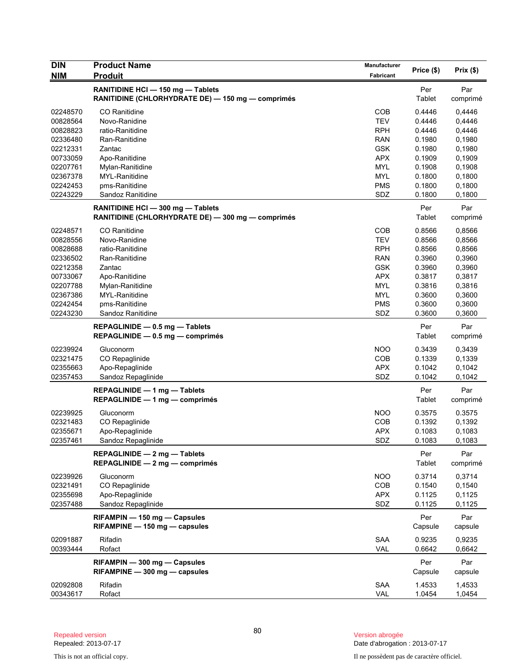| <b>DIN</b><br><b>NIM</b> | <b>Product Name</b><br><b>Produit</b>                                                  | Manufacturer<br>Fabricant | Price (\$)       | Prix(\$)         |
|--------------------------|----------------------------------------------------------------------------------------|---------------------------|------------------|------------------|
|                          | RANITIDINE HCI - 150 mg - Tablets<br>RANITIDINE (CHLORHYDRATE DE) - 150 mg - comprimés |                           | Per<br>Tablet    | Par<br>comprimé  |
| 02248570                 | CO Ranitidine                                                                          | COB                       | 0.4446           | 0,4446           |
| 00828564                 | Novo-Ranidine                                                                          | <b>TEV</b>                | 0.4446           | 0,4446           |
| 00828823                 | ratio-Ranitidine                                                                       | <b>RPH</b>                | 0.4446           | 0,4446           |
| 02336480                 | Ran-Ranitidine                                                                         | <b>RAN</b>                | 0.1980           | 0,1980           |
| 02212331                 | Zantac                                                                                 | <b>GSK</b>                | 0.1980           | 0,1980           |
| 00733059                 | Apo-Ranitidine                                                                         | <b>APX</b>                | 0.1909           | 0.1909           |
| 02207761                 | Mylan-Ranitidine                                                                       | <b>MYL</b>                | 0.1908           | 0,1908           |
| 02367378                 | MYL-Ranitidine                                                                         | <b>MYL</b>                | 0.1800           | 0,1800           |
| 02242453                 | pms-Ranitidine                                                                         | <b>PMS</b>                | 0.1800           | 0,1800           |
| 02243229                 | Sandoz Ranitidine                                                                      | SDZ                       | 0.1800           | 0,1800           |
|                          | RANITIDINE HCI - 300 mg - Tablets<br>RANITIDINE (CHLORHYDRATE DE) - 300 mg - comprimés |                           | Per<br>Tablet    | Par<br>comprimé  |
| 02248571                 | <b>CO</b> Ranitidine                                                                   | COB                       | 0.8566           | 0,8566           |
| 00828556                 | Novo-Ranidine                                                                          | <b>TEV</b>                | 0.8566           | 0,8566           |
| 00828688                 | ratio-Ranitidine                                                                       | <b>RPH</b>                | 0.8566           | 0,8566           |
| 02336502                 | Ran-Ranitidine                                                                         | <b>RAN</b>                | 0.3960           | 0,3960           |
| 02212358                 | Zantac                                                                                 | <b>GSK</b>                | 0.3960           | 0,3960           |
| 00733067                 | Apo-Ranitidine                                                                         | <b>APX</b>                | 0.3817           | 0,3817           |
| 02207788                 | Mylan-Ranitidine                                                                       | <b>MYL</b>                | 0.3816           | 0,3816           |
| 02367386                 | MYL-Ranitidine                                                                         | <b>MYL</b>                | 0.3600           | 0,3600           |
| 02242454                 | pms-Ranitidine                                                                         | <b>PMS</b>                | 0.3600           | 0,3600           |
| 02243230                 | Sandoz Ranitidine                                                                      | SDZ                       | 0.3600           | 0,3600           |
|                          | REPAGLINIDE - 0.5 mg - Tablets<br>REPAGLINIDE - 0.5 mg - comprimés                     |                           | Per<br>Tablet    | Par<br>comprimé  |
| 02239924                 | Gluconorm                                                                              | <b>NOO</b>                | 0.3439           | 0,3439           |
| 02321475                 | CO Repaglinide                                                                         | COB                       | 0.1339           | 0,1339           |
| 02355663                 | Apo-Repaglinide                                                                        | <b>APX</b>                | 0.1042           | 0,1042           |
| 02357453                 | Sandoz Repaglinide                                                                     | SDZ                       | 0.1042           | 0,1042           |
|                          | <b>REPAGLINIDE - 1 mg - Tablets</b><br>$REPAGLINIDE - 1 mg - comprimés$                |                           | Per<br>Tablet    | Par<br>comprimé  |
| 02239925                 | Gluconorm                                                                              | <b>NOO</b>                | 0.3575           | 0.3575           |
| 02321483                 | CO Repaglinide                                                                         | COB                       | 0.1392           | 0,1392           |
| 02355671                 | Apo-Repaglinide                                                                        | <b>APX</b>                | 0.1083           | 0,1083           |
| 02357461                 | Sandoz Repaglinide                                                                     | SDZ                       | 0.1083           | 0,1083           |
|                          | REPAGLINIDE - 2 mg - Tablets<br>REPAGLINIDE - 2 mg - comprimés                         |                           | Per<br>Tablet    | Par<br>comprimé  |
| 02239926                 | Gluconorm                                                                              | <b>NOO</b>                | 0.3714           | 0,3714           |
| 02321491                 | CO Repaglinide                                                                         | COB                       | 0.1540           | 0,1540           |
| 02355698                 | Apo-Repaglinide                                                                        | <b>APX</b>                | 0.1125           | 0,1125           |
| 02357488                 | Sandoz Repaglinide                                                                     | SDZ                       | 0.1125           | 0,1125           |
|                          | RIFAMPIN - 150 mg - Capsules<br>$RIFAMPINE - 150 mg - capsules$                        |                           | Per<br>Capsule   | Par<br>capsule   |
| 02091887<br>00393444     | Rifadin<br>Rofact                                                                      | <b>SAA</b><br><b>VAL</b>  | 0.9235<br>0.6642 | 0,9235<br>0,6642 |
|                          | RIFAMPIN - 300 mg - Capsules<br>RIFAMPINE - 300 mg - capsules                          |                           | Per<br>Capsule   | Par<br>capsule   |
| 02092808<br>00343617     | Rifadin<br>Rofact                                                                      | <b>SAA</b><br>VAL         | 1.4533<br>1.0454 | 1,4533<br>1,0454 |

This is not an official copy. Il ne possèdent pas de caractère officiel.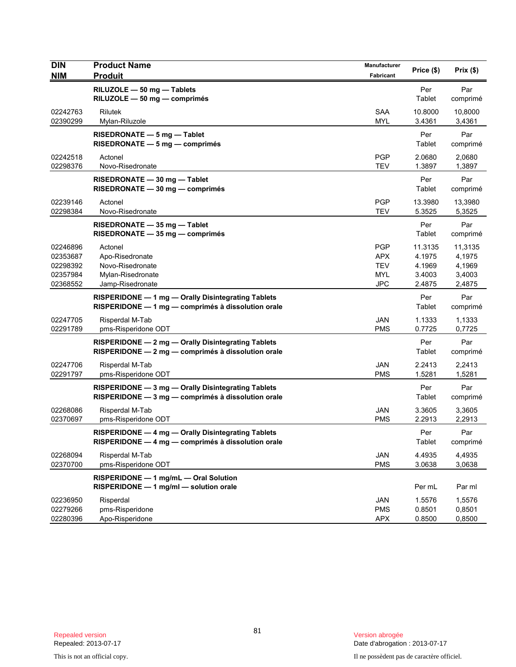| <b>DIN</b><br><b>NIM</b>                                 | <b>Product Name</b><br><b>Produit</b>                                                                    | Manufacturer<br>Fabricant                                          | Price (\$)                                      | Prix (\$)                                       |
|----------------------------------------------------------|----------------------------------------------------------------------------------------------------------|--------------------------------------------------------------------|-------------------------------------------------|-------------------------------------------------|
|                                                          | RILUZOLE - 50 mg - Tablets<br>RILUZOLE - 50 mg - comprimés                                               |                                                                    | Per<br>Tablet                                   | Par<br>comprimé                                 |
| 02242763<br>02390299                                     | Rilutek<br>Mylan-Riluzole                                                                                | <b>SAA</b><br><b>MYL</b>                                           | 10.8000<br>3.4361                               | 10,8000<br>3,4361                               |
|                                                          | RISEDRONATE - 5 mg - Tablet<br>$RISEDRONATE - 5 mg - comprimés$                                          |                                                                    | Per<br>Tablet                                   | Par<br>comprimé                                 |
| 02242518<br>02298376                                     | Actonel<br>Novo-Risedronate                                                                              | <b>PGP</b><br><b>TEV</b>                                           | 2.0680<br>1.3897                                | 2,0680<br>1,3897                                |
|                                                          | RISEDRONATE - 30 mg - Tablet<br>RISEDRONATE - 30 mg - comprimés                                          |                                                                    | Per<br>Tablet                                   | Par<br>comprimé                                 |
| 02239146<br>02298384                                     | Actonel<br>Novo-Risedronate                                                                              | <b>PGP</b><br><b>TEV</b>                                           | 13.3980<br>5.3525                               | 13,3980<br>5,3525                               |
|                                                          | RISEDRONATE - 35 mg - Tablet<br>$RISEDRONATE - 35 mg - comprimés$                                        |                                                                    | Per<br>Tablet                                   | Par<br>comprimé                                 |
| 02246896<br>02353687<br>02298392<br>02357984<br>02368552 | Actonel<br>Apo-Risedronate<br>Novo-Risedronate<br>Mylan-Risedronate<br>Jamp-Risedronate                  | <b>PGP</b><br><b>APX</b><br><b>TEV</b><br><b>MYL</b><br><b>JPC</b> | 11.3135<br>4.1975<br>4.1969<br>3.4003<br>2.4875 | 11,3135<br>4,1975<br>4,1969<br>3,4003<br>2,4875 |
|                                                          | RISPERIDONE - 1 mg - Orally Disintegrating Tablets<br>RISPERIDONE - 1 mg - comprimés à dissolution orale |                                                                    | Per<br>Tablet                                   | Par<br>comprimé                                 |
| 02247705<br>02291789                                     | Risperdal M-Tab<br>pms-Risperidone ODT                                                                   | <b>JAN</b><br><b>PMS</b>                                           | 1.1333<br>0.7725                                | 1,1333<br>0,7725                                |
|                                                          | RISPERIDONE - 2 mg - Orally Disintegrating Tablets<br>RISPERIDONE - 2 mg - comprimés à dissolution orale |                                                                    | Per<br>Tablet                                   | Par<br>comprimé                                 |
| 02247706<br>02291797                                     | Risperdal M-Tab<br>pms-Risperidone ODT                                                                   | <b>JAN</b><br><b>PMS</b>                                           | 2.2413<br>1.5281                                | 2,2413<br>1,5281                                |
|                                                          | RISPERIDONE - 3 mg - Orally Disintegrating Tablets<br>RISPERIDONE - 3 mg - comprimés à dissolution orale |                                                                    | Per<br>Tablet                                   | Par<br>comprimé                                 |
| 02268086<br>02370697                                     | Risperdal M-Tab<br>pms-Risperidone ODT                                                                   | <b>JAN</b><br><b>PMS</b>                                           | 3.3605<br>2.2913                                | 3,3605<br>2,2913                                |
|                                                          | RISPERIDONE - 4 mg - Orally Disintegrating Tablets<br>RISPERIDONE - 4 mg - comprimés à dissolution orale |                                                                    | Per<br>Tablet                                   | Par<br>comprimé                                 |
| 02268094<br>02370700                                     | Risperdal M-Tab<br>pms-Risperidone ODT                                                                   | JAN<br><b>PMS</b>                                                  | 4.4935<br>3.0638                                | 4,4935<br>3,0638                                |
|                                                          | RISPERIDONE - 1 mg/mL - Oral Solution<br>RISPERIDONE - 1 mg/ml - solution orale                          |                                                                    | Per mL                                          | Par ml                                          |
| 02236950<br>02279266<br>02280396                         | Risperdal<br>pms-Risperidone<br>Apo-Risperidone                                                          | <b>JAN</b><br><b>PMS</b><br><b>APX</b>                             | 1.5576<br>0.8501<br>0.8500                      | 1,5576<br>0,8501<br>0,8500                      |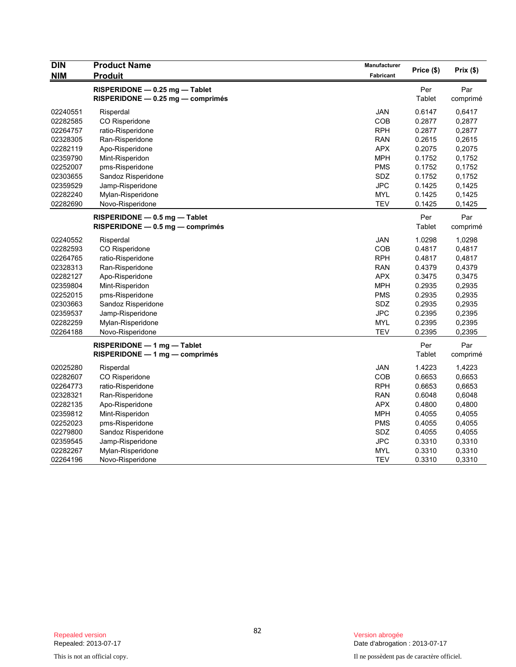| <b>DIN</b> | <b>Product Name</b>                 | Manufacturer | Price (\$) | Prix(\$) |
|------------|-------------------------------------|--------------|------------|----------|
| <b>NIM</b> | <b>Produit</b>                      | Fabricant    |            |          |
|            | RISPERIDONE - 0.25 mg - Tablet      |              | Per        | Par      |
|            | $RISPERIDONE - 0.25 mg - comprimés$ |              | Tablet     | comprimé |
| 02240551   | Risperdal                           | <b>JAN</b>   | 0.6147     | 0,6417   |
| 02282585   | CO Risperidone                      | <b>COB</b>   | 0.2877     | 0,2877   |
| 02264757   | ratio-Risperidone                   | <b>RPH</b>   | 0.2877     | 0,2877   |
| 02328305   | Ran-Risperidone                     | <b>RAN</b>   | 0.2615     | 0,2615   |
| 02282119   | Apo-Risperidone                     | <b>APX</b>   | 0.2075     | 0,2075   |
| 02359790   | Mint-Risperidon                     | <b>MPH</b>   | 0.1752     | 0,1752   |
| 02252007   | pms-Risperidone                     | <b>PMS</b>   | 0.1752     | 0,1752   |
| 02303655   | Sandoz Risperidone                  | <b>SDZ</b>   | 0.1752     | 0,1752   |
| 02359529   | Jamp-Risperidone                    | <b>JPC</b>   | 0.1425     | 0,1425   |
| 02282240   | Mylan-Risperidone                   | <b>MYL</b>   | 0.1425     | 0,1425   |
| 02282690   | Novo-Risperidone                    | <b>TEV</b>   | 0.1425     | 0,1425   |
|            | RISPERIDONE - 0.5 mg - Tablet       |              | Per        | Par      |
|            | RISPERIDONE - 0.5 mg - comprimés    |              | Tablet     | comprimé |
| 02240552   | Risperdal                           | <b>JAN</b>   | 1.0298     | 1,0298   |
| 02282593   | CO Risperidone                      | COB          | 0.4817     | 0,4817   |
| 02264765   | ratio-Risperidone                   | <b>RPH</b>   | 0.4817     | 0,4817   |
| 02328313   | Ran-Risperidone                     | <b>RAN</b>   | 0.4379     | 0,4379   |
| 02282127   | Apo-Risperidone                     | <b>APX</b>   | 0.3475     | 0,3475   |
| 02359804   | Mint-Risperidon                     | <b>MPH</b>   | 0.2935     | 0,2935   |
| 02252015   | pms-Risperidone                     | <b>PMS</b>   | 0.2935     | 0,2935   |
| 02303663   | Sandoz Risperidone                  | SDZ          | 0.2935     | 0,2935   |
| 02359537   | Jamp-Risperidone                    | <b>JPC</b>   | 0.2395     | 0,2395   |
| 02282259   | Mylan-Risperidone                   | <b>MYL</b>   | 0.2395     | 0,2395   |
| 02264188   | Novo-Risperidone                    | TEV          | 0.2395     | 0,2395   |
|            | $RISPERIDONE - 1 mg - Table$        |              | Per        | Par      |
|            | $RISPERIDONE - 1 mg - comprimés$    |              | Tablet     | comprimé |
| 02025280   | Risperdal                           | <b>JAN</b>   | 1.4223     | 1,4223   |
| 02282607   | CO Risperidone                      | COB          | 0.6653     | 0,6653   |
| 02264773   | ratio-Risperidone                   | <b>RPH</b>   | 0.6653     | 0,6653   |
| 02328321   | Ran-Risperidone                     | <b>RAN</b>   | 0.6048     | 0,6048   |
| 02282135   | Apo-Risperidone                     | <b>APX</b>   | 0.4800     | 0,4800   |
| 02359812   | Mint-Risperidon                     | <b>MPH</b>   | 0.4055     | 0,4055   |
| 02252023   | pms-Risperidone                     | <b>PMS</b>   | 0.4055     | 0,4055   |
| 02279800   | Sandoz Risperidone                  | <b>SDZ</b>   | 0.4055     | 0,4055   |
| 02359545   | Jamp-Risperidone                    | <b>JPC</b>   | 0.3310     | 0,3310   |
| 02282267   | Mylan-Risperidone                   | <b>MYL</b>   | 0.3310     | 0,3310   |
| 02264196   | Novo-Risperidone                    | <b>TEV</b>   | 0.3310     | 0,3310   |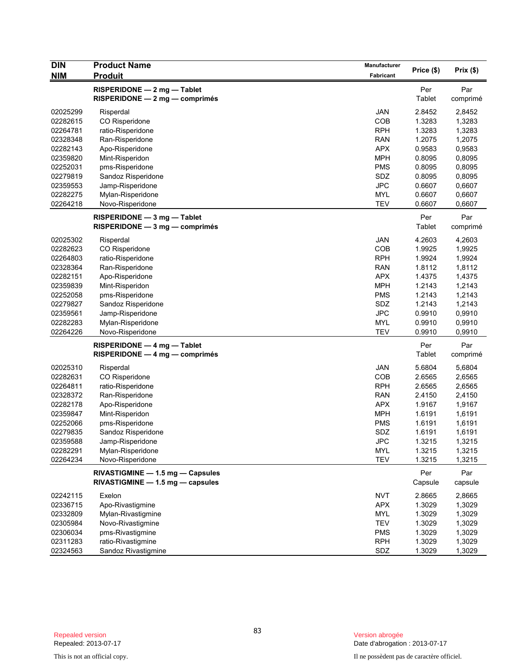| <b>DIN</b> | <b>Product Name</b>                                                  | Manufacturer | Price (\$)           | $Prix($ \$)     |
|------------|----------------------------------------------------------------------|--------------|----------------------|-----------------|
| <b>NIM</b> | <b>Produit</b>                                                       | Fabricant    |                      |                 |
|            | RISPERIDONE - 2 mg - Tablet<br>RISPERIDONE - 2 mg - comprimés        |              | Per<br>Tablet        | Par<br>comprimé |
| 02025299   | Risperdal                                                            | <b>JAN</b>   | 2.8452               | 2,8452          |
| 02282615   | CO Risperidone                                                       | COB          | 1.3283               | 1,3283          |
| 02264781   | ratio-Risperidone                                                    | <b>RPH</b>   | 1.3283               | 1,3283          |
| 02328348   | Ran-Risperidone                                                      | <b>RAN</b>   | 1.2075               | 1,2075          |
| 02282143   | Apo-Risperidone                                                      | APX          | 0.9583               | 0,9583          |
| 02359820   | Mint-Risperidon                                                      | <b>MPH</b>   | 0.8095               | 0,8095          |
| 02252031   | pms-Risperidone                                                      | <b>PMS</b>   | 0.8095               | 0,8095          |
| 02279819   | Sandoz Risperidone                                                   | SDZ          | 0.8095               | 0,8095          |
| 02359553   | Jamp-Risperidone                                                     | <b>JPC</b>   | 0.6607               | 0,6607          |
| 02282275   | Mylan-Risperidone                                                    | <b>MYL</b>   | 0.6607               | 0,6607          |
| 02264218   | Novo-Risperidone                                                     | <b>TEV</b>   | 0.6607               | 0,6607          |
|            | RISPERIDONE - 3 mg - Tablet<br>RISPERIDONE - 3 mg - comprimés        |              | Per<br><b>Tablet</b> | Par<br>comprimé |
| 02025302   | Risperdal                                                            | <b>JAN</b>   | 4.2603               | 4,2603          |
| 02282623   | CO Risperidone                                                       | COB          | 1.9925               | 1,9925          |
| 02264803   | ratio-Risperidone                                                    | <b>RPH</b>   | 1.9924               | 1,9924          |
| 02328364   | Ran-Risperidone                                                      | <b>RAN</b>   | 1.8112               | 1,8112          |
| 02282151   | Apo-Risperidone                                                      | APX          | 1.4375               | 1,4375          |
| 02359839   | Mint-Risperidon                                                      | <b>MPH</b>   | 1.2143               | 1,2143          |
| 02252058   | pms-Risperidone                                                      | <b>PMS</b>   | 1.2143               | 1,2143          |
| 02279827   | Sandoz Risperidone                                                   | SDZ          | 1.2143               | 1,2143          |
| 02359561   | Jamp-Risperidone                                                     | <b>JPC</b>   | 0.9910               | 0,9910          |
| 02282283   | Mylan-Risperidone                                                    | <b>MYL</b>   | 0.9910               | 0,9910          |
| 02264226   | Novo-Risperidone                                                     | <b>TEV</b>   | 0.9910               | 0,9910          |
|            | RISPERIDONE - 4 mg - Tablet<br>$RISPERIDONE - 4 mg - comprimés$      |              | Per<br>Tablet        | Par<br>comprimé |
| 02025310   | Risperdal                                                            | JAN          | 5.6804               | 5,6804          |
| 02282631   | CO Risperidone                                                       | COB          | 2.6565               | 2,6565          |
| 02264811   | ratio-Risperidone                                                    | <b>RPH</b>   | 2.6565               | 2,6565          |
| 02328372   | Ran-Risperidone                                                      | <b>RAN</b>   | 2.4150               | 2,4150          |
| 02282178   | Apo-Risperidone                                                      | <b>APX</b>   | 1.9167               | 1,9167          |
| 02359847   | Mint-Risperidon                                                      | <b>MPH</b>   | 1.6191               | 1,6191          |
| 02252066   | pms-Risperidone                                                      | <b>PMS</b>   | 1.6191               | 1,6191          |
| 02279835   | Sandoz Risperidone                                                   | SDZ          | 1.6191               | 1,6191          |
| 02359588   | Jamp-Risperidone                                                     | <b>JPC</b>   | 1.3215               | 1,3215          |
| 02282291   | Mylan-Risperidone                                                    | <b>MYL</b>   | 1.3215               | 1,3215          |
| 02264234   | Novo-Risperidone                                                     | <b>TEV</b>   | 1.3215               | 1,3215          |
|            | RIVASTIGMINE - 1.5 mg - Capsules<br>RIVASTIGMINE - 1.5 mg - capsules |              | Per<br>Capsule       | Par<br>capsule  |
| 02242115   | Exelon                                                               | <b>NVT</b>   | 2.8665               | 2,8665          |
| 02336715   | Apo-Rivastigmine                                                     | <b>APX</b>   | 1.3029               | 1,3029          |
| 02332809   | Mylan-Rivastigmine                                                   | MYL          | 1.3029               | 1,3029          |
| 02305984   | Novo-Rivastigmine                                                    | TEV          | 1.3029               | 1,3029          |
| 02306034   | pms-Rivastigmine                                                     | <b>PMS</b>   | 1.3029               | 1,3029          |
| 02311283   | ratio-Rivastigmine                                                   | <b>RPH</b>   | 1.3029               | 1,3029          |
| 02324563   | Sandoz Rivastigmine                                                  | SDZ          | 1.3029               | 1,3029          |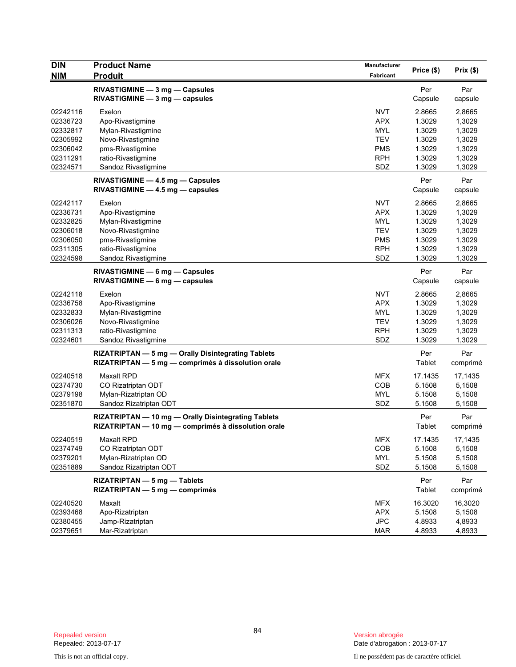| <b>DIN</b><br><b>NIM</b> | <b>Product Name</b><br><b>Produit</b>                                                                      | Manufacturer<br>Fabricant | Price (\$)       | Prix(\$)         |
|--------------------------|------------------------------------------------------------------------------------------------------------|---------------------------|------------------|------------------|
|                          | RIVASTIGMINE - 3 mg - Capsules                                                                             |                           | Per              | Par              |
|                          | $RIVASTIGMINE - 3 mg - capsules$                                                                           |                           | Capsule          | capsule          |
| 02242116                 | Exelon                                                                                                     | <b>NVT</b>                | 2.8665           | 2,8665           |
| 02336723                 | Apo-Rivastigmine                                                                                           | <b>APX</b>                | 1.3029           | 1,3029           |
| 02332817                 | Mylan-Rivastigmine                                                                                         | MYL                       | 1.3029           | 1,3029           |
| 02305992                 | Novo-Rivastigmine                                                                                          | <b>TEV</b>                | 1.3029           | 1,3029           |
| 02306042                 | pms-Rivastigmine                                                                                           | <b>PMS</b>                | 1.3029           | 1,3029           |
| 02311291                 | ratio-Rivastigmine                                                                                         | <b>RPH</b>                | 1.3029           | 1,3029           |
| 02324571                 | Sandoz Rivastigmine                                                                                        | SDZ                       | 1.3029           | 1,3029           |
|                          | RIVASTIGMINE - 4.5 mg - Capsules                                                                           |                           | Per              | Par              |
|                          | $RIVASTIGMINE - 4.5 mg - capsules$                                                                         |                           | Capsule          | capsule          |
| 02242117                 | Exelon                                                                                                     | <b>NVT</b>                | 2.8665           | 2,8665           |
| 02336731                 | Apo-Rivastigmine                                                                                           | <b>APX</b>                | 1.3029           | 1,3029           |
| 02332825                 | Mylan-Rivastigmine                                                                                         | MYL                       | 1.3029           | 1,3029           |
| 02306018                 | Novo-Rivastigmine                                                                                          | <b>TEV</b>                | 1.3029           | 1,3029           |
| 02306050                 | pms-Rivastigmine                                                                                           | <b>PMS</b>                | 1.3029           | 1,3029           |
| 02311305                 | ratio-Rivastigmine                                                                                         | <b>RPH</b><br>SDZ         | 1.3029<br>1.3029 | 1,3029           |
| 02324598                 | Sandoz Rivastigmine                                                                                        |                           |                  | 1,3029           |
|                          | RIVASTIGMINE - 6 mg - Capsules                                                                             |                           | Per              | Par              |
|                          | $RIVASTIGMINE - 6 mg - capsules$                                                                           |                           | Capsule          | capsule          |
| 02242118                 | Exelon                                                                                                     | <b>NVT</b>                | 2.8665           | 2,8665           |
| 02336758                 | Apo-Rivastigmine                                                                                           | <b>APX</b>                | 1.3029           | 1,3029           |
| 02332833                 | Mylan-Rivastigmine                                                                                         | MYL                       | 1.3029           | 1,3029           |
| 02306026                 | Novo-Rivastigmine                                                                                          | <b>TEV</b>                | 1.3029           | 1,3029           |
| 02311313<br>02324601     | ratio-Rivastigmine<br>Sandoz Rivastigmine                                                                  | <b>RPH</b><br>SDZ         | 1.3029<br>1.3029 | 1,3029<br>1,3029 |
|                          |                                                                                                            |                           |                  |                  |
|                          | RIZATRIPTAN - 5 mg - Orally Disintegrating Tablets<br>RIZATRIPTAN - 5 mg - comprimés à dissolution orale   |                           | Per<br>Tablet    | Par<br>comprimé  |
|                          |                                                                                                            |                           |                  |                  |
| 02240518                 | <b>Maxalt RPD</b>                                                                                          | <b>MFX</b>                | 17.1435          | 17,1435          |
| 02374730<br>02379198     | CO Rizatriptan ODT<br>Mylan-Rizatriptan OD                                                                 | <b>COB</b><br><b>MYL</b>  | 5.1508<br>5.1508 | 5,1508<br>5,1508 |
| 02351870                 | Sandoz Rizatriptan ODT                                                                                     | SDZ                       | 5.1508           | 5,1508           |
|                          |                                                                                                            |                           |                  |                  |
|                          | RIZATRIPTAN - 10 mg - Orally Disintegrating Tablets<br>RIZATRIPTAN - 10 mg - comprimés à dissolution orale |                           | Per<br>Tablet    | Par<br>comprimé  |
| 02240519                 | Maxalt RPD                                                                                                 | <b>MFX</b>                | 17.1435          | 17,1435          |
| 02374749                 | CO Rizatriptan ODT                                                                                         | COB                       | 5.1508           | 5,1508           |
| 02379201                 | Mylan-Rizatriptan OD                                                                                       | <b>MYL</b>                | 5.1508           | 5,1508           |
| 02351889                 | Sandoz Rizatriptan ODT                                                                                     | SDZ                       | 5.1508           | 5,1508           |
|                          | RIZATRIPTAN - 5 mg - Tablets                                                                               |                           | Per              | Par              |
|                          | $RIZATRIPTAN - 5$ mg — comprimés                                                                           |                           | Tablet           | comprimé         |
| 02240520                 | Maxalt                                                                                                     | <b>MFX</b>                | 16.3020          | 16,3020          |
| 02393468                 | Apo-Rizatriptan                                                                                            | <b>APX</b>                | 5.1508           | 5,1508           |
| 02380455                 | Jamp-Rizatriptan                                                                                           | JPC                       | 4.8933           | 4,8933           |
| 02379651                 | Mar-Rizatriptan                                                                                            | <b>MAR</b>                | 4.8933           | 4,8933           |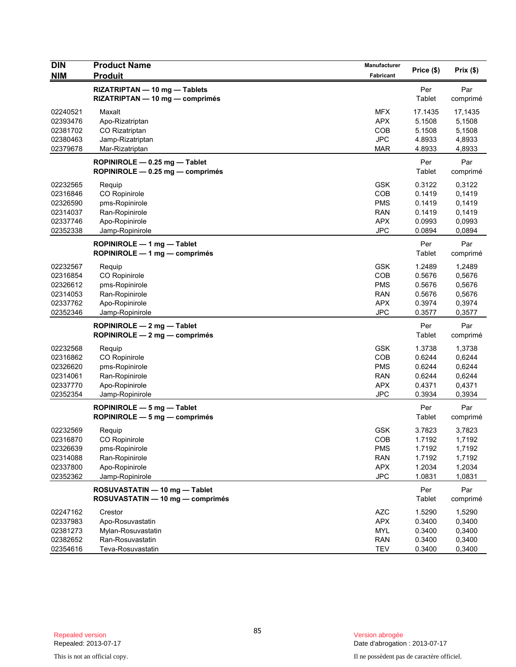| <b>DIN</b><br><b>NIM</b>                                             | <b>Product Name</b><br><b>Produit</b>                                                            | <b>Manufacturer</b><br>Fabricant                                          | Price (\$)                                               | Prix (\$)                                                |
|----------------------------------------------------------------------|--------------------------------------------------------------------------------------------------|---------------------------------------------------------------------------|----------------------------------------------------------|----------------------------------------------------------|
|                                                                      | RIZATRIPTAN - 10 mg - Tablets                                                                    |                                                                           | Per                                                      | Par                                                      |
|                                                                      | RIZATRIPTAN - 10 mg - comprimés                                                                  |                                                                           | Tablet                                                   | comprimé                                                 |
| 02240521<br>02393476<br>02381702<br>02380463                         | Maxalt<br>Apo-Rizatriptan<br>CO Rizatriptan<br>Jamp-Rizatriptan                                  | <b>MFX</b><br><b>APX</b><br>COB<br><b>JPC</b>                             | 17.1435<br>5.1508<br>5.1508<br>4.8933                    | 17,1435<br>5,1508<br>5,1508<br>4,8933                    |
| 02379678                                                             | Mar-Rizatriptan                                                                                  | <b>MAR</b>                                                                | 4.8933                                                   | 4,8933                                                   |
|                                                                      | ROPINIROLE $-$ 0.25 mg $-$ Tablet<br>ROPINIROLE - 0.25 mg - comprimés                            |                                                                           | Per<br>Tablet                                            | Par<br>comprimé                                          |
| 02232565<br>02316846<br>02326590<br>02314037<br>02337746<br>02352338 | Requip<br>CO Ropinirole<br>pms-Ropinirole<br>Ran-Ropinirole<br>Apo-Ropinirole<br>Jamp-Ropinirole | <b>GSK</b><br>COB<br><b>PMS</b><br><b>RAN</b><br><b>APX</b><br><b>JPC</b> | 0.3122<br>0.1419<br>0.1419<br>0.1419<br>0.0993<br>0.0894 | 0,3122<br>0,1419<br>0,1419<br>0,1419<br>0,0993<br>0,0894 |
|                                                                      | ROPINIROLE $-1$ mg $-$ Tablet<br>ROPINIROLE - 1 mg - comprimés                                   |                                                                           | Per<br>Tablet                                            | Par<br>comprimé                                          |
| 02232567<br>02316854<br>02326612<br>02314053<br>02337762<br>02352346 | Requip<br>CO Ropinirole<br>pms-Ropinirole<br>Ran-Ropinirole<br>Apo-Ropinirole<br>Jamp-Ropinirole | <b>GSK</b><br>COB<br><b>PMS</b><br><b>RAN</b><br><b>APX</b><br><b>JPC</b> | 1.2489<br>0.5676<br>0.5676<br>0.5676<br>0.3974<br>0.3577 | 1,2489<br>0,5676<br>0,5676<br>0,5676<br>0,3974<br>0,3577 |
|                                                                      | ROPINIROLE $-2$ mg $-$ Tablet<br>ROPINIROLE - 2 mg - comprimés                                   |                                                                           | Per<br>Tablet                                            | Par<br>comprimé                                          |
| 02232568<br>02316862<br>02326620<br>02314061<br>02337770<br>02352354 | Requip<br>CO Ropinirole<br>pms-Ropinirole<br>Ran-Ropinirole<br>Apo-Ropinirole<br>Jamp-Ropinirole | <b>GSK</b><br>COB<br><b>PMS</b><br><b>RAN</b><br><b>APX</b><br><b>JPC</b> | 1.3738<br>0.6244<br>0.6244<br>0.6244<br>0.4371<br>0.3934 | 1,3738<br>0,6244<br>0,6244<br>0,6244<br>0,4371<br>0,3934 |
|                                                                      | ROPINIROLE $-5$ mg $-$ Tablet<br>ROPINIROLE $-5$ mg $-$ comprimes                                |                                                                           | Per<br>Tablet                                            | Par<br>comprimé                                          |
| 02232569<br>02316870<br>02326639<br>02314088<br>02337800<br>02352362 | Requip<br>CO Ropinirole<br>pms-Ropinirole<br>Ran-Ropinirole<br>Apo-Ropinirole<br>Jamp-Ropinirole | <b>GSK</b><br>COB<br><b>PMS</b><br><b>RAN</b><br><b>APX</b><br><b>JPC</b> | 3.7823<br>1.7192<br>1.7192<br>1.7192<br>1.2034<br>1.0831 | 3,7823<br>1,7192<br>1,7192<br>1,7192<br>1,2034<br>1,0831 |
|                                                                      | ROSUVASTATIN - 10 mg - Tablet<br>ROSUVASTATIN - 10 mg - comprimés                                |                                                                           | Per<br>Tablet                                            | Par<br>comprimé                                          |
| 02247162<br>02337983<br>02381273<br>02382652<br>02354616             | Crestor<br>Apo-Rosuvastatin<br>Mylan-Rosuvastatin<br>Ran-Rosuvastatin<br>Teva-Rosuvastatin       | <b>AZC</b><br><b>APX</b><br><b>MYL</b><br><b>RAN</b><br><b>TEV</b>        | 1.5290<br>0.3400<br>0.3400<br>0.3400<br>0.3400           | 1,5290<br>0,3400<br>0,3400<br>0,3400<br>0,3400           |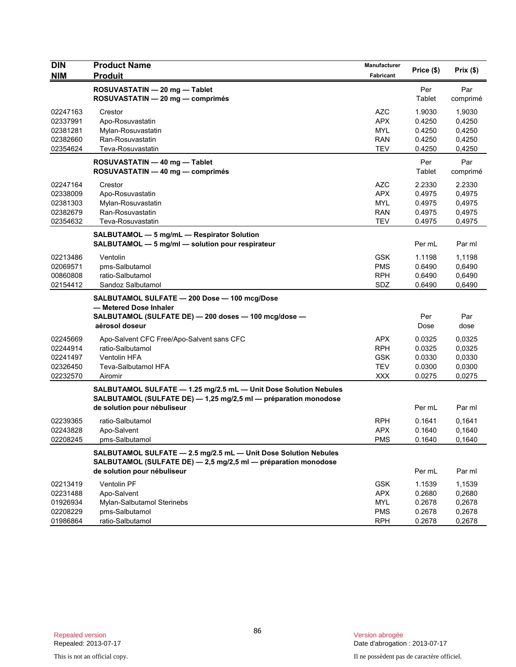| <b>DIN</b>           | <b>Product Name</b>                                                                                                                              | Manufacturer             | Price (\$)       | Prix(\$)         |
|----------------------|--------------------------------------------------------------------------------------------------------------------------------------------------|--------------------------|------------------|------------------|
| <b>NIM</b>           | <b>Produit</b>                                                                                                                                   | <b>Fabricant</b>         |                  |                  |
|                      | ROSUVASTATIN - 20 mg - Tablet<br>ROSUVASTATIN - 20 mg - comprimés                                                                                |                          | Per<br>Tablet    | Par<br>comprimé  |
| 02247163             | Crestor                                                                                                                                          | <b>AZC</b>               | 1.9030           | 1,9030           |
| 02337991             | Apo-Rosuvastatin                                                                                                                                 | <b>APX</b>               | 0.4250           | 0,4250           |
| 02381281             | Mylan-Rosuvastatin                                                                                                                               | <b>MYL</b>               | 0.4250           | 0,4250           |
| 02382660             | Ran-Rosuvastatin                                                                                                                                 | <b>RAN</b>               | 0.4250           | 0,4250           |
| 02354624             | Teva-Rosuvastatin                                                                                                                                | <b>TEV</b>               | 0.4250           | 0,4250           |
|                      | ROSUVASTATIN - 40 mg - Tablet<br>ROSUVASTATIN - 40 mg - comprimés                                                                                |                          | Per<br>Tablet    | Par<br>comprimé  |
| 02247164             | Crestor                                                                                                                                          | <b>AZC</b>               | 2.2330           | 2.2330           |
| 02338009             | Apo-Rosuvastatin                                                                                                                                 | <b>APX</b>               | 0.4975           | 0,4975           |
| 02381303             | Mylan-Rosuvastatin                                                                                                                               | <b>MYL</b>               | 0.4975           | 0,4975           |
| 02382679             | Ran-Rosuvastatin                                                                                                                                 | <b>RAN</b>               | 0.4975           | 0,4975           |
| 02354632             | Teva-Rosuvastatin                                                                                                                                | <b>TEV</b>               | 0.4975           | 0,4975           |
|                      | SALBUTAMOL - 5 mg/mL - Respirator Solution<br>SALBUTAMOL - 5 mg/ml - solution pour respirateur                                                   |                          | Per mL           | Par ml           |
| 02213486             | Ventolin                                                                                                                                         | <b>GSK</b>               | 1.1198           | 1,1198           |
| 02069571             | pms-Salbutamol                                                                                                                                   | <b>PMS</b>               | 0.6490           | 0,6490           |
| 00860808             | ratio-Salbutamol                                                                                                                                 | <b>RPH</b>               | 0.6490           | 0,6490           |
| 02154412             | Sandoz Salbutamol                                                                                                                                | SDZ                      | 0.6490           | 0,6490           |
|                      | SALBUTAMOL SULFATE - 200 Dose - 100 mcg/Dose<br>- Metered Dose Inhaler<br>SALBUTAMOL (SULFATE DE) - 200 doses - 100 mcg/dose -<br>aérosol doseur |                          | Per<br>Dose      | Par<br>dose      |
|                      |                                                                                                                                                  |                          |                  |                  |
| 02245669             | Apo-Salvent CFC Free/Apo-Salvent sans CFC                                                                                                        | <b>APX</b>               | 0.0325           | 0,0325           |
| 02244914             | ratio-Salbutamol                                                                                                                                 | <b>RPH</b>               | 0.0325           | 0,0325           |
| 02241497             | <b>Ventolin HFA</b>                                                                                                                              | <b>GSK</b>               | 0.0330           | 0,0330           |
| 02326450<br>02232570 | Teva-Salbutamol HFA                                                                                                                              | <b>TEV</b><br><b>XXX</b> | 0.0300<br>0.0275 | 0,0300<br>0,0275 |
|                      | Airomir<br>SALBUTAMOL SULFATE - 1.25 mg/2.5 mL - Unit Dose Solution Nebules<br>SALBUTAMOL (SULFATE DE) - 1,25 mg/2,5 ml - préparation monodose   |                          |                  |                  |
|                      | de solution pour nébuliseur                                                                                                                      |                          | Per mL           | Par ml           |
| 02239365             | ratio-Salbutamol                                                                                                                                 | <b>RPH</b>               | 0.1641           | 0,1641           |
| 02243828             | Apo-Salvent                                                                                                                                      | <b>APX</b>               | 0.1640           | 0,1640           |
| 02208245             | pms-Salbutamol                                                                                                                                   | <b>PMS</b>               | 0.1640           | 0,1640           |
|                      | SALBUTAMOL SULFATE - 2.5 mg/2.5 mL - Unit Dose Solution Nebules<br>SALBUTAMOL (SULFATE DE) - 2,5 mg/2,5 ml - préparation monodose                |                          |                  |                  |
|                      | de solution pour nébuliseur                                                                                                                      |                          | Per mL           | Par ml           |
| 02213419             | Ventolin PF                                                                                                                                      | <b>GSK</b>               | 1.1539           | 1,1539           |
| 02231488             | Apo-Salvent                                                                                                                                      | <b>APX</b>               | 0.2680           | 0,2680           |
| 01926934             | Mylan-Salbutamol Sterinebs                                                                                                                       | <b>MYL</b>               | 0.2678           | 0,2678           |
| 02208229             | pms-Salbutamol                                                                                                                                   | <b>PMS</b>               | 0.2678           | 0,2678           |
| 01986864             | ratio-Salbutamol                                                                                                                                 | <b>RPH</b>               | 0.2678           | 0,2678           |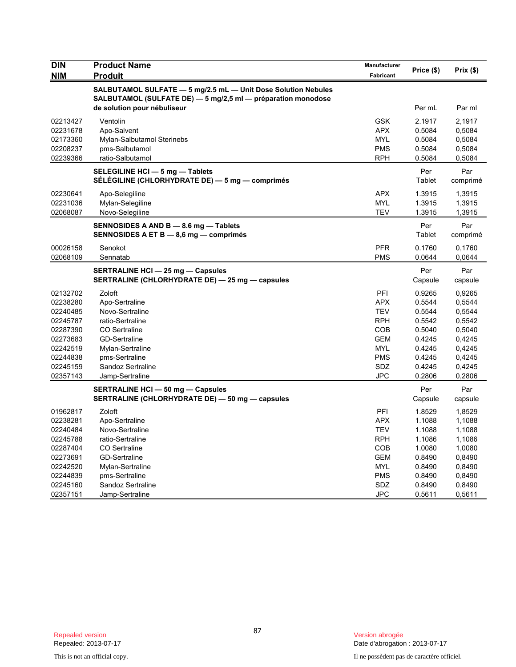| <b>DIN</b> | <b>Product Name</b>                                           | <b>Manufacturer</b> | Price (\$) | Prix(\$) |
|------------|---------------------------------------------------------------|---------------------|------------|----------|
| <b>NIM</b> | Produit                                                       | <b>Fabricant</b>    |            |          |
|            | SALBUTAMOL SULFATE - 5 mg/2.5 mL - Unit Dose Solution Nebules |                     |            |          |
|            | SALBUTAMOL (SULFATE DE) - 5 mg/2,5 ml - préparation monodose  |                     |            |          |
|            | de solution pour nébuliseur                                   |                     | Per mL     | Par ml   |
| 02213427   | Ventolin                                                      | <b>GSK</b>          | 2.1917     | 2,1917   |
| 02231678   | Apo-Salvent                                                   | <b>APX</b>          | 0.5084     | 0,5084   |
| 02173360   | Mylan-Salbutamol Sterinebs                                    | <b>MYL</b>          | 0.5084     | 0,5084   |
| 02208237   | pms-Salbutamol                                                | <b>PMS</b>          | 0.5084     | 0,5084   |
| 02239366   | ratio-Salbutamol                                              | <b>RPH</b>          | 0.5084     | 0,5084   |
|            | SELEGILINE HCI - 5 mg - Tablets                               |                     | Per        | Par      |
|            | SÉLÉGILINE (CHLORHYDRATE DE) — 5 mg — comprimés               |                     | Tablet     | comprimé |
| 02230641   | Apo-Selegiline                                                | APX                 | 1.3915     | 1,3915   |
| 02231036   | Mylan-Selegiline                                              | <b>MYL</b>          | 1.3915     | 1,3915   |
| 02068087   | Novo-Selegiline                                               | TEV                 | 1.3915     | 1,3915   |
|            | SENNOSIDES A AND B - 8.6 mg - Tablets                         |                     | Per        | Par      |
|            | SENNOSIDES A ET B - 8,6 mg - comprimés                        |                     | Tablet     | comprimé |
| 00026158   | Senokot                                                       | <b>PFR</b>          | 0.1760     | 0,1760   |
| 02068109   | Sennatab                                                      | <b>PMS</b>          | 0.0644     | 0,0644   |
|            | <b>SERTRALINE HCI - 25 mg - Capsules</b>                      |                     | Per        | Par      |
|            | SERTRALINE (CHLORHYDRATE DE) - 25 mg - capsules               |                     | Capsule    | capsule  |
| 02132702   | Zoloft                                                        | PFI                 | 0.9265     | 0.9265   |
| 02238280   | Apo-Sertraline                                                | APX                 | 0.5544     | 0,5544   |
| 02240485   | Novo-Sertraline                                               | <b>TEV</b>          | 0.5544     | 0,5544   |
| 02245787   | ratio-Sertraline                                              | <b>RPH</b>          | 0.5542     | 0,5542   |
| 02287390   | <b>CO</b> Sertraline                                          | <b>COB</b>          | 0.5040     | 0,5040   |
| 02273683   | <b>GD-Sertraline</b>                                          | <b>GEM</b>          | 0.4245     | 0,4245   |
| 02242519   | Mylan-Sertraline                                              | <b>MYL</b>          | 0.4245     | 0,4245   |
| 02244838   | pms-Sertraline                                                | <b>PMS</b>          | 0.4245     | 0,4245   |
| 02245159   | Sandoz Sertraline                                             | SDZ                 | 0.4245     | 0,4245   |
| 02357143   | Jamp-Sertraline                                               | <b>JPC</b>          | 0.2806     | 0,2806   |
|            | <b>SERTRALINE HCI - 50 mg - Capsules</b>                      |                     | Per        | Par      |
|            | SERTRALINE (CHLORHYDRATE DE) - 50 mg - capsules               |                     | Capsule    | capsule  |
| 01962817   | Zoloft                                                        | PFI                 | 1.8529     | 1,8529   |
| 02238281   | Apo-Sertraline                                                | APX                 | 1.1088     | 1,1088   |
| 02240484   | Novo-Sertraline                                               | <b>TEV</b>          | 1.1088     | 1,1088   |
| 02245788   | ratio-Sertraline                                              | <b>RPH</b>          | 1.1086     | 1,1086   |
| 02287404   | <b>CO</b> Sertraline                                          | <b>COB</b>          | 1.0080     | 1,0080   |
| 02273691   | <b>GD-Sertraline</b>                                          | <b>GEM</b>          | 0.8490     | 0,8490   |
| 02242520   | Mylan-Sertraline                                              | <b>MYL</b>          | 0.8490     | 0,8490   |
| 02244839   | pms-Sertraline                                                | <b>PMS</b>          | 0.8490     | 0,8490   |
| 02245160   | Sandoz Sertraline                                             | <b>SDZ</b>          | 0.8490     | 0,8490   |
| 02357151   | Jamp-Sertraline                                               | <b>JPC</b>          | 0.5611     | 0,5611   |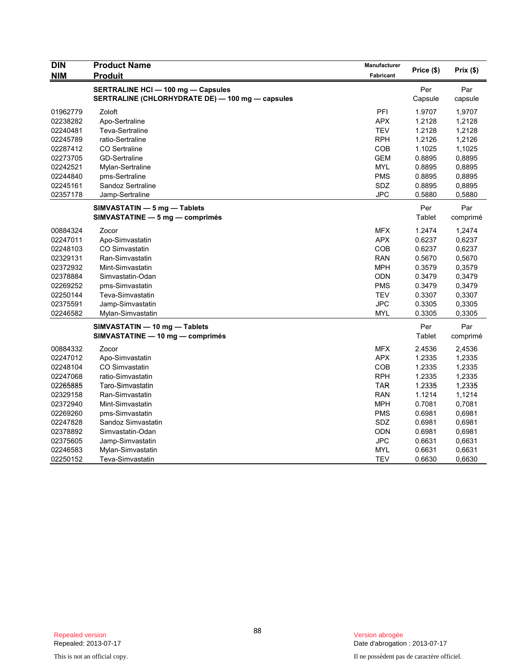| <b>DIN</b> | <b>Product Name</b>                              | <b>Manufacturer</b> | Price (\$) | Prix(\$) |
|------------|--------------------------------------------------|---------------------|------------|----------|
| <b>NIM</b> | Produit                                          | Fabricant           |            |          |
|            | <b>SERTRALINE HCI - 100 mg - Capsules</b>        |                     | Per        | Par      |
|            | SERTRALINE (CHLORHYDRATE DE) - 100 mg - capsules |                     | Capsule    | capsule  |
| 01962779   | Zoloft                                           | PFI                 | 1.9707     | 1,9707   |
| 02238282   | Apo-Sertraline                                   | <b>APX</b>          | 1.2128     | 1,2128   |
| 02240481   | Teva-Sertraline                                  | <b>TEV</b>          | 1.2128     | 1,2128   |
| 02245789   | ratio-Sertraline                                 | <b>RPH</b>          | 1.2126     | 1,2126   |
| 02287412   | <b>CO</b> Sertraline                             | COB                 | 1.1025     | 1,1025   |
| 02273705   | <b>GD-Sertraline</b>                             | <b>GEM</b>          | 0.8895     | 0,8895   |
| 02242521   | Mylan-Sertraline                                 | <b>MYL</b>          | 0.8895     | 0,8895   |
| 02244840   | pms-Sertraline                                   | <b>PMS</b>          | 0.8895     | 0,8895   |
| 02245161   | Sandoz Sertraline                                | SDZ                 | 0.8895     | 0,8895   |
| 02357178   | Jamp-Sertraline                                  | <b>JPC</b>          | 0.5880     | 0,5880   |
|            | SIMVASTATIN - 5 mg - Tablets                     |                     | Per        | Par      |
|            | SIMVASTATINE - 5 mg - comprimés                  |                     | Tablet     | comprimé |
| 00884324   | Zocor                                            | <b>MFX</b>          | 1.2474     | 1,2474   |
| 02247011   | Apo-Simvastatin                                  | <b>APX</b>          | 0.6237     | 0,6237   |
| 02248103   | <b>CO Simvastatin</b>                            | COB                 | 0.6237     | 0,6237   |
| 02329131   | Ran-Simvastatin                                  | <b>RAN</b>          | 0.5670     | 0,5670   |
| 02372932   | Mint-Simvastatin                                 | <b>MPH</b>          | 0.3579     | 0,3579   |
| 02378884   | Simvastatin-Odan                                 | <b>ODN</b>          | 0.3479     | 0,3479   |
| 02269252   | pms-Simvastatin                                  | <b>PMS</b>          | 0.3479     | 0,3479   |
| 02250144   | Teva-Simvastatin                                 | <b>TEV</b>          | 0.3307     | 0,3307   |
| 02375591   | Jamp-Simvastatin                                 | <b>JPC</b>          | 0.3305     | 0,3305   |
| 02246582   | Mylan-Simvastatin                                | <b>MYL</b>          | 0.3305     | 0,3305   |
|            | SIMVASTATIN - 10 mg - Tablets                    |                     | Per        | Par      |
|            | SIMVASTATINE - 10 mg - comprimés                 |                     | Tablet     | comprimé |
| 00884332   | Zocor                                            | <b>MFX</b>          | 2.4536     | 2,4536   |
| 02247012   | Apo-Simvastatin                                  | <b>APX</b>          | 1.2335     | 1,2335   |
| 02248104   | <b>CO Simvastatin</b>                            | COB                 | 1.2335     | 1,2335   |
| 02247068   | ratio-Simvastatin                                | <b>RPH</b>          | 1.2335     | 1,2335   |
| 02265885   | Taro-Simvastatin                                 | <b>TAR</b>          | 1.2335     | 1,2335   |
| 02329158   | Ran-Simvastatin                                  | <b>RAN</b>          | 1.1214     | 1,1214   |
| 02372940   | Mint-Simvastatin                                 | <b>MPH</b>          | 0.7081     | 0,7081   |
| 02269260   | pms-Simvastatin                                  | <b>PMS</b>          | 0.6981     | 0,6981   |
| 02247828   | Sandoz Simvastatin                               | SDZ                 | 0.6981     | 0,6981   |
| 02378892   | Simvastatin-Odan                                 | <b>ODN</b>          | 0.6981     | 0,6981   |
| 02375605   | Jamp-Simvastatin                                 | <b>JPC</b>          | 0.6631     | 0,6631   |
| 02246583   | Mylan-Simvastatin                                | <b>MYL</b>          | 0.6631     | 0,6631   |
| 02250152   | Teva-Simvastatin                                 | <b>TEV</b>          | 0.6630     | 0,6630   |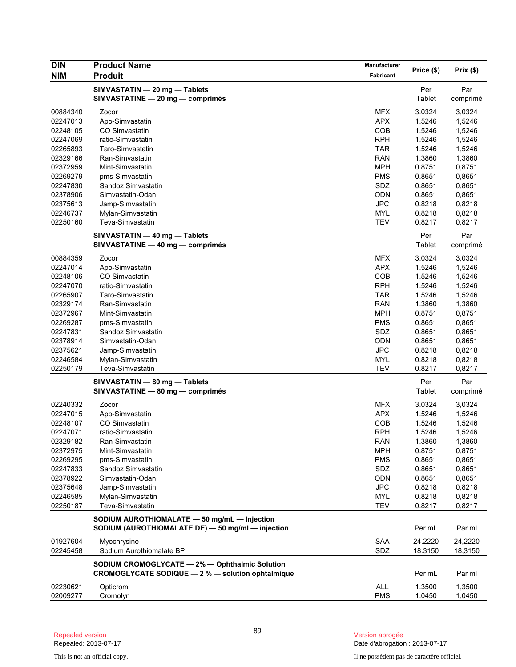| <b>DIN</b>           | <b>Product Name</b>                               | Manufacturer             | Price (\$)       | Prix (\$)        |
|----------------------|---------------------------------------------------|--------------------------|------------------|------------------|
| <b>NIM</b>           | <b>Produit</b>                                    | Fabricant                |                  |                  |
|                      | SIMVASTATIN - 20 mg - Tablets                     |                          | Per              | Par              |
|                      | SIMVASTATINE - 20 mg - comprimés                  |                          | <b>Tablet</b>    | comprimé         |
| 00884340             | Zocor                                             | <b>MFX</b>               | 3.0324           | 3,0324           |
| 02247013             | Apo-Simvastatin                                   | <b>APX</b>               | 1.5246           | 1,5246           |
| 02248105             | CO Simvastatin                                    | COB                      | 1.5246           | 1,5246           |
| 02247069             | ratio-Simvastatin                                 | <b>RPH</b>               | 1.5246           | 1,5246           |
| 02265893             | Taro-Simvastatin                                  | <b>TAR</b>               | 1.5246           | 1,5246           |
| 02329166             | Ran-Simvastatin                                   | <b>RAN</b>               | 1.3860           | 1,3860           |
| 02372959             | Mint-Simvastatin                                  | <b>MPH</b>               | 0.8751           | 0,8751           |
| 02269279             | pms-Simvastatin                                   | <b>PMS</b>               | 0.8651           | 0,8651           |
| 02247830             | Sandoz Simvastatin                                | SDZ                      | 0.8651           | 0,8651           |
| 02378906             | Simvastatin-Odan                                  | <b>ODN</b>               | 0.8651           | 0,8651           |
| 02375613             | Jamp-Simvastatin<br>Mylan-Simvastatin             | <b>JPC</b><br><b>MYL</b> | 0.8218<br>0.8218 | 0,8218           |
| 02246737<br>02250160 | Teva-Simvastatin                                  | <b>TEV</b>               | 0.8217           | 0,8218<br>0,8217 |
|                      |                                                   |                          |                  |                  |
|                      | SIMVASTATIN - 40 mg - Tablets                     |                          | Per              | Par              |
|                      | SIMVASTATINE - 40 mg - comprimés                  |                          | Tablet           | comprimé         |
| 00884359             | Zocor                                             | MFX                      | 3.0324           | 3,0324           |
| 02247014             | Apo-Simvastatin                                   | <b>APX</b>               | 1.5246           | 1,5246           |
| 02248106             | CO Simvastatin                                    | COB                      | 1.5246           | 1,5246           |
| 02247070             | ratio-Simvastatin                                 | <b>RPH</b>               | 1.5246           | 1,5246           |
| 02265907             | Taro-Simvastatin                                  | <b>TAR</b>               | 1.5246           | 1,5246           |
| 02329174             | Ran-Simvastatin                                   | <b>RAN</b>               | 1.3860           | 1,3860           |
| 02372967             | Mint-Simvastatin                                  | <b>MPH</b><br><b>PMS</b> | 0.8751           | 0,8751           |
| 02269287<br>02247831 | pms-Simvastatin<br>Sandoz Simvastatin             | SDZ                      | 0.8651<br>0.8651 | 0,8651           |
| 02378914             | Simvastatin-Odan                                  | <b>ODN</b>               | 0.8651           | 0,8651<br>0,8651 |
| 02375621             | Jamp-Simvastatin                                  | <b>JPC</b>               | 0.8218           | 0,8218           |
| 02246584             | Mylan-Simvastatin                                 | <b>MYL</b>               | 0.8218           | 0,8218           |
| 02250179             | Teva-Simvastatin                                  | <b>TEV</b>               | 0.8217           | 0,8217           |
|                      | SIMVASTATIN - 80 mg - Tablets                     |                          | Per              | Par              |
|                      | SIMVASTATINE - 80 mg - comprimés                  |                          | Tablet           | comprimé         |
|                      |                                                   |                          |                  |                  |
| 02240332             | Zocor                                             | <b>MFX</b>               | 3.0324           | 3,0324           |
| 02247015             | Apo-Simvastatin                                   | <b>APX</b>               | 1.5246           | 1,5246           |
| 02248107             | CO Simvastatin<br>ratio-Simvastatin               | COB<br><b>RPH</b>        | 1.5246           | 1,5246           |
| 02247071<br>02329182 | Ran-Simvastatin                                   | <b>RAN</b>               | 1.5246<br>1.3860 | 1,5246           |
| 02372975             | Mint-Simvastatin                                  | <b>MPH</b>               | 0.8751           | 1,3860<br>0,8751 |
| 02269295             | pms-Simvastatin                                   | <b>PMS</b>               | 0.8651           | 0,8651           |
| 02247833             | Sandoz Simvastatin                                | SDZ                      | 0.8651           | 0,8651           |
| 02378922             | Simvastatin-Odan                                  | <b>ODN</b>               | 0.8651           | 0,8651           |
| 02375648             | Jamp-Simvastatin                                  | <b>JPC</b>               | 0.8218           | 0,8218           |
| 02246585             | Mylan-Simvastatin                                 | MYL                      | 0.8218           | 0,8218           |
| 02250187             | Teva-Simvastatin                                  | <b>TEV</b>               | 0.8217           | 0,8217           |
|                      | SODIUM AUROTHIOMALATE - 50 mg/mL - Injection      |                          |                  |                  |
|                      | SODIUM (AUROTHIOMALATE DE) - 50 mg/ml - injection |                          | Per mL           | Par ml           |
| 01927604             | Myochrysine                                       | <b>SAA</b>               | 24.2220          | 24,2220          |
| 02245458             | Sodium Aurothiomalate BP                          | SDZ                      | 18.3150          | 18,3150          |
|                      | SODIUM CROMOGLYCATE - 2% - Ophthalmic Solution    |                          |                  |                  |
|                      | CROMOGLYCATE SODIQUE - 2 % - solution ophtalmique |                          | Per mL           | Par ml           |
| 02230621             | Opticrom                                          | <b>ALL</b>               | 1.3500           | 1,3500           |
| 02009277             | Cromolyn                                          | <b>PMS</b>               | 1.0450           | 1,0450           |

This is not an official copy. Il ne possèdent pas de caractère officiel.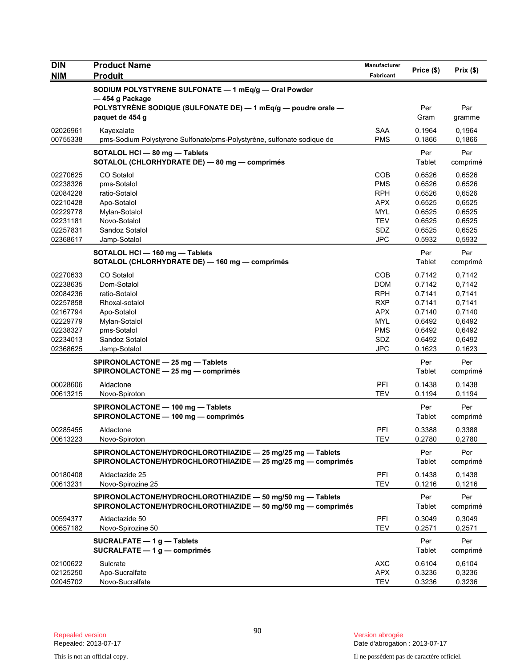| <b>DIN</b> | <b>Product Name</b>                                                                                                        | Manufacturer     | Price (\$)    | Prix(\$)        |
|------------|----------------------------------------------------------------------------------------------------------------------------|------------------|---------------|-----------------|
| <b>NIM</b> | <b>Produit</b>                                                                                                             | <b>Fabricant</b> |               |                 |
|            | SODIUM POLYSTYRENE SULFONATE - 1 mEq/g - Oral Powder<br>-454 g Package                                                     |                  |               |                 |
|            | POLYSTYRENE SODIQUE (SULFONATE DE) - 1 mEq/g - poudre orale -<br>paquet de 454 g                                           |                  | Per<br>Gram   | Par<br>gramme   |
| 02026961   | Kayexalate                                                                                                                 | <b>SAA</b>       | 0.1964        | 0,1964          |
| 00755338   | pms-Sodium Polystyrene Sulfonate/pms-Polystyrène, sulfonate sodique de                                                     | <b>PMS</b>       | 0.1866        | 0,1866          |
|            | SOTALOL HCI - 80 mg - Tablets                                                                                              |                  | Per           | Per             |
|            | SOTALOL (CHLORHYDRATE DE) - 80 mg - comprimés                                                                              |                  | Tablet        | comprimé        |
| 02270625   | CO Sotalol                                                                                                                 | COB              | 0.6526        | 0,6526          |
| 02238326   | pms-Sotalol                                                                                                                | <b>PMS</b>       | 0.6526        | 0,6526          |
| 02084228   | ratio-Sotalol                                                                                                              | <b>RPH</b>       | 0.6526        | 0,6526          |
| 02210428   | Apo-Sotalol                                                                                                                | <b>APX</b>       | 0.6525        | 0,6525          |
| 02229778   | Mylan-Sotalol                                                                                                              | <b>MYL</b>       | 0.6525        | 0,6525          |
| 02231181   | Novo-Sotalol                                                                                                               | <b>TEV</b>       | 0.6525        | 0,6525          |
| 02257831   | Sandoz Sotalol                                                                                                             | SDZ              | 0.6525        | 0,6525          |
| 02368617   | Jamp-Sotalol                                                                                                               | <b>JPC</b>       | 0.5932        | 0,5932          |
|            | SOTALOL HCI - 160 mg - Tablets<br>SOTALOL (CHLORHYDRATE DE) - 160 mg - comprimés                                           |                  | Per<br>Tablet | Per<br>comprimé |
| 02270633   | CO Sotalol                                                                                                                 | COB              | 0.7142        | 0,7142          |
| 02238635   | Dom-Sotalol                                                                                                                | <b>DOM</b>       | 0.7142        | 0,7142          |
| 02084236   | ratio-Sotalol                                                                                                              | <b>RPH</b>       | 0.7141        | 0,7141          |
| 02257858   | Rhoxal-sotalol                                                                                                             | <b>RXP</b>       | 0.7141        | 0,7141          |
| 02167794   | Apo-Sotalol                                                                                                                | <b>APX</b>       | 0.7140        | 0,7140          |
| 02229779   | Mylan-Sotalol                                                                                                              | <b>MYL</b>       | 0.6492        | 0,6492          |
| 02238327   | pms-Sotalol                                                                                                                | <b>PMS</b>       | 0.6492        | 0,6492          |
| 02234013   | Sandoz Sotalol                                                                                                             | <b>SDZ</b>       | 0.6492        | 0,6492          |
| 02368625   | Jamp-Sotalol                                                                                                               | <b>JPC</b>       | 0.1623        | 0,1623          |
|            | SPIRONOLACTONE - 25 mg - Tablets<br>SPIRONOLACTONE - 25 mg - comprimés                                                     |                  | Per<br>Tablet | Per<br>comprimé |
| 00028606   | Aldactone                                                                                                                  | PFI              | 0.1438        | 0,1438          |
| 00613215   | Novo-Spiroton                                                                                                              | <b>TEV</b>       | 0.1194        | 0,1194          |
|            | SPIRONOLACTONE - 100 mg - Tablets                                                                                          |                  | Per           | Per             |
|            | SPIRONOLACTONE - 100 mg - comprimés                                                                                        |                  | Tablet        | comprimé        |
| 00285455   | Aldactone                                                                                                                  | PFI              | 0.3388        | 0,3388          |
| 00613223   | Novo-Spiroton                                                                                                              | IEV              | 0.2780        | 0,2780          |
|            |                                                                                                                            |                  |               | Per             |
|            | SPIRONOLACTONE/HYDROCHLOROTHIAZIDE - 25 mg/25 mg - Tablets<br>SPIRONOLACTONE/HYDROCHLOROTHIAZIDE - 25 mg/25 mg - comprimés |                  | Per<br>Tablet | comprimé        |
| 00180408   | Aldactazide 25                                                                                                             | PFI              | 0.1438        | 0,1438          |
| 00613231   | Novo-Spirozine 25                                                                                                          | <b>TEV</b>       | 0.1216        | 0,1216          |
|            | SPIRONOLACTONE/HYDROCHLOROTHIAZIDE - 50 mg/50 mg - Tablets<br>SPIRONOLACTONE/HYDROCHLOROTHIAZIDE - 50 mg/50 mg - comprimés |                  | Per<br>Tablet | Per<br>comprimé |
| 00594377   | Aldactazide 50                                                                                                             | PFI              | 0.3049        | 0,3049          |
| 00657182   | Novo-Spirozine 50                                                                                                          | <b>TEV</b>       | 0.2571        | 0,2571          |
|            | SUCRALFATE $-1$ g $-$ Tablets                                                                                              |                  | Per           | Per             |
|            | SUCRALFATE - 1 g - comprimés                                                                                               |                  | Tablet        | comprimé        |
| 02100622   | Sulcrate                                                                                                                   | <b>AXC</b>       | 0.6104        | 0,6104          |
| 02125250   | Apo-Sucralfate                                                                                                             | <b>APX</b>       | 0.3236        | 0,3236          |
| 02045702   | Novo-Sucralfate                                                                                                            | <b>TEV</b>       | 0.3236        | 0,3236          |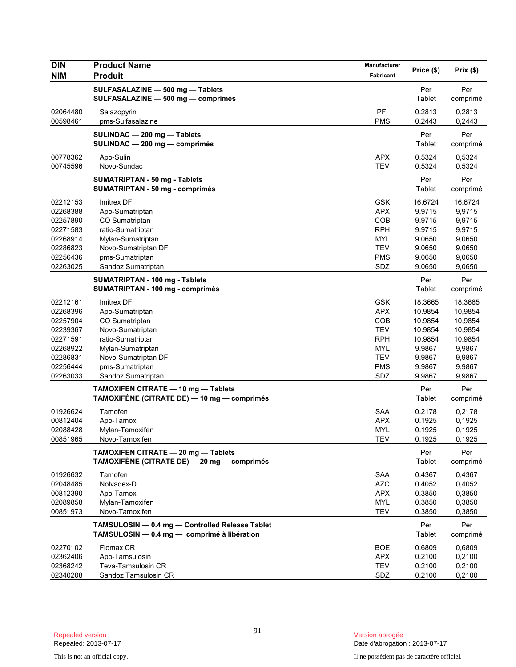| <b>DIN</b><br><b>NIM</b> | <b>Product Name</b><br><b>Produit</b>                                                          | Manufacturer<br><b>Fabricant</b> | Price (\$)       | Prix (\$)        |
|--------------------------|------------------------------------------------------------------------------------------------|----------------------------------|------------------|------------------|
|                          |                                                                                                |                                  |                  |                  |
|                          | SULFASALAZINE - 500 mg - Tablets<br>SULFASALAZINE - 500 mg - comprimés                         |                                  | Per<br>Tablet    | Per<br>comprimé  |
| 02064480<br>00598461     | Salazopyrin<br>pms-Sulfasalazine                                                               | PFI<br><b>PMS</b>                | 0.2813<br>0.2443 | 0,2813<br>0,2443 |
|                          | SULINDAC - 200 mg - Tablets<br>SULINDAC - 200 mg - comprimés                                   |                                  | Per<br>Tablet    | Per<br>comprimé  |
| 00778362<br>00745596     | Apo-Sulin<br>Novo-Sundac                                                                       | <b>APX</b><br><b>TEV</b>         | 0.5324<br>0.5324 | 0,5324<br>0,5324 |
|                          | <b>SUMATRIPTAN - 50 mg - Tablets</b><br><b>SUMATRIPTAN - 50 mg - comprimés</b>                 |                                  | Per<br>Tablet    | Per<br>comprimé  |
| 02212153                 | Imitrex DF                                                                                     | <b>GSK</b>                       | 16.6724          | 16,6724          |
| 02268388                 | Apo-Sumatriptan                                                                                | <b>APX</b>                       | 9.9715           | 9,9715           |
| 02257890                 | CO Sumatriptan                                                                                 | <b>COB</b>                       | 9.9715           | 9,9715           |
| 02271583                 | ratio-Sumatriptan                                                                              | <b>RPH</b>                       | 9.9715           | 9,9715           |
| 02268914                 | Mylan-Sumatriptan                                                                              | MYL                              | 9.0650           | 9,0650           |
| 02286823                 | Novo-Sumatriptan DF                                                                            | <b>TEV</b>                       | 9.0650           | 9,0650           |
| 02256436<br>02263025     | pms-Sumatriptan<br>Sandoz Sumatriptan                                                          | <b>PMS</b><br>SDZ                | 9.0650<br>9.0650 | 9,0650<br>9,0650 |
|                          |                                                                                                |                                  | Per              | Per              |
|                          | SUMATRIPTAN - 100 mg - Tablets<br>SUMATRIPTAN - 100 mg - comprimés                             |                                  | Tablet           | comprimé         |
| 02212161                 | Imitrex DF                                                                                     | <b>GSK</b>                       | 18.3665          | 18,3665          |
| 02268396                 | Apo-Sumatriptan                                                                                | <b>APX</b>                       | 10.9854          | 10,9854          |
| 02257904                 | CO Sumatriptan                                                                                 | <b>COB</b>                       | 10.9854          | 10,9854          |
| 02239367                 | Novo-Sumatriptan                                                                               | <b>TEV</b>                       | 10.9854          | 10,9854          |
| 02271591                 | ratio-Sumatriptan                                                                              | <b>RPH</b>                       | 10.9854          | 10,9854          |
| 02268922                 | Mylan-Sumatriptan                                                                              | MYL                              | 9.9867           | 9,9867           |
| 02286831<br>02256444     | Novo-Sumatriptan DF                                                                            | <b>TEV</b><br><b>PMS</b>         | 9.9867<br>9.9867 | 9,9867           |
| 02263033                 | pms-Sumatriptan<br>Sandoz Sumatriptan                                                          | SDZ                              | 9.9867           | 9,9867<br>9,9867 |
|                          |                                                                                                |                                  |                  |                  |
|                          | TAMOXIFEN CITRATE - 10 mg - Tablets<br>TAMOXIFÈNE (CITRATE DE) — 10 mg — comprimés             |                                  | Per<br>Tablet    | Per<br>comprimé  |
| 01926624                 | Tamofen                                                                                        | <b>SAA</b>                       | 0.2178           | 0,2178           |
| 00812404                 | Apo-Tamox                                                                                      | <b>APX</b>                       | 0.1925           | 0,1925           |
| 02088428                 | Mylan-Tamoxifen                                                                                | <b>MYL</b>                       | 0.1925           | 0,1925           |
| 00851965                 | Novo-Tamoxifen                                                                                 | TEV                              | 0.1925           | 0,1925           |
|                          | TAMOXIFEN CITRATE - 20 mg - Tablets<br>TAMOXIFÈNE (CITRATE DE) - 20 mg - comprimés             |                                  | Per<br>Tablet    | Per<br>comprimé  |
| 01926632                 | Tamofen                                                                                        | <b>SAA</b>                       | 0.4367           | 0,4367           |
| 02048485                 | Nolvadex-D                                                                                     | <b>AZC</b>                       | 0.4052           | 0,4052           |
| 00812390                 | Apo-Tamox                                                                                      | <b>APX</b>                       | 0.3850           | 0,3850           |
| 02089858                 | Mylan-Tamoxifen                                                                                | <b>MYL</b>                       | 0.3850           | 0,3850           |
| 00851973                 | Novo-Tamoxifen                                                                                 | <b>TEV</b>                       | 0.3850           | 0,3850           |
|                          | TAMSULOSIN - 0.4 mg - Controlled Release Tablet<br>TAMSULOSIN - 0.4 mg - comprimé à libération |                                  | Per<br>Tablet    | Per<br>comprimé  |
| 02270102                 | Flomax CR                                                                                      | <b>BOE</b>                       | 0.6809           | 0,6809           |
| 02362406                 | Apo-Tamsulosin                                                                                 | <b>APX</b>                       | 0.2100           | 0,2100           |
| 02368242                 | Teva-Tamsulosin CR                                                                             | <b>TEV</b>                       | 0.2100           | 0,2100           |
| 02340208                 | Sandoz Tamsulosin CR                                                                           | SDZ                              | 0.2100           | 0,2100           |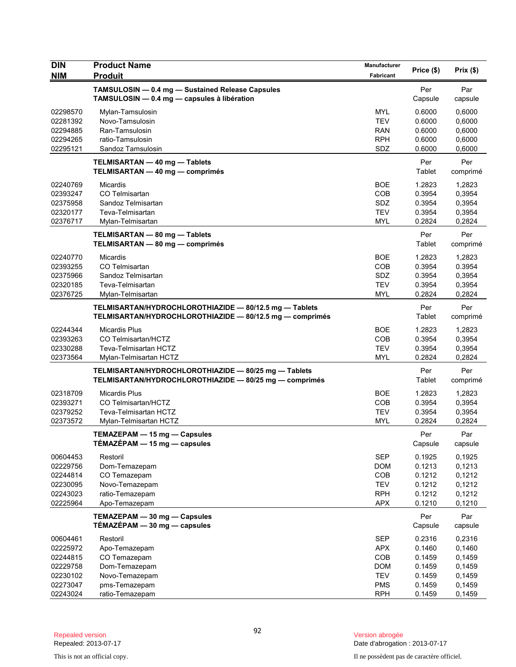| <b>DIN</b> | <b>Product Name</b>                                      | <b>Manufacturer</b> | Price (\$) | Prix(\$) |
|------------|----------------------------------------------------------|---------------------|------------|----------|
| <b>NIM</b> | <b>Produit</b>                                           | Fabricant           |            |          |
|            | TAMSULOSIN - 0.4 mg - Sustained Release Capsules         |                     | Per        | Par      |
|            | TAMSULOSIN - 0.4 mg - capsules à libération              |                     | Capsule    | capsule  |
| 02298570   | Mylan-Tamsulosin                                         | <b>MYL</b>          | 0.6000     | 0,6000   |
| 02281392   | Novo-Tamsulosin                                          | <b>TEV</b>          | 0.6000     | 0,6000   |
| 02294885   | Ran-Tamsulosin                                           | RAN                 | 0.6000     | 0,6000   |
| 02294265   | ratio-Tamsulosin                                         | <b>RPH</b>          | 0.6000     | 0,6000   |
| 02295121   | Sandoz Tamsulosin                                        | SDZ                 | 0.6000     | 0,6000   |
|            | TELMISARTAN - 40 mg - Tablets                            |                     | Per        | Per      |
|            | TELMISARTAN - 40 mg - comprimés                          |                     | Tablet     | comprimé |
| 02240769   | <b>Micardis</b>                                          | <b>BOE</b>          | 1.2823     | 1,2823   |
| 02393247   | CO Telmisartan                                           | <b>COB</b>          | 0.3954     | 0,3954   |
| 02375958   | Sandoz Telmisartan                                       | <b>SDZ</b>          | 0.3954     | 0,3954   |
| 02320177   | Teva-Telmisartan                                         | <b>TEV</b>          | 0.3954     | 0,3954   |
| 02376717   | Mylan-Telmisartan                                        | <b>MYL</b>          | 0.2824     | 0,2824   |
|            | TELMISARTAN - 80 mg - Tablets                            |                     | Per        | Per      |
|            | TELMISARTAN - 80 mg - comprimés                          |                     | Tablet     | comprimé |
| 02240770   | Micardis                                                 | <b>BOE</b>          | 1.2823     | 1,2823   |
| 02393255   | CO Telmisartan                                           | <b>COB</b>          | 0.3954     | 0.3954   |
| 02375966   | Sandoz Telmisartan                                       | SDZ                 | 0.3954     | 0,3954   |
| 02320185   | Teva-Telmisartan                                         | <b>TEV</b>          | 0.3954     | 0,3954   |
| 02376725   | Mylan-Telmisartan                                        | <b>MYL</b>          | 0.2824     | 0,2824   |
|            | TELMISARTAN/HYDROCHLOROTHIAZIDE - 80/12.5 mg - Tablets   |                     | Per        | Per      |
|            | TELMISARTAN/HYDROCHLOROTHIAZIDE - 80/12.5 mg - comprimés |                     | Tablet     | comprimé |
| 02244344   | <b>Micardis Plus</b>                                     | <b>BOE</b>          | 1.2823     | 1,2823   |
| 02393263   | CO Telmisartan/HCTZ                                      | COB                 | 0.3954     | 0,3954   |
| 02330288   | Teva-Telmisartan HCTZ                                    | <b>TEV</b>          | 0.3954     | 0,3954   |
| 02373564   | Mylan-Telmisartan HCTZ                                   | <b>MYL</b>          | 0.2824     | 0,2824   |
|            | TELMISARTAN/HYDROCHLOROTHIAZIDE - 80/25 mg - Tablets     |                     | Per        | Per      |
|            | TELMISARTAN/HYDROCHLOROTHIAZIDE - 80/25 mg - comprimés   |                     | Tablet     | comprimé |
| 02318709   | <b>Micardis Plus</b>                                     | <b>BOE</b>          | 1.2823     | 1,2823   |
| 02393271   | CO Telmisartan/HCTZ                                      | COB                 | 0.3954     | 0,3954   |
| 02379252   | Teva-Telmisartan HCTZ                                    | <b>TEV</b>          | 0.3954     | 0,3954   |
| 02373572   | Mylan-Telmisartan HCTZ                                   | <b>MYL</b>          | 0.2824     | 0,2824   |
|            | TEMAZEPAM — 15 mg — Capsules                             |                     | Per        | Par      |
|            | TÉMAZÉPAM - 15 mg - capsules                             |                     | Capsule    | capsule  |
| 00604453   | Restoril                                                 | <b>SEP</b>          | 0.1925     | 0,1925   |
| 02229756   | Dom-Temazepam                                            | <b>DOM</b>          | 0.1213     | 0,1213   |
| 02244814   | CO Temazepam                                             | COB                 | 0.1212     | 0,1212   |
| 02230095   | Novo-Temazepam                                           | <b>TEV</b>          | 0.1212     | 0,1212   |
| 02243023   | ratio-Temazepam                                          | <b>RPH</b>          | 0.1212     | 0,1212   |
| 02225964   | Apo-Temazepam                                            | <b>APX</b>          | 0.1210     | 0,1210   |
|            | TEMAZEPAM - 30 mg - Capsules                             |                     | Per        | Par      |
|            | TÉMAZÉPAM - 30 mg - capsules                             |                     | Capsule    | capsule  |
| 00604461   | Restoril                                                 | <b>SEP</b>          | 0.2316     | 0,2316   |
| 02225972   | Apo-Temazepam                                            | <b>APX</b>          | 0.1460     | 0,1460   |
| 02244815   | CO Temazepam                                             | COB                 | 0.1459     | 0,1459   |
| 02229758   | Dom-Temazepam                                            | <b>DOM</b>          | 0.1459     | 0,1459   |
| 02230102   | Novo-Temazepam                                           | <b>TEV</b>          | 0.1459     | 0,1459   |
| 02273047   | pms-Temazepam                                            | <b>PMS</b>          | 0.1459     | 0,1459   |
| 02243024   | ratio-Temazepam                                          | <b>RPH</b>          | 0.1459     | 0,1459   |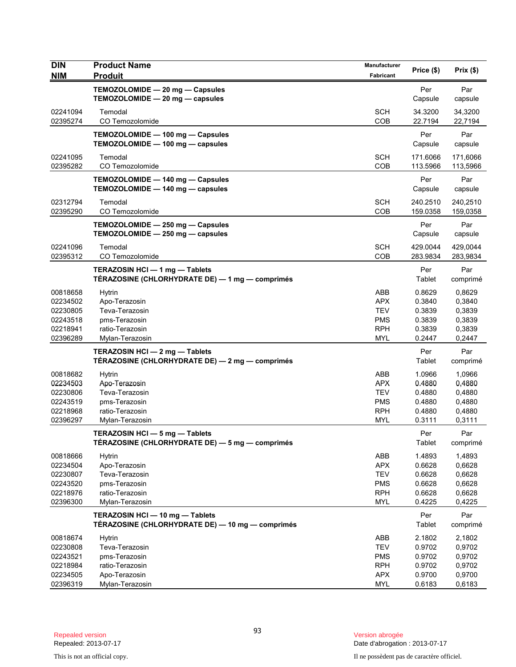| TEMOZOLOMIDE - 20 mg - Capsules<br>Per<br>TEMOZOLOMIDE - 20 mg - capsules<br>Capsule<br><b>SCH</b><br>34.3200<br>02241094<br>Temodal<br>02395274<br>CO Temozolomide<br>COB<br>22.7194<br>TEMOZOLOMIDE - 100 mg - Capsules<br>Per<br>TEMOZOLOMIDE - 100 mg - capsules<br>Capsule<br><b>SCH</b><br>02241095<br>Temodal<br>171.6066<br>CO Temozolomide<br><b>COB</b><br>02395282<br>113.5966<br>TEMOZOLOMIDE - 140 mg - Capsules<br>Per<br>TEMOZOLOMIDE - 140 mg - capsules<br>Capsule<br>02312794<br><b>SCH</b><br>240.2510<br>Temodal<br>02395290<br>CO Temozolomide<br>COB<br>159.0358<br>Per<br>TEMOZOLOMIDE - 250 mg - Capsules<br>TEMOZOLOMIDE - 250 mg - capsules<br>Capsule<br>Temodal<br><b>SCH</b><br>429.0044<br>02241096<br>02395312<br>CO Temozolomide<br>COB<br>283.9834<br>TERAZOSIN HCI-1 mg-Tablets<br>Per<br>TÉRAZOSINE (CHLORHYDRATE DE) — 1 mg — comprimés<br>Tablet<br>ABB<br>0.8629<br>00818658<br><b>Hytrin</b><br>APX<br>0.3840<br>02234502<br>Apo-Terazosin<br>Teva-Terazosin<br><b>TEV</b><br>0.3839<br>02230805 | Prix(\$)                                                 |
|-----------------------------------------------------------------------------------------------------------------------------------------------------------------------------------------------------------------------------------------------------------------------------------------------------------------------------------------------------------------------------------------------------------------------------------------------------------------------------------------------------------------------------------------------------------------------------------------------------------------------------------------------------------------------------------------------------------------------------------------------------------------------------------------------------------------------------------------------------------------------------------------------------------------------------------------------------------------------------------------------------------------------------------------|----------------------------------------------------------|
|                                                                                                                                                                                                                                                                                                                                                                                                                                                                                                                                                                                                                                                                                                                                                                                                                                                                                                                                                                                                                                         | Par<br>capsule                                           |
|                                                                                                                                                                                                                                                                                                                                                                                                                                                                                                                                                                                                                                                                                                                                                                                                                                                                                                                                                                                                                                         | 34,3200<br>22,7194                                       |
|                                                                                                                                                                                                                                                                                                                                                                                                                                                                                                                                                                                                                                                                                                                                                                                                                                                                                                                                                                                                                                         | Par<br>capsule                                           |
|                                                                                                                                                                                                                                                                                                                                                                                                                                                                                                                                                                                                                                                                                                                                                                                                                                                                                                                                                                                                                                         | 171,6066<br>113,5966                                     |
|                                                                                                                                                                                                                                                                                                                                                                                                                                                                                                                                                                                                                                                                                                                                                                                                                                                                                                                                                                                                                                         | Par<br>capsule                                           |
|                                                                                                                                                                                                                                                                                                                                                                                                                                                                                                                                                                                                                                                                                                                                                                                                                                                                                                                                                                                                                                         | 240,2510<br>159,0358                                     |
|                                                                                                                                                                                                                                                                                                                                                                                                                                                                                                                                                                                                                                                                                                                                                                                                                                                                                                                                                                                                                                         | Par<br>capsule                                           |
|                                                                                                                                                                                                                                                                                                                                                                                                                                                                                                                                                                                                                                                                                                                                                                                                                                                                                                                                                                                                                                         | 429,0044<br>283,9834                                     |
|                                                                                                                                                                                                                                                                                                                                                                                                                                                                                                                                                                                                                                                                                                                                                                                                                                                                                                                                                                                                                                         | Par<br>comprimé                                          |
| <b>PMS</b><br>0.3839<br>02243518<br>pms-Terazosin<br>02218941<br>ratio-Terazosin<br><b>RPH</b><br>0.3839<br>02396289<br>Mylan-Terazosin<br><b>MYL</b><br>0.2447                                                                                                                                                                                                                                                                                                                                                                                                                                                                                                                                                                                                                                                                                                                                                                                                                                                                         | 0,8629<br>0,3840<br>0,3839<br>0,3839<br>0,3839<br>0,2447 |
| TERAZOSIN HCI-2 mg-Tablets<br>Per<br>TÉRAZOSINE (CHLORHYDRATE DE) - 2 mg - comprimés<br>Tablet                                                                                                                                                                                                                                                                                                                                                                                                                                                                                                                                                                                                                                                                                                                                                                                                                                                                                                                                          | Par<br>comprimé                                          |
| 00818682<br>ABB<br>1.0966<br><b>Hytrin</b><br>Apo-Terazosin<br><b>APX</b><br>0.4880<br>02234503<br>02230806<br>Teva-Terazosin<br><b>TEV</b><br>0.4880<br><b>PMS</b><br>02243519<br>pms-Terazosin<br>0.4880<br><b>RPH</b><br>02218968<br>ratio-Terazosin<br>0.4880<br>02396297<br>Mylan-Terazosin<br><b>MYL</b><br>0.3111                                                                                                                                                                                                                                                                                                                                                                                                                                                                                                                                                                                                                                                                                                                | 1,0966<br>0,4880<br>0,4880<br>0,4880<br>0,4880<br>0,3111 |
| TERAZOSIN HCI - 5 mg - Tablets<br>Per<br>TÉRAZOSINE (CHLORHYDRATE DE) — 5 mg — comprimés<br>Tablet                                                                                                                                                                                                                                                                                                                                                                                                                                                                                                                                                                                                                                                                                                                                                                                                                                                                                                                                      | Par<br>comprimé                                          |
| 00818666<br>ABB<br>1.4893<br><b>Hytrin</b><br>02234504<br>Apo-Terazosin<br><b>APX</b><br>0.6628<br>02230807<br>Teva-Terazosin<br><b>TEV</b><br>0.6628<br>02243520<br>pms-Terazosin<br><b>PMS</b><br>0.6628<br><b>RPH</b><br>02218976<br>ratio-Terazosin<br>0.6628<br>02396300<br><b>MYL</b><br>0.4225<br>Mylan-Terazosin                                                                                                                                                                                                                                                                                                                                                                                                                                                                                                                                                                                                                                                                                                                | 1,4893<br>0,6628<br>0,6628<br>0,6628<br>0,6628<br>0,4225 |
| TERAZOSIN HCI - 10 mg - Tablets<br>Per<br>TÉRAZOSINE (CHLORHYDRATE DE) - 10 mg - comprimés<br>Tablet                                                                                                                                                                                                                                                                                                                                                                                                                                                                                                                                                                                                                                                                                                                                                                                                                                                                                                                                    | Par<br>comprimé                                          |
| ABB<br>2.1802<br>00818674<br><b>Hytrin</b><br>02230808<br>Teva-Terazosin<br><b>TEV</b><br>0.9702<br>02243521<br><b>PMS</b><br>0.9702<br>pms-Terazosin<br>ratio-Terazosin<br><b>RPH</b><br>0.9702<br>02218984<br>APX<br>02234505<br>Apo-Terazosin<br>0.9700<br>02396319<br>Mylan-Terazosin<br><b>MYL</b><br>0.6183                                                                                                                                                                                                                                                                                                                                                                                                                                                                                                                                                                                                                                                                                                                       | 2,1802<br>0,9702<br>0,9702<br>0,9702<br>0,9700<br>0,6183 |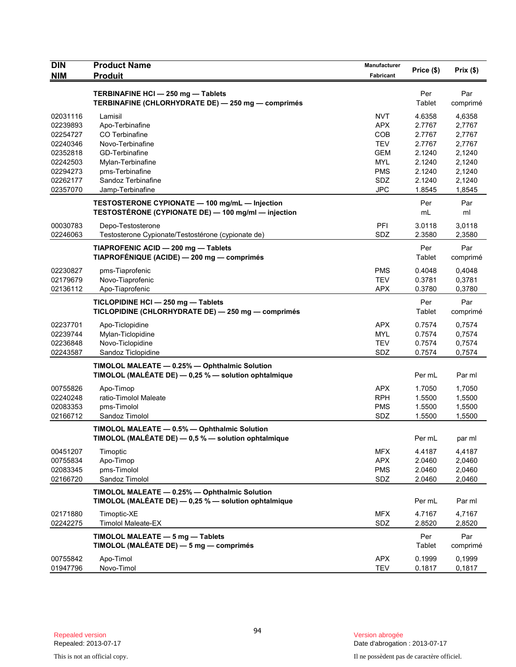| <b>DIN</b><br><b>NIM</b> | <b>Product Name</b><br><b>Produit</b>                                                                 | Manufacturer<br>Fabricant | Price (\$)       | Prix(\$)         |
|--------------------------|-------------------------------------------------------------------------------------------------------|---------------------------|------------------|------------------|
|                          |                                                                                                       |                           |                  |                  |
|                          | TERBINAFINE HCI - 250 mg - Tablets                                                                    |                           | Per              | Par              |
|                          | TERBINAFINE (CHLORHYDRATE DE) - 250 mg - comprimés                                                    |                           | Tablet           | comprimé         |
| 02031116                 | Lamisil                                                                                               | <b>NVT</b>                | 4.6358           | 4,6358           |
| 02239893                 | Apo-Terbinafine                                                                                       | <b>APX</b>                | 2.7767           | 2,7767           |
| 02254727                 | CO Terbinafine                                                                                        | COB                       | 2.7767           | 2,7767           |
| 02240346                 | Novo-Terbinafine                                                                                      | <b>TEV</b>                | 2.7767           | 2,7767           |
| 02352818                 | <b>GD-Terbinafine</b>                                                                                 | <b>GEM</b>                | 2.1240           | 2,1240           |
| 02242503                 | Mylan-Terbinafine                                                                                     | <b>MYL</b>                | 2.1240           | 2,1240           |
| 02294273<br>02262177     | pms-Terbinafine<br>Sandoz Terbinafine                                                                 | <b>PMS</b><br>SDZ         | 2.1240<br>2.1240 | 2,1240<br>2,1240 |
| 02357070                 | Jamp-Terbinafine                                                                                      | <b>JPC</b>                | 1.8545           | 1,8545           |
|                          |                                                                                                       |                           |                  |                  |
|                          | TESTOSTERONE CYPIONATE - 100 mg/mL - Injection<br>TESTOSTÉRONE (CYPIONATE DE) - 100 mg/ml - injection |                           | Per<br>mL        | Par<br>ml        |
|                          |                                                                                                       |                           |                  |                  |
| 00030783                 | Depo-Testosterone                                                                                     | PFI                       | 3.0118           | 3,0118           |
| 02246063                 | Testosterone Cypionate/Testostérone (cypionate de)                                                    | SDZ                       | 2.3580           | 2,3580           |
|                          | TIAPROFENIC ACID - 200 mg - Tablets                                                                   |                           | Per              | Par              |
|                          | TIAPROFÉNIQUE (ACIDE) - 200 mg - comprimés                                                            |                           | Tablet           | comprimé         |
| 02230827                 | pms-Tiaprofenic                                                                                       | <b>PMS</b>                | 0.4048           | 0,4048           |
| 02179679                 | Novo-Tiaprofenic                                                                                      | <b>TEV</b>                | 0.3781           | 0,3781           |
| 02136112                 | Apo-Tiaprofenic                                                                                       | <b>APX</b>                | 0.3780           | 0,3780           |
|                          | TICLOPIDINE HCI-250 mg-Tablets                                                                        |                           | Per              | Par              |
|                          | TICLOPIDINE (CHLORHYDRATE DE) - 250 mg - comprimés                                                    |                           | Tablet           | comprimé         |
| 02237701                 | Apo-Ticlopidine                                                                                       | <b>APX</b>                | 0.7574           | 0,7574           |
| 02239744                 | Mylan-Ticlopidine                                                                                     | <b>MYL</b>                | 0.7574           | 0,7574           |
| 02236848                 | Novo-Ticlopidine                                                                                      | <b>TEV</b>                | 0.7574           | 0,7574           |
| 02243587                 | Sandoz Ticlopidine                                                                                    | SDZ                       | 0.7574           | 0,7574           |
|                          | TIMOLOL MALEATE - 0.25% - Ophthalmic Solution                                                         |                           |                  |                  |
|                          | TIMOLOL (MALÉATE DE) - 0,25 % - solution ophtalmique                                                  |                           | Per mL           | Par ml           |
| 00755826                 | Apo-Timop                                                                                             | <b>APX</b>                | 1.7050           | 1,7050           |
| 02240248                 | ratio-Timolol Maleate                                                                                 | <b>RPH</b>                | 1.5500           | 1,5500           |
| 02083353                 | pms-Timolol                                                                                           | <b>PMS</b>                | 1.5500           | 1,5500           |
| 02166712                 | Sandoz Timolol                                                                                        | SDZ                       | 1.5500           | 1,5500           |
|                          | TIMOLOL MALEATE - 0.5% - Ophthalmic Solution                                                          |                           |                  |                  |
|                          | TIMOLOL (MALÉATE DE) - 0,5 % - solution ophtalmique                                                   |                           | Per mL           | par ml           |
|                          |                                                                                                       |                           |                  |                  |
| 00451207                 | Timoptic                                                                                              | <b>MFX</b>                | 4.4187           | 4,4187           |
| 00755834                 | Apo-Timop                                                                                             | <b>APX</b>                | 2.0460           | 2,0460           |
| 02083345<br>02166720     | pms-Timolol<br>Sandoz Timolol                                                                         | <b>PMS</b><br>SDZ         | 2.0460<br>2.0460 | 2,0460<br>2,0460 |
|                          |                                                                                                       |                           |                  |                  |
|                          | TIMOLOL MALEATE - 0.25% - Ophthalmic Solution                                                         |                           |                  |                  |
|                          | TIMOLOL (MALÉATE DE) - 0,25 % - solution ophtalmique                                                  |                           | Per mL           | Par ml           |
| 02171880                 | Timoptic-XE                                                                                           | <b>MFX</b>                | 4.7167           | 4,7167           |
| 02242275                 | Timolol Maleate-EX                                                                                    | SDZ                       | 2.8520           | 2,8520           |
|                          | TIMOLOL MALEATE - 5 mg - Tablets                                                                      |                           | Per              | Par              |
|                          | TIMOLOL (MALÉATE DE) — 5 mg — comprimés                                                               |                           | Tablet           | comprimé         |
| 00755842                 | Apo-Timol                                                                                             | <b>APX</b>                | 0.1999           | 0,1999           |
| 01947796                 | Novo-Timol                                                                                            | <b>TEV</b>                | 0.1817           | 0,1817           |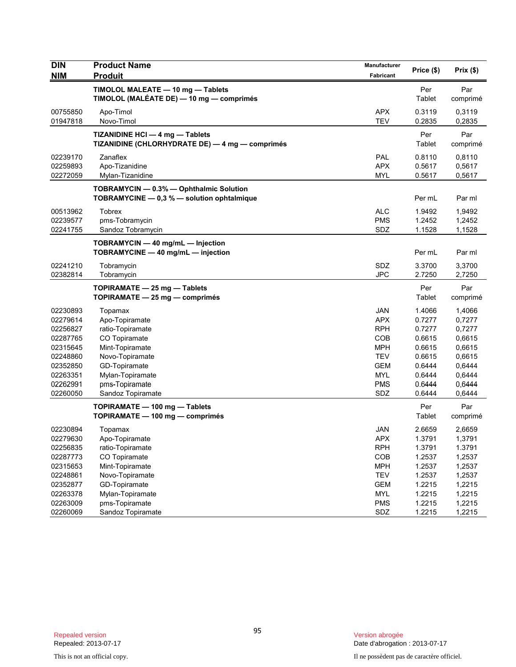| <b>DIN</b><br><b>NIM</b> | <b>Product Name</b><br><b>Produit</b>                                                 | Manufacturer<br>Fabricant | Price (\$)    | Prix (\$)       |
|--------------------------|---------------------------------------------------------------------------------------|---------------------------|---------------|-----------------|
|                          | TIMOLOL MALEATE - 10 mg - Tablets<br>TIMOLOL (MALÉATE DE) — 10 mg — comprimés         |                           | Per<br>Tablet | Par<br>comprimé |
| 00755850                 | Apo-Timol                                                                             | <b>APX</b>                | 0.3119        | 0,3119          |
| 01947818                 | Novo-Timol                                                                            | <b>TEV</b>                | 0.2835        | 0,2835          |
|                          | TIZANIDINE HCI - 4 mg - Tablets<br>TIZANIDINE (CHLORHYDRATE DE) - 4 mg - comprimés    |                           | Per<br>Tablet | Par<br>comprimé |
| 02239170                 | Zanaflex                                                                              | <b>PAL</b>                | 0.8110        | 0,8110          |
| 02259893                 | Apo-Tizanidine                                                                        | <b>APX</b>                | 0.5617        | 0,5617          |
| 02272059                 | Mylan-Tizanidine                                                                      | <b>MYL</b>                | 0.5617        | 0,5617          |
|                          | TOBRAMYCIN - 0.3% - Ophthalmic Solution<br>TOBRAMYCINE - 0,3 % - solution ophtalmique |                           | Per mL        | Par ml          |
| 00513962                 | Tobrex                                                                                | <b>ALC</b>                | 1.9492        | 1,9492          |
| 02239577                 | pms-Tobramycin                                                                        | <b>PMS</b>                | 1.2452        | 1,2452          |
| 02241755                 | Sandoz Tobramycin                                                                     | SDZ                       | 1.1528        | 1,1528          |
|                          | TOBRAMYCIN - 40 mg/mL - Injection<br>TOBRAMYCINE - 40 mg/mL - injection               |                           | Per mL        | Par ml          |
| 02241210                 | Tobramycin                                                                            | SDZ                       | 3.3700        | 3,3700          |
| 02382814                 | Tobramycin                                                                            | <b>JPC</b>                | 2.7250        | 2,7250          |
|                          | TOPIRAMATE - 25 mg - Tablets<br>TOPIRAMATE $-25$ mg $-$ comprimés                     |                           | Per<br>Tablet | Par<br>comprimé |
| 02230893                 | Topamax                                                                               | <b>JAN</b>                | 1.4066        | 1,4066          |
| 02279614                 | Apo-Topiramate                                                                        | <b>APX</b>                | 0.7277        | 0,7277          |
| 02256827                 | ratio-Topiramate                                                                      | <b>RPH</b>                | 0.7277        | 0,7277          |
| 02287765                 | CO Topiramate                                                                         | COB                       | 0.6615        | 0,6615          |
| 02315645                 | Mint-Topiramate                                                                       | <b>MPH</b>                | 0.6615        | 0,6615          |
| 02248860                 | Novo-Topiramate                                                                       | <b>TEV</b>                | 0.6615        | 0,6615          |
| 02352850                 | GD-Topiramate                                                                         | <b>GEM</b>                | 0.6444        | 0,6444          |
| 02263351                 | Mylan-Topiramate                                                                      | <b>MYL</b>                | 0.6444        | 0,6444          |
| 02262991                 | pms-Topiramate                                                                        | <b>PMS</b>                | 0.6444        | 0,6444          |
| 02260050                 | Sandoz Topiramate                                                                     | SDZ                       | 0.6444        | 0,6444          |
|                          | TOPIRAMATE - 100 mg - Tablets<br>TOPIRAMATE - 100 mg - comprimés                      |                           | Per<br>Tablet | Par<br>comprimé |
| 02230894                 | Topamax                                                                               | JAN                       | 2.6659        | 2,6659          |
| 02279630                 | Apo-Topiramate                                                                        | APX                       | 1.3791        | 1,3791          |
| 02256835                 | ratio-Topiramate                                                                      | <b>RPH</b>                | 1.3791        | 1.3791          |
| 02287773                 | CO Topiramate                                                                         | COB                       | 1.2537        | 1,2537          |
| 02315653                 | Mint-Topiramate                                                                       | <b>MPH</b>                | 1.2537        | 1,2537          |
| 02248861                 | Novo-Topiramate                                                                       | <b>TEV</b>                | 1.2537        | 1,2537          |
| 02352877                 | GD-Topiramate                                                                         | <b>GEM</b>                | 1.2215        | 1,2215          |
| 02263378                 | Mylan-Topiramate                                                                      | <b>MYL</b>                | 1.2215        | 1,2215          |
| 02263009                 | pms-Topiramate                                                                        | <b>PMS</b>                | 1.2215        | 1,2215          |
| 02260069                 | Sandoz Topiramate                                                                     | SDZ                       | 1.2215        | 1,2215          |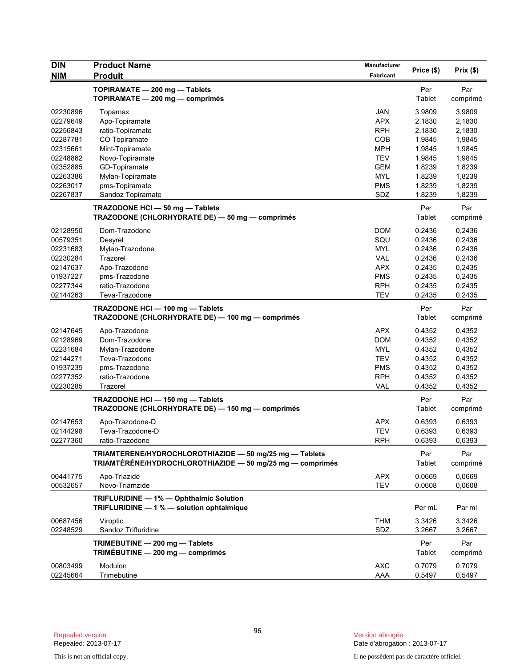| <b>DIN</b> | <b>Product Name</b>                                                                  | Manufacturer |            |                  |
|------------|--------------------------------------------------------------------------------------|--------------|------------|------------------|
| <b>NIM</b> | <b>Produit</b>                                                                       | Fabricant    | Price (\$) | Prix(\$)         |
|            | TOPIRAMATE - 200 mg - Tablets                                                        |              | Per        | Par              |
|            | TOPIRAMATE - 200 mg - comprimés                                                      |              | Tablet     | comprimé         |
| 02230896   |                                                                                      | <b>JAN</b>   | 3.9809     |                  |
| 02279649   | Topamax<br>Apo-Topiramate                                                            | <b>APX</b>   | 2.1830     | 3,9809<br>2,1830 |
| 02256843   | ratio-Topiramate                                                                     | <b>RPH</b>   | 2.1830     | 2,1830           |
| 02287781   | CO Topiramate                                                                        | COB          | 1.9845     | 1,9845           |
| 02315661   | Mint-Topiramate                                                                      | <b>MPH</b>   | 1.9845     | 1,9845           |
| 02248862   | Novo-Topiramate                                                                      | <b>TEV</b>   | 1.9845     | 1,9845           |
| 02352885   | GD-Topiramate                                                                        | <b>GEM</b>   | 1.8239     | 1,8239           |
| 02263386   | Mylan-Topiramate                                                                     | <b>MYL</b>   | 1.8239     | 1,8239           |
| 02263017   | pms-Topiramate                                                                       | <b>PMS</b>   | 1.8239     | 1,8239           |
| 02267837   | Sandoz Topiramate                                                                    | SDZ          | 1.8239     | 1,8239           |
|            |                                                                                      |              |            |                  |
|            | TRAZODONE HCI-50 mg-Tablets                                                          |              | Per        | Par              |
|            | TRAZODONE (CHLORHYDRATE DE) - 50 mg - comprimés                                      |              | Tablet     | comprimé         |
| 02128950   | Dom-Trazodone                                                                        | <b>DOM</b>   | 0.2436     | 0,2436           |
| 00579351   | Desyrel                                                                              | SQU          | 0.2436     | 0,2436           |
| 02231683   | Mylan-Trazodone                                                                      | <b>MYL</b>   | 0.2436     | 0,2436           |
| 02230284   | Trazorel                                                                             | VAL          | 0.2436     | 0,2436           |
| 02147637   | Apo-Trazodone                                                                        | <b>APX</b>   | 0.2435     | 0,2435           |
| 01937227   | pms-Trazodone                                                                        | <b>PMS</b>   | 0.2435     | 0,2435           |
| 02277344   | ratio-Trazodone                                                                      | <b>RPH</b>   | 0.2435     | 0.2435           |
| 02144263   | Teva-Trazodone                                                                       | <b>TEV</b>   | 0.2435     | 0,2435           |
|            | TRAZODONE HCI - 100 mg - Tablets                                                     |              | Per        | Par              |
|            | TRAZODONE (CHLORHYDRATE DE) - 100 mg - comprimés                                     |              | Tablet     | comprimé         |
| 02147645   | Apo-Trazodone                                                                        | <b>APX</b>   | 0.4352     | 0,4352           |
| 02128969   | Dom-Trazodone                                                                        | <b>DOM</b>   | 0.4352     | 0,4352           |
| 02231684   | Mylan-Trazodone                                                                      | MYL          | 0.4352     | 0,4352           |
| 02144271   | Teva-Trazodone                                                                       | <b>TEV</b>   | 0.4352     | 0,4352           |
| 01937235   | pms-Trazodone                                                                        | <b>PMS</b>   | 0.4352     | 0,4352           |
| 02277352   | ratio-Trazodone                                                                      | <b>RPH</b>   | 0.4352     | 0,4352           |
| 02230285   | Trazorel                                                                             | <b>VAL</b>   | 0.4352     | 0,4352           |
|            |                                                                                      |              | Per        | Par              |
|            | TRAZODONE HCI - 150 mg - Tablets<br>TRAZODONE (CHLORHYDRATE DE) - 150 mg - comprimés |              | Tablet     | comprimé         |
|            |                                                                                      |              |            |                  |
| 02147653   | Apo-Trazodone-D                                                                      | <b>APX</b>   | 0.6393     | 0,6393           |
| 02144298   | Teva-Trazodone-D                                                                     | <b>TEV</b>   | 0.6393     | 0,6393           |
| 02277360   | ratio-Trazodone                                                                      | <b>RPH</b>   | 0.6393     | 0,6393           |
|            | TRIAMTERENE/HYDROCHLOROTHIAZIDE - 50 mg/25 mg - Tablets                              |              | Per        | Par              |
|            | TRIAMTÉRÈNE/HYDROCHLOROTHIAZIDE - 50 mg/25 mg - comprimés                            |              | Tablet     | comprimé         |
| 00441775   | Apo-Triazide                                                                         | <b>APX</b>   | 0.0669     | 0,0669           |
| 00532657   | Novo-Triamzide                                                                       | <b>TEV</b>   | 0.0608     | 0,0608           |
|            |                                                                                      |              |            |                  |
|            | TRIFLURIDINE - 1% - Ophthalmic Solution                                              |              |            |                  |
|            | TRIFLURIDINE - 1 % - solution ophtalmique                                            |              | Per mL     | Par ml           |
| 00687456   | Viroptic                                                                             | <b>THM</b>   | 3.3426     | 3,3426           |
| 02248529   | Sandoz Trifluridine                                                                  | SDZ          | 3.2667     | 3,2667           |
|            | TRIMEBUTINE - 200 mg - Tablets                                                       |              | Per        | Par              |
|            | TRIMÉBUTINE - 200 mg - comprimés                                                     |              | Tablet     | comprimé         |
|            |                                                                                      |              |            |                  |
| 00803499   | Modulon                                                                              | <b>AXC</b>   | 0.7079     | 0,7079           |
| 02245664   | Trimebutine                                                                          | AAA          | 0.5497     | 0,5497           |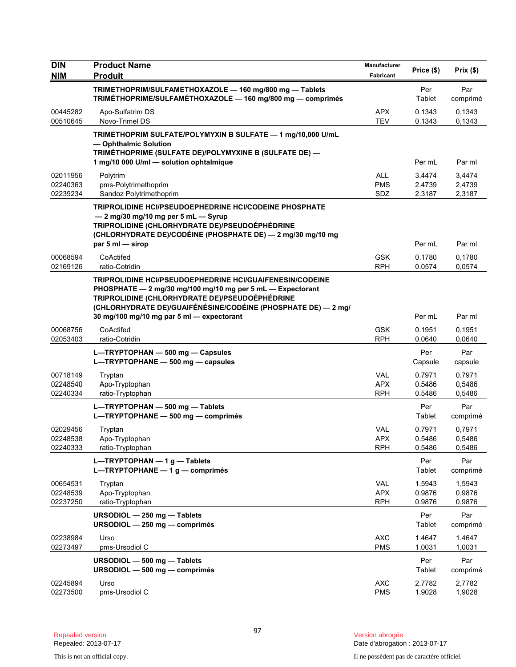| <b>DIN</b><br><b>NIM</b>         | <b>Product Name</b><br><b>Produit</b>                                                                                                                                                                                                                                                         | Manufacturer<br>Fabricant              | Price (\$)                 | Prix(\$)                   |
|----------------------------------|-----------------------------------------------------------------------------------------------------------------------------------------------------------------------------------------------------------------------------------------------------------------------------------------------|----------------------------------------|----------------------------|----------------------------|
|                                  |                                                                                                                                                                                                                                                                                               |                                        |                            |                            |
|                                  | TRIMETHOPRIM/SULFAMETHOXAZOLE - 160 mg/800 mg - Tablets<br>TRIMÉTHOPRIME/SULFAMÉTHOXAZOLE - 160 mg/800 mg - comprimés                                                                                                                                                                         |                                        | Per<br>Tablet              | Par<br>comprimé            |
| 00445282<br>00510645             | Apo-Sulfatrim DS<br>Novo-Trimel DS                                                                                                                                                                                                                                                            | <b>APX</b><br><b>TEV</b>               | 0.1343<br>0.1343           | 0.1343<br>0.1343           |
|                                  | TRIMETHOPRIM SULFATE/POLYMYXIN B SULFATE - 1 mg/10,000 U/mL<br>- Ophthalmic Solution<br>TRIMÉTHOPRIME (SULFATE DE)/POLYMYXINE B (SULFATE DE) -<br>1 mg/10 000 U/ml - solution ophtalmique                                                                                                     |                                        | Per mL                     | Par ml                     |
| 02011956<br>02240363             | Polytrim<br>pms-Polytrimethoprim                                                                                                                                                                                                                                                              | <b>ALL</b><br><b>PMS</b>               | 3.4474<br>2.4739           | 3,4474<br>2,4739           |
| 02239234                         | Sandoz Polytrimethoprim<br>TRIPROLIDINE HCI/PSEUDOEPHEDRINE HCI/CODEINE PHOSPHATE<br>- 2 mg/30 mg/10 mg per 5 mL - Syrup<br>TRIPROLIDINE (CHLORHYDRATE DE)/PSEUDOÉPHÉDRINE<br>(CHLORHYDRATE DE)/CODÉINE (PHOSPHATE DE) - 2 mg/30 mg/10 mg<br>par 5 ml - sirop                                 | SDZ                                    | 2.3187<br>Per mL           | 2,3187<br>Par ml           |
| 00068594<br>02169126             | CoActifed<br>ratio-Cotridin                                                                                                                                                                                                                                                                   | <b>GSK</b><br><b>RPH</b>               | 0.1780<br>0.0574           | 0,1780<br>0,0574           |
|                                  | <b>TRIPROLIDINE HCI/PSEUDOEPHEDRINE HCI/GUAIFENESIN/CODEINE</b><br>PHOSPHATE - 2 mg/30 mg/100 mg/10 mg per 5 mL - Expectorant<br>TRIPROLIDINE (CHLORHYDRATE DE)/PSEUDOÉPHÉDRINE<br>(CHLORHYDRATE DE)/GUAIFÉNÉSINE/CODÉINE (PHOSPHATE DE) — 2 mg/<br>30 mg/100 mg/10 mg par 5 ml - expectorant |                                        | Per mL                     | Par ml                     |
| 00068756<br>02053403             | CoActifed<br>ratio-Cotridin                                                                                                                                                                                                                                                                   | <b>GSK</b><br><b>RPH</b>               | 0.1951<br>0.0640           | 0,1951<br>0,0640           |
|                                  | L-TRYPTOPHAN - 500 mg - Capsules<br>L-TRYPTOPHANE - 500 mg - capsules                                                                                                                                                                                                                         |                                        | Per<br>Capsule             | Par<br>capsule             |
| 00718149<br>02248540<br>02240334 | Tryptan<br>Apo-Tryptophan<br>ratio-Tryptophan                                                                                                                                                                                                                                                 | <b>VAL</b><br><b>APX</b><br><b>RPH</b> | 0.7971<br>0.5486<br>0.5486 | 0,7971<br>0,5486<br>0,5486 |
|                                  | L-TRYPTOPHAN - 500 mg - Tablets<br>L-TRYPTOPHANE - 500 mg - comprimés                                                                                                                                                                                                                         |                                        | Per<br>Tablet              | Par<br>comprimé            |
| 02029456<br>02248538<br>02240333 | Tryptan<br>Apo-Tryptophan<br>ratio-Tryptophan                                                                                                                                                                                                                                                 | <b>VAL</b><br><b>APX</b><br><b>RPH</b> | 0.7971<br>0.5486<br>0.5486 | 0,7971<br>0,5486<br>0,5486 |
|                                  | L-TRYPTOPHAN $-1$ g - Tablets<br>L-TRYPTOPHANE - 1 g - comprimés                                                                                                                                                                                                                              |                                        | Per<br>Tablet              | Par<br>comprimé            |
| 00654531<br>02248539<br>02237250 | Tryptan<br>Apo-Tryptophan<br>ratio-Tryptophan                                                                                                                                                                                                                                                 | VAL<br><b>APX</b><br><b>RPH</b>        | 1.5943<br>0.9876<br>0.9876 | 1,5943<br>0,9876<br>0,9876 |
|                                  | URSODIOL - 250 mg - Tablets<br>URSODIOL - 250 mg - comprimés                                                                                                                                                                                                                                  |                                        | Per<br>Tablet              | Par<br>comprimé            |
| 02238984<br>02273497             | Urso<br>pms-Ursodiol C                                                                                                                                                                                                                                                                        | <b>AXC</b><br><b>PMS</b>               | 1.4647<br>1.0031           | 1,4647<br>1,0031           |
|                                  | URSODIOL - 500 mg - Tablets<br>URSODIOL - 500 mg - comprimés                                                                                                                                                                                                                                  |                                        | Per<br>Tablet              | Par<br>comprimé            |
| 02245894<br>02273500             | Urso<br>pms-Ursodiol C                                                                                                                                                                                                                                                                        | <b>AXC</b><br><b>PMS</b>               | 2.7782<br>1.9028           | 2,7782<br>1,9028           |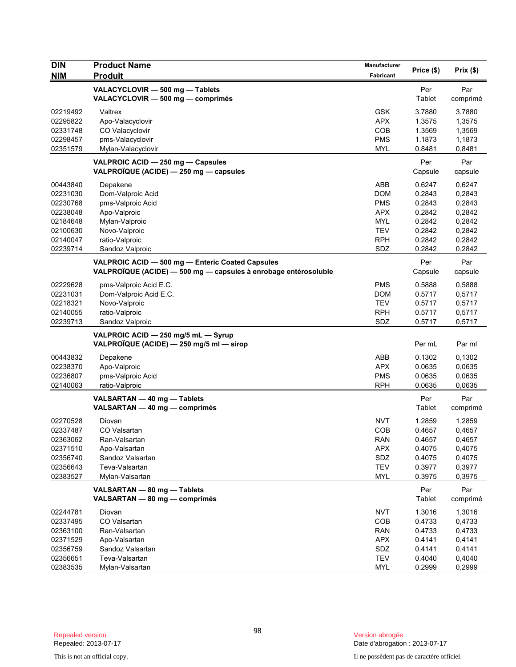| <b>DIN</b><br><b>NIM</b>                                                                     | <b>Product Name</b><br><b>Produit</b>                                                                                                      | Manufacturer<br>Fabricant                                                                      | Price (\$)                                                                   | Prix(\$)                                                                     |
|----------------------------------------------------------------------------------------------|--------------------------------------------------------------------------------------------------------------------------------------------|------------------------------------------------------------------------------------------------|------------------------------------------------------------------------------|------------------------------------------------------------------------------|
|                                                                                              | VALACYCLOVIR - 500 mg - Tablets<br>VALACYCLOVIR - 500 mg - comprimés                                                                       |                                                                                                | Per<br>Tablet                                                                | Par<br>comprimé                                                              |
| 02219492<br>02295822<br>02331748<br>02298457<br>02351579                                     | Valtrex<br>Apo-Valacyclovir<br>CO Valacyclovir<br>pms-Valacyclovir<br>Mylan-Valacyclovir                                                   | <b>GSK</b><br><b>APX</b><br>COB<br><b>PMS</b><br><b>MYL</b>                                    | 3.7880<br>1.3575<br>1.3569<br>1.1873<br>0.8481                               | 3,7880<br>1,3575<br>1,3569<br>1,1873<br>0,8481                               |
|                                                                                              | VALPROIC ACID - 250 mg - Capsules<br>VALPROÏQUE (ACIDE) - 250 mg - capsules                                                                |                                                                                                | Per<br>Capsule                                                               | Par<br>capsule                                                               |
| 00443840<br>02231030<br>02230768<br>02238048<br>02184648<br>02100630<br>02140047<br>02239714 | Depakene<br>Dom-Valproic Acid<br>pms-Valproic Acid<br>Apo-Valproic<br>Mylan-Valproic<br>Novo-Valproic<br>ratio-Valproic<br>Sandoz Valproic | <b>ABB</b><br><b>DOM</b><br><b>PMS</b><br><b>APX</b><br>MYL<br><b>TEV</b><br><b>RPH</b><br>SDZ | 0.6247<br>0.2843<br>0.2843<br>0.2842<br>0.2842<br>0.2842<br>0.2842<br>0.2842 | 0,6247<br>0,2843<br>0,2843<br>0,2842<br>0,2842<br>0,2842<br>0,2842<br>0,2842 |
|                                                                                              | VALPROIC ACID - 500 mg - Enteric Coated Capsules<br>VALPROÏQUE (ACIDE) - 500 mg - capsules à enrobage entérosoluble                        |                                                                                                | Per<br>Capsule                                                               | Par<br>capsule                                                               |
| 02229628<br>02231031<br>02218321<br>02140055<br>02239713                                     | pms-Valproic Acid E.C.<br>Dom-Valproic Acid E.C.<br>Novo-Valproic<br>ratio-Valproic<br>Sandoz Valproic                                     | <b>PMS</b><br><b>DOM</b><br><b>TEV</b><br><b>RPH</b><br>SDZ                                    | 0.5888<br>0.5717<br>0.5717<br>0.5717<br>0.5717                               | 0,5888<br>0,5717<br>0,5717<br>0,5717<br>0,5717                               |
|                                                                                              | VALPROIC ACID - 250 mg/5 mL - Syrup<br>VALPROÏQUE (ACIDE) - 250 mg/5 ml - sirop                                                            |                                                                                                | Per mL                                                                       | Par ml                                                                       |
| 00443832<br>02238370<br>02236807<br>02140063                                                 | Depakene<br>Apo-Valproic<br>pms-Valproic Acid<br>ratio-Valproic                                                                            | <b>ABB</b><br><b>APX</b><br><b>PMS</b><br><b>RPH</b>                                           | 0.1302<br>0.0635<br>0.0635<br>0.0635                                         | 0,1302<br>0,0635<br>0,0635<br>0.0635                                         |
|                                                                                              | VALSARTAN - 40 mg - Tablets<br>VALSARTAN - 40 mg - comprimés                                                                               |                                                                                                | Per<br>Tablet                                                                | Par<br>comprimé                                                              |
| 02270528<br>02337487<br>02363062<br>02371510<br>02356740<br>02356643<br>02383527             | Diovan<br>CO Valsartan<br>Ran-Valsartan<br>Apo-Valsartan<br>Sandoz Valsartan<br>Teva-Valsartan<br>Mylan-Valsartan                          | <b>NVT</b><br>COB<br><b>RAN</b><br><b>APX</b><br>SDZ<br><b>TEV</b><br><b>MYL</b>               | 1.2859<br>0.4657<br>0.4657<br>0.4075<br>0.4075<br>0.3977<br>0.3975           | 1,2859<br>0,4657<br>0,4657<br>0,4075<br>0,4075<br>0,3977<br>0,3975           |
|                                                                                              | VALSARTAN - 80 mg - Tablets<br>VALSARTAN - 80 mg - comprimés                                                                               |                                                                                                | Per<br>Tablet                                                                | Par<br>comprimé                                                              |
| 02244781<br>02337495<br>02363100<br>02371529<br>02356759<br>02356651                         | Diovan<br>CO Valsartan<br>Ran-Valsartan<br>Apo-Valsartan<br>Sandoz Valsartan<br>Teva-Valsartan                                             | <b>NVT</b><br>COB<br><b>RAN</b><br><b>APX</b><br>SDZ<br><b>TEV</b>                             | 1.3016<br>0.4733<br>0.4733<br>0.4141<br>0.4141<br>0.4040                     | 1,3016<br>0,4733<br>0,4733<br>0,4141<br>0,4141<br>0,4040                     |
| 02383535                                                                                     | Mylan-Valsartan                                                                                                                            | MYL                                                                                            | 0.2999                                                                       | 0,2999                                                                       |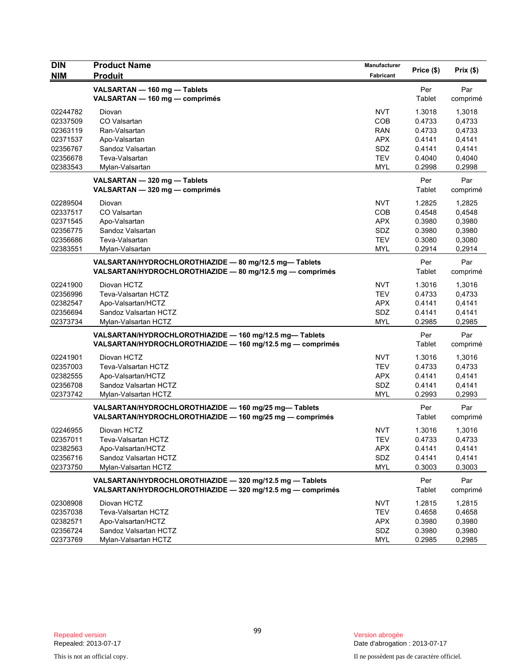| <b>DIN</b> | <b>Product Name</b>                                        | Manufacturer | Price (\$) | Prix(\$) |
|------------|------------------------------------------------------------|--------------|------------|----------|
| <b>NIM</b> | <b>Produit</b>                                             | Fabricant    |            |          |
|            | VALSARTAN - 160 mg - Tablets                               |              | Per        | Par      |
|            | VALSARTAN - 160 mg - comprimés                             |              | Tablet     | comprimé |
| 02244782   | Diovan                                                     | <b>NVT</b>   | 1.3018     | 1,3018   |
| 02337509   | CO Valsartan                                               | COB          | 0.4733     | 0,4733   |
| 02363119   | Ran-Valsartan                                              | <b>RAN</b>   | 0.4733     | 0,4733   |
| 02371537   | Apo-Valsartan                                              | <b>APX</b>   | 0.4141     | 0,4141   |
| 02356767   | Sandoz Valsartan                                           | SDZ          | 0.4141     | 0,4141   |
| 02356678   | Teva-Valsartan                                             | <b>TEV</b>   | 0.4040     | 0,4040   |
| 02383543   | Mylan-Valsartan                                            | <b>MYL</b>   | 0.2998     | 0,2998   |
|            | VALSARTAN - 320 mg - Tablets                               |              | Per        | Par      |
|            | VALSARTAN - 320 mg - comprimés                             |              | Tablet     | comprimé |
| 02289504   | Diovan                                                     | <b>NVT</b>   | 1.2825     | 1,2825   |
| 02337517   | CO Valsartan                                               | COB          | 0.4548     | 0,4548   |
| 02371545   | Apo-Valsartan                                              | <b>APX</b>   | 0.3980     | 0,3980   |
| 02356775   | Sandoz Valsartan                                           | SDZ          | 0.3980     | 0,3980   |
| 02356686   | Teva-Valsartan                                             | <b>TEV</b>   | 0.3080     | 0,3080   |
| 02383551   | Mylan-Valsartan                                            | <b>MYL</b>   | 0.2914     | 0,2914   |
|            | VALSARTAN/HYDROCHLOROTHIAZIDE - 80 mg/12.5 mg-Tablets      |              | Per        | Par      |
|            | VALSARTAN/HYDROCHLOROTHIAZIDE - 80 mg/12.5 mg - comprimés  |              | Tablet     | comprimé |
| 02241900   | Diovan HCTZ                                                | <b>NVT</b>   | 1.3016     | 1,3016   |
| 02356996   | Teva-Valsartan HCTZ                                        | <b>TEV</b>   | 0.4733     | 0,4733   |
| 02382547   | Apo-Valsartan/HCTZ                                         | <b>APX</b>   | 0.4141     | 0,4141   |
| 02356694   | Sandoz Valsartan HCTZ                                      | <b>SDZ</b>   | 0.4141     | 0,4141   |
| 02373734   | Mylan-Valsartan HCTZ                                       | <b>MYL</b>   | 0.2985     | 0,2985   |
|            | VALSARTAN/HYDROCHLOROTHIAZIDE - 160 mg/12.5 mg- Tablets    |              | Per        | Par      |
|            | VALSARTAN/HYDROCHLOROTHIAZIDE - 160 mg/12.5 mg - comprimés |              | Tablet     | comprimé |
| 02241901   | Diovan HCTZ                                                | <b>NVT</b>   | 1.3016     | 1,3016   |
| 02357003   | Teva-Valsartan HCTZ                                        | <b>TEV</b>   | 0.4733     | 0,4733   |
| 02382555   | Apo-Valsartan/HCTZ                                         | <b>APX</b>   | 0.4141     | 0,4141   |
| 02356708   | Sandoz Valsartan HCTZ                                      | SDZ          | 0.4141     | 0,4141   |
| 02373742   | Mylan-Valsartan HCTZ                                       | <b>MYL</b>   | 0.2993     | 0.2993   |
|            | VALSARTAN/HYDROCHLOROTHIAZIDE - 160 mg/25 mg-Tablets       |              | Per        | Par      |
|            | VALSARTAN/HYDROCHLOROTHIAZIDE - 160 mg/25 mg - comprimés   |              | Tablet     | comprimé |
| 02246955   | Diovan HCTZ                                                | <b>NVT</b>   | 1.3016     | 1,3016   |
| 02357011   | Teva-Valsartan HCTZ                                        | <b>TEV</b>   | 0.4733     | 0,4733   |
| 02382563   | Apo-Valsartan/HCTZ                                         | <b>APX</b>   | 0.4141     | 0,4141   |
| 02356716   | Sandoz Valsartan HCTZ                                      | SDZ          | 0.4141     | 0,4141   |
| 02373750   | Mylan-Valsartan HCTZ                                       | <b>MYL</b>   | 0.3003     | 0,3003   |
|            | VALSARTAN/HYDROCHLOROTHIAZIDE - 320 mg/12.5 mg - Tablets   |              | Per        | Par      |
|            | VALSARTAN/HYDROCHLOROTHIAZIDE - 320 mg/12.5 mg - comprimés |              | Tablet     | comprimé |
| 02308908   | Diovan HCTZ                                                | <b>NVT</b>   | 1.2815     | 1,2815   |
| 02357038   | Teva-Valsartan HCTZ                                        | <b>TEV</b>   | 0.4658     | 0,4658   |
| 02382571   | Apo-Valsartan/HCTZ                                         | <b>APX</b>   | 0.3980     | 0,3980   |
| 02356724   | Sandoz Valsartan HCTZ                                      | SDZ          | 0.3980     | 0,3980   |
| 02373769   | Mylan-Valsartan HCTZ                                       | <b>MYL</b>   | 0.2985     | 0,2985   |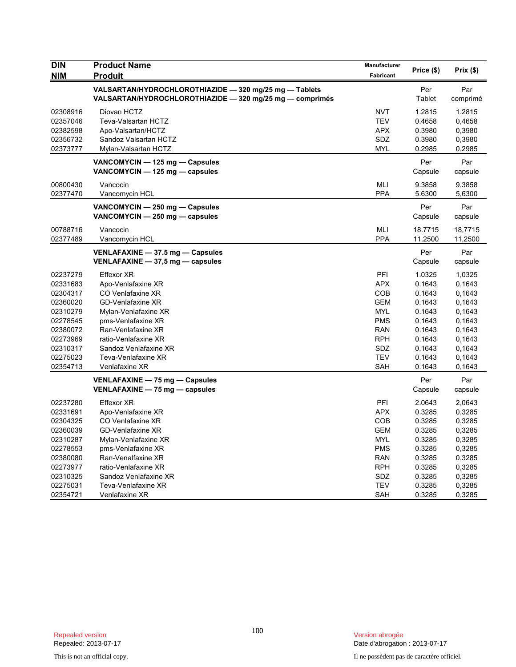| <b>DIN</b><br><b>NIM</b> | <b>Product Name</b><br>Produit                                                                                     | Manufacturer<br><b>Fabricant</b> | Price (\$)     | Prix(\$)        |
|--------------------------|--------------------------------------------------------------------------------------------------------------------|----------------------------------|----------------|-----------------|
|                          | VALSARTAN/HYDROCHLOROTHIAZIDE - 320 mg/25 mg - Tablets<br>VALSARTAN/HYDROCHLOROTHIAZIDE - 320 mg/25 mg - comprimés |                                  | Per<br>Tablet  | Par<br>comprimé |
| 02308916                 | Diovan HCTZ                                                                                                        | <b>NVT</b>                       | 1.2815         | 1,2815          |
| 02357046                 | Teva-Valsartan HCTZ                                                                                                | <b>TEV</b>                       | 0.4658         | 0,4658          |
| 02382598                 | Apo-Valsartan/HCTZ                                                                                                 | <b>APX</b>                       | 0.3980         | 0,3980          |
| 02356732                 | Sandoz Valsartan HCTZ                                                                                              | SDZ                              | 0.3980         | 0,3980          |
| 02373777                 | Mylan-Valsartan HCTZ                                                                                               | <b>MYL</b>                       | 0.2985         | 0,2985          |
|                          | VANCOMYCIN - 125 mg - Capsules<br>VANCOMYCIN - 125 mg - capsules                                                   |                                  | Per<br>Capsule | Par<br>capsule  |
| 00800430                 | Vancocin                                                                                                           | MLI                              | 9.3858         | 9,3858          |
| 02377470                 | Vancomycin HCL                                                                                                     | <b>PPA</b>                       | 5.6300         | 5,6300          |
|                          | VANCOMYCIN - 250 mg - Capsules<br>VANCOMYCIN - 250 mg - capsules                                                   |                                  | Per<br>Capsule | Par<br>capsule  |
| 00788716                 | Vancocin                                                                                                           | <b>MLI</b>                       | 18.7715        | 18,7715         |
| 02377489                 | Vancomycin HCL                                                                                                     | <b>PPA</b>                       | 11.2500        | 11,2500         |
|                          | VENLAFAXINE - 37.5 mg - Capsules<br>VENLAFAXINE $-$ 37,5 mg $-$ capsules                                           |                                  | Per<br>Capsule | Par<br>capsule  |
| 02237279                 | <b>Effexor XR</b>                                                                                                  | PFI                              | 1.0325         | 1,0325          |
| 02331683                 | Apo-Venlafaxine XR                                                                                                 | <b>APX</b>                       | 0.1643         | 0.1643          |
| 02304317                 | CO Venlafaxine XR                                                                                                  | COB                              | 0.1643         | 0,1643          |
| 02360020                 | <b>GD-Venlafaxine XR</b>                                                                                           | <b>GEM</b>                       | 0.1643         | 0,1643          |
| 02310279                 | Mylan-Venlafaxine XR                                                                                               | <b>MYL</b>                       | 0.1643         | 0,1643          |
| 02278545                 | pms-Venlafaxine XR                                                                                                 | <b>PMS</b>                       | 0.1643         | 0,1643          |
| 02380072                 | Ran-Venlafaxine XR                                                                                                 | <b>RAN</b>                       | 0.1643         | 0,1643          |
| 02273969                 | ratio-Venlafaxine XR                                                                                               | <b>RPH</b>                       | 0.1643         | 0,1643          |
| 02310317                 | Sandoz Venlafaxine XR                                                                                              | SDZ                              | 0.1643         | 0,1643          |
| 02275023                 | Teva-Venlafaxine XR                                                                                                | <b>TEV</b>                       | 0.1643         | 0,1643          |
| 02354713                 | Venlafaxine XR                                                                                                     | SAH                              | 0.1643         | 0,1643          |
|                          | VENLAFAXINE - 75 mg - Capsules<br>VENLAFAXINE $-$ 75 mg $-$ capsules                                               |                                  | Per<br>Capsule | Par<br>capsule  |
| 02237280                 | <b>Effexor XR</b>                                                                                                  | PFI                              | 2.0643         | 2,0643          |
| 02331691                 | Apo-Venlafaxine XR                                                                                                 | <b>APX</b>                       | 0.3285         | 0,3285          |
| 02304325                 | CO Venlafaxine XR                                                                                                  | COB                              | 0.3285         | 0,3285          |
| 02360039                 | <b>GD-Venlafaxine XR</b>                                                                                           | <b>GEM</b>                       | 0.3285         | 0,3285          |
| 02310287                 | Mylan-Venlafaxine XR                                                                                               | <b>MYL</b>                       | 0.3285         | 0,3285          |
| 02278553                 | pms-Venlafaxine XR                                                                                                 | <b>PMS</b>                       | 0.3285         | 0,3285          |
| 02380080                 | Ran-Venalfaxine XR                                                                                                 | <b>RAN</b>                       | 0.3285         | 0,3285          |
| 02273977                 | ratio-Venlafaxine XR                                                                                               | <b>RPH</b>                       | 0.3285         | 0,3285          |
| 02310325                 | Sandoz Venlafaxine XR                                                                                              | SDZ                              | 0.3285         | 0,3285          |
| 02275031                 | Teva-Venlafaxine XR                                                                                                | <b>TEV</b>                       | 0.3285         | 0,3285          |
| 02354721                 | Venlafaxine XR                                                                                                     | SAH                              | 0.3285         | 0,3285          |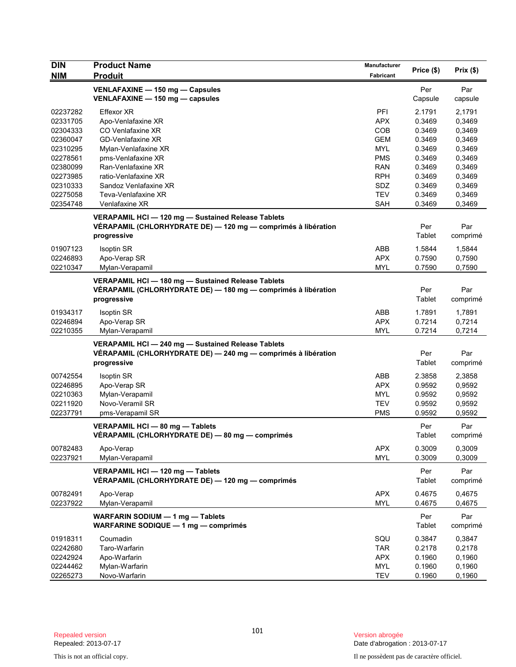| <b>DIN</b> | <b>Product Name</b>                                           | Manufacturer | Price (\$) | Prix(\$) |
|------------|---------------------------------------------------------------|--------------|------------|----------|
| <b>NIM</b> | <b>Produit</b>                                                | Fabricant    |            |          |
|            | VENLAFAXINE - 150 mg - Capsules                               |              | Per        | Par      |
|            | VENLAFAXINE - 150 mg - capsules                               |              | Capsule    | capsule  |
| 02237282   | Effexor XR                                                    | PFI          | 2.1791     | 2,1791   |
| 02331705   | Apo-Venlafaxine XR                                            | <b>APX</b>   | 0.3469     | 0,3469   |
| 02304333   | CO Venlafaxine XR                                             | <b>COB</b>   | 0.3469     | 0,3469   |
| 02360047   | <b>GD-Venlafaxine XR</b>                                      | <b>GEM</b>   | 0.3469     | 0,3469   |
| 02310295   | Mylan-Venlafaxine XR                                          | <b>MYL</b>   | 0.3469     | 0,3469   |
| 02278561   | pms-Venlafaxine XR                                            | <b>PMS</b>   | 0.3469     | 0,3469   |
| 02380099   | Ran-Venlafaxine XR                                            | RAN          | 0.3469     | 0,3469   |
| 02273985   | ratio-Venlafaxine XR                                          | <b>RPH</b>   | 0.3469     | 0,3469   |
| 02310333   | Sandoz Venlafaxine XR                                         | SDZ          | 0.3469     | 0,3469   |
| 02275058   | Teva-Venlafaxine XR                                           | <b>TEV</b>   | 0.3469     | 0,3469   |
| 02354748   | Venlafaxine XR                                                | <b>SAH</b>   | 0.3469     | 0,3469   |
|            | VERAPAMIL HCI-120 mg-Sustained Release Tablets                |              |            |          |
|            | VÉRAPAMIL (CHLORHYDRATE DE) - 120 mg - comprimés à libération |              | Per        | Par      |
|            | progressive                                                   |              | Tablet     | comprimé |
|            |                                                               |              |            |          |
| 01907123   | <b>Isoptin SR</b>                                             | ABB          | 1.5844     | 1,5844   |
| 02246893   | Apo-Verap SR                                                  | <b>APX</b>   | 0.7590     | 0,7590   |
| 02210347   | Mylan-Verapamil                                               | <b>MYL</b>   | 0.7590     | 0,7590   |
|            | VERAPAMIL HCI-180 mg-Sustained Release Tablets                |              |            |          |
|            | VÉRAPAMIL (CHLORHYDRATE DE) — 180 mg — comprimés à libération |              | Per        | Par      |
|            | progressive                                                   |              | Tablet     | comprimé |
|            |                                                               |              |            |          |
| 01934317   | <b>Isoptin SR</b>                                             | ABB          | 1.7891     | 1,7891   |
| 02246894   | Apo-Verap SR                                                  | <b>APX</b>   | 0.7214     | 0,7214   |
| 02210355   | Mylan-Verapamil                                               | MYL          | 0.7214     | 0,7214   |
|            | VERAPAMIL HCI-240 mg-Sustained Release Tablets                |              |            |          |
|            | VÉRAPAMIL (CHLORHYDRATE DE) - 240 mg - comprimés à libération |              | Per        | Par      |
|            | progressive                                                   |              | Tablet     | comprimé |
| 00742554   | <b>Isoptin SR</b>                                             | ABB          | 2.3858     | 2,3858   |
| 02246895   | Apo-Verap SR                                                  | <b>APX</b>   | 0.9592     | 0,9592   |
| 02210363   | Mylan-Verapamil                                               | MYL          | 0.9592     | 0,9592   |
| 02211920   | Novo-Veramil SR                                               | <b>TEV</b>   | 0.9592     | 0,9592   |
| 02237791   | pms-Verapamil SR                                              | <b>PMS</b>   | 0.9592     | 0,9592   |
|            |                                                               |              |            |          |
|            | VERAPAMIL HCI - 80 mg - Tablets                               |              | Per        | Par      |
|            | VERAPAMIL (CHLORHYDRATE DE) — 80 mg — comprimés               |              | Tablet     | comprimé |
| 00782483   | Apo-Verap                                                     | <b>APX</b>   | 0.3009     | 0,3009   |
| 02237921   | Mylan-Verapamil                                               | <b>MYL</b>   | 0.3009     | 0,3009   |
|            |                                                               |              |            |          |
|            | VERAPAMIL HCI - 120 mg - Tablets                              |              | Per        | Par      |
|            | VÉRAPAMIL (CHLORHYDRATE DE) — 120 mg — comprimés              |              | Tablet     | comprimé |
| 00782491   | Apo-Verap                                                     | <b>APX</b>   | 0.4675     | 0,4675   |
| 02237922   | Mylan-Verapamil                                               | <b>MYL</b>   | 0.4675     | 0,4675   |
|            | WARFARIN SODIUM - 1 mg - Tablets                              |              | Per        | Par      |
|            | <b>WARFARINE SODIQUE - 1 mg - comprimés</b>                   |              | Tablet     | comprimé |
|            |                                                               |              |            |          |
| 01918311   | Coumadin                                                      | SQU          | 0.3847     | 0,3847   |
| 02242680   | Taro-Warfarin                                                 | <b>TAR</b>   | 0.2178     | 0,2178   |
| 02242924   | Apo-Warfarin                                                  | <b>APX</b>   | 0.1960     | 0,1960   |
| 02244462   | Mylan-Warfarin                                                | <b>MYL</b>   | 0.1960     | 0,1960   |
| 02265273   | Novo-Warfarin                                                 | <b>TEV</b>   | 0.1960     | 0,1960   |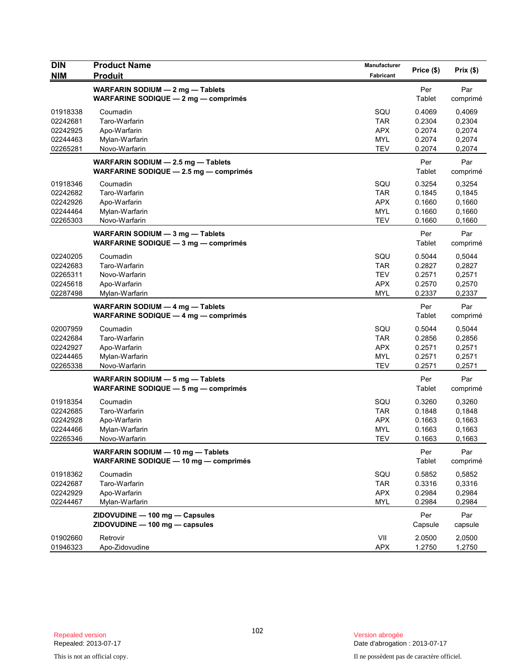| <b>DIN</b><br><b>NIM</b>                                 | <b>Product Name</b><br><b>Produit</b>                                        | Manufacturer<br>Fabricant                                   | Price (\$)                                     | Prix(\$)                                       |
|----------------------------------------------------------|------------------------------------------------------------------------------|-------------------------------------------------------------|------------------------------------------------|------------------------------------------------|
|                                                          | WARFARIN SODIUM - 2 mg - Tablets<br>WARFARINE SODIQUE - 2 mg - comprimés     |                                                             | Per<br>Tablet                                  | Par<br>comprimé                                |
| 01918338<br>02242681<br>02242925<br>02244463<br>02265281 | Coumadin<br>Taro-Warfarin<br>Apo-Warfarin<br>Mylan-Warfarin<br>Novo-Warfarin | SQU<br><b>TAR</b><br><b>APX</b><br><b>MYL</b><br><b>TEV</b> | 0.4069<br>0.2304<br>0.2074<br>0.2074<br>0.2074 | 0,4069<br>0,2304<br>0,2074<br>0,2074<br>0,2074 |
|                                                          | WARFARIN SODIUM - 2.5 mg - Tablets<br>WARFARINE SODIQUE - 2.5 mg - comprimés |                                                             | Per<br>Tablet                                  | Par<br>comprimé                                |
| 01918346<br>02242682<br>02242926<br>02244464<br>02265303 | Coumadin<br>Taro-Warfarin<br>Apo-Warfarin<br>Mylan-Warfarin<br>Novo-Warfarin | SQU<br><b>TAR</b><br><b>APX</b><br><b>MYL</b><br><b>TEV</b> | 0.3254<br>0.1845<br>0.1660<br>0.1660<br>0.1660 | 0,3254<br>0,1845<br>0,1660<br>0,1660<br>0,1660 |
|                                                          | WARFARIN SODIUM - 3 mg - Tablets<br>WARFARINE SODIQUE - 3 mg - comprimés     |                                                             | Per<br>Tablet                                  | Par<br>comprimé                                |
| 02240205<br>02242683<br>02265311<br>02245618<br>02287498 | Coumadin<br>Taro-Warfarin<br>Novo-Warfarin<br>Apo-Warfarin<br>Mylan-Warfarin | SQU<br><b>TAR</b><br><b>TEV</b><br><b>APX</b><br><b>MYL</b> | 0.5044<br>0.2827<br>0.2571<br>0.2570<br>0.2337 | 0,5044<br>0,2827<br>0,2571<br>0,2570<br>0,2337 |
|                                                          | WARFARIN SODIUM - 4 mg - Tablets<br>WARFARINE SODIQUE $-$ 4 mg $-$ comprimes |                                                             | Per<br>Tablet                                  | Par<br>comprimé                                |
| 02007959<br>02242684<br>02242927<br>02244465<br>02265338 | Coumadin<br>Taro-Warfarin<br>Apo-Warfarin<br>Mylan-Warfarin<br>Novo-Warfarin | SQU<br><b>TAR</b><br><b>APX</b><br><b>MYL</b><br><b>TEV</b> | 0.5044<br>0.2856<br>0.2571<br>0.2571<br>0.2571 | 0,5044<br>0,2856<br>0,2571<br>0,2571<br>0,2571 |
|                                                          | WARFARIN SODIUM - 5 mg - Tablets<br>WARFARINE SODIQUE - 5 mg - comprimés     |                                                             | Per<br>Tablet                                  | Par<br>comprimé                                |
| 01918354<br>02242685<br>02242928<br>02244466<br>02265346 | Coumadin<br>Taro-Warfarin<br>Apo-Warfarin<br>Mylan-Warfarin<br>Novo-Warfarin | SQU<br><b>TAR</b><br><b>APX</b><br>MYL<br>TEV               | 0.3260<br>0.1848<br>0.1663<br>0.1663<br>0.1663 | 0,3260<br>0,1848<br>0,1663<br>0,1663<br>0,1663 |
|                                                          | WARFARIN SODIUM - 10 mg - Tablets<br>WARFARINE SODIQUE - 10 mg - comprimés   |                                                             | Per<br>Tablet                                  | Par<br>comprimé                                |
| 01918362<br>02242687<br>02242929<br>02244467             | Coumadin<br>Taro-Warfarin<br>Apo-Warfarin<br>Mylan-Warfarin                  | SQU<br><b>TAR</b><br><b>APX</b><br><b>MYL</b>               | 0.5852<br>0.3316<br>0.2984<br>0.2984           | 0,5852<br>0,3316<br>0,2984<br>0,2984           |
|                                                          | ZIDOVUDINE - 100 mg - Capsules<br>ZIDOVUDINE - 100 mg - capsules             |                                                             | Per<br>Capsule                                 | Par<br>capsule                                 |
| 01902660<br>01946323                                     | Retrovir<br>Apo-Zidovudine                                                   | VII<br><b>APX</b>                                           | 2.0500<br>1.2750                               | 2,0500<br>1,2750                               |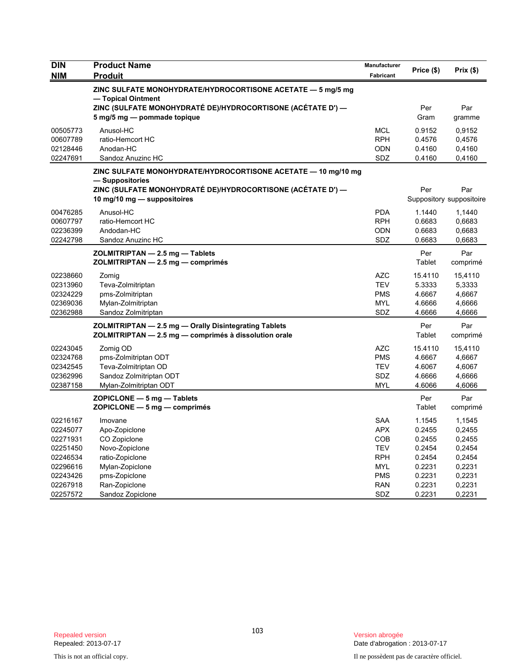| <b>DIN</b> | <b>Product Name</b>                                                                        | Manufacturer             | Price (\$)       | Prix(\$)                 |
|------------|--------------------------------------------------------------------------------------------|--------------------------|------------------|--------------------------|
| <b>NIM</b> | <b>Produit</b>                                                                             | Fabricant                |                  |                          |
|            | ZINC SULFATE MONOHYDRATE/HYDROCORTISONE ACETATE - 5 mg/5 mg<br>- Topical Ointment          |                          |                  |                          |
|            | ZINC (SULFATE MONOHYDRATÉ DE)/HYDROCORTISONE (ACÉTATE D') —<br>5 mg/5 mg - pommade topique |                          | Per<br>Gram      | Par<br>gramme            |
| 00505773   | Anusol-HC                                                                                  | <b>MCL</b>               | 0.9152           | 0,9152                   |
| 00607789   | ratio-Hemcort HC                                                                           | <b>RPH</b>               | 0.4576           | 0,4576                   |
| 02128446   | Anodan-HC                                                                                  | <b>ODN</b>               | 0.4160           | 0,4160                   |
| 02247691   | Sandoz Anuzinc HC                                                                          | SDZ                      | 0.4160           | 0,4160                   |
|            | ZINC SULFATE MONOHYDRATE/HYDROCORTISONE ACETATE — 10 mg/10 mg<br>— Suppositories           |                          |                  |                          |
|            | ZINC (SULFATE MONOHYDRATE DE)/HYDROCORTISONE (ACETATE D') —                                |                          | Per              | Par                      |
|            | 10 mg/10 mg $-$ suppositoires                                                              |                          |                  | Suppository suppositoire |
| 00476285   | Anusol-HC                                                                                  | <b>PDA</b>               | 1.1440           | 1,1440                   |
| 00607797   | ratio-Hemcort HC                                                                           | <b>RPH</b>               | 0.6683           | 0,6683                   |
| 02236399   | Andodan-HC                                                                                 | <b>ODN</b>               | 0.6683           | 0,6683                   |
| 02242798   | Sandoz Anuzinc HC                                                                          | SDZ                      | 0.6683           | 0,6683                   |
|            | ZOLMITRIPTAN - 2.5 mg - Tablets                                                            |                          | Per              | Par                      |
|            | ZOLMITRIPTAN - 2.5 mg - comprimés                                                          |                          | Tablet           | comprimé                 |
| 02238660   | Zomig                                                                                      | <b>AZC</b>               | 15.4110          | 15,4110                  |
| 02313960   | Teva-Zolmitriptan                                                                          | <b>TEV</b>               | 5.3333           | 5,3333                   |
| 02324229   | pms-Zolmitriptan                                                                           | <b>PMS</b>               | 4.6667           | 4,6667                   |
| 02369036   | Mylan-Zolmitriptan                                                                         | <b>MYL</b>               | 4.6666           | 4,6666                   |
| 02362988   | Sandoz Zolmitriptan                                                                        | SDZ                      | 4.6666           | 4,6666                   |
|            | ZOLMITRIPTAN - 2.5 mg - Orally Disintegrating Tablets                                      |                          | Per              | Par                      |
|            | ZOLMITRIPTAN - 2.5 mg - comprimés à dissolution orale                                      |                          | Tablet           | comprimé                 |
| 02243045   | Zomig OD                                                                                   | <b>AZC</b>               | 15.4110          | 15,4110                  |
| 02324768   | pms-Zolmitriptan ODT                                                                       | <b>PMS</b>               | 4.6667           | 4,6667                   |
| 02342545   | Teva-Zolmitriptan OD                                                                       | <b>TEV</b>               | 4.6067           | 4,6067                   |
| 02362996   | Sandoz Zolmitriptan ODT                                                                    | <b>SDZ</b><br><b>MYL</b> | 4.6666<br>4.6066 | 4,6666                   |
| 02387158   | Mylan-Zolmitriptan ODT                                                                     |                          |                  | 4,6066                   |
|            | $ZOPICLONE - 5 mg - Tables$<br>$ZOPICLONE - 5 mg - comprimés$                              |                          | Per<br>Tablet    | Par<br>comprimé          |
| 02216167   | Imovane                                                                                    | <b>SAA</b>               | 1.1545           | 1,1545                   |
| 02245077   | Apo-Zopiclone                                                                              | <b>APX</b>               | 0.2455           | 0,2455                   |
| 02271931   | CO Zopiclone                                                                               | <b>COB</b>               | 0.2455           | 0,2455                   |
| 02251450   | Novo-Zopiclone                                                                             | <b>TEV</b>               | 0.2454           | 0,2454                   |
| 02246534   | ratio-Zopiclone                                                                            | <b>RPH</b>               | 0.2454           | 0,2454                   |
| 02296616   | Mylan-Zopiclone                                                                            | MYL                      | 0.2231           | 0,2231                   |
| 02243426   | pms-Zopiclone                                                                              | <b>PMS</b>               | 0.2231           | 0,2231                   |
| 02267918   | Ran-Zopiclone                                                                              | <b>RAN</b>               | 0.2231           | 0,2231                   |
| 02257572   | Sandoz Zopiclone                                                                           | SDZ                      | 0.2231           | 0,2231                   |